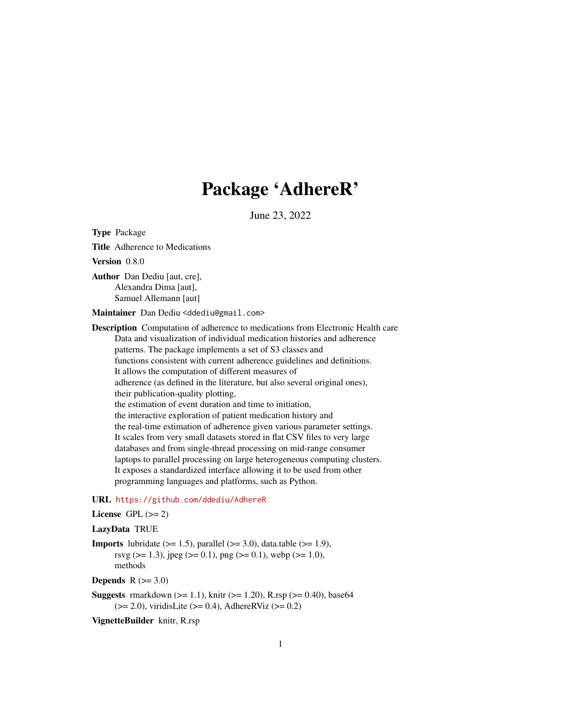# Package 'AdhereR'

June 23, 2022

Version 0.8.0 Author Dan Dediu [aut, cre], Alexandra Dima [aut], Samuel Allemann [aut] Maintainer Dan Dediu <ddediu@gmail.com> Description Computation of adherence to medications from Electronic Health care Data and visualization of individual medication histories and adherence patterns. The package implements a set of S3 classes and functions consistent with current adherence guidelines and definitions. It allows the computation of different measures of adherence (as defined in the literature, but also several original ones), their publication-quality plotting, the estimation of event duration and time to initiation, the interactive exploration of patient medication history and the real-time estimation of adherence given various parameter settings. It scales from very small datasets stored in flat CSV files to very large databases and from single-thread processing on mid-range consumer laptops to parallel processing on large heterogeneous computing clusters. It exposes a standardized interface allowing it to be used from other programming languages and platforms, such as Python.

## URL <https://github.com/ddediu/AdhereR>

### License GPL  $(>= 2)$

### LazyData TRUE

<span id="page-0-0"></span>Type Package

Title Adherence to Medications

**Imports** lubridate  $(>= 1.5)$ , parallel  $(>= 3.0)$ , data.table  $(>= 1.9)$ , rsvg ( $>$ = 1.3), jpeg ( $>$ = 0.1), png ( $>$ = 0.1), webp ( $>$ = 1.0), methods

Depends  $R$  ( $>= 3.0$ )

**Suggests** rmarkdown  $(>= 1.1)$ , knitr  $(>= 1.20)$ , R.rsp  $(>= 0.40)$ , base64  $(>= 2.0)$ , viridisLite  $(>= 0.4)$ , AdhereRViz  $(>= 0.2)$ 

VignetteBuilder knitr, R.rsp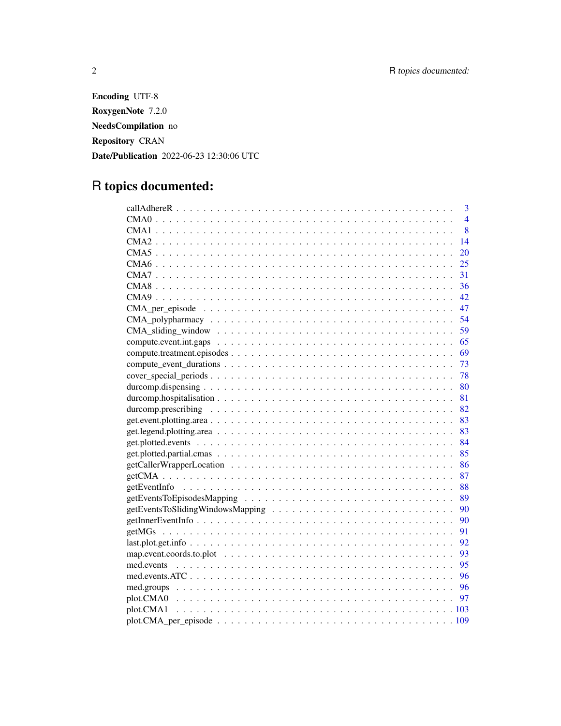Encoding UTF-8 RoxygenNote 7.2.0 NeedsCompilation no Repository CRAN Date/Publication 2022-06-23 12:30:06 UTC

# R topics documented:

| 3<br>$\overline{4}$                                                                                              |
|------------------------------------------------------------------------------------------------------------------|
| 8                                                                                                                |
| 14                                                                                                               |
| 20                                                                                                               |
| 25                                                                                                               |
| 31                                                                                                               |
| 36                                                                                                               |
| 42                                                                                                               |
| 47                                                                                                               |
| 54                                                                                                               |
| 59<br>$CMA\_sliding\_window \dots \dots \dots \dots \dots \dots \dots \dots \dots \dots \dots \dots \dots \dots$ |
| 65                                                                                                               |
| 69                                                                                                               |
| 73                                                                                                               |
| 78                                                                                                               |
| 80                                                                                                               |
| 81                                                                                                               |
| 82                                                                                                               |
| 83                                                                                                               |
| 83                                                                                                               |
| 84                                                                                                               |
| 85                                                                                                               |
| 86                                                                                                               |
| 87                                                                                                               |
| 88                                                                                                               |
| 89                                                                                                               |
| 90                                                                                                               |
| 90                                                                                                               |
| 91                                                                                                               |
| 92                                                                                                               |
| 93                                                                                                               |
| 95                                                                                                               |
| 96                                                                                                               |
| 96                                                                                                               |
| 97                                                                                                               |
|                                                                                                                  |
|                                                                                                                  |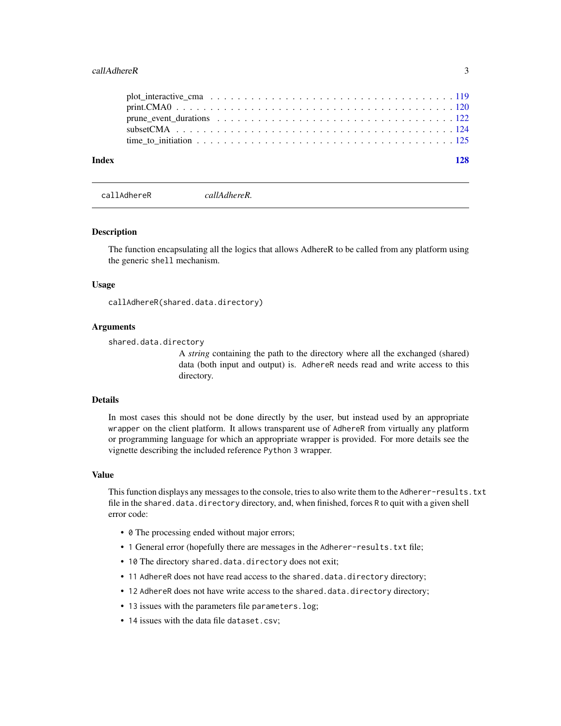#### <span id="page-2-0"></span>callAdhereR 3

| Index |  |  |  |  |  |  |  |  |  |  |  |  |  |  |
|-------|--|--|--|--|--|--|--|--|--|--|--|--|--|--|
|       |  |  |  |  |  |  |  |  |  |  |  |  |  |  |
|       |  |  |  |  |  |  |  |  |  |  |  |  |  |  |

callAdhereR *callAdhereR.*

#### Description

The function encapsulating all the logics that allows AdhereR to be called from any platform using the generic shell mechanism.

#### Usage

callAdhereR(shared.data.directory)

### Arguments

shared.data.directory

A *string* containing the path to the directory where all the exchanged (shared) data (both input and output) is. AdhereR needs read and write access to this directory.

### Details

In most cases this should not be done directly by the user, but instead used by an appropriate wrapper on the client platform. It allows transparent use of AdhereR from virtually any platform or programming language for which an appropriate wrapper is provided. For more details see the vignette describing the included reference Python 3 wrapper.

### Value

This function displays any messages to the console, tries to also write them to the Adherer-results.txt file in the shared.data.directory directory, and, when finished, forces R to quit with a given shell error code:

- 0 The processing ended without major errors;
- 1 General error (hopefully there are messages in the Adherer-results.txt file;
- 10 The directory shared.data.directory does not exit;
- 11 AdhereR does not have read access to the shared.data.directory directory;
- 12 AdhereR does not have write access to the shared.data.directory directory;
- 13 issues with the parameters file parameters.log;
- 14 issues with the data file dataset.csv;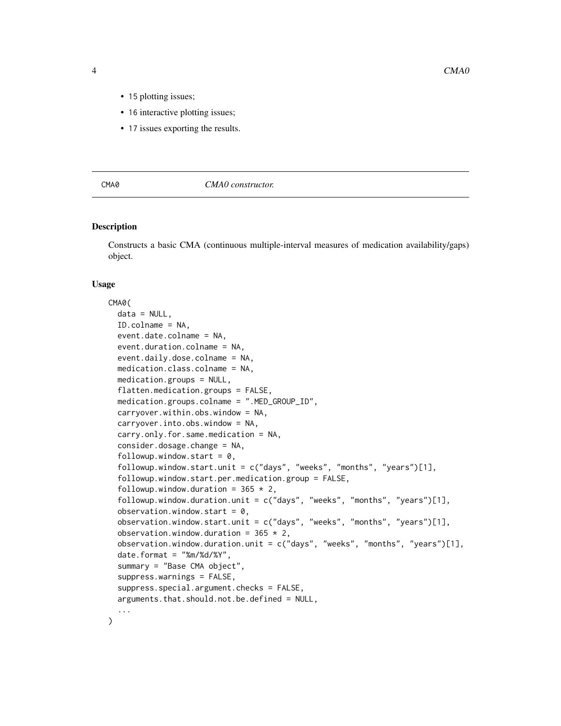- <span id="page-3-0"></span>• 15 plotting issues;
- 16 interactive plotting issues;
- 17 issues exporting the results.

### CMA0 *CMA0 constructor.*

### Description

Constructs a basic CMA (continuous multiple-interval measures of medication availability/gaps) object.

### Usage

```
CMA0(
  data = NULL,ID.colname = NA,
  event.date.colname = NA,
  event.duration.colname = NA,
  event.daily.dose.colname = NA,
  medication.class.colname = NA,
  medication.groups = NULL,
  flatten.medication.groups = FALSE,
  medication.groups.colname = ".MED_GROUP_ID",
  carryover.within.obs.window = NA,
  carryover.into.obs.window = NA,
  carry.only.for.same.medication = NA,
  consider.dosage.change = NA,
  followup.window.start = 0,
  followup.window.start.unit = c("days", "weeks", "months", "years")[1],
  followup.window.start.per.medication.group = FALSE,
  followup.window.duration = 365 \times 2,
  followup.window.duration.unit = c("days", "weeks", "months", "years")[1],
  observation.window.start = 0,
  observation.window.start.unit = c("days", "weeks", "months", "years")[1],
  observation.window.duration = 365 \times 2,
  observation.window.duration.unit = c("days", "weeks", "months", "years")[1],
  date.format = "%m/%d/%Y",
  summary = "Base CMA object",
  suppress.warnings = FALSE,
  suppress.special.argument.checks = FALSE,
  arguments.that.should.not.be.defined = NULL,
  ...
)
```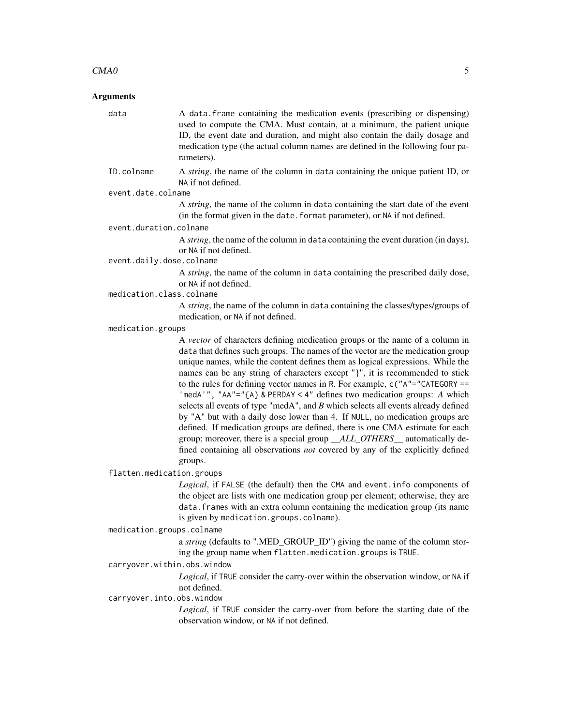#### $CMAO$  5

### Arguments

data A data.frame containing the medication events (prescribing or dispensing) used to compute the CMA. Must contain, at a minimum, the patient unique ID, the event date and duration, and might also contain the daily dosage and medication type (the actual column names are defined in the following four parameters).

ID.colname A *string*, the name of the column in data containing the unique patient ID, or NA if not defined.

### event.date.colname

A *string*, the name of the column in data containing the start date of the event (in the format given in the date.format parameter), or NA if not defined.

### event.duration.colname

A *string*, the name of the column in data containing the event duration (in days), or NA if not defined.

#### event.daily.dose.colname

A *string*, the name of the column in data containing the prescribed daily dose, or NA if not defined.

medication.class.colname

A *string*, the name of the column in data containing the classes/types/groups of medication, or NA if not defined.

medication.groups

A *vector* of characters defining medication groups or the name of a column in data that defines such groups. The names of the vector are the medication group unique names, while the content defines them as logical expressions. While the names can be any string of characters except "}", it is recommended to stick to the rules for defining vector names in R. For example, c("A"="CATEGORY == 'medA'", "AA"="{A} & PERDAY < 4" defines two medication groups: *A* which selects all events of type "medA", and *B* which selects all events already defined by "A" but with a daily dose lower than 4. If NULL, no medication groups are defined. If medication groups are defined, there is one CMA estimate for each group; moreover, there is a special group *\_\_ALL\_OTHERS\_\_* automatically defined containing all observations *not* covered by any of the explicitly defined groups.

flatten.medication.groups

*Logical*, if FALSE (the default) then the CMA and event.info components of the object are lists with one medication group per element; otherwise, they are data.frames with an extra column containing the medication group (its name is given by medication.groups.colname).

### medication.groups.colname

a *string* (defaults to ".MED\_GROUP\_ID") giving the name of the column storing the group name when flatten.medication.groups is TRUE.

### carryover.within.obs.window

*Logical*, if TRUE consider the carry-over within the observation window, or NA if not defined.

#### carryover.into.obs.window

*Logical*, if TRUE consider the carry-over from before the starting date of the observation window, or NA if not defined.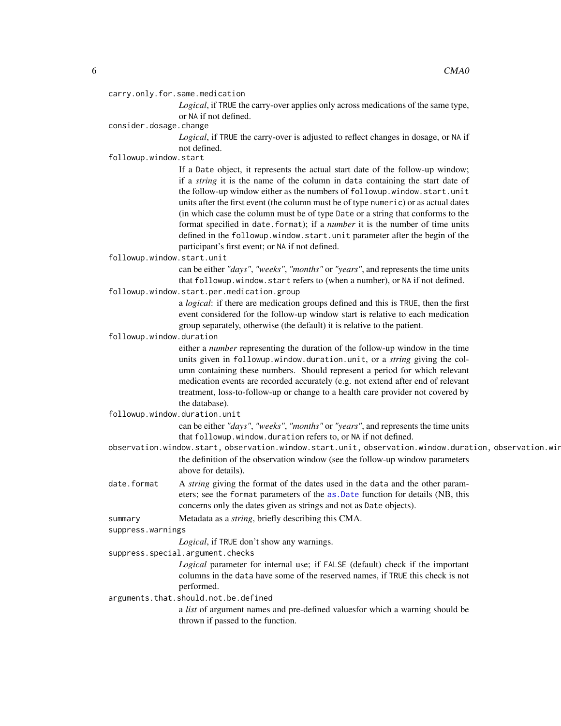carry.only.for.same.medication

*Logical*, if TRUE the carry-over applies only across medications of the same type, or NA if not defined.

consider.dosage.change

*Logical*, if TRUE the carry-over is adjusted to reflect changes in dosage, or NA if not defined.

followup.window.start

If a Date object, it represents the actual start date of the follow-up window; if a *string* it is the name of the column in data containing the start date of the follow-up window either as the numbers of followup.window.start.unit units after the first event (the column must be of type numeric) or as actual dates (in which case the column must be of type Date or a string that conforms to the format specified in date.format); if a *number* it is the number of time units defined in the followup.window.start.unit parameter after the begin of the participant's first event; or NA if not defined.

followup.window.start.unit

can be either *"days"*, *"weeks"*, *"months"* or *"years"*, and represents the time units that followup.window.start refers to (when a number), or NA if not defined.

followup.window.start.per.medication.group

a *logical*: if there are medication groups defined and this is TRUE, then the first event considered for the follow-up window start is relative to each medication group separately, otherwise (the default) it is relative to the patient.

followup.window.duration

either a *number* representing the duration of the follow-up window in the time units given in followup.window.duration.unit, or a *string* giving the column containing these numbers. Should represent a period for which relevant medication events are recorded accurately (e.g. not extend after end of relevant treatment, loss-to-follow-up or change to a health care provider not covered by the database).

followup.window.duration.unit

can be either *"days"*, *"weeks"*, *"months"* or *"years"*, and represents the time units that followup.window.duration refers to, or NA if not defined.

- observation.window.start, observation.window.start.unit, observation.window.duration, observation.win the definition of the observation window (see the follow-up window parameters above for details).
- date.format A *string* giving the format of the dates used in the data and the other parameters; see the format parameters of the [as.Date](#page-0-0) function for details (NB, this concerns only the dates given as strings and not as Date objects).

summary Metadata as a *string*, briefly describing this CMA.

suppress.warnings

*Logical*, if TRUE don't show any warnings.

suppress.special.argument.checks

*Logical* parameter for internal use; if FALSE (default) check if the important columns in the data have some of the reserved names, if TRUE this check is not performed.

arguments.that.should.not.be.defined

a *list* of argument names and pre-defined valuesfor which a warning should be thrown if passed to the function.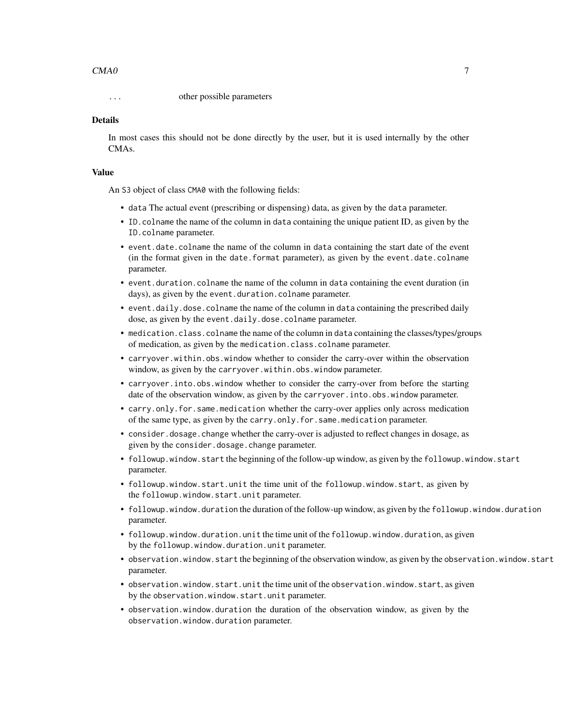### $CMAO$  and the contract of  $\sim$  7

... other possible parameters

### Details

In most cases this should not be done directly by the user, but it is used internally by the other CMAs.

### Value

An S3 object of class CMA0 with the following fields:

- data The actual event (prescribing or dispensing) data, as given by the data parameter.
- ID.colname the name of the column in data containing the unique patient ID, as given by the ID.colname parameter.
- event.date.colname the name of the column in data containing the start date of the event (in the format given in the date.format parameter), as given by the event.date.colname parameter.
- event.duration.colname the name of the column in data containing the event duration (in days), as given by the event.duration.colname parameter.
- event.daily.dose.colname the name of the column in data containing the prescribed daily dose, as given by the event.daily.dose.colname parameter.
- medication.class.colname the name of the column in data containing the classes/types/groups of medication, as given by the medication.class.colname parameter.
- carryover.within.obs.window whether to consider the carry-over within the observation window, as given by the carryover.within.obs.window parameter.
- carryover.into.obs.window whether to consider the carry-over from before the starting date of the observation window, as given by the carryover.into.obs.window parameter.
- carry.only.for.same.medication whether the carry-over applies only across medication of the same type, as given by the carry.only.for.same.medication parameter.
- consider.dosage.change whether the carry-over is adjusted to reflect changes in dosage, as given by the consider.dosage.change parameter.
- followup.window.start the beginning of the follow-up window, as given by the followup.window.start parameter.
- followup.window.start.unit the time unit of the followup.window.start, as given by the followup.window.start.unit parameter.
- followup.window.duration the duration of the follow-up window, as given by the followup.window.duration parameter.
- followup.window.duration.unit the time unit of the followup.window.duration, as given by the followup.window.duration.unit parameter.
- observation.window.start the beginning of the observation window, as given by the observation.window.start parameter.
- observation.window.start.unit the time unit of the observation.window.start, as given by the observation.window.start.unit parameter.
- observation.window.duration the duration of the observation window, as given by the observation.window.duration parameter.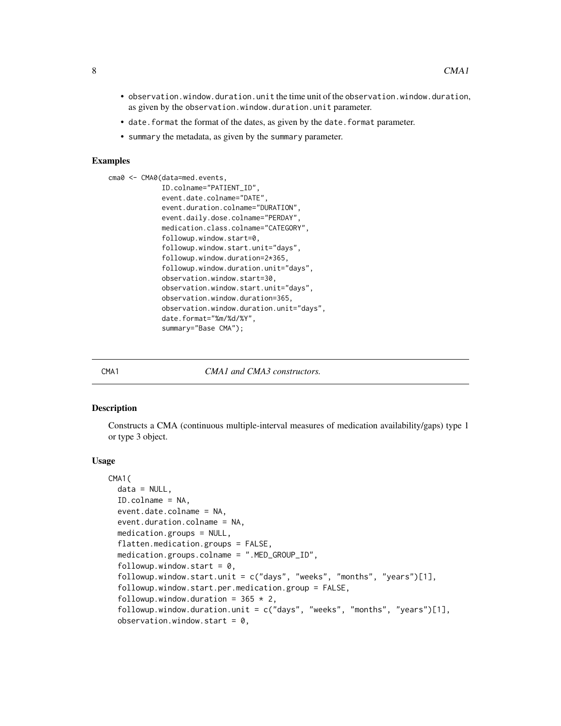- <span id="page-7-0"></span>• observation.window.duration.unit the time unit of the observation.window.duration, as given by the observation.window.duration.unit parameter.
- date. format the format of the dates, as given by the date. format parameter.
- summary the metadata, as given by the summary parameter.

### Examples

```
cma0 <- CMA0(data=med.events,
             ID.colname="PATIENT_ID",
             event.date.colname="DATE",
             event.duration.colname="DURATION",
             event.daily.dose.colname="PERDAY",
             medication.class.colname="CATEGORY",
             followup.window.start=0,
             followup.window.start.unit="days",
             followup.window.duration=2*365,
             followup.window.duration.unit="days",
             observation.window.start=30,
             observation.window.start.unit="days",
             observation.window.duration=365,
             observation.window.duration.unit="days",
             date.format="%m/%d/%Y",
             summary="Base CMA");
```
<span id="page-7-1"></span>

CMA1 *CMA1 and CMA3 constructors.*

### Description

Constructs a CMA (continuous multiple-interval measures of medication availability/gaps) type 1 or type 3 object.

#### Usage

```
CMA1(
  data = NULL,ID.colname = NA,
  event.date.colname = NA,
  event.duration.colname = NA,
  medication.groups = NULL,
  flatten.medication.groups = FALSE,
  medication.groups.colname = ".MED_GROUP_ID",
  followup.window.start = 0,
  followup.window.start.unit = c("days", "weeks", "months", "years")[1],
  followup.window.start.per.medication.group = FALSE,
  followup.window.duration = 365 \times 2,
  followup.window.duration.unit = c("days", "weeks", "months", "years")[1],
  observation.window.start = 0,
```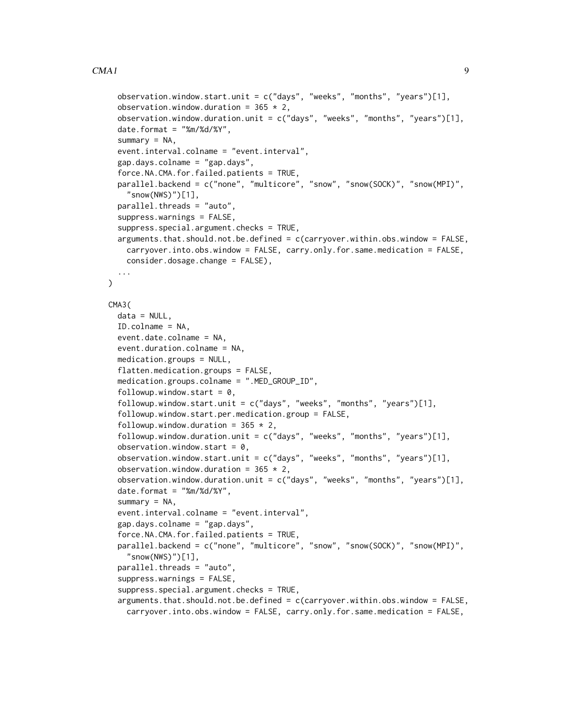### $CMA1$  9

 $\lambda$ 

```
observation.window.start.unit = c("days", "weeks", "months", "years")[1],
  observation.window.duration = 365 \times 2,
  observation.window.duration.unit = c("days", "weeks", "months", "years")[1],
  date.format = "%m%d/*Y",summary = NA,
  event.interval.colname = "event.interval",
  gap.days.colname = "gap.days",
  force.NA.CMA.for.failed.patients = TRUE,
  parallel.backend = c("none", "multicore", "snow", "snow(SOCK)", "snow(MPI)",
    "snow(NWS)")[1],
  parallel.threads = "auto",
  suppress.warnings = FALSE,
  suppress.special.argument.checks = TRUE,
  arguments.that.should.not.be.defined = c(carryover.within.obs.window = FALSE,
    carryover.into.obs.window = FALSE, carry.only.for.same.medication = FALSE,
    consider.dosage.change = FALSE),
  ...
CMA3(
  data = NULL,ID.colname = NA,
  event.date.colname = NA,
  event.duration.colname = NA,
  medication.groups = NULL,
  flatten.medication.groups = FALSE,
  medication.groups.colname = ".MED_GROUP_ID",
  followup.window.start = 0,
  followup.window.start.unit = c("days", "weeks", "months", "years")[1],
  followup.window.start.per.medication.group = FALSE,
  followup.window.duration = 365 \times 2,
  followup.window.duration.unit = c("days", "weeks", "months", "years")[1],
  observation.window.start = 0,
  observation.window.start.unit = c("days", "weeks", "months", "years")[1],
  observation.window.duration = 365 \times 2,
  observation.window.duration.unit = c("days", "weeks", "months", "years")[1],
  date.format = "%m%d/*Y",summary = NA,
  event.interval.colname = "event.interval",
  gap.days.colname = "gap.days",
  force.NA.CMA.for.failed.patients = TRUE,
  parallel.backend = c("none", "multicore", "snow", "snow(SOCK)", "snow(MPI)",
    "snow(NWS)")[1],
  parallel.threads = "auto",
  suppress.warnings = FALSE,
  suppress.special.argument.checks = TRUE,
  arguments.that.should.not.be.defined = c(carryover.within.obs.window = FALSE,
    carryover.into.obs.window = FALSE, carry.only.for.same.medication = FALSE,
```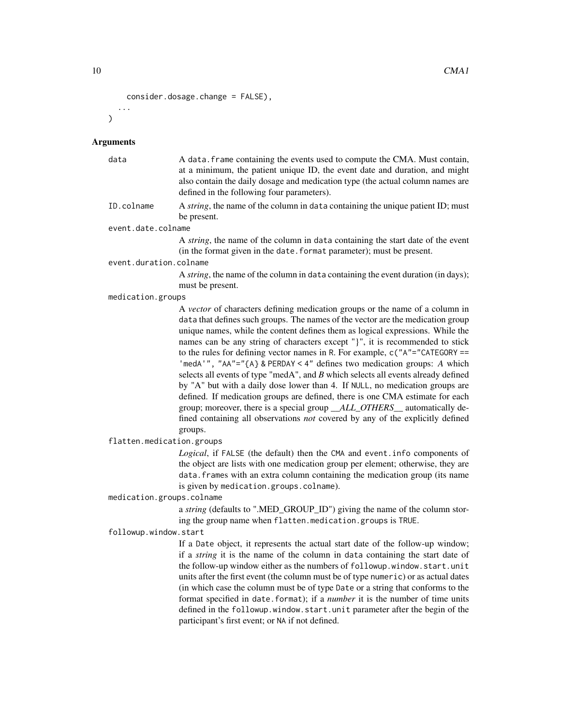```
consider.dosage.change = FALSE),
...
```
#### **Arguments**

 $\lambda$ 

|                        | at a minimum, the patient unique ID, the event date and duration, and might<br>also contain the daily dosage and medication type (the actual column names are<br>defined in the following four parameters). |  |  |  |  |  |  |
|------------------------|-------------------------------------------------------------------------------------------------------------------------------------------------------------------------------------------------------------|--|--|--|--|--|--|
| ID.colname             | A <i>string</i> , the name of the column in data containing the unique patient ID; must                                                                                                                     |  |  |  |  |  |  |
|                        | be present.                                                                                                                                                                                                 |  |  |  |  |  |  |
| event.date.colname     |                                                                                                                                                                                                             |  |  |  |  |  |  |
|                        | A <i>string</i> , the name of the column in data containing the start date of the event<br>(in the format given in the date. format parameter); must be present.                                            |  |  |  |  |  |  |
| event.duration.colname |                                                                                                                                                                                                             |  |  |  |  |  |  |
|                        | A <i>string</i> , the name of the column in data containing the event duration (in days);                                                                                                                   |  |  |  |  |  |  |
|                        | must be present.                                                                                                                                                                                            |  |  |  |  |  |  |
| medication.groups      |                                                                                                                                                                                                             |  |  |  |  |  |  |
|                        |                                                                                                                                                                                                             |  |  |  |  |  |  |

data A data.frame containing the events used to compute the CMA. Must contain,

A *vector* of characters defining medication groups or the name of a column in data that defines such groups. The names of the vector are the medication group unique names, while the content defines them as logical expressions. While the names can be any string of characters except "}", it is recommended to stick to the rules for defining vector names in R. For example, c("A"="CATEGORY == 'medA'", "AA"="{A} & PERDAY < 4" defines two medication groups: *A* which selects all events of type "medA", and *B* which selects all events already defined by "A" but with a daily dose lower than 4. If NULL, no medication groups are defined. If medication groups are defined, there is one CMA estimate for each group; moreover, there is a special group *\_\_ALL\_OTHERS\_\_* automatically defined containing all observations *not* covered by any of the explicitly defined groups.

flatten.medication.groups

*Logical*, if FALSE (the default) then the CMA and event.info components of the object are lists with one medication group per element; otherwise, they are data.frames with an extra column containing the medication group (its name is given by medication.groups.colname).

medication.groups.colname

a *string* (defaults to ".MED\_GROUP\_ID") giving the name of the column storing the group name when flatten.medication.groups is TRUE.

followup.window.start

If a Date object, it represents the actual start date of the follow-up window; if a *string* it is the name of the column in data containing the start date of the follow-up window either as the numbers of followup.window.start.unit units after the first event (the column must be of type numeric) or as actual dates (in which case the column must be of type Date or a string that conforms to the format specified in date.format); if a *number* it is the number of time units defined in the followup.window.start.unit parameter after the begin of the participant's first event; or NA if not defined.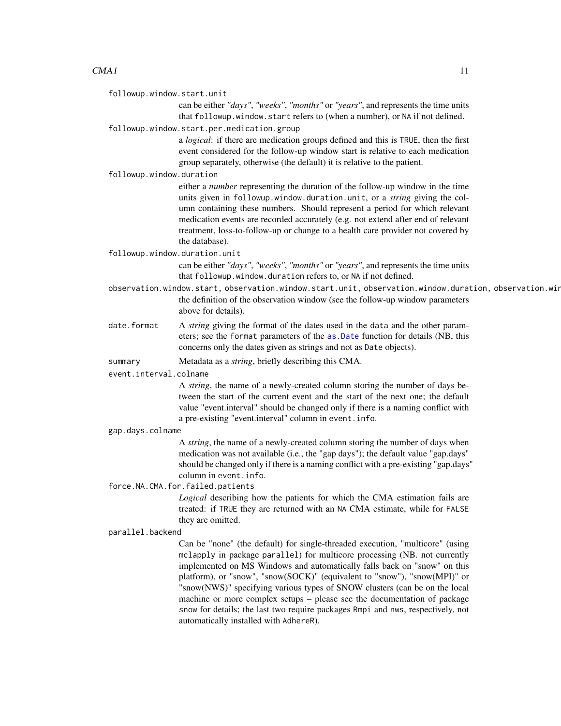followup.window.start.unit

can be either *"days"*, *"weeks"*, *"months"* or *"years"*, and represents the time units that followup.window.start refers to (when a number), or NA if not defined.

followup.window.start.per.medication.group

a *logical*: if there are medication groups defined and this is TRUE, then the first event considered for the follow-up window start is relative to each medication group separately, otherwise (the default) it is relative to the patient.

followup.window.duration

either a *number* representing the duration of the follow-up window in the time units given in followup.window.duration.unit, or a *string* giving the column containing these numbers. Should represent a period for which relevant medication events are recorded accurately (e.g. not extend after end of relevant treatment, loss-to-follow-up or change to a health care provider not covered by the database).

followup.window.duration.unit

can be either *"days"*, *"weeks"*, *"months"* or *"years"*, and represents the time units that followup.window.duration refers to, or NA if not defined.

- observation.window.start, observation.window.start.unit, observation.window.duration, observation.win the definition of the observation window (see the follow-up window parameters above for details).
- date.format A *string* giving the format of the dates used in the data and the other parameters; see the format parameters of the [as.Date](#page-0-0) function for details (NB, this concerns only the dates given as strings and not as Date objects).
- summary Metadata as a *string*, briefly describing this CMA.

event.interval.colname

A *string*, the name of a newly-created column storing the number of days between the start of the current event and the start of the next one; the default value "event.interval" should be changed only if there is a naming conflict with a pre-existing "event.interval" column in event.info.

#### gap.days.colname

A *string*, the name of a newly-created column storing the number of days when medication was not available (i.e., the "gap days"); the default value "gap.days" should be changed only if there is a naming conflict with a pre-existing "gap.days" column in event.info.

### force.NA.CMA.for.failed.patients

*Logical* describing how the patients for which the CMA estimation fails are treated: if TRUE they are returned with an NA CMA estimate, while for FALSE they are omitted.

#### parallel.backend

Can be "none" (the default) for single-threaded execution, "multicore" (using mclapply in package parallel) for multicore processing (NB. not currently implemented on MS Windows and automatically falls back on "snow" on this platform), or "snow", "snow(SOCK)" (equivalent to "snow"), "snow(MPI)" or "snow(NWS)" specifying various types of SNOW clusters (can be on the local machine or more complex setups – please see the documentation of package snow for details; the last two require packages Rmpi and nws, respectively, not automatically installed with AdhereR).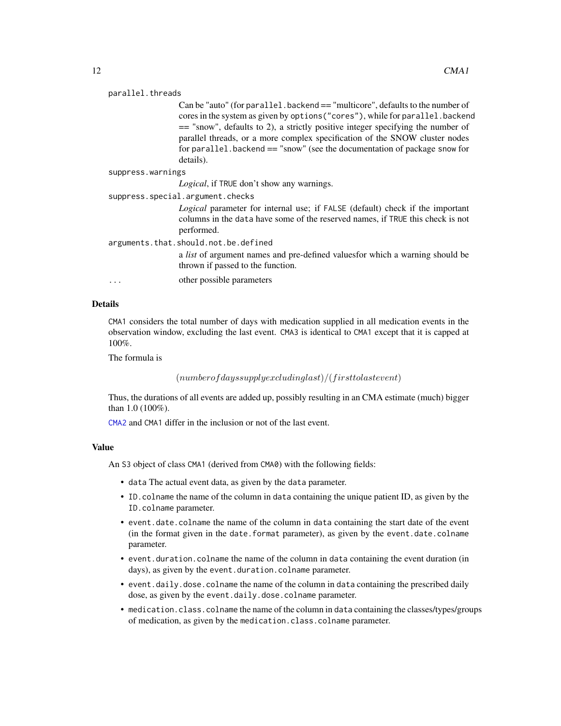#### parallel.threads

Can be "auto" (for parallel.backend == "multicore", defaults to the number of cores in the system as given by options("cores"), while for parallel.backend == "snow", defaults to 2), a strictly positive integer specifying the number of parallel threads, or a more complex specification of the SNOW cluster nodes for parallel.backend == "snow" (see the documentation of package snow for details).

```
suppress.warnings
```
*Logical*, if TRUE don't show any warnings.

suppress.special.argument.checks

*Logical* parameter for internal use; if FALSE (default) check if the important columns in the data have some of the reserved names, if TRUE this check is not performed.

arguments.that.should.not.be.defined

a *list* of argument names and pre-defined valuesfor which a warning should be thrown if passed to the function.

... other possible parameters

#### Details

CMA1 considers the total number of days with medication supplied in all medication events in the observation window, excluding the last event. CMA3 is identical to CMA1 except that it is capped at 100%.

The formula is

```
(numberofdays supply excluding last)/(first to last event)
```
Thus, the durations of all events are added up, possibly resulting in an CMA estimate (much) bigger than 1.0 (100%).

[CMA2](#page-13-1) and CMA1 differ in the inclusion or not of the last event.

### Value

An S3 object of class CMA1 (derived from CMA0) with the following fields:

- data The actual event data, as given by the data parameter.
- ID.colname the name of the column in data containing the unique patient ID, as given by the ID.colname parameter.
- event.date.colname the name of the column in data containing the start date of the event (in the format given in the date.format parameter), as given by the event.date.colname parameter.
- event.duration.colname the name of the column in data containing the event duration (in days), as given by the event.duration.colname parameter.
- event.daily.dose.colname the name of the column in data containing the prescribed daily dose, as given by the event.daily.dose.colname parameter.
- medication.class.colname the name of the column in data containing the classes/types/groups of medication, as given by the medication.class.colname parameter.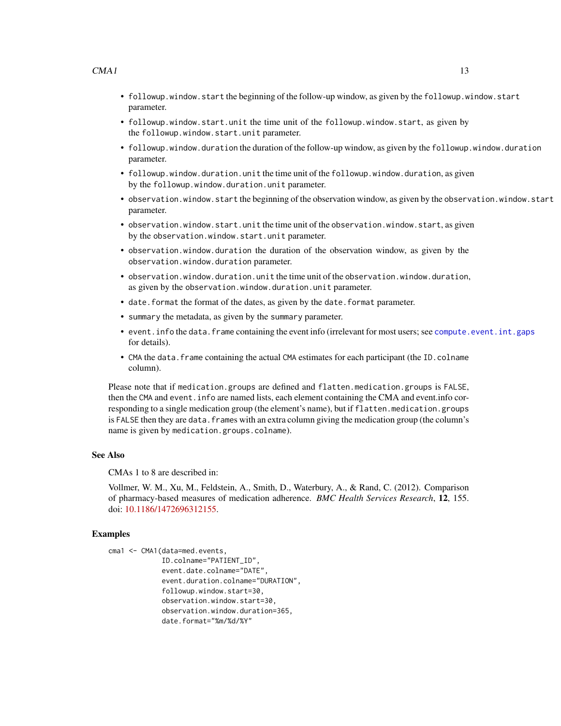- followup.window.start the beginning of the follow-up window, as given by the followup.window.start parameter.
- followup.window.start.unit the time unit of the followup.window.start, as given by the followup.window.start.unit parameter.
- followup.window.duration the duration of the follow-up window, as given by the followup.window.duration parameter.
- followup.window.duration.unit the time unit of the followup.window.duration, as given by the followup.window.duration.unit parameter.
- observation.window.start the beginning of the observation window, as given by the observation.window.start parameter.
- observation.window.start.unit the time unit of the observation.window.start, as given by the observation.window.start.unit parameter.
- observation.window.duration the duration of the observation window, as given by the observation.window.duration parameter.
- observation.window.duration.unit the time unit of the observation.window.duration, as given by the observation.window.duration.unit parameter.
- date. format the format of the dates, as given by the date. format parameter.
- summary the metadata, as given by the summary parameter.
- event.info the data.frame containing the event info (irrelevant for most users; see [compute.event.int.gaps](#page-64-1) for details).
- CMA the data. frame containing the actual CMA estimates for each participant (the ID.colname column).

Please note that if medication.groups are defined and flatten.medication.groups is FALSE, then the CMA and event.info are named lists, each element containing the CMA and event.info corresponding to a single medication group (the element's name), but if flatten.medication.groups is FALSE then they are data. frames with an extra column giving the medication group (the column's name is given by medication.groups.colname).

### See Also

CMAs 1 to 8 are described in:

Vollmer, W. M., Xu, M., Feldstein, A., Smith, D., Waterbury, A., & Rand, C. (2012). Comparison of pharmacy-based measures of medication adherence. *BMC Health Services Research*, 12, 155. doi: [10.1186/1472696312155.](https://doi.org/10.1186/1472-6963-12-155)

### Examples

```
cma1 <- CMA1(data=med.events,
             ID.colname="PATIENT_ID",
             event.date.colname="DATE",
             event.duration.colname="DURATION",
             followup.window.start=30,
             observation.window.start=30,
             observation.window.duration=365,
             date.format="%m/%d/%Y"
```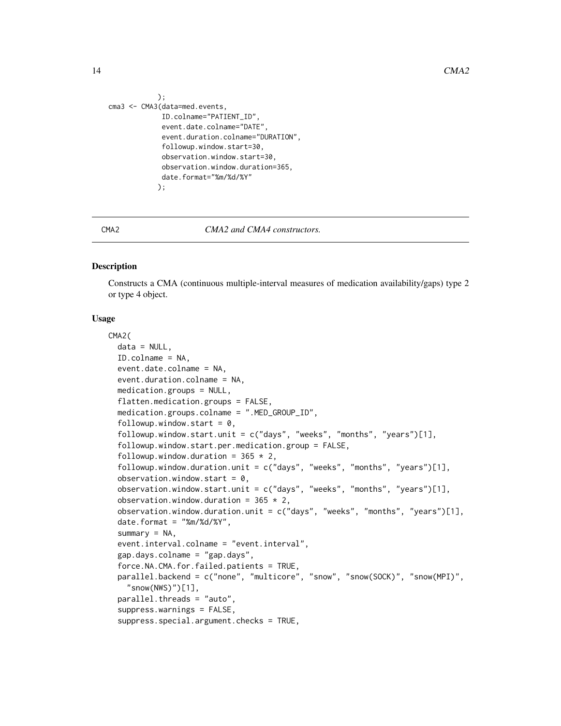```
);
cma3 <- CMA3(data=med.events,
             ID.colname="PATIENT_ID",
             event.date.colname="DATE",
             event.duration.colname="DURATION",
             followup.window.start=30,
             observation.window.start=30,
             observation.window.duration=365,
             date.format="%m/%d/%Y"
            );
```
<span id="page-13-1"></span>

#### CMA2 *CMA2 and CMA4 constructors.*

### Description

Constructs a CMA (continuous multiple-interval measures of medication availability/gaps) type 2 or type 4 object.

### Usage

```
CMA2(
  data = NULL,ID.colname = NA,
  event.date.colname = NA,
  event.duration.colname = NA,
  medication.groups = NULL,
  flatten.medication.groups = FALSE,
  medication.groups.colname = ".MED_GROUP_ID",
  followup.window.start = 0,
  followup.window.start.unit = c("days", "weeks", "months", "years")[1],
  followup.window.start.per.medication.group = FALSE,
  followup.window.duration = 365 \times 2,
  followup.window.duration.unit = c("days", "weeks", "months", "years")[1],
  observation.window.start = 0,
  observation.window.start.unit = c("days", "weeks", "months", "years")[1],
  observation.window.duration = 365 \times 2,
  observation.window.duration.unit = c("days", "weeks", "months", "years")[1],
  date.format = \frac{m}{2} /%m/%d/%Y",
  summary = NA,
  event.interval.colname = "event.interval",
  gap.days.colname = "gap.days",
  force.NA.CMA.for.failed.patients = TRUE,
  parallel.backend = c("none", "multicore", "snow", "snow(SOCK)", "snow(MPI)",
    "snow(NWS)")[1],
  parallel.threads = "auto",
  suppress.warnings = FALSE,
  suppress.special.argument.checks = TRUE,
```
<span id="page-13-0"></span>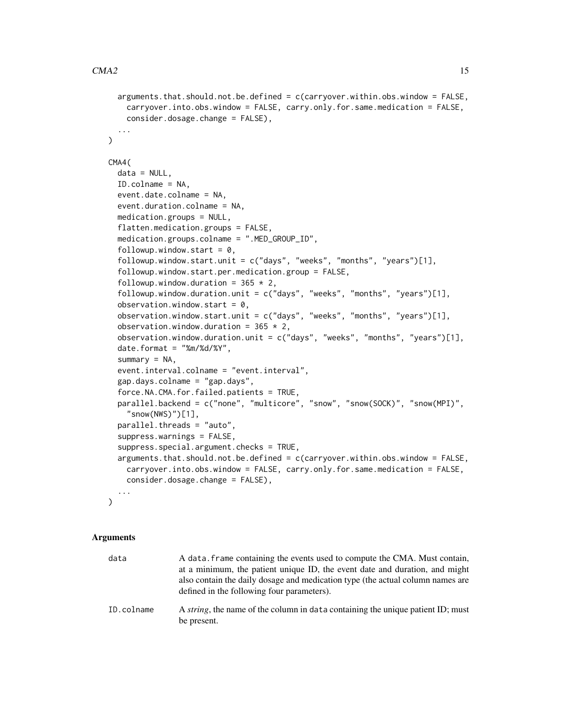```
arguments.that.should.not.be.defined = c(carryover.within.obs.window = FALSE,
    carryover.into.obs.window = FALSE, carry.only.for.same.medication = FALSE,
    consider.dosage.change = FALSE),
  ...
\mathcal{L}CMA4(
  data = NULL,ID.colname = NA,
  event.date.colname = NA,
  event.duration.colname = NA,
  medication.groups = NULL,
  flatten.medication.groups = FALSE,
  medication.groups.colname = ".MED_GROUP_ID",
  followup.window.start = 0,
  followup.window.start.unit = c("days", "weeks", "months", "years")[1],
  followup.window.start.per.medication.group = FALSE,
  followup.window.duration = 365 \times 2,
  followup.window.duration.unit = c("days", "weeks", "months", "years")[1],
  observation.window.start = 0,
  observation.window.start.unit = c("days", "weeks", "months", "years")[1],
  observation.window.duration = 365 \times 2,
  observation.window.duration.unit = c("days", "weeks", "months", "years")[1],
  date.format = "%m%d/*Y",summary = NA,
  event.interval.colname = "event.interval",
  gap.days.colname = "gap.days",
  force.NA.CMA.for.failed.patients = TRUE,
  parallel.backend = c("none", "multicore", "snow", "snow(SOCK)", "snow(MPI)",
    "snow(NWS)")[1],
  parallel.threads = "auto",
  suppress.warnings = FALSE,
  suppress.special.argument.checks = TRUE,
  arguments.that.should.not.be.defined = c(carryover.within.obs.window = FALSE,
    carryover.into.obs.window = FALSE, carry.only.for.same.medication = FALSE,
   consider.dosage.change = FALSE),
  ...
\mathcal{L}
```
### Arguments

| data       | A data, frame containing the events used to compute the CMA. Must contain,<br>at a minimum, the patient unique ID, the event date and duration, and might<br>also contain the daily dosage and medication type (the actual column names are<br>defined in the following four parameters). |
|------------|-------------------------------------------------------------------------------------------------------------------------------------------------------------------------------------------------------------------------------------------------------------------------------------------|
| ID.colname | A <i>string</i> , the name of the column in data containing the unique patient ID; must<br>be present.                                                                                                                                                                                    |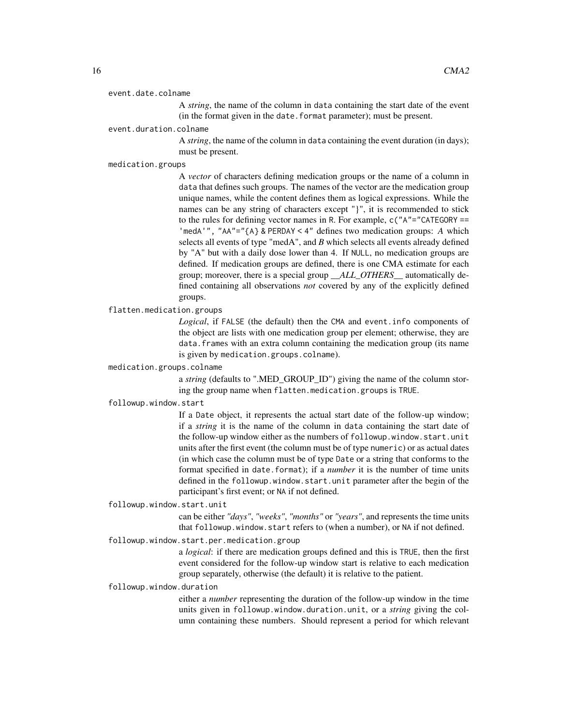#### event.date.colname

A *string*, the name of the column in data containing the start date of the event (in the format given in the date.format parameter); must be present.

### event.duration.colname

A *string*, the name of the column in data containing the event duration (in days); must be present.

### medication.groups

A *vector* of characters defining medication groups or the name of a column in data that defines such groups. The names of the vector are the medication group unique names, while the content defines them as logical expressions. While the names can be any string of characters except "}", it is recommended to stick to the rules for defining vector names in R. For example,  $c('A" = "CATEGORITHM] =$ 'medA'", "AA"="{A} & PERDAY < 4" defines two medication groups: *A* which selects all events of type "medA", and *B* which selects all events already defined by "A" but with a daily dose lower than 4. If NULL, no medication groups are defined. If medication groups are defined, there is one CMA estimate for each group; moreover, there is a special group *\_\_ALL\_OTHERS\_\_* automatically defined containing all observations *not* covered by any of the explicitly defined groups.

### flatten.medication.groups

*Logical*, if FALSE (the default) then the CMA and event.info components of the object are lists with one medication group per element; otherwise, they are data.frames with an extra column containing the medication group (its name is given by medication.groups.colname).

### medication.groups.colname

a *string* (defaults to ".MED\_GROUP\_ID") giving the name of the column storing the group name when flatten.medication.groups is TRUE.

### followup.window.start

If a Date object, it represents the actual start date of the follow-up window; if a *string* it is the name of the column in data containing the start date of the follow-up window either as the numbers of followup.window.start.unit units after the first event (the column must be of type numeric) or as actual dates (in which case the column must be of type Date or a string that conforms to the format specified in date.format); if a *number* it is the number of time units defined in the followup.window.start.unit parameter after the begin of the participant's first event; or NA if not defined.

followup.window.start.unit

can be either *"days"*, *"weeks"*, *"months"* or *"years"*, and represents the time units that followup.window.start refers to (when a number), or NA if not defined.

### followup.window.start.per.medication.group

a *logical*: if there are medication groups defined and this is TRUE, then the first event considered for the follow-up window start is relative to each medication group separately, otherwise (the default) it is relative to the patient.

#### followup.window.duration

either a *number* representing the duration of the follow-up window in the time units given in followup.window.duration.unit, or a *string* giving the column containing these numbers. Should represent a period for which relevant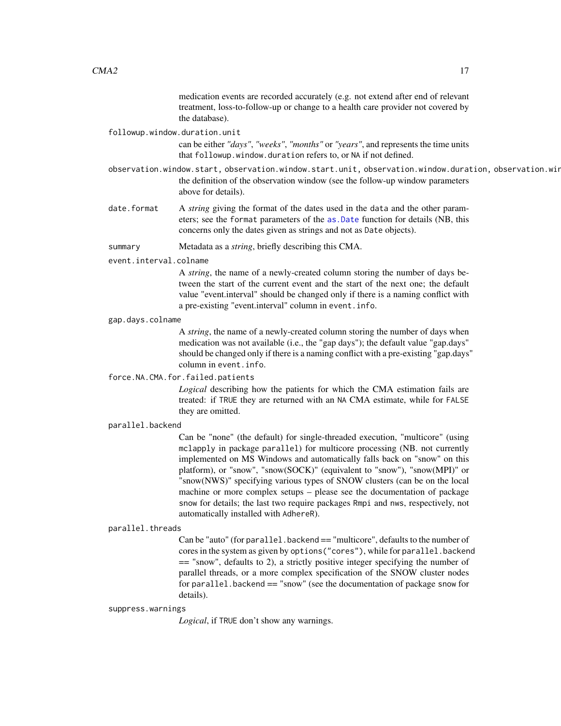medication events are recorded accurately (e.g. not extend after end of relevant treatment, loss-to-follow-up or change to a health care provider not covered by the database).

#### followup.window.duration.unit

can be either *"days"*, *"weeks"*, *"months"* or *"years"*, and represents the time units that followup.window.duration refers to, or NA if not defined.

- observation.window.start, observation.window.start.unit, observation.window.duration, observation.win the definition of the observation window (see the follow-up window parameters above for details).
- date. format A *string* giving the format of the dates used in the data and the other parameters; see the format parameters of the [as.Date](#page-0-0) function for details (NB, this concerns only the dates given as strings and not as Date objects).
- summary Metadata as a *string*, briefly describing this CMA.

### event.interval.colname

A *string*, the name of a newly-created column storing the number of days between the start of the current event and the start of the next one; the default value "event.interval" should be changed only if there is a naming conflict with a pre-existing "event.interval" column in event.info.

#### gap.days.colname

A *string*, the name of a newly-created column storing the number of days when medication was not available (i.e., the "gap days"); the default value "gap.days" should be changed only if there is a naming conflict with a pre-existing "gap.days" column in event.info.

### force.NA.CMA.for.failed.patients

*Logical* describing how the patients for which the CMA estimation fails are treated: if TRUE they are returned with an NA CMA estimate, while for FALSE they are omitted.

#### parallel.backend

Can be "none" (the default) for single-threaded execution, "multicore" (using mclapply in package parallel) for multicore processing (NB. not currently implemented on MS Windows and automatically falls back on "snow" on this platform), or "snow", "snow(SOCK)" (equivalent to "snow"), "snow(MPI)" or "snow(NWS)" specifying various types of SNOW clusters (can be on the local machine or more complex setups – please see the documentation of package snow for details; the last two require packages Rmpi and nws, respectively, not automatically installed with AdhereR).

### parallel.threads

Can be "auto" (for parallel.backend == "multicore", defaults to the number of cores in the system as given by options("cores"), while for parallel.backend == "snow", defaults to 2), a strictly positive integer specifying the number of parallel threads, or a more complex specification of the SNOW cluster nodes for parallel.backend == "snow" (see the documentation of package snow for details).

#### suppress.warnings

*Logical*, if TRUE don't show any warnings.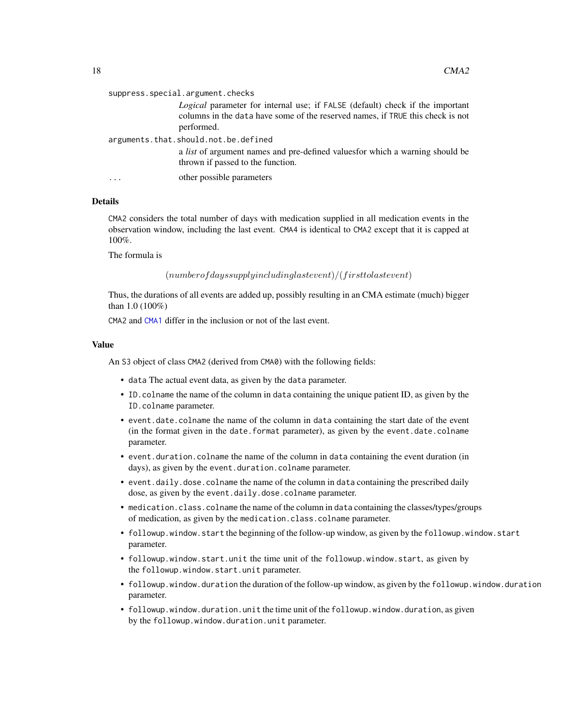|           | suppress.special.argument.checks                                                                                                                                                     |
|-----------|--------------------------------------------------------------------------------------------------------------------------------------------------------------------------------------|
|           | <i>Logical</i> parameter for internal use; if FALSE (default) check if the important<br>columns in the data have some of the reserved names, if TRUE this check is not<br>performed. |
|           | arguments.that.should.not.be.defined                                                                                                                                                 |
|           | a <i>list</i> of argument names and pre-defined values for which a warning should be<br>thrown if passed to the function.                                                            |
| $\ddotsc$ | other possible parameters                                                                                                                                                            |

### Details

CMA2 considers the total number of days with medication supplied in all medication events in the observation window, including the last event. CMA4 is identical to CMA2 except that it is capped at 100%.

The formula is

 $(numberofdays supply including last event)/(first to last event)$ 

Thus, the durations of all events are added up, possibly resulting in an CMA estimate (much) bigger than 1.0 (100%)

CMA2 and [CMA1](#page-7-1) differ in the inclusion or not of the last event.

#### Value

An S3 object of class CMA2 (derived from CMA0) with the following fields:

- data The actual event data, as given by the data parameter.
- ID.colname the name of the column in data containing the unique patient ID, as given by the ID.colname parameter.
- event.date.colname the name of the column in data containing the start date of the event (in the format given in the date.format parameter), as given by the event.date.colname parameter.
- event.duration.colname the name of the column in data containing the event duration (in days), as given by the event.duration.colname parameter.
- event.daily.dose.colname the name of the column in data containing the prescribed daily dose, as given by the event.daily.dose.colname parameter.
- medication.class.colname the name of the column in data containing the classes/types/groups of medication, as given by the medication.class.colname parameter.
- followup.window.start the beginning of the follow-up window, as given by the followup.window.start parameter.
- followup.window.start.unit the time unit of the followup.window.start, as given by the followup.window.start.unit parameter.
- followup.window.duration the duration of the follow-up window, as given by the followup.window.duration parameter.
- followup.window.duration.unit the time unit of the followup.window.duration, as given by the followup.window.duration.unit parameter.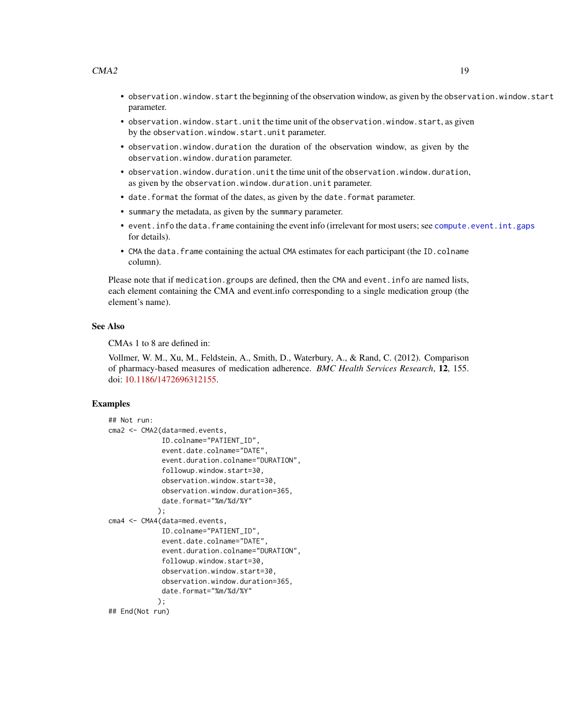- observation.window.start the beginning of the observation window, as given by the observation.window.start parameter.
- observation.window.start.unit the time unit of the observation.window.start, as given by the observation.window.start.unit parameter.
- observation.window.duration the duration of the observation window, as given by the observation.window.duration parameter.
- observation.window.duration.unit the time unit of the observation.window.duration, as given by the observation.window.duration.unit parameter.
- date.format the format of the dates, as given by the date.format parameter.
- summary the metadata, as given by the summary parameter.
- event.info the data.frame containing the event info (irrelevant for most users; see [compute.event.int.gaps](#page-64-1) for details).
- CMA the data. frame containing the actual CMA estimates for each participant (the ID.colname column).

Please note that if medication.groups are defined, then the CMA and event.info are named lists, each element containing the CMA and event.info corresponding to a single medication group (the element's name).

#### See Also

CMAs 1 to 8 are defined in:

Vollmer, W. M., Xu, M., Feldstein, A., Smith, D., Waterbury, A., & Rand, C. (2012). Comparison of pharmacy-based measures of medication adherence. *BMC Health Services Research*, 12, 155. doi: [10.1186/1472696312155.](https://doi.org/10.1186/1472-6963-12-155)

### Examples

```
## Not run:
cma2 <- CMA2(data=med.events,
             ID.colname="PATIENT_ID",
             event.date.colname="DATE",
             event.duration.colname="DURATION",
             followup.window.start=30,
             observation.window.start=30,
             observation.window.duration=365,
             date.format="%m/%d/%Y"
            );
cma4 <- CMA4(data=med.events,
             ID.colname="PATIENT_ID",
             event.date.colname="DATE",
             event.duration.colname="DURATION",
             followup.window.start=30,
             observation.window.start=30,
             observation.window.duration=365,
             date.format="%m/%d/%Y"
            );
## End(Not run)
```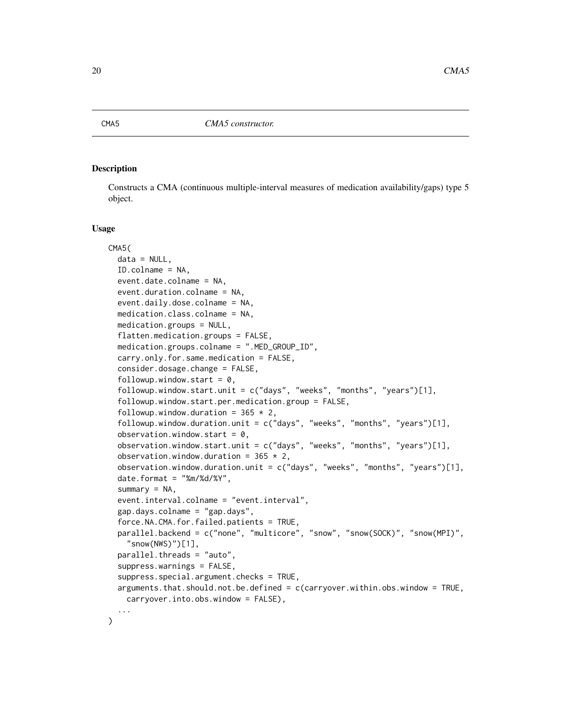### <span id="page-19-0"></span>**Description**

Constructs a CMA (continuous multiple-interval measures of medication availability/gaps) type 5 object.

#### Usage

```
CMA5(
  data = NULL,ID.colname = NA,
  event.date.colname = NA,
  event.duration.colname = NA,
  event.daily.dose.colname = NA,
  medication.class.colname = NA,
  medication.groups = NULL,
  flatten.medication.groups = FALSE,
  medication.groups.colname = ".MED_GROUP_ID",
  carry.only.for.same.medication = FALSE,
  consider.dosage.change = FALSE,
  followup.window.start = 0,
  followup.window.start.unit = c("days", "weeks", "months", "years")[1],
  followup.window.start.per.medication.group = FALSE,
  followup.window.duration = 365 \times 2,
  followup.window.duration.unit = c("days", "weeks", "months", "years")[1],
  observation.window.start = 0,
  observation.window.start.unit = c("days", "weeks", "months", "years")[1],
  observation.window.duration = 365 \times 2,
  observation.window.duration.unit = c("days", "weeks", "months", "years")[1],
  date.format = "%m%d/*Y",summary = NA,
  event.interval.colname = "event.interval",
  gap.days.colname = "gap.days",
  force.NA.CMA.for.failed.patients = TRUE,
  parallel.backend = c("none", "multicore", "snow", "snow(SOCK)", "snow(MPI)",
    "snow(NWS)")[1],
  parallel.threads = "auto",
  suppress.warnings = FALSE,
  suppress.special.argument.checks = TRUE,
  arguments.that.should.not.be.defined = c(carryover.within.obs.window = TRUE,
    carryover.into.obs.window = FALSE),
  ...
)
```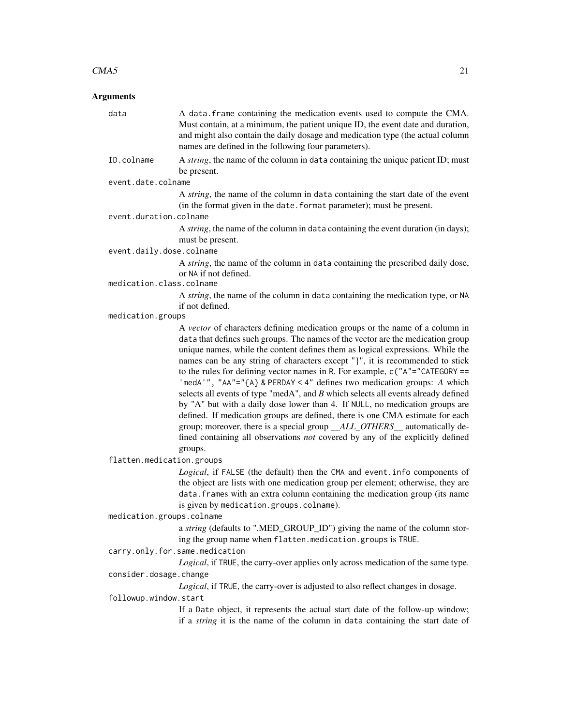### Arguments

data A data. frame containing the medication events used to compute the CMA. Must contain, at a minimum, the patient unique ID, the event date and duration, and might also contain the daily dosage and medication type (the actual column names are defined in the following four parameters). ID.colname A *string*, the name of the column in data containing the unique patient ID; must be present. event.date.colname A *string*, the name of the column in data containing the start date of the event (in the format given in the date.format parameter); must be present. event.duration.colname A *string*, the name of the column in data containing the event duration (in days); must be present. event.daily.dose.colname A *string*, the name of the column in data containing the prescribed daily dose, or NA if not defined. medication.class.colname A *string*, the name of the column in data containing the medication type, or NA if not defined. medication.groups A *vector* of characters defining medication groups or the name of a column in data that defines such groups. The names of the vector are the medication group unique names, while the content defines them as logical expressions. While the names can be any string of characters except "}", it is recommended to stick to the rules for defining vector names in R. For example, c("A"="CATEGORY == 'medA'", "AA"="{A} & PERDAY < 4" defines two medication groups: *A* which selects all events of type "medA", and *B* which selects all events already defined by "A" but with a daily dose lower than 4. If NULL, no medication groups are defined. If medication groups are defined, there is one CMA estimate for each group; moreover, there is a special group *\_\_ALL\_OTHERS\_\_* automatically defined containing all observations *not* covered by any of the explicitly defined groups. flatten.medication.groups *Logical*, if FALSE (the default) then the CMA and event.info components of the object are lists with one medication group per element; otherwise, they are data.frames with an extra column containing the medication group (its name is given by medication.groups.colname). medication.groups.colname a *string* (defaults to ".MED\_GROUP\_ID") giving the name of the column storing the group name when flatten.medication.groups is TRUE. carry.only.for.same.medication *Logical*, if TRUE, the carry-over applies only across medication of the same type. consider.dosage.change *Logical*, if TRUE, the carry-over is adjusted to also reflect changes in dosage.

followup.window.start

If a Date object, it represents the actual start date of the follow-up window; if a *string* it is the name of the column in data containing the start date of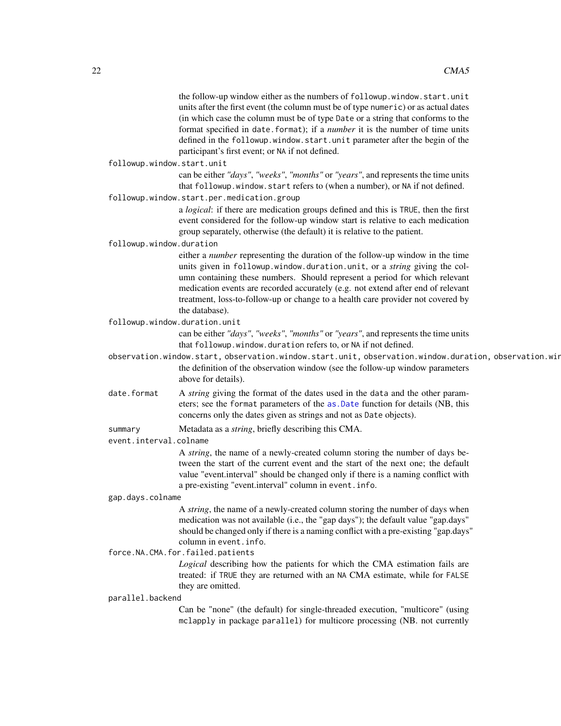|                                   | the follow-up window either as the numbers of followup.window.start.unit                                                                                                |
|-----------------------------------|-------------------------------------------------------------------------------------------------------------------------------------------------------------------------|
|                                   | units after the first event (the column must be of type numeric) or as actual dates                                                                                     |
|                                   | (in which case the column must be of type Date or a string that conforms to the                                                                                         |
|                                   | format specified in date. format); if a number it is the number of time units                                                                                           |
|                                   | defined in the followup.window.start.unit parameter after the begin of the                                                                                              |
|                                   | participant's first event; or NA if not defined.                                                                                                                        |
| followup.window.start.unit        |                                                                                                                                                                         |
|                                   | can be either "days", "weeks", "months" or "years", and represents the time units                                                                                       |
|                                   | that followup.window.start refers to (when a number), or NA if not defined.                                                                                             |
|                                   | followup.window.start.per.medication.group                                                                                                                              |
|                                   | a logical: if there are medication groups defined and this is TRUE, then the first                                                                                      |
|                                   | event considered for the follow-up window start is relative to each medication                                                                                          |
|                                   | group separately, otherwise (the default) it is relative to the patient.                                                                                                |
| followup.window.duration          |                                                                                                                                                                         |
|                                   | either a <i>number</i> representing the duration of the follow-up window in the time                                                                                    |
|                                   | units given in followup.window.duration.unit, or a <i>string</i> giving the col-                                                                                        |
|                                   | umn containing these numbers. Should represent a period for which relevant                                                                                              |
|                                   | medication events are recorded accurately (e.g. not extend after end of relevant                                                                                        |
|                                   | treatment, loss-to-follow-up or change to a health care provider not covered by                                                                                         |
|                                   | the database).                                                                                                                                                          |
|                                   | followup.window.duration.unit                                                                                                                                           |
|                                   | can be either "days", "weeks", "months" or "years", and represents the time units                                                                                       |
|                                   | that followup.window.duration refers to, or NA if not defined.<br>observation.window.start, observation.window.start.unit, observation.window.duration, observation.wir |
|                                   | the definition of the observation window (see the follow-up window parameters                                                                                           |
|                                   | above for details).                                                                                                                                                     |
| date.format                       | A string giving the format of the dates used in the data and the other param-                                                                                           |
|                                   | eters; see the format parameters of the as .Date function for details (NB, this                                                                                         |
|                                   | concerns only the dates given as strings and not as Date objects).                                                                                                      |
|                                   |                                                                                                                                                                         |
| summary<br>event.interval.colname | Metadata as a <i>string</i> , briefly describing this CMA.                                                                                                              |
|                                   |                                                                                                                                                                         |
|                                   | A string, the name of a newly-created column storing the number of days be-<br>tween the start of the current event and the start of the next one; the default          |
|                                   | value "event.interval" should be changed only if there is a naming conflict with                                                                                        |
|                                   | a pre-existing "event.interval" column in event.info.                                                                                                                   |
| gap.days.colname                  |                                                                                                                                                                         |
|                                   | A string, the name of a newly-created column storing the number of days when                                                                                            |
|                                   | medication was not available (i.e., the "gap days"); the default value "gap.days"                                                                                       |
|                                   | should be changed only if there is a naming conflict with a pre-existing "gap.days"                                                                                     |
|                                   | column in event. info.                                                                                                                                                  |
|                                   | force.NA.CMA.for.failed.patients                                                                                                                                        |
|                                   | Logical describing how the patients for which the CMA estimation fails are                                                                                              |
|                                   | treated: if TRUE they are returned with an NA CMA estimate, while for FALSE                                                                                             |
|                                   | they are omitted.                                                                                                                                                       |
| parallel.backend                  |                                                                                                                                                                         |

Can be "none" (the default) for single-threaded execution, "multicore" (using mclapply in package parallel) for multicore processing (NB. not currently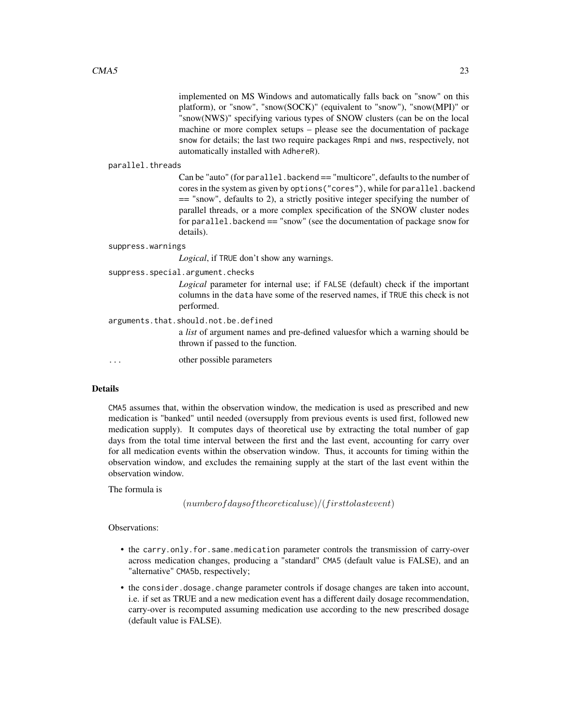implemented on MS Windows and automatically falls back on "snow" on this platform), or "snow", "snow(SOCK)" (equivalent to "snow"), "snow(MPI)" or "snow(NWS)" specifying various types of SNOW clusters (can be on the local machine or more complex setups – please see the documentation of package snow for details; the last two require packages Rmpi and nws, respectively, not automatically installed with AdhereR).

### parallel.threads

Can be "auto" (for parallel.backend == "multicore", defaults to the number of cores in the system as given by options("cores"), while for parallel.backend == "snow", defaults to 2), a strictly positive integer specifying the number of parallel threads, or a more complex specification of the SNOW cluster nodes for parallel.backend == "snow" (see the documentation of package snow for details).

### suppress.warnings

*Logical*, if TRUE don't show any warnings.

suppress.special.argument.checks

*Logical* parameter for internal use; if FALSE (default) check if the important columns in the data have some of the reserved names, if TRUE this check is not performed.

arguments.that.should.not.be.defined

a *list* of argument names and pre-defined valuesfor which a warning should be thrown if passed to the function.

... other possible parameters

### Details

CMA5 assumes that, within the observation window, the medication is used as prescribed and new medication is "banked" until needed (oversupply from previous events is used first, followed new medication supply). It computes days of theoretical use by extracting the total number of gap days from the total time interval between the first and the last event, accounting for carry over for all medication events within the observation window. Thus, it accounts for timing within the observation window, and excludes the remaining supply at the start of the last event within the observation window.

The formula is

 $(numberofdaysof theoreticaluse)/(first to last event)$ 

### Observations:

- the carry.only.for.same.medication parameter controls the transmission of carry-over across medication changes, producing a "standard" CMA5 (default value is FALSE), and an "alternative" CMA5b, respectively;
- the consider.dosage.change parameter controls if dosage changes are taken into account, i.e. if set as TRUE and a new medication event has a different daily dosage recommendation, carry-over is recomputed assuming medication use according to the new prescribed dosage (default value is FALSE).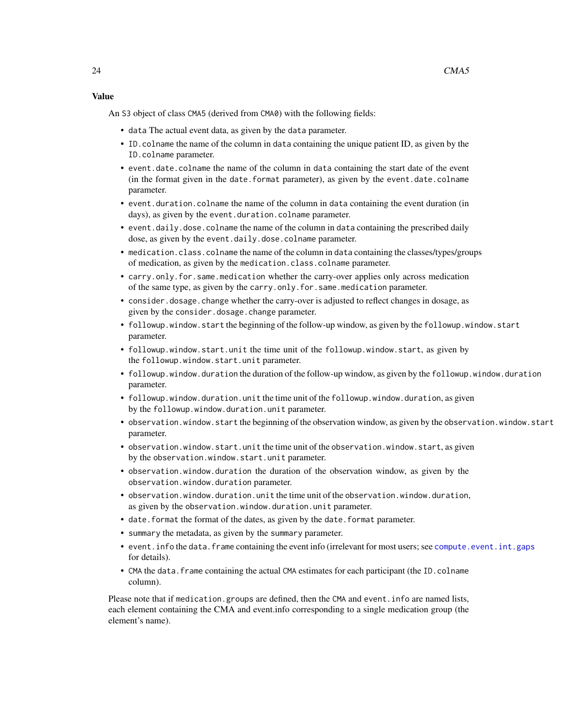### Value

An S3 object of class CMA5 (derived from CMA0) with the following fields:

- data The actual event data, as given by the data parameter.
- ID.colname the name of the column in data containing the unique patient ID, as given by the ID.colname parameter.
- event.date.colname the name of the column in data containing the start date of the event (in the format given in the date.format parameter), as given by the event.date.colname parameter.
- event.duration.colname the name of the column in data containing the event duration (in days), as given by the event.duration.colname parameter.
- event.daily.dose.colname the name of the column in data containing the prescribed daily dose, as given by the event.daily.dose.colname parameter.
- medication.class.colname the name of the column in data containing the classes/types/groups of medication, as given by the medication.class.colname parameter.
- carry.only.for.same.medication whether the carry-over applies only across medication of the same type, as given by the carry.only.for.same.medication parameter.
- consider.dosage.change whether the carry-over is adjusted to reflect changes in dosage, as given by the consider.dosage.change parameter.
- followup.window.start the beginning of the follow-up window, as given by the followup.window.start parameter.
- followup.window.start.unit the time unit of the followup.window.start, as given by the followup.window.start.unit parameter.
- followup.window.duration the duration of the follow-up window, as given by the followup.window.duration parameter.
- followup.window.duration.unit the time unit of the followup.window.duration, as given by the followup.window.duration.unit parameter.
- observation.window.start the beginning of the observation window, as given by the observation.window.start parameter.
- observation.window.start.unit the time unit of the observation.window.start, as given by the observation.window.start.unit parameter.
- observation.window.duration the duration of the observation window, as given by the observation.window.duration parameter.
- observation.window.duration.unit the time unit of the observation.window.duration, as given by the observation.window.duration.unit parameter.
- date.format the format of the dates, as given by the date.format parameter.
- summary the metadata, as given by the summary parameter.
- event. info the data. frame containing the event info (irrelevant for most users; see compute. event. int.gaps for details).
- CMA the data. frame containing the actual CMA estimates for each participant (the ID.colname column).

Please note that if medication.groups are defined, then the CMA and event.info are named lists, each element containing the CMA and event.info corresponding to a single medication group (the element's name).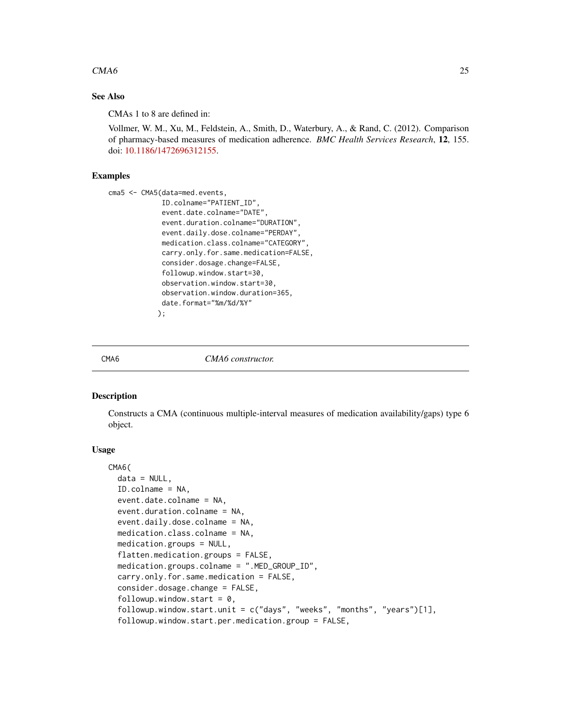### <span id="page-24-0"></span> $CMA6$  25

### See Also

CMAs 1 to 8 are defined in:

Vollmer, W. M., Xu, M., Feldstein, A., Smith, D., Waterbury, A., & Rand, C. (2012). Comparison of pharmacy-based measures of medication adherence. *BMC Health Services Research*, 12, 155. doi: [10.1186/1472696312155.](https://doi.org/10.1186/1472-6963-12-155)

### Examples

```
cma5 <- CMA5(data=med.events,
             ID.colname="PATIENT_ID",
             event.date.colname="DATE",
             event.duration.colname="DURATION",
             event.daily.dose.colname="PERDAY",
             medication.class.colname="CATEGORY",
             carry.only.for.same.medication=FALSE,
             consider.dosage.change=FALSE,
             followup.window.start=30,
             observation.window.start=30,
             observation.window.duration=365,
             date.format="%m/%d/%Y"
            );
```
#### CMA6 *CMA6 constructor.*

### Description

Constructs a CMA (continuous multiple-interval measures of medication availability/gaps) type 6 object.

### Usage

```
CMA6(
  data = NULL,ID.colname = NA,
  event.date.colname = NA,
  event.duration.colname = NA,
  event.daily.dose.colname = NA,
  medication.class.colname = NA,
  medication.groups = NULL,
  flatten.medication.groups = FALSE,
  medication.groups.colname = ".MED_GROUP_ID",
  carry.only.for.same.medication = FALSE,
  consider.dosage.change = FALSE,
  followup.window.start = 0,
  followup.window.start.unit = c("days", "weeks", "months", "years")[1],
  followup.window.start.per.medication.group = FALSE,
```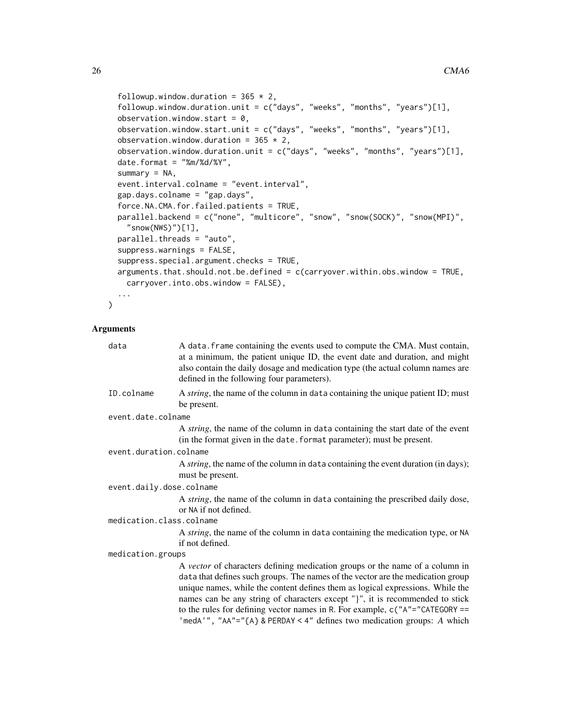followup.window.duration =  $365 \times 2$ , followup.window.duration.unit = c("days", "weeks", "months", "years")[1], observation.window.start =  $0$ , observation.window.start.unit =  $c("days", "weeks", "months", "years")[1],$ observation.window.duration =  $365 \times 2$ , observation.window.duration.unit = c("days", "weeks", "months", "years")[1], date.format =  $"%m%d%Y"$ , summary  $= NA$ , event.interval.colname = "event.interval", gap.days.colname = "gap.days", force.NA.CMA.for.failed.patients = TRUE, parallel.backend = c("none", "multicore", "snow", "snow(SOCK)", "snow(MPI)",  $"$ snow(NWS)")[1], parallel.threads = "auto", suppress.warnings = FALSE, suppress.special.argument.checks = TRUE, arguments.that.should.not.be.defined = c(carryover.within.obs.window = TRUE, carryover.into.obs.window = FALSE), ...

```
\mathcal{L}
```
### Arguments

| data                     | A data. frame containing the events used to compute the CMA. Must contain,<br>at a minimum, the patient unique ID, the event date and duration, and might<br>also contain the daily dosage and medication type (the actual column names are<br>defined in the following four parameters).                                                                                                                                                                                                      |  |  |  |  |  |  |
|--------------------------|------------------------------------------------------------------------------------------------------------------------------------------------------------------------------------------------------------------------------------------------------------------------------------------------------------------------------------------------------------------------------------------------------------------------------------------------------------------------------------------------|--|--|--|--|--|--|
| ID.colname               | A <i>string</i> , the name of the column in data containing the unique patient ID; must<br>be present.                                                                                                                                                                                                                                                                                                                                                                                         |  |  |  |  |  |  |
| event.date.colname       |                                                                                                                                                                                                                                                                                                                                                                                                                                                                                                |  |  |  |  |  |  |
|                          | A string, the name of the column in data containing the start date of the event<br>(in the format given in the date. format parameter); must be present.                                                                                                                                                                                                                                                                                                                                       |  |  |  |  |  |  |
| event.duration.colname   |                                                                                                                                                                                                                                                                                                                                                                                                                                                                                                |  |  |  |  |  |  |
|                          | A <i>string</i> , the name of the column in data containing the event duration (in days);<br>must be present.                                                                                                                                                                                                                                                                                                                                                                                  |  |  |  |  |  |  |
| event.daily.dose.colname |                                                                                                                                                                                                                                                                                                                                                                                                                                                                                                |  |  |  |  |  |  |
|                          | A <i>string</i> , the name of the column in data containing the prescribed daily dose,<br>or NA if not defined.                                                                                                                                                                                                                                                                                                                                                                                |  |  |  |  |  |  |
| medication.class.colname |                                                                                                                                                                                                                                                                                                                                                                                                                                                                                                |  |  |  |  |  |  |
|                          | A <i>string</i> , the name of the column in data containing the medication type, or NA<br>if not defined.                                                                                                                                                                                                                                                                                                                                                                                      |  |  |  |  |  |  |
| medication.groups        |                                                                                                                                                                                                                                                                                                                                                                                                                                                                                                |  |  |  |  |  |  |
|                          | A vector of characters defining medication groups or the name of a column in<br>data that defines such groups. The names of the vector are the medication group<br>unique names, while the content defines them as logical expressions. While the<br>names can be any string of characters except "}", it is recommended to stick<br>to the rules for defining vector names in R. For example, $c("A"="CATEGORY ==$<br>'medA'", "AA"="{A} & PERDAY < 4" defines two medication groups: A which |  |  |  |  |  |  |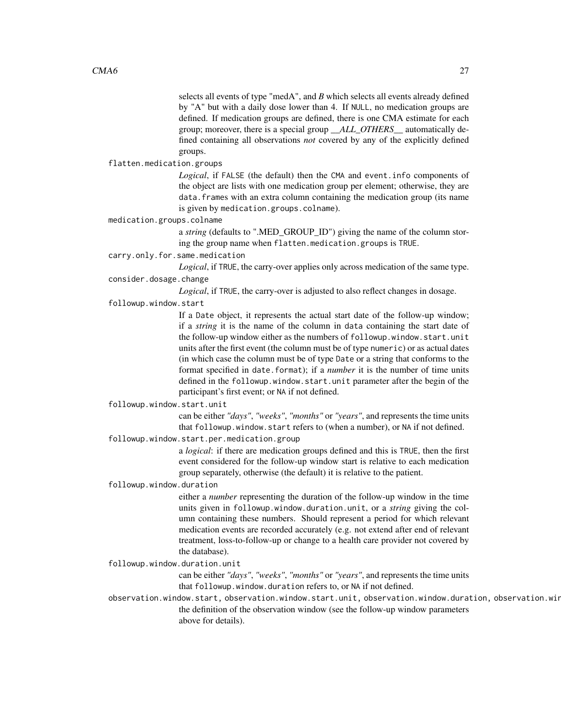selects all events of type "medA", and *B* which selects all events already defined by "A" but with a daily dose lower than 4. If NULL, no medication groups are defined. If medication groups are defined, there is one CMA estimate for each group; moreover, there is a special group *\_\_ALL\_OTHERS\_\_* automatically defined containing all observations *not* covered by any of the explicitly defined groups.

flatten.medication.groups

*Logical*, if FALSE (the default) then the CMA and event.info components of the object are lists with one medication group per element; otherwise, they are data.frames with an extra column containing the medication group (its name is given by medication.groups.colname).

medication.groups.colname

a *string* (defaults to ".MED\_GROUP\_ID") giving the name of the column storing the group name when flatten.medication.groups is TRUE.

carry.only.for.same.medication

*Logical*, if TRUE, the carry-over applies only across medication of the same type. consider.dosage.change

*Logical*, if TRUE, the carry-over is adjusted to also reflect changes in dosage.

followup.window.start

If a Date object, it represents the actual start date of the follow-up window; if a *string* it is the name of the column in data containing the start date of the follow-up window either as the numbers of followup.window.start.unit units after the first event (the column must be of type numeric) or as actual dates (in which case the column must be of type Date or a string that conforms to the format specified in date.format); if a *number* it is the number of time units defined in the followup.window.start.unit parameter after the begin of the participant's first event; or NA if not defined.

followup.window.start.unit

can be either *"days"*, *"weeks"*, *"months"* or *"years"*, and represents the time units that followup.window.start refers to (when a number), or NA if not defined.

followup.window.start.per.medication.group

a *logical*: if there are medication groups defined and this is TRUE, then the first event considered for the follow-up window start is relative to each medication group separately, otherwise (the default) it is relative to the patient.

followup.window.duration

either a *number* representing the duration of the follow-up window in the time units given in followup.window.duration.unit, or a *string* giving the column containing these numbers. Should represent a period for which relevant medication events are recorded accurately (e.g. not extend after end of relevant treatment, loss-to-follow-up or change to a health care provider not covered by the database).

followup.window.duration.unit

can be either *"days"*, *"weeks"*, *"months"* or *"years"*, and represents the time units that followup.window.duration refers to, or NA if not defined.

observation.window.start, observation.window.start.unit, observation.window.duration, observation.win the definition of the observation window (see the follow-up window parameters above for details).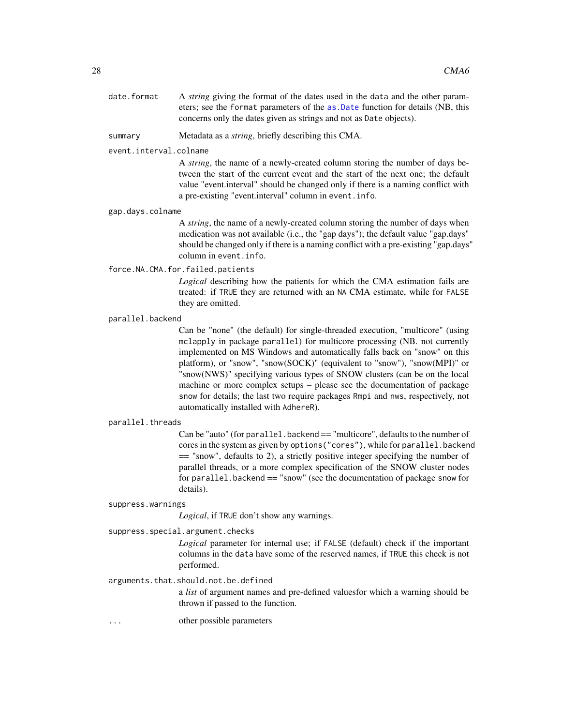date.format A *string* giving the format of the dates used in the data and the other parameters; see the format parameters of the [as.Date](#page-0-0) function for details (NB, this concerns only the dates given as strings and not as Date objects).

summary Metadata as a *string*, briefly describing this CMA.

### event.interval.colname

A *string*, the name of a newly-created column storing the number of days between the start of the current event and the start of the next one; the default value "event.interval" should be changed only if there is a naming conflict with a pre-existing "event.interval" column in event.info.

#### gap.days.colname

A *string*, the name of a newly-created column storing the number of days when medication was not available (i.e., the "gap days"); the default value "gap.days" should be changed only if there is a naming conflict with a pre-existing "gap.days" column in event.info.

### force.NA.CMA.for.failed.patients

*Logical* describing how the patients for which the CMA estimation fails are treated: if TRUE they are returned with an NA CMA estimate, while for FALSE they are omitted.

#### parallel.backend

Can be "none" (the default) for single-threaded execution, "multicore" (using mclapply in package parallel) for multicore processing (NB. not currently implemented on MS Windows and automatically falls back on "snow" on this platform), or "snow", "snow(SOCK)" (equivalent to "snow"), "snow(MPI)" or "snow(NWS)" specifying various types of SNOW clusters (can be on the local machine or more complex setups – please see the documentation of package snow for details; the last two require packages Rmpi and nws, respectively, not automatically installed with AdhereR).

#### parallel.threads

Can be "auto" (for parallel.backend == "multicore", defaults to the number of cores in the system as given by options("cores"), while for parallel.backend == "snow", defaults to 2), a strictly positive integer specifying the number of parallel threads, or a more complex specification of the SNOW cluster nodes for parallel.backend == "snow" (see the documentation of package snow for details).

#### suppress.warnings

*Logical*, if TRUE don't show any warnings.

#### suppress.special.argument.checks

*Logical* parameter for internal use; if FALSE (default) check if the important columns in the data have some of the reserved names, if TRUE this check is not performed.

### arguments.that.should.not.be.defined

a *list* of argument names and pre-defined valuesfor which a warning should be thrown if passed to the function.

... other possible parameters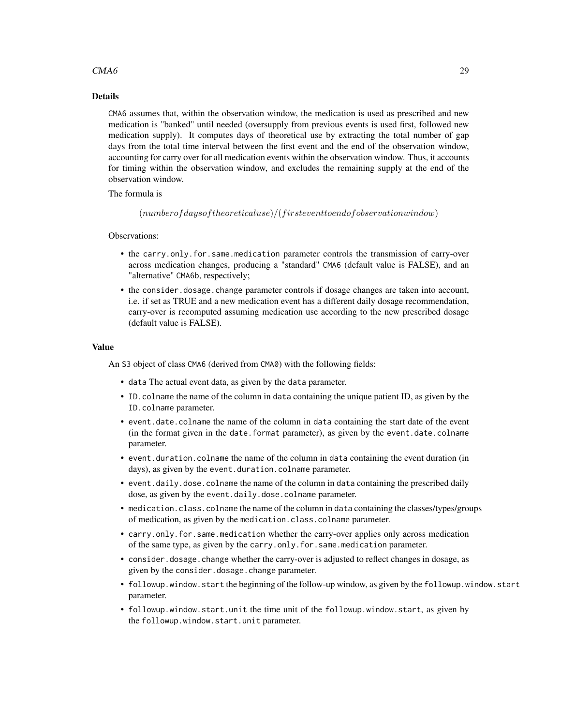### $CMA6$  29

### Details

CMA6 assumes that, within the observation window, the medication is used as prescribed and new medication is "banked" until needed (oversupply from previous events is used first, followed new medication supply). It computes days of theoretical use by extracting the total number of gap days from the total time interval between the first event and the end of the observation window, accounting for carry over for all medication events within the observation window. Thus, it accounts for timing within the observation window, and excludes the remaining supply at the end of the observation window.

### The formula is

 $(number of days of theoretical use)/(first event to end of observation window)$ 

### Observations:

- the carry.only.for.same.medication parameter controls the transmission of carry-over across medication changes, producing a "standard" CMA6 (default value is FALSE), and an "alternative" CMA6b, respectively;
- the consider.dosage.change parameter controls if dosage changes are taken into account, i.e. if set as TRUE and a new medication event has a different daily dosage recommendation, carry-over is recomputed assuming medication use according to the new prescribed dosage (default value is FALSE).

### Value

An S3 object of class CMA6 (derived from CMA0) with the following fields:

- data The actual event data, as given by the data parameter.
- ID.colname the name of the column in data containing the unique patient ID, as given by the ID.colname parameter.
- event.date.colname the name of the column in data containing the start date of the event (in the format given in the date.format parameter), as given by the event.date.colname parameter.
- event.duration.colname the name of the column in data containing the event duration (in days), as given by the event.duration.colname parameter.
- event.daily.dose.colname the name of the column in data containing the prescribed daily dose, as given by the event.daily.dose.colname parameter.
- medication.class.colname the name of the column in data containing the classes/types/groups of medication, as given by the medication.class.colname parameter.
- carry.only.for.same.medication whether the carry-over applies only across medication of the same type, as given by the carry.only.for.same.medication parameter.
- consider.dosage.change whether the carry-over is adjusted to reflect changes in dosage, as given by the consider.dosage.change parameter.
- followup.window.start the beginning of the follow-up window, as given by the followup.window.start parameter.
- followup.window.start.unit the time unit of the followup.window.start, as given by the followup.window.start.unit parameter.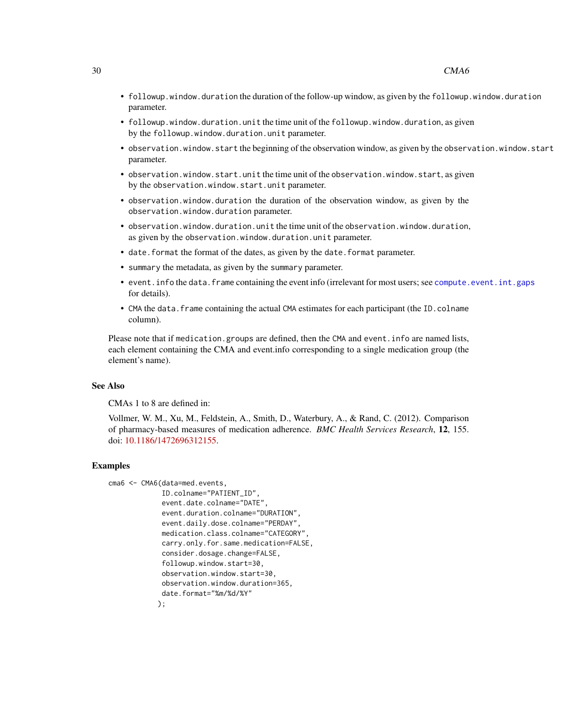- followup.window.duration the duration of the follow-up window, as given by the followup.window.duration parameter.
- followup.window.duration.unit the time unit of the followup.window.duration, as given by the followup.window.duration.unit parameter.
- observation.window.start the beginning of the observation window, as given by the observation.window.start parameter.
- observation.window.start.unit the time unit of the observation.window.start, as given by the observation.window.start.unit parameter.
- observation.window.duration the duration of the observation window, as given by the observation.window.duration parameter.
- observation.window.duration.unit the time unit of the observation.window.duration, as given by the observation.window.duration.unit parameter.
- date. format the format of the dates, as given by the date. format parameter.
- summary the metadata, as given by the summary parameter.
- event.info the data.frame containing the event info (irrelevant for most users; see [compute.event.int.gaps](#page-64-1) for details).
- CMA the data. frame containing the actual CMA estimates for each participant (the ID.colname column).

Please note that if medication.groups are defined, then the CMA and event.info are named lists, each element containing the CMA and event.info corresponding to a single medication group (the element's name).

### See Also

CMAs 1 to 8 are defined in:

Vollmer, W. M., Xu, M., Feldstein, A., Smith, D., Waterbury, A., & Rand, C. (2012). Comparison of pharmacy-based measures of medication adherence. *BMC Health Services Research*, 12, 155. doi: [10.1186/1472696312155.](https://doi.org/10.1186/1472-6963-12-155)

#### Examples

```
cma6 <- CMA6(data=med.events,
             ID.colname="PATIENT_ID",
             event.date.colname="DATE",
             event.duration.colname="DURATION",
             event.daily.dose.colname="PERDAY",
             medication.class.colname="CATEGORY",
             carry.only.for.same.medication=FALSE,
             consider.dosage.change=FALSE,
             followup.window.start=30,
             observation.window.start=30,
             observation.window.duration=365,
             date.format="%m/%d/%Y"
            );
```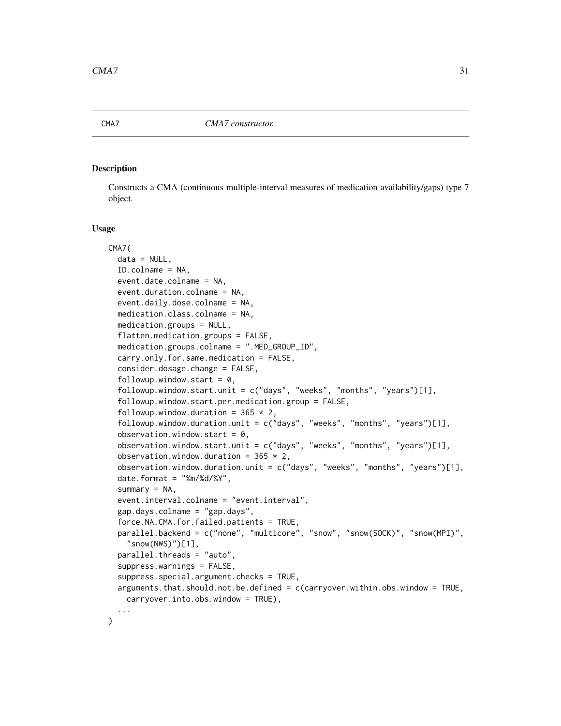<span id="page-30-0"></span>

### **Description**

Constructs a CMA (continuous multiple-interval measures of medication availability/gaps) type 7 object.

#### Usage

```
CMA7(
  data = NULL,
  ID.colname = NA,
  event.date.colname = NA,
  event.duration.colname = NA,
  event.daily.dose.colname = NA,
  medication.class.colname = NA,
  medication.groups = NULL,
  flatten.medication.groups = FALSE,
  medication.groups.colname = ".MED_GROUP_ID",
  carry.only.for.same.medication = FALSE,
  consider.dosage.change = FALSE,
  followup.window.start = 0,
  followup.window.start.unit = c("days", "weeks", "months", "years")[1],
  followup.window.start.per.medication.group = FALSE,
  followup.window.duration = 365 \times 2,
  followup.window.duration.unit = c("days", "weeks", "months", "years")[1],
  observation.window.start = 0,
  observation.window.start.unit = c("days", "weeks", "months", "years")[1],
  observation.window.duration = 365 \times 2,
  observation.window.duration.unit = c("days", "weeks", "months", "years")[1],
  date.format = "%m%d/*Y",summary = NA,
  event.interval.colname = "event.interval",
  gap.days.colname = "gap.days",
  force.NA.CMA.for.failed.patients = TRUE,
  parallel.backend = c("none", "multicore", "snow", "snow(SOCK)", "snow(MPI)",
    "snow(NWS)")[1],
  parallel.threads = "auto",
  suppress.warnings = FALSE,
  suppress.special.argument.checks = TRUE,
  arguments.that.should.not.be.defined = c(carryover.within.obs.window = TRUE,
    carryover.into.obs.window = TRUE),
  ...
)
```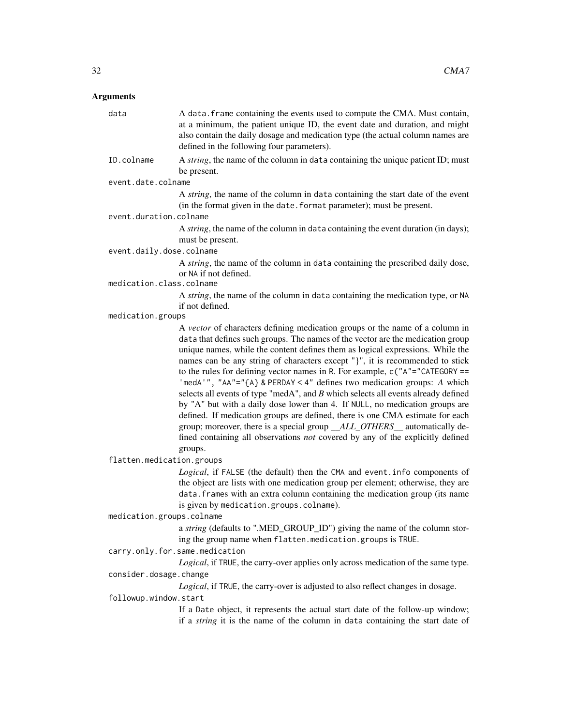### Arguments

data A data.frame containing the events used to compute the CMA. Must contain, at a minimum, the patient unique ID, the event date and duration, and might also contain the daily dosage and medication type (the actual column names are defined in the following four parameters). ID.colname A *string*, the name of the column in data containing the unique patient ID; must be present. event.date.colname A *string*, the name of the column in data containing the start date of the event (in the format given in the date.format parameter); must be present. event.duration.colname A *string*, the name of the column in data containing the event duration (in days); must be present. event.daily.dose.colname A *string*, the name of the column in data containing the prescribed daily dose, or NA if not defined. medication.class.colname A *string*, the name of the column in data containing the medication type, or NA if not defined. medication.groups A *vector* of characters defining medication groups or the name of a column in data that defines such groups. The names of the vector are the medication group unique names, while the content defines them as logical expressions. While the names can be any string of characters except "}", it is recommended to stick to the rules for defining vector names in R. For example, c("A"="CATEGORY == 'medA'", "AA"="{A} & PERDAY < 4" defines two medication groups: *A* which selects all events of type "medA", and *B* which selects all events already defined by "A" but with a daily dose lower than 4. If NULL, no medication groups are defined. If medication groups are defined, there is one CMA estimate for each group; moreover, there is a special group *\_\_ALL\_OTHERS\_\_* automatically defined containing all observations *not* covered by any of the explicitly defined groups. flatten.medication.groups *Logical*, if FALSE (the default) then the CMA and event.info components of the object are lists with one medication group per element; otherwise, they are data.frames with an extra column containing the medication group (its name is given by medication.groups.colname). medication.groups.colname a *string* (defaults to ".MED\_GROUP\_ID") giving the name of the column storing the group name when flatten.medication.groups is TRUE. carry.only.for.same.medication *Logical*, if TRUE, the carry-over applies only across medication of the same type. consider.dosage.change *Logical*, if TRUE, the carry-over is adjusted to also reflect changes in dosage. followup.window.start If a Date object, it represents the actual start date of the follow-up window;

if a *string* it is the name of the column in data containing the start date of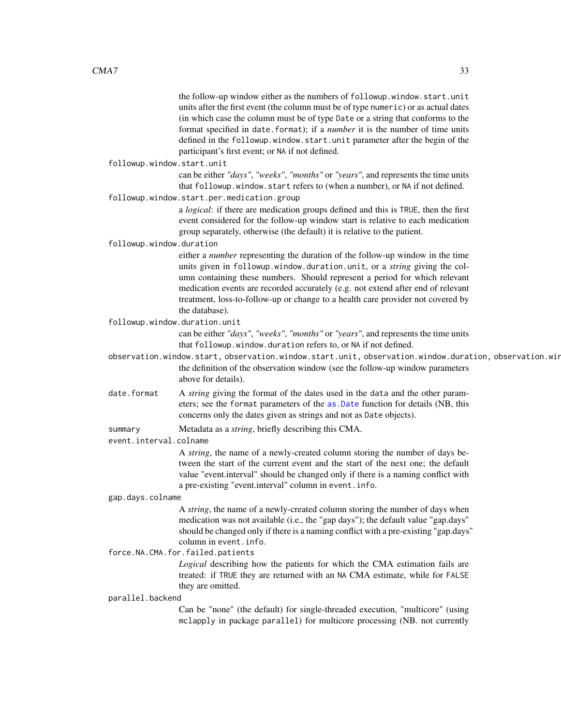the follow-up window either as the numbers of followup.window.start.unit units after the first event (the column must be of type numeric) or as actual dates (in which case the column must be of type Date or a string that conforms to the format specified in date.format); if a *number* it is the number of time units defined in the followup.window.start.unit parameter after the begin of the participant's first event; or NA if not defined.

followup.window.start.unit

can be either *"days"*, *"weeks"*, *"months"* or *"years"*, and represents the time units that followup.window.start refers to (when a number), or NA if not defined.

followup.window.start.per.medication.group

a *logical*: if there are medication groups defined and this is TRUE, then the first event considered for the follow-up window start is relative to each medication group separately, otherwise (the default) it is relative to the patient.

followup.window.duration

either a *number* representing the duration of the follow-up window in the time units given in followup.window.duration.unit, or a *string* giving the column containing these numbers. Should represent a period for which relevant medication events are recorded accurately (e.g. not extend after end of relevant treatment, loss-to-follow-up or change to a health care provider not covered by the database).

followup.window.duration.unit

can be either *"days"*, *"weeks"*, *"months"* or *"years"*, and represents the time units that followup.window.duration refers to, or NA if not defined.

- observation.window.start, observation.window.start.unit, observation.window.duration, observation.win the definition of the observation window (see the follow-up window parameters above for details).
- date.format A *string* giving the format of the dates used in the data and the other parameters; see the format parameters of the [as.Date](#page-0-0) function for details (NB, this concerns only the dates given as strings and not as Date objects).

summary Metadata as a *string*, briefly describing this CMA.

event.interval.colname

A *string*, the name of a newly-created column storing the number of days between the start of the current event and the start of the next one; the default value "event.interval" should be changed only if there is a naming conflict with a pre-existing "event.interval" column in event.info.

gap.days.colname

A *string*, the name of a newly-created column storing the number of days when medication was not available (i.e., the "gap days"); the default value "gap.days" should be changed only if there is a naming conflict with a pre-existing "gap.days" column in event.info.

force.NA.CMA.for.failed.patients

*Logical* describing how the patients for which the CMA estimation fails are treated: if TRUE they are returned with an NA CMA estimate, while for FALSE they are omitted.

#### parallel.backend

Can be "none" (the default) for single-threaded execution, "multicore" (using mclapply in package parallel) for multicore processing (NB. not currently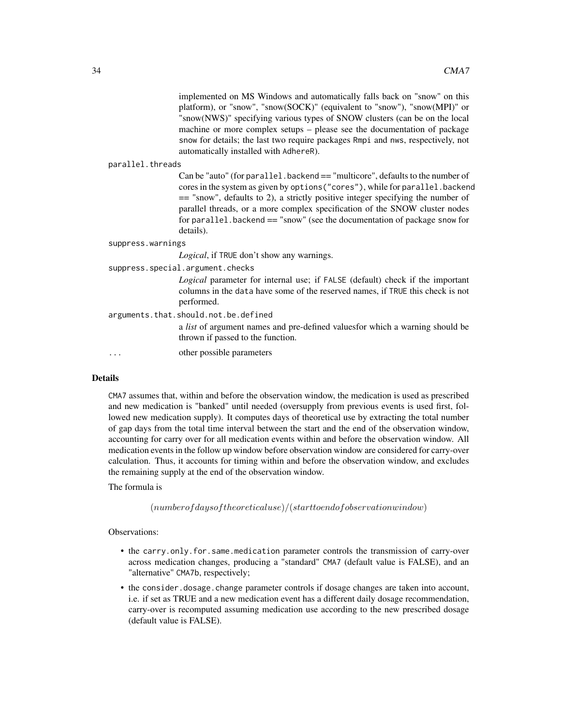implemented on MS Windows and automatically falls back on "snow" on this platform), or "snow", "snow(SOCK)" (equivalent to "snow"), "snow(MPI)" or "snow(NWS)" specifying various types of SNOW clusters (can be on the local machine or more complex setups – please see the documentation of package snow for details; the last two require packages Rmpi and nws, respectively, not automatically installed with AdhereR).

#### parallel.threads

Can be "auto" (for parallel.backend == "multicore", defaults to the number of cores in the system as given by options("cores"), while for parallel.backend == "snow", defaults to 2), a strictly positive integer specifying the number of parallel threads, or a more complex specification of the SNOW cluster nodes for parallel.backend == "snow" (see the documentation of package snow for details).

#### suppress.warnings

*Logical*, if TRUE don't show any warnings.

suppress.special.argument.checks

*Logical* parameter for internal use; if FALSE (default) check if the important columns in the data have some of the reserved names, if TRUE this check is not performed.

arguments.that.should.not.be.defined

a *list* of argument names and pre-defined valuesfor which a warning should be thrown if passed to the function.

... other possible parameters

### Details

CMA7 assumes that, within and before the observation window, the medication is used as prescribed and new medication is "banked" until needed (oversupply from previous events is used first, followed new medication supply). It computes days of theoretical use by extracting the total number of gap days from the total time interval between the start and the end of the observation window, accounting for carry over for all medication events within and before the observation window. All medication events in the follow up window before observation window are considered for carry-over calculation. Thus, it accounts for timing within and before the observation window, and excludes the remaining supply at the end of the observation window.

The formula is

 $(numberofday software) / (start to end of observation window)$ 

### Observations:

- the carry.only.for.same.medication parameter controls the transmission of carry-over across medication changes, producing a "standard" CMA7 (default value is FALSE), and an "alternative" CMA7b, respectively;
- the consider.dosage.change parameter controls if dosage changes are taken into account, i.e. if set as TRUE and a new medication event has a different daily dosage recommendation, carry-over is recomputed assuming medication use according to the new prescribed dosage (default value is FALSE).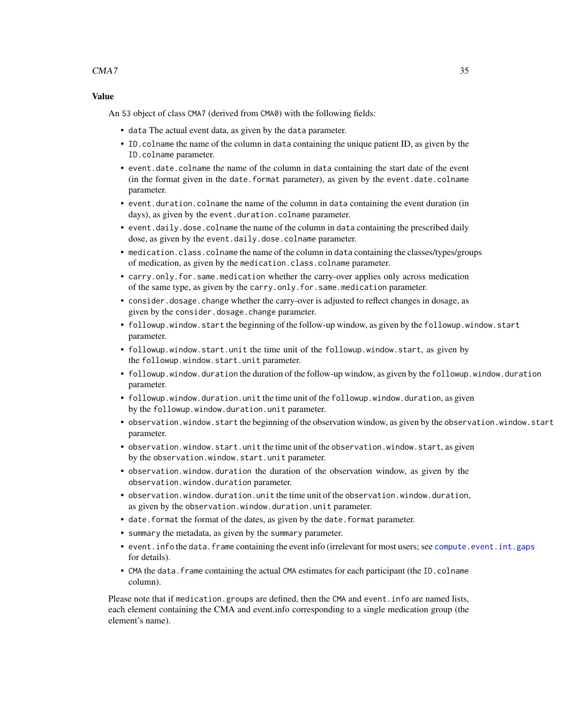### $CMA7$  35

### Value

An S3 object of class CMA7 (derived from CMA0) with the following fields:

- data The actual event data, as given by the data parameter.
- ID.colname the name of the column in data containing the unique patient ID, as given by the ID.colname parameter.
- event.date.colname the name of the column in data containing the start date of the event (in the format given in the date.format parameter), as given by the event.date.colname parameter.
- event.duration.colname the name of the column in data containing the event duration (in days), as given by the event.duration.colname parameter.
- event.daily.dose.colname the name of the column in data containing the prescribed daily dose, as given by the event.daily.dose.colname parameter.
- medication.class.colname the name of the column in data containing the classes/types/groups of medication, as given by the medication.class.colname parameter.
- carry.only.for.same.medication whether the carry-over applies only across medication of the same type, as given by the carry.only.for.same.medication parameter.
- consider.dosage.change whether the carry-over is adjusted to reflect changes in dosage, as given by the consider.dosage.change parameter.
- followup.window.start the beginning of the follow-up window, as given by the followup.window.start parameter.
- followup.window.start.unit the time unit of the followup.window.start, as given by the followup.window.start.unit parameter.
- followup.window.duration the duration of the follow-up window, as given by the followup.window.duration parameter.
- followup.window.duration.unit the time unit of the followup.window.duration, as given by the followup.window.duration.unit parameter.
- observation.window.start the beginning of the observation window, as given by the observation.window.start parameter.
- observation.window.start.unit the time unit of the observation.window.start, as given by the observation.window.start.unit parameter.
- observation.window.duration the duration of the observation window, as given by the observation.window.duration parameter.
- observation.window.duration.unit the time unit of the observation.window.duration, as given by the observation.window.duration.unit parameter.
- date.format the format of the dates, as given by the date.format parameter.
- summary the metadata, as given by the summary parameter.
- event. info the data. frame containing the event info (irrelevant for most users; see compute. event. int.gaps for details).
- CMA the data. frame containing the actual CMA estimates for each participant (the ID.colname column).

Please note that if medication.groups are defined, then the CMA and event.info are named lists, each element containing the CMA and event.info corresponding to a single medication group (the element's name).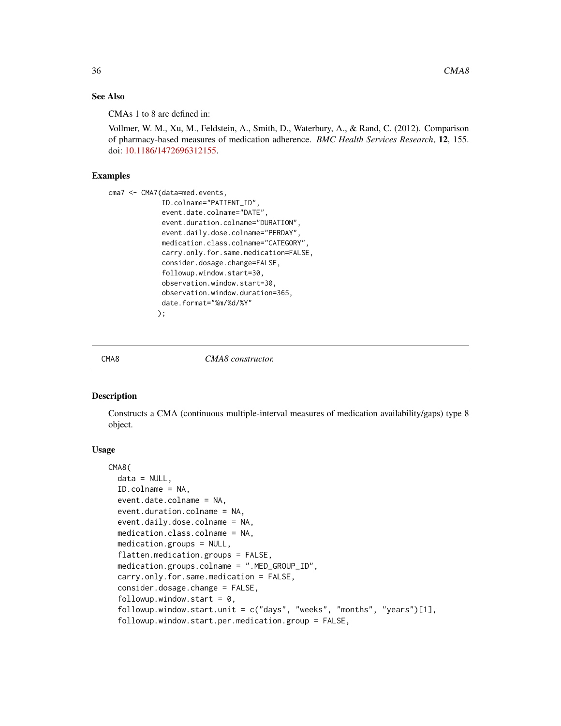### <span id="page-35-0"></span>See Also

CMAs 1 to 8 are defined in:

Vollmer, W. M., Xu, M., Feldstein, A., Smith, D., Waterbury, A., & Rand, C. (2012). Comparison of pharmacy-based measures of medication adherence. *BMC Health Services Research*, 12, 155. doi: [10.1186/1472696312155.](https://doi.org/10.1186/1472-6963-12-155)

### Examples

```
cma7 <- CMA7(data=med.events,
             ID.colname="PATIENT_ID",
             event.date.colname="DATE",
             event.duration.colname="DURATION",
             event.daily.dose.colname="PERDAY",
             medication.class.colname="CATEGORY",
             carry.only.for.same.medication=FALSE,
             consider.dosage.change=FALSE,
             followup.window.start=30,
             observation.window.start=30,
             observation.window.duration=365,
             date.format="%m/%d/%Y"
            );
```
#### CMA8 *CMA8 constructor.*

### Description

Constructs a CMA (continuous multiple-interval measures of medication availability/gaps) type 8 object.

### Usage

```
CMA8(
  data = NULL,ID.colname = NA,
  event.date.colname = NA,
  event.duration.colname = NA,
  event.daily.dose.colname = NA,
  medication.class.colname = NA,
  medication.groups = NULL,
  flatten.medication.groups = FALSE,
  medication.groups.colname = ".MED_GROUP_ID",
  carry.only.for.same.medication = FALSE,
  consider.dosage.change = FALSE,
  followup.window.start = 0,
  followup.window.start.unit = c("days", "weeks", "months", "years")[1],
  followup.window.start.per.medication.group = FALSE,
```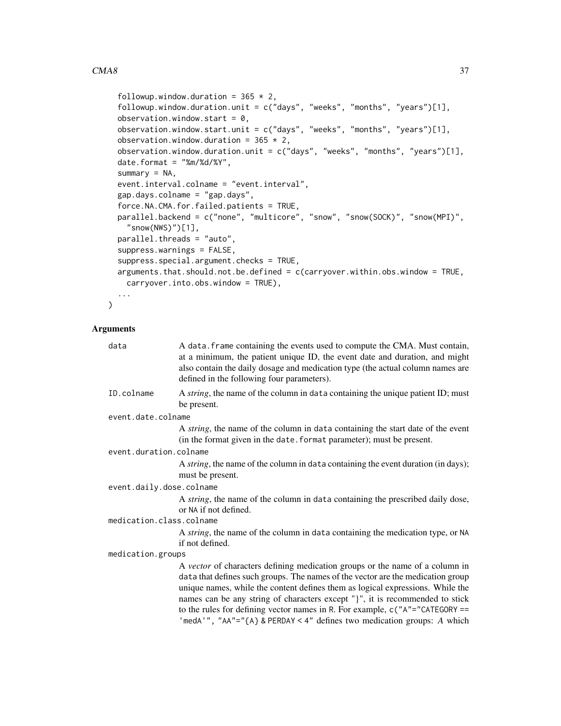# $\emph{CMA8}$  37

```
followup.window.duration = 365 \times 2,
followup.window.duration.unit = c("days", "weeks", "months", "years")[1],
observation.window.start = 0,
observation.window.start.unit = c("days", "weeks", "months", "years")[1],observation.window.duration = 365 \times 2,
observation.window.duration.unit = c("days", "weeks", "months", "years")[1],
date.format = "%m%d/*Y",summary = NA,
event.interval.colname = "event.interval",
gap.days.colname = "gap.days",
force.NA.CMA.for.failed.patients = TRUE,
parallel.backend = c("none", "multicore", "snow", "snow(SOCK)", "snow(MPI)",
  "snow(NWS)")[1],
parallel.threads = "auto",
suppress.warnings = FALSE,
suppress.special.argument.checks = TRUE,
arguments.that.should.not.be.defined = c(carryover.within.obs.window = TRUE,
 carryover.into.obs.window = TRUE),
...
```
# Arguments

 $\mathcal{L}$ 

| data                     | A data. frame containing the events used to compute the CMA. Must contain,<br>at a minimum, the patient unique ID, the event date and duration, and might<br>also contain the daily dosage and medication type (the actual column names are<br>defined in the following four parameters).                                                                                                                                                                                                      |
|--------------------------|------------------------------------------------------------------------------------------------------------------------------------------------------------------------------------------------------------------------------------------------------------------------------------------------------------------------------------------------------------------------------------------------------------------------------------------------------------------------------------------------|
| ID.colname               | A <i>string</i> , the name of the column in data containing the unique patient ID; must<br>be present.                                                                                                                                                                                                                                                                                                                                                                                         |
| event.date.colname       |                                                                                                                                                                                                                                                                                                                                                                                                                                                                                                |
|                          | A <i>string</i> , the name of the column in data containing the start date of the event<br>(in the format given in the date. format parameter); must be present.                                                                                                                                                                                                                                                                                                                               |
| event.duration.colname   |                                                                                                                                                                                                                                                                                                                                                                                                                                                                                                |
|                          | A <i>string</i> , the name of the column in data containing the event duration (in days);<br>must be present.                                                                                                                                                                                                                                                                                                                                                                                  |
| event.daily.dose.colname |                                                                                                                                                                                                                                                                                                                                                                                                                                                                                                |
|                          | A string, the name of the column in data containing the prescribed daily dose,<br>or NA if not defined.                                                                                                                                                                                                                                                                                                                                                                                        |
| medication.class.colname |                                                                                                                                                                                                                                                                                                                                                                                                                                                                                                |
|                          | A string, the name of the column in data containing the medication type, or NA<br>if not defined.                                                                                                                                                                                                                                                                                                                                                                                              |
| medication.groups        |                                                                                                                                                                                                                                                                                                                                                                                                                                                                                                |
|                          | A vector of characters defining medication groups or the name of a column in<br>data that defines such groups. The names of the vector are the medication group<br>unique names, while the content defines them as logical expressions. While the<br>names can be any string of characters except "}", it is recommended to stick<br>to the rules for defining vector names in R. For example, $c("A"="CATEGORY ==$<br>'medA'", "AA"="{A} & PERDAY < 4" defines two medication groups: A which |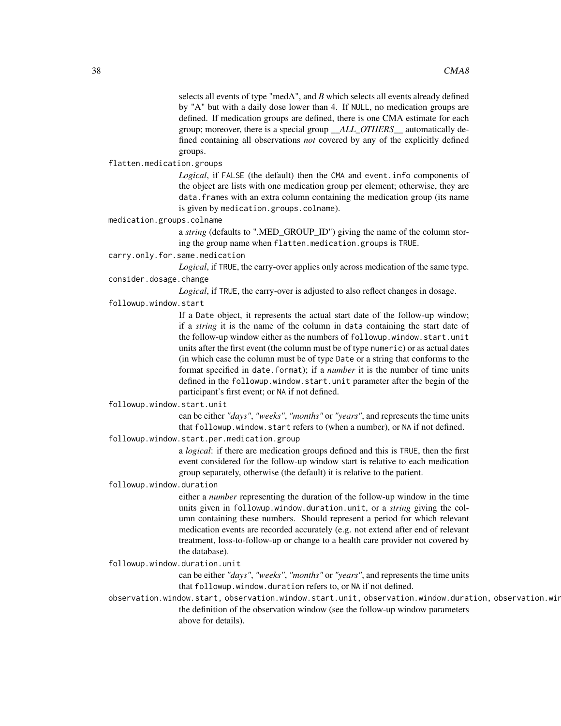selects all events of type "medA", and *B* which selects all events already defined by "A" but with a daily dose lower than 4. If NULL, no medication groups are defined. If medication groups are defined, there is one CMA estimate for each group; moreover, there is a special group *\_\_ALL\_OTHERS\_\_* automatically defined containing all observations *not* covered by any of the explicitly defined groups.

#### flatten.medication.groups

*Logical*, if FALSE (the default) then the CMA and event.info components of the object are lists with one medication group per element; otherwise, they are data.frames with an extra column containing the medication group (its name is given by medication.groups.colname).

medication.groups.colname

a *string* (defaults to ".MED\_GROUP\_ID") giving the name of the column storing the group name when flatten.medication.groups is TRUE.

carry.only.for.same.medication

*Logical*, if TRUE, the carry-over applies only across medication of the same type. consider.dosage.change

*Logical*, if TRUE, the carry-over is adjusted to also reflect changes in dosage.

#### followup.window.start

If a Date object, it represents the actual start date of the follow-up window; if a *string* it is the name of the column in data containing the start date of the follow-up window either as the numbers of followup.window.start.unit units after the first event (the column must be of type numeric) or as actual dates (in which case the column must be of type Date or a string that conforms to the format specified in date.format); if a *number* it is the number of time units defined in the followup.window.start.unit parameter after the begin of the participant's first event; or NA if not defined.

# followup.window.start.unit

can be either *"days"*, *"weeks"*, *"months"* or *"years"*, and represents the time units that followup.window.start refers to (when a number), or NA if not defined.

followup.window.start.per.medication.group

a *logical*: if there are medication groups defined and this is TRUE, then the first event considered for the follow-up window start is relative to each medication group separately, otherwise (the default) it is relative to the patient.

#### followup.window.duration

either a *number* representing the duration of the follow-up window in the time units given in followup.window.duration.unit, or a *string* giving the column containing these numbers. Should represent a period for which relevant medication events are recorded accurately (e.g. not extend after end of relevant treatment, loss-to-follow-up or change to a health care provider not covered by the database).

#### followup.window.duration.unit

can be either *"days"*, *"weeks"*, *"months"* or *"years"*, and represents the time units that followup.window.duration refers to, or NA if not defined.

observation.window.start, observation.window.start.unit, observation.window.duration, observation.win the definition of the observation window (see the follow-up window parameters above for details).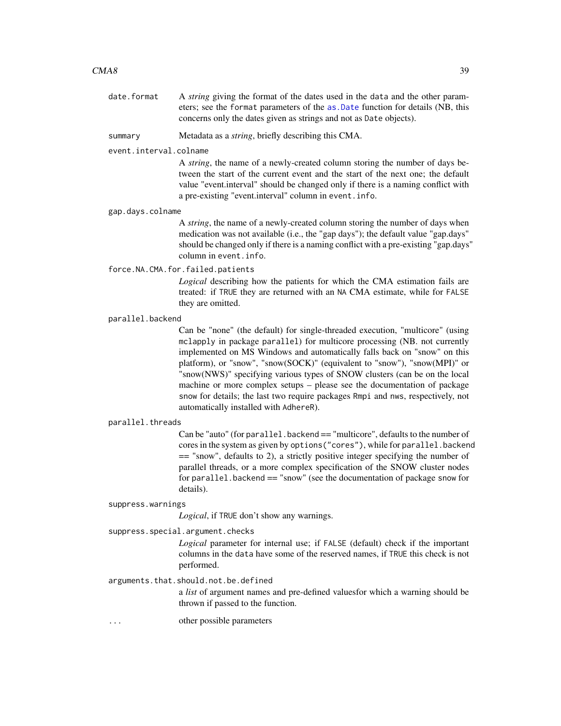# $\text{CMA8}$  39

date.format A *string* giving the format of the dates used in the data and the other parameters; see the format parameters of the [as.Date](#page-0-0) function for details (NB, this concerns only the dates given as strings and not as Date objects).

summary Metadata as a *string*, briefly describing this CMA.

event.interval.colname

A *string*, the name of a newly-created column storing the number of days between the start of the current event and the start of the next one; the default value "event.interval" should be changed only if there is a naming conflict with a pre-existing "event.interval" column in event.info.

#### gap.days.colname

A *string*, the name of a newly-created column storing the number of days when medication was not available (i.e., the "gap days"); the default value "gap.days" should be changed only if there is a naming conflict with a pre-existing "gap.days" column in event.info.

force.NA.CMA.for.failed.patients

*Logical* describing how the patients for which the CMA estimation fails are treated: if TRUE they are returned with an NA CMA estimate, while for FALSE they are omitted.

#### parallel.backend

Can be "none" (the default) for single-threaded execution, "multicore" (using mclapply in package parallel) for multicore processing (NB. not currently implemented on MS Windows and automatically falls back on "snow" on this platform), or "snow", "snow(SOCK)" (equivalent to "snow"), "snow(MPI)" or "snow(NWS)" specifying various types of SNOW clusters (can be on the local machine or more complex setups – please see the documentation of package snow for details; the last two require packages Rmpi and nws, respectively, not automatically installed with AdhereR).

#### parallel.threads

Can be "auto" (for parallel.backend == "multicore", defaults to the number of cores in the system as given by options("cores"), while for parallel.backend == "snow", defaults to 2), a strictly positive integer specifying the number of parallel threads, or a more complex specification of the SNOW cluster nodes for parallel.backend == "snow" (see the documentation of package snow for details).

#### suppress.warnings

*Logical*, if TRUE don't show any warnings.

#### suppress.special.argument.checks

*Logical* parameter for internal use; if FALSE (default) check if the important columns in the data have some of the reserved names, if TRUE this check is not performed.

# arguments.that.should.not.be.defined

a *list* of argument names and pre-defined valuesfor which a warning should be thrown if passed to the function.

... other possible parameters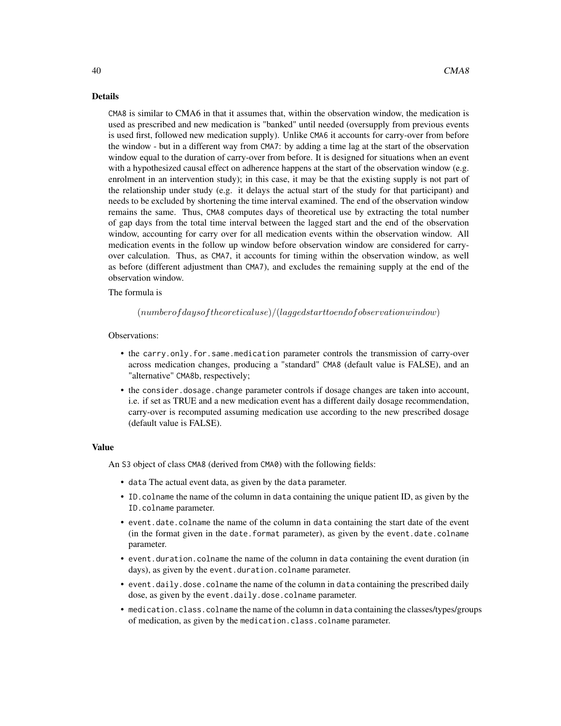# Details

CMA8 is similar to CMA6 in that it assumes that, within the observation window, the medication is used as prescribed and new medication is "banked" until needed (oversupply from previous events is used first, followed new medication supply). Unlike CMA6 it accounts for carry-over from before the window - but in a different way from CMA7: by adding a time lag at the start of the observation window equal to the duration of carry-over from before. It is designed for situations when an event with a hypothesized causal effect on adherence happens at the start of the observation window (e.g. enrolment in an intervention study); in this case, it may be that the existing supply is not part of the relationship under study (e.g. it delays the actual start of the study for that participant) and needs to be excluded by shortening the time interval examined. The end of the observation window remains the same. Thus, CMA8 computes days of theoretical use by extracting the total number of gap days from the total time interval between the lagged start and the end of the observation window, accounting for carry over for all medication events within the observation window. All medication events in the follow up window before observation window are considered for carryover calculation. Thus, as CMA7, it accounts for timing within the observation window, as well as before (different adjustment than CMA7), and excludes the remaining supply at the end of the observation window.

# The formula is

 $(number of days of theoretical use)/(lagged start to end of observation window)$ 

# Observations:

- the carry.only.for.same.medication parameter controls the transmission of carry-over across medication changes, producing a "standard" CMA8 (default value is FALSE), and an "alternative" CMA8b, respectively;
- the consider.dosage.change parameter controls if dosage changes are taken into account, i.e. if set as TRUE and a new medication event has a different daily dosage recommendation, carry-over is recomputed assuming medication use according to the new prescribed dosage (default value is FALSE).

## Value

An S3 object of class CMA8 (derived from CMA0) with the following fields:

- data The actual event data, as given by the data parameter.
- ID.colname the name of the column in data containing the unique patient ID, as given by the ID.colname parameter.
- event.date.colname the name of the column in data containing the start date of the event (in the format given in the date.format parameter), as given by the event.date.colname parameter.
- event.duration.colname the name of the column in data containing the event duration (in days), as given by the event.duration.colname parameter.
- event.daily.dose.colname the name of the column in data containing the prescribed daily dose, as given by the event.daily.dose.colname parameter.
- medication.class.colname the name of the column in data containing the classes/types/groups of medication, as given by the medication.class.colname parameter.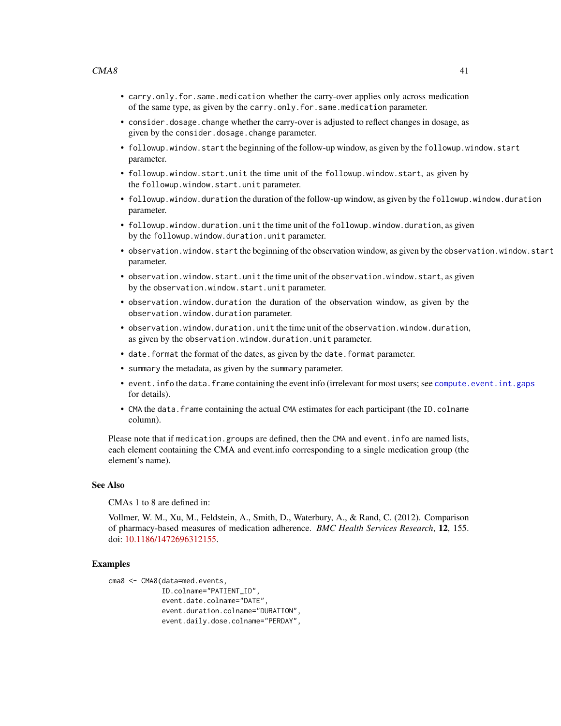- carry.only.for.same.medication whether the carry-over applies only across medication of the same type, as given by the carry.only.for.same.medication parameter.
- consider.dosage.change whether the carry-over is adjusted to reflect changes in dosage, as given by the consider.dosage.change parameter.
- followup.window.start the beginning of the follow-up window, as given by the followup.window.start parameter.
- followup.window.start.unit the time unit of the followup.window.start, as given by the followup.window.start.unit parameter.
- followup.window.duration the duration of the follow-up window, as given by the followup.window.duration parameter.
- followup.window.duration.unit the time unit of the followup.window.duration, as given by the followup.window.duration.unit parameter.
- observation.window.start the beginning of the observation window, as given by the observation.window.start parameter.
- observation.window.start.unit the time unit of the observation.window.start, as given by the observation.window.start.unit parameter.
- observation.window.duration the duration of the observation window, as given by the observation.window.duration parameter.
- observation.window.duration.unit the time unit of the observation.window.duration, as given by the observation.window.duration.unit parameter.
- date. format the format of the dates, as given by the date. format parameter.
- summary the metadata, as given by the summary parameter.
- event.info the data.frame containing the event info (irrelevant for most users; see [compute.event.int.gaps](#page-64-0) for details).
- CMA the data. frame containing the actual CMA estimates for each participant (the ID.colname column).

Please note that if medication.groups are defined, then the CMA and event.info are named lists, each element containing the CMA and event.info corresponding to a single medication group (the element's name).

#### See Also

CMAs 1 to 8 are defined in:

Vollmer, W. M., Xu, M., Feldstein, A., Smith, D., Waterbury, A., & Rand, C. (2012). Comparison of pharmacy-based measures of medication adherence. *BMC Health Services Research*, 12, 155. doi: [10.1186/1472696312155.](https://doi.org/10.1186/1472-6963-12-155)

# Examples

```
cma8 <- CMA8(data=med.events,
             ID.colname="PATIENT_ID",
             event.date.colname="DATE",
             event.duration.colname="DURATION",
             event.daily.dose.colname="PERDAY",
```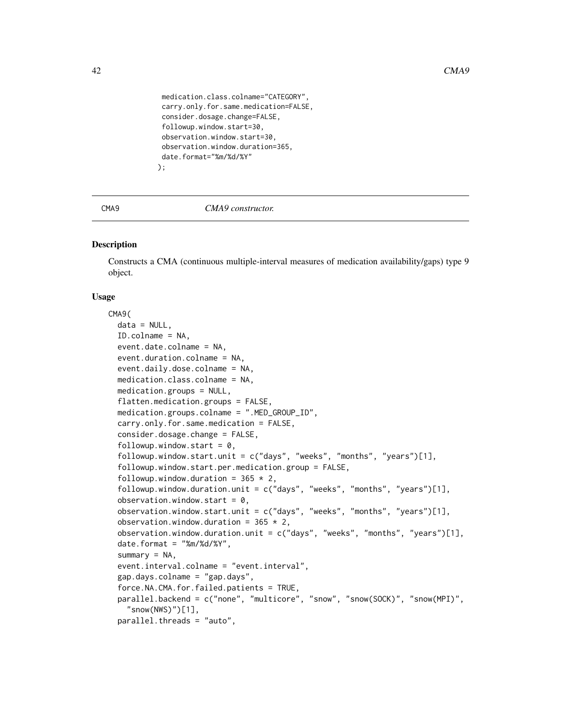```
medication.class.colname="CATEGORY",
 carry.only.for.same.medication=FALSE,
 consider.dosage.change=FALSE,
 followup.window.start=30,
 observation.window.start=30,
 observation.window.duration=365,
 date.format="%m/%d/%Y"
);
```
#### <span id="page-41-0"></span>CMA9 *CMA9 constructor.*

# **Description**

Constructs a CMA (continuous multiple-interval measures of medication availability/gaps) type 9 object.

# Usage

```
CMA9(
  data = NULL,
  ID.colname = NA,
  event.date.colname = NA,
  event.duration.colname = NA,
  event.daily.dose.colname = NA,
  medication.class.colname = NA,
 medication.groups = NULL,
  flatten.medication.groups = FALSE,
  medication.groups.colname = ".MED_GROUP_ID",
  carry.only.for.same.medication = FALSE,
  consider.dosage.change = FALSE,
  followup.window.start = 0,
  followup.window.start.unit = c("days", "weeks", "months", "years")[1],
  followup.window.start.per.medication.group = FALSE,
  followup.window.duration = 365 \times 2,
  followup.window.duration.unit = c("days", "weeks", "months", "years")[1],
  observation.window.start = 0,
  observation.window.start.unit = c("days", "weeks", "months", "years")[1],
  observation.window.duration = 365 \times 2,
  observation.window.duration.unit = c("days", "weeks", "months", "years")[1],
  date.format = "%m%d/*Y",summary = NA,
  event.interval.colname = "event.interval",
  gap.days.colname = "gap.days",
  force.NA.CMA.for.failed.patients = TRUE,
  parallel.backend = c("none", "multicore", "snow", "snow(SOCK)", "snow(MPI)",
    "snow(NWS)")[1],
  parallel.threads = "auto",
```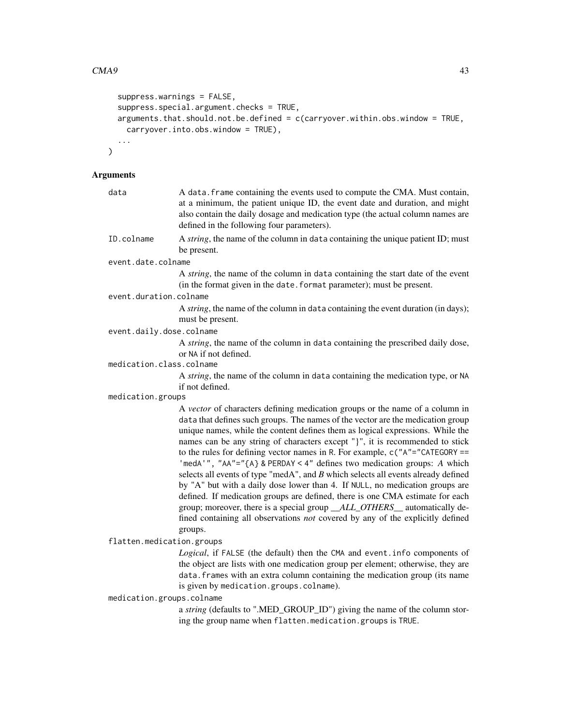```
suppress.warnings = FALSE,
suppress.special.argument.checks = TRUE,
arguments.that.should.not.be.defined = c(carryover.within.obs.window = TRUE,
 carryover.into.obs.window = TRUE),
...
```
# Arguments

 $\mathcal{L}$ 

| data                      | A data. frame containing the events used to compute the CMA. Must contain,<br>at a minimum, the patient unique ID, the event date and duration, and might<br>also contain the daily dosage and medication type (the actual column names are<br>defined in the following four parameters).                                                                                                                                                                                                                                                                                                                                                                                                                                                                                                                                                                                                                                       |
|---------------------------|---------------------------------------------------------------------------------------------------------------------------------------------------------------------------------------------------------------------------------------------------------------------------------------------------------------------------------------------------------------------------------------------------------------------------------------------------------------------------------------------------------------------------------------------------------------------------------------------------------------------------------------------------------------------------------------------------------------------------------------------------------------------------------------------------------------------------------------------------------------------------------------------------------------------------------|
| ID.colname                | A string, the name of the column in data containing the unique patient ID; must<br>be present.                                                                                                                                                                                                                                                                                                                                                                                                                                                                                                                                                                                                                                                                                                                                                                                                                                  |
| event.date.colname        |                                                                                                                                                                                                                                                                                                                                                                                                                                                                                                                                                                                                                                                                                                                                                                                                                                                                                                                                 |
|                           | A string, the name of the column in data containing the start date of the event<br>(in the format given in the date. format parameter); must be present.                                                                                                                                                                                                                                                                                                                                                                                                                                                                                                                                                                                                                                                                                                                                                                        |
| event.duration.colname    |                                                                                                                                                                                                                                                                                                                                                                                                                                                                                                                                                                                                                                                                                                                                                                                                                                                                                                                                 |
|                           | A string, the name of the column in data containing the event duration (in days);<br>must be present.                                                                                                                                                                                                                                                                                                                                                                                                                                                                                                                                                                                                                                                                                                                                                                                                                           |
| event.daily.dose.colname  |                                                                                                                                                                                                                                                                                                                                                                                                                                                                                                                                                                                                                                                                                                                                                                                                                                                                                                                                 |
|                           | A string, the name of the column in data containing the prescribed daily dose,<br>or NA if not defined.                                                                                                                                                                                                                                                                                                                                                                                                                                                                                                                                                                                                                                                                                                                                                                                                                         |
| medication.class.colname  |                                                                                                                                                                                                                                                                                                                                                                                                                                                                                                                                                                                                                                                                                                                                                                                                                                                                                                                                 |
|                           | A string, the name of the column in data containing the medication type, or NA<br>if not defined.                                                                                                                                                                                                                                                                                                                                                                                                                                                                                                                                                                                                                                                                                                                                                                                                                               |
| medication.groups         |                                                                                                                                                                                                                                                                                                                                                                                                                                                                                                                                                                                                                                                                                                                                                                                                                                                                                                                                 |
|                           | A vector of characters defining medication groups or the name of a column in<br>data that defines such groups. The names of the vector are the medication group<br>unique names, while the content defines them as logical expressions. While the<br>names can be any string of characters except "}", it is recommended to stick<br>to the rules for defining vector names in R. For example, $c("A"="CATEGORY ==$<br>'medA'", "AA"="{A} & PERDAY < 4" defines two medication groups: A which<br>selects all events of type "medA", and $B$ which selects all events already defined<br>by "A" but with a daily dose lower than 4. If NULL, no medication groups are<br>defined. If medication groups are defined, there is one CMA estimate for each<br>group; moreover, there is a special group _ALL_OTHERS_ automatically de-<br>fined containing all observations not covered by any of the explicitly defined<br>groups. |
| flatten.medication.groups |                                                                                                                                                                                                                                                                                                                                                                                                                                                                                                                                                                                                                                                                                                                                                                                                                                                                                                                                 |
|                           | Logical, if FALSE (the default) then the CMA and event. info components of<br>the object are lists with one medication group per element; otherwise, they are<br>data. frames with an extra column containing the medication group (its name<br>is given by medication.groups.colname).                                                                                                                                                                                                                                                                                                                                                                                                                                                                                                                                                                                                                                         |
| medication.groups.colname |                                                                                                                                                                                                                                                                                                                                                                                                                                                                                                                                                                                                                                                                                                                                                                                                                                                                                                                                 |
|                           | a string (defaults to ".MED_GROUP_ID") giving the name of the column stor-<br>ing the group name when flatten.medication.groups is TRUE.                                                                                                                                                                                                                                                                                                                                                                                                                                                                                                                                                                                                                                                                                                                                                                                        |
|                           |                                                                                                                                                                                                                                                                                                                                                                                                                                                                                                                                                                                                                                                                                                                                                                                                                                                                                                                                 |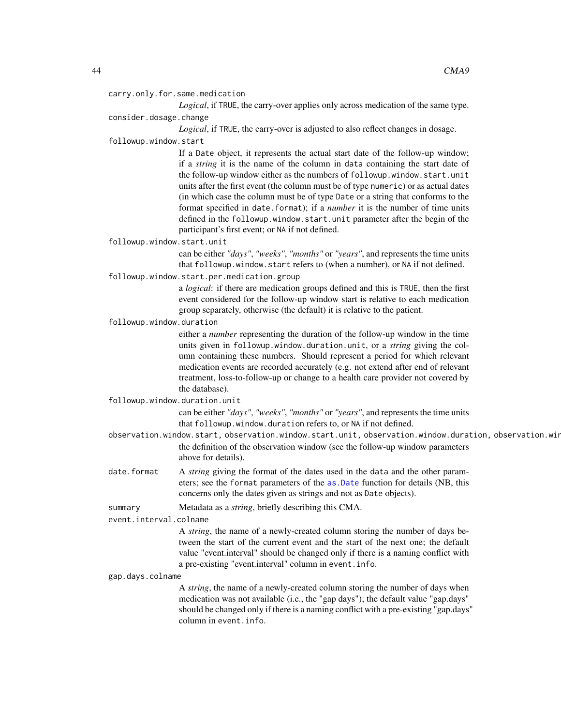carry.only.for.same.medication

*Logical*, if TRUE, the carry-over applies only across medication of the same type. consider.dosage.change

*Logical*, if TRUE, the carry-over is adjusted to also reflect changes in dosage.

followup.window.start

If a Date object, it represents the actual start date of the follow-up window; if a *string* it is the name of the column in data containing the start date of the follow-up window either as the numbers of followup.window.start.unit units after the first event (the column must be of type numeric) or as actual dates (in which case the column must be of type Date or a string that conforms to the format specified in date.format); if a *number* it is the number of time units defined in the followup.window.start.unit parameter after the begin of the participant's first event; or NA if not defined.

followup.window.start.unit

can be either *"days"*, *"weeks"*, *"months"* or *"years"*, and represents the time units that followup.window.start refers to (when a number), or NA if not defined.

followup.window.start.per.medication.group

a *logical*: if there are medication groups defined and this is TRUE, then the first event considered for the follow-up window start is relative to each medication group separately, otherwise (the default) it is relative to the patient.

followup.window.duration

either a *number* representing the duration of the follow-up window in the time units given in followup.window.duration.unit, or a *string* giving the column containing these numbers. Should represent a period for which relevant medication events are recorded accurately (e.g. not extend after end of relevant treatment, loss-to-follow-up or change to a health care provider not covered by the database).

followup.window.duration.unit

can be either *"days"*, *"weeks"*, *"months"* or *"years"*, and represents the time units that followup.window.duration refers to, or NA if not defined.

- observation.window.start, observation.window.start.unit, observation.window.duration, observation.win the definition of the observation window (see the follow-up window parameters above for details).
- date.format A *string* giving the format of the dates used in the data and the other parameters; see the format parameters of the [as.Date](#page-0-0) function for details (NB, this concerns only the dates given as strings and not as Date objects).

summary Metadata as a *string*, briefly describing this CMA.

event.interval.colname

A *string*, the name of a newly-created column storing the number of days between the start of the current event and the start of the next one; the default value "event.interval" should be changed only if there is a naming conflict with a pre-existing "event.interval" column in event.info.

gap.days.colname

A *string*, the name of a newly-created column storing the number of days when medication was not available (i.e., the "gap days"); the default value "gap.days" should be changed only if there is a naming conflict with a pre-existing "gap.days" column in event.info.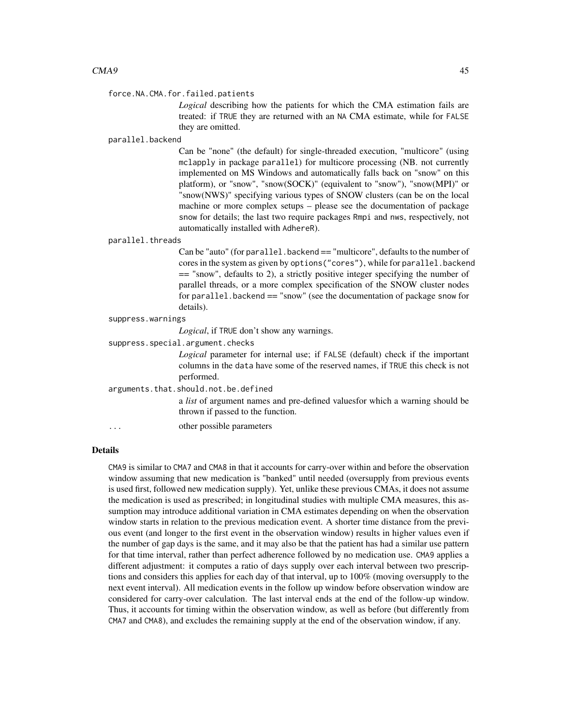#### force.NA.CMA.for.failed.patients

*Logical* describing how the patients for which the CMA estimation fails are treated: if TRUE they are returned with an NA CMA estimate, while for FALSE they are omitted.

#### parallel.backend

Can be "none" (the default) for single-threaded execution, "multicore" (using mclapply in package parallel) for multicore processing (NB. not currently implemented on MS Windows and automatically falls back on "snow" on this platform), or "snow", "snow(SOCK)" (equivalent to "snow"), "snow(MPI)" or "snow(NWS)" specifying various types of SNOW clusters (can be on the local machine or more complex setups – please see the documentation of package snow for details; the last two require packages Rmpi and nws, respectively, not automatically installed with AdhereR).

#### parallel.threads

Can be "auto" (for parallel.backend == "multicore", defaults to the number of cores in the system as given by options("cores"), while for parallel.backend == "snow", defaults to 2), a strictly positive integer specifying the number of parallel threads, or a more complex specification of the SNOW cluster nodes for parallel.backend == "snow" (see the documentation of package snow for details).

| suppress.warnings |  |
|-------------------|--|
|-------------------|--|

*Logical*, if TRUE don't show any warnings.

suppress.special.argument.checks

*Logical* parameter for internal use; if FALSE (default) check if the important columns in the data have some of the reserved names, if TRUE this check is not performed.

arguments.that.should.not.be.defined

a *list* of argument names and pre-defined valuesfor which a warning should be thrown if passed to the function.

... other possible parameters

# Details

CMA9 is similar to CMA7 and CMA8 in that it accounts for carry-over within and before the observation window assuming that new medication is "banked" until needed (oversupply from previous events is used first, followed new medication supply). Yet, unlike these previous CMAs, it does not assume the medication is used as prescribed; in longitudinal studies with multiple CMA measures, this assumption may introduce additional variation in CMA estimates depending on when the observation window starts in relation to the previous medication event. A shorter time distance from the previous event (and longer to the first event in the observation window) results in higher values even if the number of gap days is the same, and it may also be that the patient has had a similar use pattern for that time interval, rather than perfect adherence followed by no medication use. CMA9 applies a different adjustment: it computes a ratio of days supply over each interval between two prescriptions and considers this applies for each day of that interval, up to 100% (moving oversupply to the next event interval). All medication events in the follow up window before observation window are considered for carry-over calculation. The last interval ends at the end of the follow-up window. Thus, it accounts for timing within the observation window, as well as before (but differently from CMA7 and CMA8), and excludes the remaining supply at the end of the observation window, if any.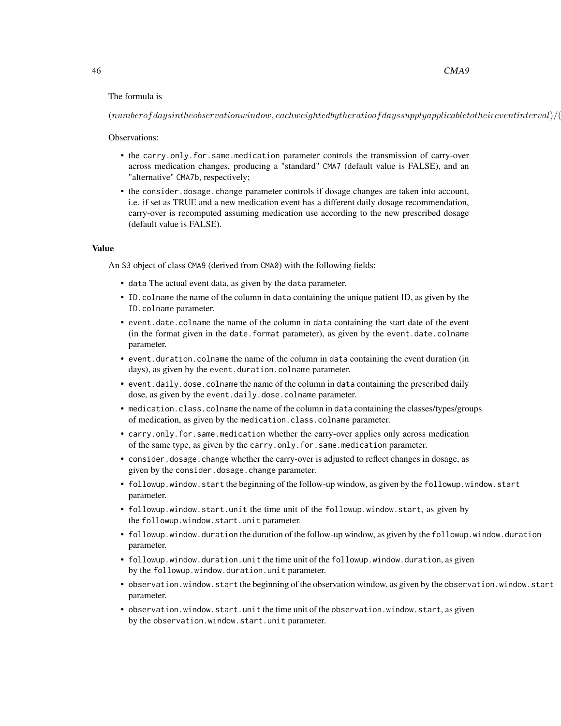# The formula is

 $(numbeforefdays in the observation window, each weighted by the ratio of days supply applicable to their event interval)/(s$ 

Observations:

- the carry.only.for.same.medication parameter controls the transmission of carry-over across medication changes, producing a "standard" CMA7 (default value is FALSE), and an "alternative" CMA7b, respectively;
- the consider.dosage.change parameter controls if dosage changes are taken into account, i.e. if set as TRUE and a new medication event has a different daily dosage recommendation, carry-over is recomputed assuming medication use according to the new prescribed dosage (default value is FALSE).

#### Value

An S3 object of class CMA9 (derived from CMA0) with the following fields:

- data The actual event data, as given by the data parameter.
- ID.colname the name of the column in data containing the unique patient ID, as given by the ID.colname parameter.
- event.date.colname the name of the column in data containing the start date of the event (in the format given in the date.format parameter), as given by the event.date.colname parameter.
- event.duration.colname the name of the column in data containing the event duration (in days), as given by the event.duration.colname parameter.
- event.daily.dose.colname the name of the column in data containing the prescribed daily dose, as given by the event.daily.dose.colname parameter.
- medication.class.colname the name of the column in data containing the classes/types/groups of medication, as given by the medication.class.colname parameter.
- carry.only.for.same.medication whether the carry-over applies only across medication of the same type, as given by the carry.only.for.same.medication parameter.
- consider.dosage.change whether the carry-over is adjusted to reflect changes in dosage, as given by the consider.dosage.change parameter.
- followup.window.start the beginning of the follow-up window, as given by the followup.window.start parameter.
- followup.window.start.unit the time unit of the followup.window.start, as given by the followup.window.start.unit parameter.
- followup.window.duration the duration of the follow-up window, as given by the followup.window.duration parameter.
- followup.window.duration.unit the time unit of the followup.window.duration, as given by the followup.window.duration.unit parameter.
- observation.window.start the beginning of the observation window, as given by the observation.window.start parameter.
- observation.window.start.unit the time unit of the observation.window.start, as given by the observation.window.start.unit parameter.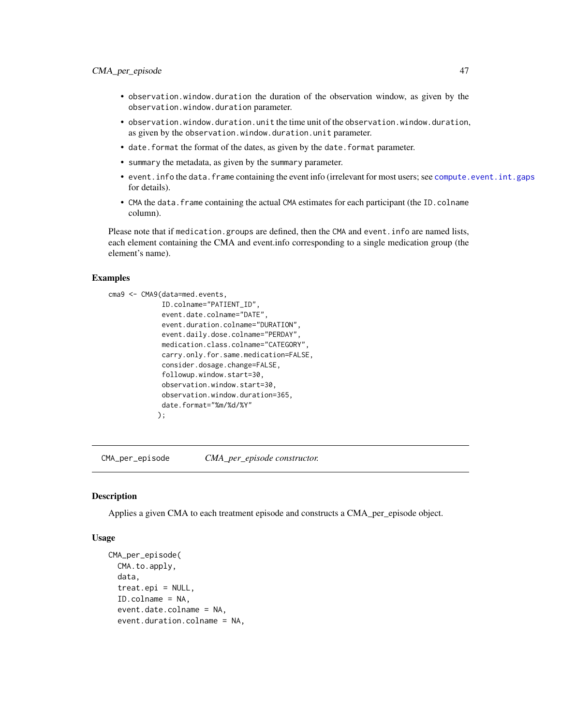- observation.window.duration the duration of the observation window, as given by the observation.window.duration parameter.
- observation.window.duration.unit the time unit of the observation.window.duration, as given by the observation.window.duration.unit parameter.
- date.format the format of the dates, as given by the date.format parameter.
- summary the metadata, as given by the summary parameter.
- event.info the data.frame containing the event info (irrelevant for most users; see [compute.event.int.gaps](#page-64-0) for details).
- CMA the data. frame containing the actual CMA estimates for each participant (the ID.colname column).

Please note that if medication.groups are defined, then the CMA and event.info are named lists, each element containing the CMA and event.info corresponding to a single medication group (the element's name).

# Examples

```
cma9 <- CMA9(data=med.events,
             ID.colname="PATIENT_ID",
             event.date.colname="DATE",
             event.duration.colname="DURATION",
             event.daily.dose.colname="PERDAY",
             medication.class.colname="CATEGORY",
             carry.only.for.same.medication=FALSE,
             consider.dosage.change=FALSE,
             followup.window.start=30,
             observation.window.start=30,
             observation.window.duration=365,
             date.format="%m/%d/%Y"
            );
```
<span id="page-46-0"></span>CMA\_per\_episode *CMA\_per\_episode constructor.*

#### **Description**

Applies a given CMA to each treatment episode and constructs a CMA\_per\_episode object.

# Usage

```
CMA_per_episode(
  CMA.to.apply,
  data,
  treat.epi = NULL,
  ID.colname = NA,
  event.date.colname = NA,
  event.duration.colname = NA,
```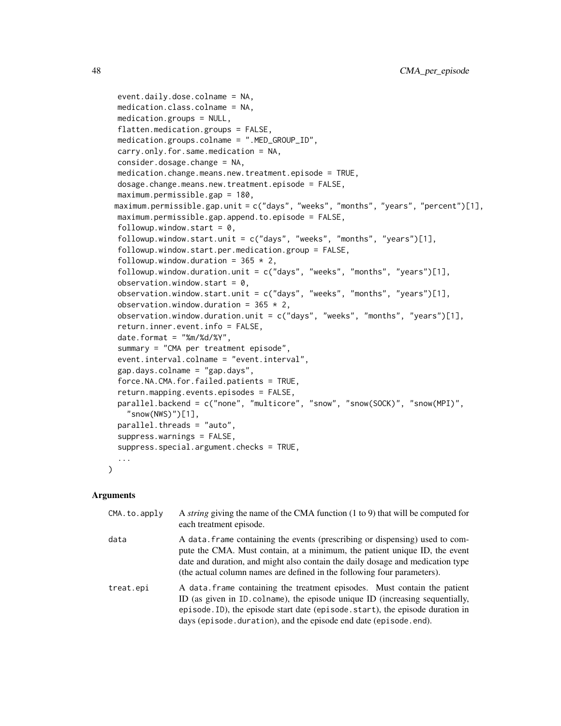```
event.daily.dose.colname = NA,
medication.class.colname = NA,
medication.groups = NULL,
flatten.medication.groups = FALSE,
medication.groups.colname = ".MED_GROUP_ID",
carry.only.for.same.medication = NA,
consider.dosage.change = NA,
medication.change.means.new.treatment.episode = TRUE,
dosage.change.means.new.treatment.episode = FALSE,
maximum.permissible.gap = 180,
maximum.permissible.gap.unit = c("days", "weeks", "months", "years", "percent")[1],
maximum.permissible.gap.append.to.episode = FALSE,
followup.window.start = 0,
followup.window.start.unit = c("days", "weeks", "months", "years")[1],
followup.window.start.per.medication.group = FALSE,
followup.window.duration = 365 \times 2,
followup.window.duration.unit = c("days", "weeks", "months", "years")[1],
observation.window.start = 0,
observation.window.start.unit = c("days", "weeks", "months", "years")[1],
observation.window.duration = 365 \times 2,
observation.window.duration.unit = c("days", "weeks", "months", "years")[1],
return.inner.event.info = FALSE,
date.format = "%m/%d/%Y",
summary = "CMA per treatment episode",
event.interval.colname = "event.interval",
gap.days.colname = "gap.days",
force.NA.CMA.for.failed.patients = TRUE,
return.mapping.events.episodes = FALSE,
parallel.backend = c("none", "multicore", "snow", "snow(SOCK)", "snow(MPI)",
  "snow(NWS)")[1],
parallel.threads = "auto",
suppress.warnings = FALSE,
suppress.special.argument.checks = TRUE,
...
```
# Arguments

)

| CMA.to.apply | A <i>string</i> giving the name of the CMA function (1 to 9) that will be computed for<br>each treatment episode.                                                                                                                                                                                                       |
|--------------|-------------------------------------------------------------------------------------------------------------------------------------------------------------------------------------------------------------------------------------------------------------------------------------------------------------------------|
| data         | A data. frame containing the events (prescribing or dispensing) used to com-<br>pute the CMA. Must contain, at a minimum, the patient unique ID, the event<br>date and duration, and might also contain the daily dosage and medication type<br>(the actual column names are defined in the following four parameters). |
| treat.epi    | A data frame containing the treatment episodes. Must contain the patient<br>ID (as given in ID. colname), the episode unique ID (increasing sequentially,<br>episode. ID), the episode start date (episode. start), the episode duration in<br>days (episode.duration), and the episode end date (episode.end).         |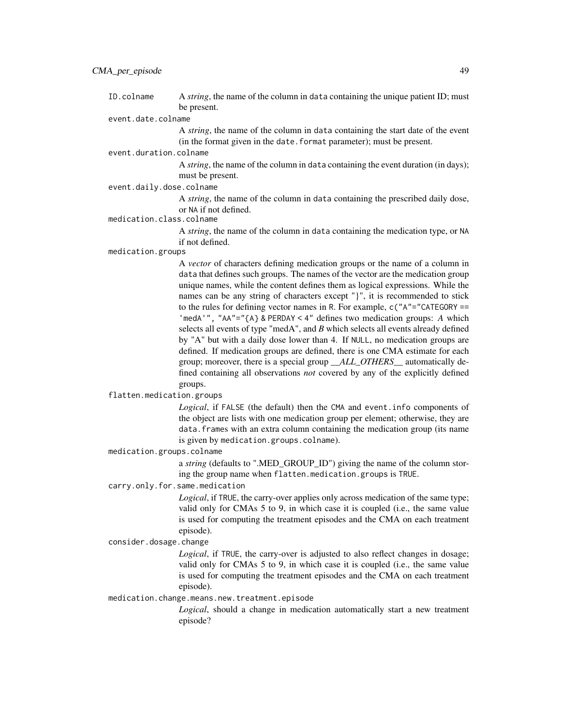# event.date.colname

A *string*, the name of the column in data containing the start date of the event (in the format given in the date.format parameter); must be present.

event.duration.colname

A *string*, the name of the column in data containing the event duration (in days); must be present.

# event.daily.dose.colname

A *string*, the name of the column in data containing the prescribed daily dose, or NA if not defined.

# medication.class.colname

A *string*, the name of the column in data containing the medication type, or NA if not defined.

#### medication.groups

A *vector* of characters defining medication groups or the name of a column in data that defines such groups. The names of the vector are the medication group unique names, while the content defines them as logical expressions. While the names can be any string of characters except "}", it is recommended to stick to the rules for defining vector names in R. For example, c("A"="CATEGORY == 'medA'", "AA"="{A} & PERDAY < 4" defines two medication groups: *A* which selects all events of type "medA", and *B* which selects all events already defined by "A" but with a daily dose lower than 4. If NULL, no medication groups are defined. If medication groups are defined, there is one CMA estimate for each group; moreover, there is a special group *\_\_ALL\_OTHERS\_\_* automatically defined containing all observations *not* covered by any of the explicitly defined groups.

# flatten.medication.groups

*Logical*, if FALSE (the default) then the CMA and event.info components of the object are lists with one medication group per element; otherwise, they are data.frames with an extra column containing the medication group (its name is given by medication.groups.colname).

# medication.groups.colname

a *string* (defaults to ".MED\_GROUP\_ID") giving the name of the column storing the group name when flatten.medication.groups is TRUE.

# carry.only.for.same.medication

*Logical*, if TRUE, the carry-over applies only across medication of the same type; valid only for CMAs 5 to 9, in which case it is coupled (i.e., the same value is used for computing the treatment episodes and the CMA on each treatment episode).

#### consider.dosage.change

*Logical*, if TRUE, the carry-over is adjusted to also reflect changes in dosage; valid only for CMAs 5 to 9, in which case it is coupled (i.e., the same value is used for computing the treatment episodes and the CMA on each treatment episode).

#### medication.change.means.new.treatment.episode

*Logical*, should a change in medication automatically start a new treatment episode?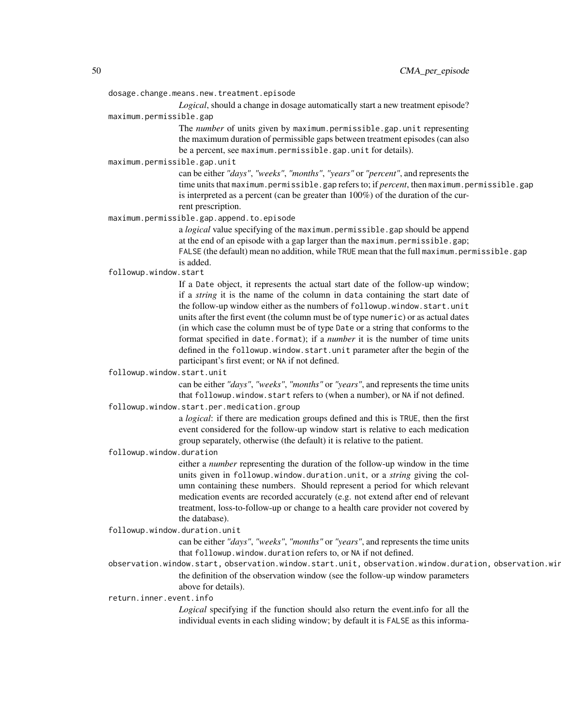dosage.change.means.new.treatment.episode

*Logical*, should a change in dosage automatically start a new treatment episode?

maximum.permissible.gap

The *number* of units given by maximum.permissible.gap.unit representing the maximum duration of permissible gaps between treatment episodes (can also be a percent, see maximum.permissible.gap.unit for details).

maximum.permissible.gap.unit

can be either *"days"*, *"weeks"*, *"months"*, *"years"* or *"percent"*, and represents the time units that maximum.permissible.gap refers to; if *percent*, then maximum.permissible.gap is interpreted as a percent (can be greater than 100%) of the duration of the current prescription.

maximum.permissible.gap.append.to.episode

a *logical* value specifying of the maximum.permissible.gap should be append at the end of an episode with a gap larger than the maximum.permissible.gap; FALSE (the default) mean no addition, while TRUE mean that the full maximum.permissible.gap is added.

followup.window.start

If a Date object, it represents the actual start date of the follow-up window; if a *string* it is the name of the column in data containing the start date of the follow-up window either as the numbers of followup.window.start.unit units after the first event (the column must be of type numeric) or as actual dates (in which case the column must be of type Date or a string that conforms to the format specified in date.format); if a *number* it is the number of time units defined in the followup.window.start.unit parameter after the begin of the participant's first event; or NA if not defined.

followup.window.start.unit

can be either *"days"*, *"weeks"*, *"months"* or *"years"*, and represents the time units that followup.window.start refers to (when a number), or NA if not defined.

followup.window.start.per.medication.group

a *logical*: if there are medication groups defined and this is TRUE, then the first event considered for the follow-up window start is relative to each medication group separately, otherwise (the default) it is relative to the patient.

followup.window.duration

either a *number* representing the duration of the follow-up window in the time units given in followup.window.duration.unit, or a *string* giving the column containing these numbers. Should represent a period for which relevant medication events are recorded accurately (e.g. not extend after end of relevant treatment, loss-to-follow-up or change to a health care provider not covered by the database).

followup.window.duration.unit

can be either *"days"*, *"weeks"*, *"months"* or *"years"*, and represents the time units that followup.window.duration refers to, or NA if not defined.

observation.window.start, observation.window.start.unit, observation.window.duration, observation.win the definition of the observation window (see the follow-up window parameters above for details).

return.inner.event.info

*Logical* specifying if the function should also return the event.info for all the individual events in each sliding window; by default it is FALSE as this informa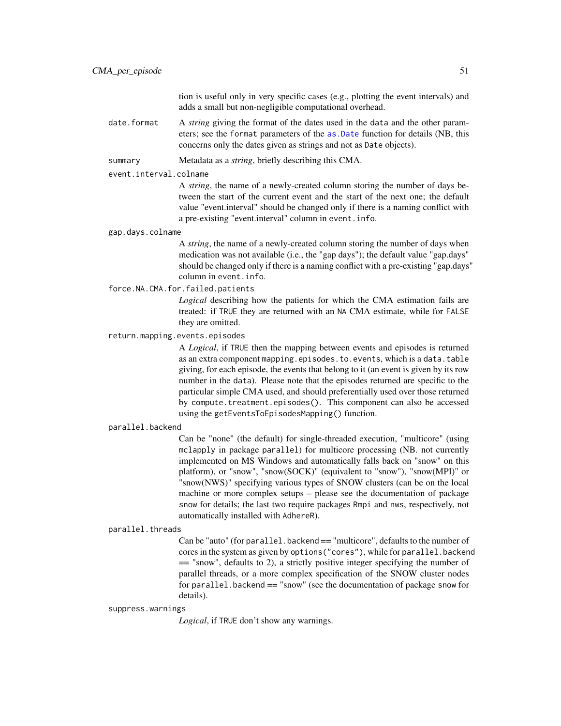tion is useful only in very specific cases (e.g., plotting the event intervals) and adds a small but non-negligible computational overhead.

date.format A *string* giving the format of the dates used in the data and the other parameters; see the format parameters of the [as.Date](#page-0-0) function for details (NB, this concerns only the dates given as strings and not as Date objects).

summary Metadata as a *string*, briefly describing this CMA.

#### event.interval.colname

A *string*, the name of a newly-created column storing the number of days between the start of the current event and the start of the next one; the default value "event.interval" should be changed only if there is a naming conflict with a pre-existing "event.interval" column in event.info.

#### gap.days.colname

A *string*, the name of a newly-created column storing the number of days when medication was not available (i.e., the "gap days"); the default value "gap.days" should be changed only if there is a naming conflict with a pre-existing "gap.days" column in event.info.

force.NA.CMA.for.failed.patients

*Logical* describing how the patients for which the CMA estimation fails are treated: if TRUE they are returned with an NA CMA estimate, while for FALSE they are omitted.

#### return.mapping.events.episodes

A *Logical*, if TRUE then the mapping between events and episodes is returned as an extra component mapping.episodes.to.events, which is a data.table giving, for each episode, the events that belong to it (an event is given by its row number in the data). Please note that the episodes returned are specific to the particular simple CMA used, and should preferentially used over those returned by compute.treatment.episodes(). This component can also be accessed using the getEventsToEpisodesMapping() function.

#### parallel.backend

Can be "none" (the default) for single-threaded execution, "multicore" (using mclapply in package parallel) for multicore processing (NB. not currently implemented on MS Windows and automatically falls back on "snow" on this platform), or "snow", "snow(SOCK)" (equivalent to "snow"), "snow(MPI)" or "snow(NWS)" specifying various types of SNOW clusters (can be on the local machine or more complex setups – please see the documentation of package snow for details; the last two require packages Rmpi and nws, respectively, not automatically installed with AdhereR).

#### parallel.threads

Can be "auto" (for parallel.backend == "multicore", defaults to the number of cores in the system as given by options("cores"), while for parallel.backend == "snow", defaults to 2), a strictly positive integer specifying the number of parallel threads, or a more complex specification of the SNOW cluster nodes for parallel.backend == "snow" (see the documentation of package snow for details).

#### suppress.warnings

*Logical*, if TRUE don't show any warnings.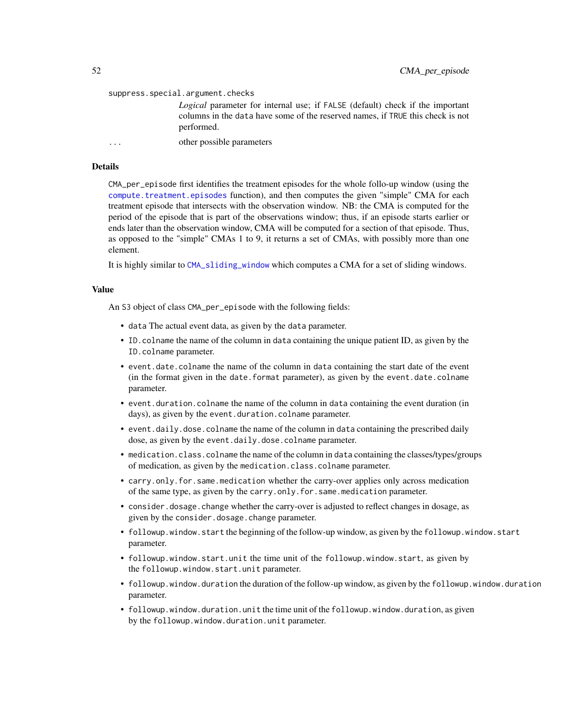```
suppress.special.argument.checks
                 Logical parameter for internal use; if FALSE (default) check if the important
                 columns in the data have some of the reserved names, if TRUE this check is not
                 performed.
... other possible parameters
```
# Details

CMA\_per\_episode first identifies the treatment episodes for the whole follo-up window (using the [compute.treatment.episodes](#page-68-0) function), and then computes the given "simple" CMA for each treatment episode that intersects with the observation window. NB: the CMA is computed for the period of the episode that is part of the observations window; thus, if an episode starts earlier or ends later than the observation window, CMA will be computed for a section of that episode. Thus, as opposed to the "simple" CMAs 1 to 9, it returns a set of CMAs, with possibly more than one element.

It is highly similar to [CMA\\_sliding\\_window](#page-58-0) which computes a CMA for a set of sliding windows.

# Value

An S3 object of class CMA\_per\_episode with the following fields:

- data The actual event data, as given by the data parameter.
- ID.colname the name of the column in data containing the unique patient ID, as given by the ID.colname parameter.
- event.date.colname the name of the column in data containing the start date of the event (in the format given in the date.format parameter), as given by the event.date.colname parameter.
- event.duration.colname the name of the column in data containing the event duration (in days), as given by the event.duration.colname parameter.
- event.daily.dose.colname the name of the column in data containing the prescribed daily dose, as given by the event.daily.dose.colname parameter.
- medication.class.colname the name of the column in data containing the classes/types/groups of medication, as given by the medication.class.colname parameter.
- carry.only.for.same.medication whether the carry-over applies only across medication of the same type, as given by the carry.only.for.same.medication parameter.
- consider.dosage.change whether the carry-over is adjusted to reflect changes in dosage, as given by the consider.dosage.change parameter.
- followup.window.start the beginning of the follow-up window, as given by the followup.window.start parameter.
- followup.window.start.unit the time unit of the followup.window.start, as given by the followup.window.start.unit parameter.
- followup.window.duration the duration of the follow-up window, as given by the followup.window.duration parameter.
- followup.window.duration.unit the time unit of the followup.window.duration, as given by the followup.window.duration.unit parameter.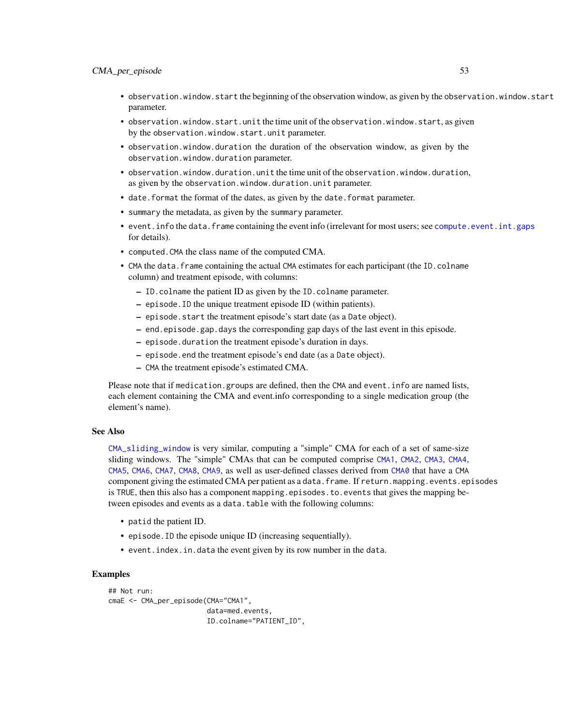- observation.window.start the beginning of the observation window, as given by the observation.window.start parameter.
- observation.window.start.unit the time unit of the observation.window.start, as given by the observation.window.start.unit parameter.
- observation.window.duration the duration of the observation window, as given by the observation.window.duration parameter.
- observation.window.duration.unit the time unit of the observation.window.duration, as given by the observation.window.duration.unit parameter.
- date.format the format of the dates, as given by the date.format parameter.
- summary the metadata, as given by the summary parameter.
- event.info the data.frame containing the event info (irrelevant for most users; see [compute.event.int.gaps](#page-64-0) for details).
- computed.CMA the class name of the computed CMA.
- CMA the data. frame containing the actual CMA estimates for each participant (the ID.colname column) and treatment episode, with columns:
	- ID.colname the patient ID as given by the ID.colname parameter.
	- episode.ID the unique treatment episode ID (within patients).
	- episode.start the treatment episode's start date (as a Date object).
	- end.episode.gap.days the corresponding gap days of the last event in this episode.
	- episode.duration the treatment episode's duration in days.
	- episode.end the treatment episode's end date (as a Date object).
	- CMA the treatment episode's estimated CMA.

Please note that if medication.groups are defined, then the CMA and event.info are named lists, each element containing the CMA and event.info corresponding to a single medication group (the element's name).

# See Also

[CMA\\_sliding\\_window](#page-58-0) is very similar, computing a "simple" CMA for each of a set of same-size sliding windows. The "simple" CMAs that can be computed comprise [CMA1](#page-7-0), [CMA2](#page-13-0), [CMA3](#page-7-1), [CMA4](#page-13-1), [CMA5](#page-19-0), [CMA6](#page-24-0), [CMA7](#page-30-0), [CMA8](#page-35-0), [CMA9](#page-41-0), as well as user-defined classes derived from [CMA0](#page-3-0) that have a CMA component giving the estimated CMA per patient as a data.frame. If return.mapping.events.episodes is TRUE, then this also has a component mapping.episodes.to.events that gives the mapping between episodes and events as a data.table with the following columns:

- patid the patient ID.
- episode.ID the episode unique ID (increasing sequentially).
- event.index.in.data the event given by its row number in the data.

# Examples

```
## Not run:
cmaE <- CMA_per_episode(CMA="CMA1",
                        data=med.events,
                        ID.colname="PATIENT_ID",
```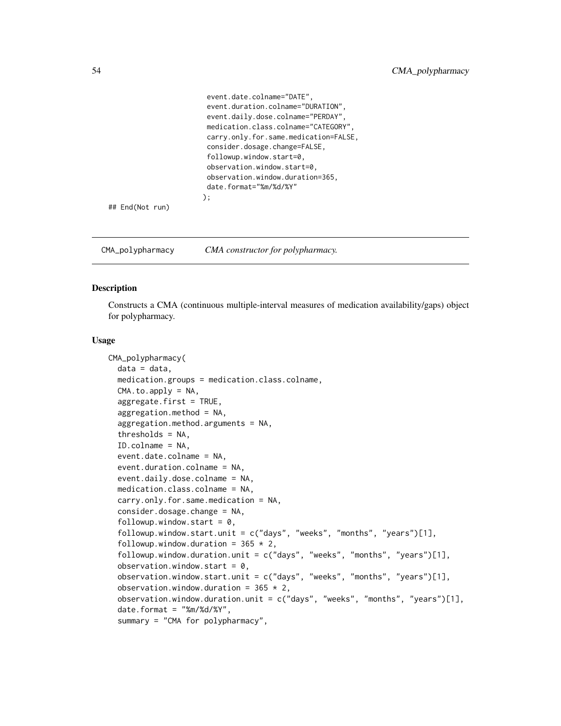```
event.date.colname="DATE",
 event.duration.colname="DURATION",
 event.daily.dose.colname="PERDAY",
medication.class.colname="CATEGORY",
 carry.only.for.same.medication=FALSE,
 consider.dosage.change=FALSE,
 followup.window.start=0,
 observation.window.start=0,
 observation.window.duration=365,
 date.format="%m/%d/%Y"
);
```
## End(Not run)

CMA\_polypharmacy *CMA constructor for polypharmacy.*

# Description

Constructs a CMA (continuous multiple-interval measures of medication availability/gaps) object for polypharmacy.

#### Usage

```
CMA_polypharmacy(
  data = data,
  medication.groups = medication.class.colname,
  CMA.to.apply = NA,aggregate.first = TRUE,aggregation.method = NA,
  aggregation.method.arguments = NA,
  thresholds = NA,
  ID.colname = NA,
  event.date.colname = NA,
  event.duration.colname = NA,
  event.daily.dose.colname = NA,
  medication.class.colname = NA,
  carry.only.for.same.medication = NA,
  consider.dosage.change = NA,
  followup.window.start = 0,
  followup.window.start.unit = c("days", "weeks", "months", "years")[1],
  followup.window.duration = 365 \times 2,
  followup.window.duration.unit = c("days", "weeks", "months", "years")[1],
  observation.window.start = 0,
  observation.window.start.unit = c("days", "weeks", "months", "years")[1],
  observation.window.duration = 365 \times 2,
  observation.window.duration.unit = c("days", "weeks", "months", "years")[1],
  date.format = "%m/%d/%Y",
  summary = "CMA for polypharmacy",
```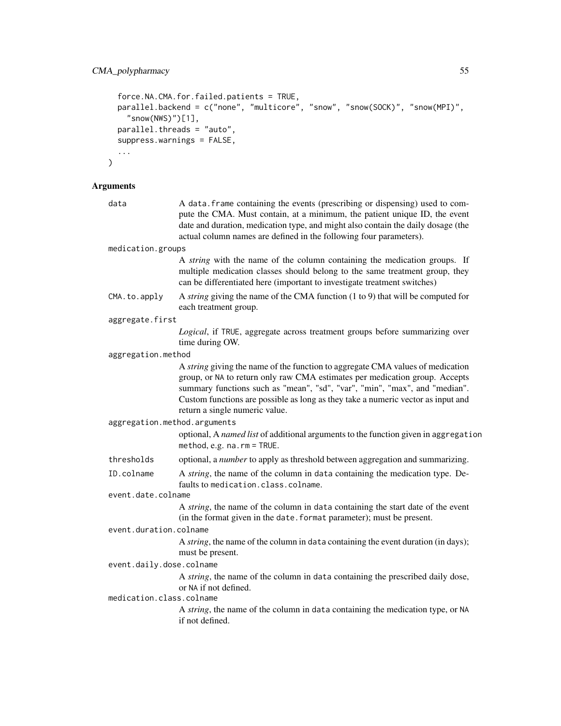```
force.NA.CMA.for.failed.patients = TRUE,
 parallel.backend = c("none", "multicore", "snow", "snow(SOCK)", "snow(MPI)",
   "snow(NWS)")[1],
 parallel.threads = "auto",
  suppress.warnings = FALSE,
  ...
\mathcal{L}
```
# Arguments

| data                         | A data. frame containing the events (prescribing or dispensing) used to com-<br>pute the CMA. Must contain, at a minimum, the patient unique ID, the event<br>date and duration, medication type, and might also contain the daily dosage (the<br>actual column names are defined in the following four parameters).                                                     |  |
|------------------------------|--------------------------------------------------------------------------------------------------------------------------------------------------------------------------------------------------------------------------------------------------------------------------------------------------------------------------------------------------------------------------|--|
| medication.groups            |                                                                                                                                                                                                                                                                                                                                                                          |  |
|                              | A <i>string</i> with the name of the column containing the medication groups. If<br>multiple medication classes should belong to the same treatment group, they<br>can be differentiated here (important to investigate treatment switches)                                                                                                                              |  |
| CMA.to.apply                 | A <i>string</i> giving the name of the CMA function (1 to 9) that will be computed for<br>each treatment group.                                                                                                                                                                                                                                                          |  |
| aggregate.first              |                                                                                                                                                                                                                                                                                                                                                                          |  |
|                              | Logical, if TRUE, aggregate across treatment groups before summarizing over<br>time during OW.                                                                                                                                                                                                                                                                           |  |
| aggregation.method           |                                                                                                                                                                                                                                                                                                                                                                          |  |
|                              | A <i>string</i> giving the name of the function to aggregate CMA values of medication<br>group, or NA to return only raw CMA estimates per medication group. Accepts<br>summary functions such as "mean", "sd", "var", "min", "max", and "median".<br>Custom functions are possible as long as they take a numeric vector as input and<br>return a single numeric value. |  |
| aggregation.method.arguments |                                                                                                                                                                                                                                                                                                                                                                          |  |
|                              | optional, A named list of additional arguments to the function given in aggregation<br>method, e.g. $na$ . $rm = TRUE$ .                                                                                                                                                                                                                                                 |  |
| thresholds                   | optional, a number to apply as threshold between aggregation and summarizing.                                                                                                                                                                                                                                                                                            |  |
| ID.colname                   | A string, the name of the column in data containing the medication type. De-<br>faults to medication.class.colname.                                                                                                                                                                                                                                                      |  |
| event.date.colname           |                                                                                                                                                                                                                                                                                                                                                                          |  |
|                              | A string, the name of the column in data containing the start date of the event<br>(in the format given in the date. format parameter); must be present.                                                                                                                                                                                                                 |  |
| event.duration.colname       |                                                                                                                                                                                                                                                                                                                                                                          |  |
|                              | A string, the name of the column in data containing the event duration (in days);<br>must be present.                                                                                                                                                                                                                                                                    |  |
| event.daily.dose.colname     |                                                                                                                                                                                                                                                                                                                                                                          |  |
| medication.class.colname     | A string, the name of the column in data containing the prescribed daily dose,<br>or NA if not defined.                                                                                                                                                                                                                                                                  |  |
|                              | A string, the name of the column in data containing the medication type, or NA<br>if not defined.                                                                                                                                                                                                                                                                        |  |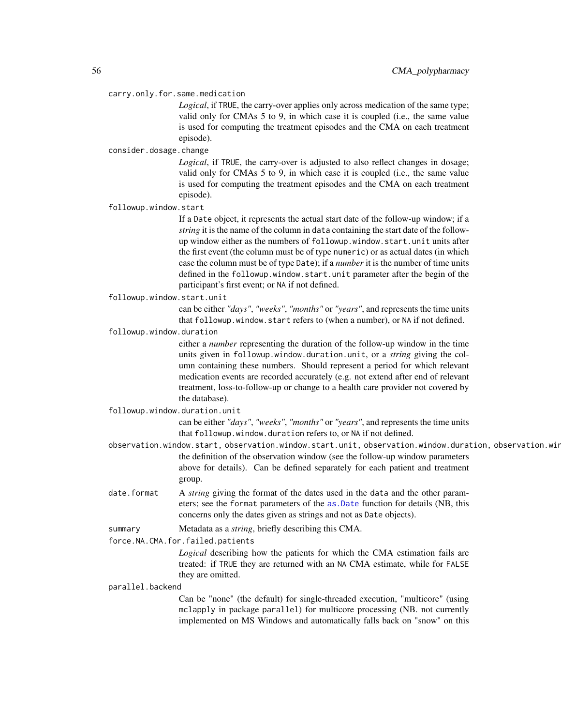#### carry.only.for.same.medication

*Logical*, if TRUE, the carry-over applies only across medication of the same type; valid only for CMAs 5 to 9, in which case it is coupled (i.e., the same value is used for computing the treatment episodes and the CMA on each treatment episode).

# consider.dosage.change

*Logical*, if TRUE, the carry-over is adjusted to also reflect changes in dosage; valid only for CMAs 5 to 9, in which case it is coupled (i.e., the same value is used for computing the treatment episodes and the CMA on each treatment episode).

followup.window.start

If a Date object, it represents the actual start date of the follow-up window; if a *string* it is the name of the column in data containing the start date of the followup window either as the numbers of followup.window.start.unit units after the first event (the column must be of type numeric) or as actual dates (in which case the column must be of type Date); if a *number* it is the number of time units defined in the followup.window.start.unit parameter after the begin of the participant's first event; or NA if not defined.

followup.window.start.unit

can be either *"days"*, *"weeks"*, *"months"* or *"years"*, and represents the time units that followup.window.start refers to (when a number), or NA if not defined.

followup.window.duration

either a *number* representing the duration of the follow-up window in the time units given in followup.window.duration.unit, or a *string* giving the column containing these numbers. Should represent a period for which relevant medication events are recorded accurately (e.g. not extend after end of relevant treatment, loss-to-follow-up or change to a health care provider not covered by the database).

followup.window.duration.unit

can be either *"days"*, *"weeks"*, *"months"* or *"years"*, and represents the time units that followup.window.duration refers to, or NA if not defined.

- observation.window.start, observation.window.start.unit, observation.window.duration, observation.win the definition of the observation window (see the follow-up window parameters above for details). Can be defined separately for each patient and treatment group.
- date.format A *string* giving the format of the dates used in the data and the other parameters; see the format parameters of the [as.Date](#page-0-0) function for details (NB, this concerns only the dates given as strings and not as Date objects).

summary Metadata as a *string*, briefly describing this CMA.

force.NA.CMA.for.failed.patients

*Logical* describing how the patients for which the CMA estimation fails are treated: if TRUE they are returned with an NA CMA estimate, while for FALSE they are omitted.

parallel.backend

Can be "none" (the default) for single-threaded execution, "multicore" (using mclapply in package parallel) for multicore processing (NB. not currently implemented on MS Windows and automatically falls back on "snow" on this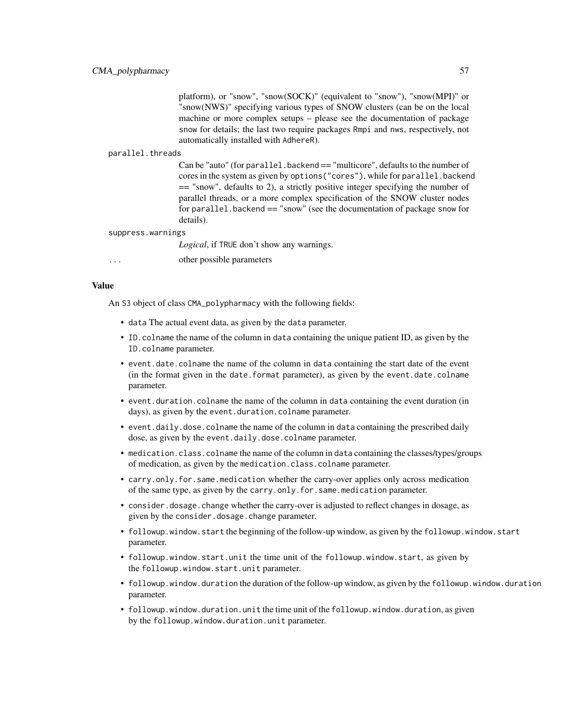platform), or "snow", "snow(SOCK)" (equivalent to "snow"), "snow(MPI)" or "snow(NWS)" specifying various types of SNOW clusters (can be on the local machine or more complex setups – please see the documentation of package snow for details; the last two require packages Rmpi and nws, respectively, not automatically installed with AdhereR).

# parallel.threads

Can be "auto" (for parallel.backend == "multicore", defaults to the number of cores in the system as given by options("cores"), while for parallel.backend == "snow", defaults to 2), a strictly positive integer specifying the number of parallel threads, or a more complex specification of the SNOW cluster nodes for parallel.backend == "snow" (see the documentation of package snow for details).

#### suppress.warnings

*Logical*, if TRUE don't show any warnings.

other possible parameters

#### Value

An S3 object of class CMA\_polypharmacy with the following fields:

- data The actual event data, as given by the data parameter.
- ID.colname the name of the column in data containing the unique patient ID, as given by the ID.colname parameter.
- event.date.colname the name of the column in data containing the start date of the event (in the format given in the date.format parameter), as given by the event.date.colname parameter.
- event.duration.colname the name of the column in data containing the event duration (in days), as given by the event.duration.colname parameter.
- event.daily.dose.colname the name of the column in data containing the prescribed daily dose, as given by the event.daily.dose.colname parameter.
- medication.class.colname the name of the column in data containing the classes/types/groups of medication, as given by the medication.class.colname parameter.
- carry.only.for.same.medication whether the carry-over applies only across medication of the same type, as given by the carry.only.for.same.medication parameter.
- consider. dosage. change whether the carry-over is adjusted to reflect changes in dosage, as given by the consider.dosage.change parameter.
- followup.window.start the beginning of the follow-up window, as given by the followup.window.start parameter.
- followup.window.start.unit the time unit of the followup.window.start, as given by the followup.window.start.unit parameter.
- followup.window.duration the duration of the follow-up window, as given by the followup.window.duration parameter.
- followup.window.duration.unit the time unit of the followup.window.duration, as given by the followup.window.duration.unit parameter.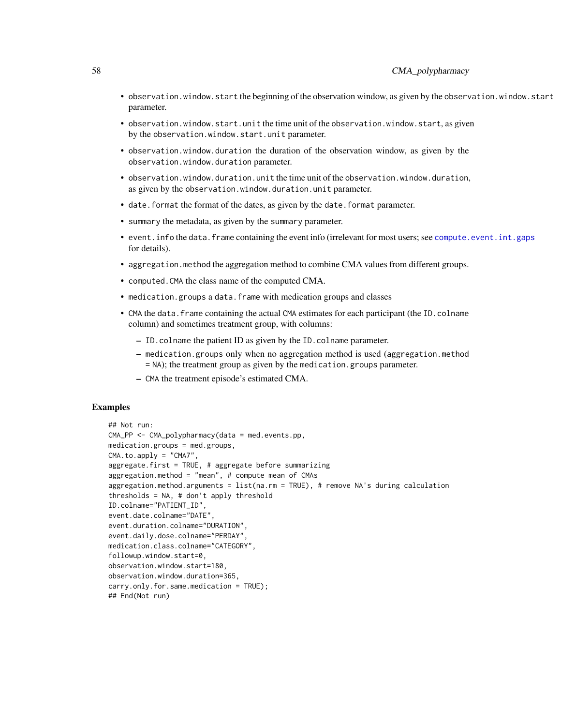- observation.window.start the beginning of the observation window, as given by the observation.window.start parameter.
- observation.window.start.unit the time unit of the observation.window.start, as given by the observation.window.start.unit parameter.
- observation.window.duration the duration of the observation window, as given by the observation.window.duration parameter.
- observation.window.duration.unit the time unit of the observation.window.duration, as given by the observation.window.duration.unit parameter.
- date.format the format of the dates, as given by the date.format parameter.
- summary the metadata, as given by the summary parameter.
- event.info the data.frame containing the event info (irrelevant for most users; see [compute.event.int.gaps](#page-64-0) for details).
- aggregation.method the aggregation method to combine CMA values from different groups.
- computed.CMA the class name of the computed CMA.
- medication.groups a data.frame with medication groups and classes
- CMA the data. frame containing the actual CMA estimates for each participant (the ID.colname column) and sometimes treatment group, with columns:
	- ID.colname the patient ID as given by the ID.colname parameter.
	- medication.groups only when no aggregation method is used (aggregation.method = NA); the treatment group as given by the medication.groups parameter.
	- CMA the treatment episode's estimated CMA.

# Examples

```
## Not run:
CMA_PPP <- CMA_polypharmacy(data = med.events(pp,medication.groups = med.groups,
CMA.to.apply = "CMA7",
aggregate.first = TRUE, # aggregate before summarizing
aggregation.method = "mean", # compute mean of CMAs
aggregation.method.arguments = list(na.rm = TRUE), # remove NA's during calculation
thresholds = NA, # don't apply threshold
ID.colname="PATIENT_ID",
event.date.colname="DATE",
event.duration.colname="DURATION",
event.daily.dose.colname="PERDAY",
medication.class.colname="CATEGORY",
followup.window.start=0,
observation.window.start=180,
observation.window.duration=365,
carry.only.for.same.medication = TRUE);
## End(Not run)
```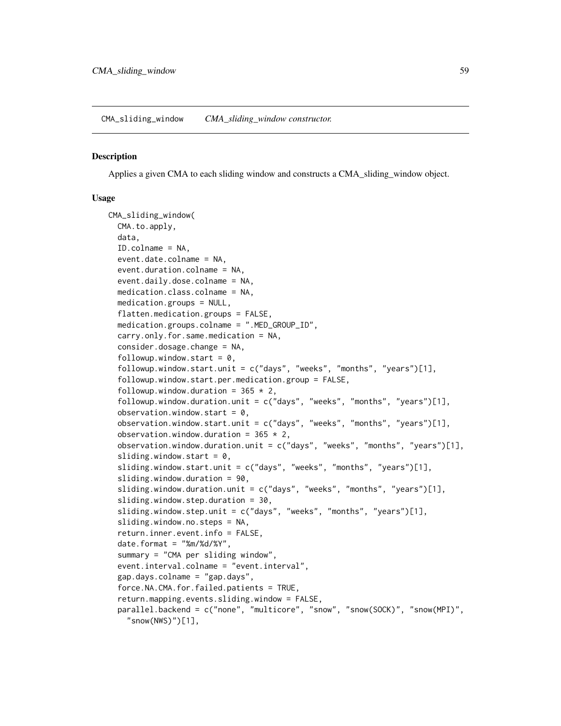<span id="page-58-0"></span>CMA\_sliding\_window *CMA\_sliding\_window constructor.*

# Description

Applies a given CMA to each sliding window and constructs a CMA\_sliding\_window object.

#### Usage

```
CMA_sliding_window(
  CMA.to.apply,
  data,
  ID.colname = NA,
  event.date.colname = NA,
  event.duration.colname = NA,
  event.daily.dose.colname = NA,
  medication.class.colname = NA,
  medication.groups = NULL,
  flatten.medication.groups = FALSE,
  medication.groups.colname = ".MED_GROUP_ID",
  carry.only.for.same.medication = NA,
  consider.dosage.change = NA,
  followup.window.start = 0,
  followup.window.start.unit = c("days", "weeks", "months", "years")[1],
  followup.window.start.per.medication.group = FALSE,
  followup.window.duration = 365 \times 2,
  followup.window.duration.unit = c("days", "weeks", "months", "years")[1],
  observation.window.start = 0,
  observation.window.start.unit = c("days", "weeks", "months", "years")[1],
  observation.window.duration = 365 \times 2,
  observation.window.duration.unit = c("days", "weeks", "months", "years")[1],
  sliding.window.start = 0,
  sliding.window.start.unit = c("days", "weeks", "months", "years")[1],
  sliding.window.duration = 90,
  sliding.window.duration.unit = c("days", "weeks", "months", "years")[1],
  sliding.window.step.duration = 30,
  sliding.window.step.unit = c("days", "weeks", "months", "years")[1],
  sliding.window.no.steps = NA,
  return.inner.event.info = FALSE,
  date.format = "%m%d/*Y",summary = "CMA per sliding window",
  event.interval.colname = "event.interval",
  gap.days.colname = "gap.days",
  force.NA.CMA.for.failed.patients = TRUE,
  return.mapping.events.sliding.window = FALSE,
  parallel.backend = c("none", "multicore", "snow", "snow(SOCK)", "snow(MPI)",
    "snow(NWS)")[1],
```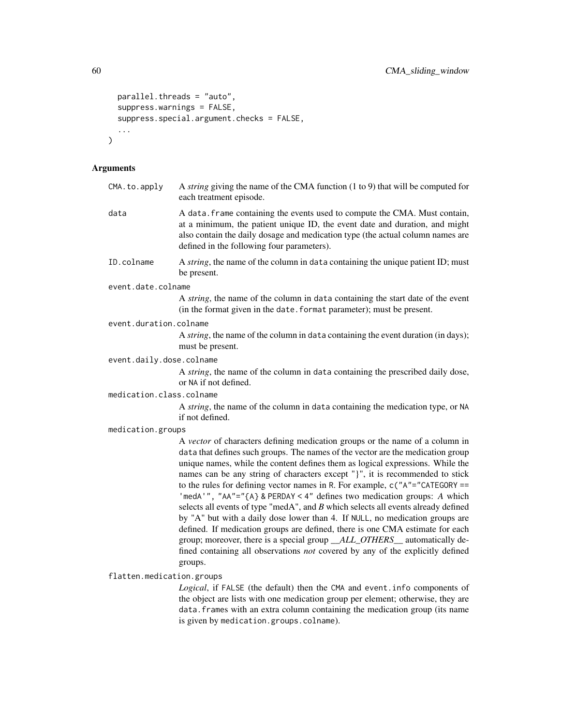```
parallel.threads = "auto",
  suppress.warnings = FALSE,
 suppress.special.argument.checks = FALSE,
  ...
)
```
# Arguments

| CMA.to.apply              | A <i>string</i> giving the name of the CMA function $(1 to 9)$ that will be computed for<br>each treatment episode.                                                                                                                                                                                                                                                                                                                                                                                                                                                                                                                                                                                                                                                                                                                                                                                                             |
|---------------------------|---------------------------------------------------------------------------------------------------------------------------------------------------------------------------------------------------------------------------------------------------------------------------------------------------------------------------------------------------------------------------------------------------------------------------------------------------------------------------------------------------------------------------------------------------------------------------------------------------------------------------------------------------------------------------------------------------------------------------------------------------------------------------------------------------------------------------------------------------------------------------------------------------------------------------------|
| data                      | A data. frame containing the events used to compute the CMA. Must contain,<br>at a minimum, the patient unique ID, the event date and duration, and might<br>also contain the daily dosage and medication type (the actual column names are<br>defined in the following four parameters).                                                                                                                                                                                                                                                                                                                                                                                                                                                                                                                                                                                                                                       |
| ID.colname                | A string, the name of the column in data containing the unique patient ID; must<br>be present.                                                                                                                                                                                                                                                                                                                                                                                                                                                                                                                                                                                                                                                                                                                                                                                                                                  |
| event.date.colname        |                                                                                                                                                                                                                                                                                                                                                                                                                                                                                                                                                                                                                                                                                                                                                                                                                                                                                                                                 |
|                           | A string, the name of the column in data containing the start date of the event<br>(in the format given in the date. format parameter); must be present.                                                                                                                                                                                                                                                                                                                                                                                                                                                                                                                                                                                                                                                                                                                                                                        |
| event.duration.colname    |                                                                                                                                                                                                                                                                                                                                                                                                                                                                                                                                                                                                                                                                                                                                                                                                                                                                                                                                 |
|                           | A string, the name of the column in data containing the event duration (in days);<br>must be present.                                                                                                                                                                                                                                                                                                                                                                                                                                                                                                                                                                                                                                                                                                                                                                                                                           |
| event.daily.dose.colname  |                                                                                                                                                                                                                                                                                                                                                                                                                                                                                                                                                                                                                                                                                                                                                                                                                                                                                                                                 |
|                           | A string, the name of the column in data containing the prescribed daily dose,<br>or NA if not defined.                                                                                                                                                                                                                                                                                                                                                                                                                                                                                                                                                                                                                                                                                                                                                                                                                         |
| medication.class.colname  |                                                                                                                                                                                                                                                                                                                                                                                                                                                                                                                                                                                                                                                                                                                                                                                                                                                                                                                                 |
|                           | A string, the name of the column in data containing the medication type, or NA<br>if not defined.                                                                                                                                                                                                                                                                                                                                                                                                                                                                                                                                                                                                                                                                                                                                                                                                                               |
| medication.groups         |                                                                                                                                                                                                                                                                                                                                                                                                                                                                                                                                                                                                                                                                                                                                                                                                                                                                                                                                 |
|                           | A vector of characters defining medication groups or the name of a column in<br>data that defines such groups. The names of the vector are the medication group<br>unique names, while the content defines them as logical expressions. While the<br>names can be any string of characters except "}", it is recommended to stick<br>to the rules for defining vector names in R. For example, $c("A"="CATEGORY ==$<br>'medA'", "AA"="{A} & PERDAY < 4" defines two medication groups: A which<br>selects all events of type "medA", and $B$ which selects all events already defined<br>by "A" but with a daily dose lower than 4. If NULL, no medication groups are<br>defined. If medication groups are defined, there is one CMA estimate for each<br>group; moreover, there is a special group _ALL_OTHERS_ automatically de-<br>fined containing all observations not covered by any of the explicitly defined<br>groups. |
| flatten.medication.groups |                                                                                                                                                                                                                                                                                                                                                                                                                                                                                                                                                                                                                                                                                                                                                                                                                                                                                                                                 |
|                           | Logical, if FALSE (the default) then the CMA and event. info components of<br>the object are lists with one medication group per element; otherwise, they are<br>data. frames with an extra column containing the medication group (its name<br>is given by medication.groups.colname).                                                                                                                                                                                                                                                                                                                                                                                                                                                                                                                                                                                                                                         |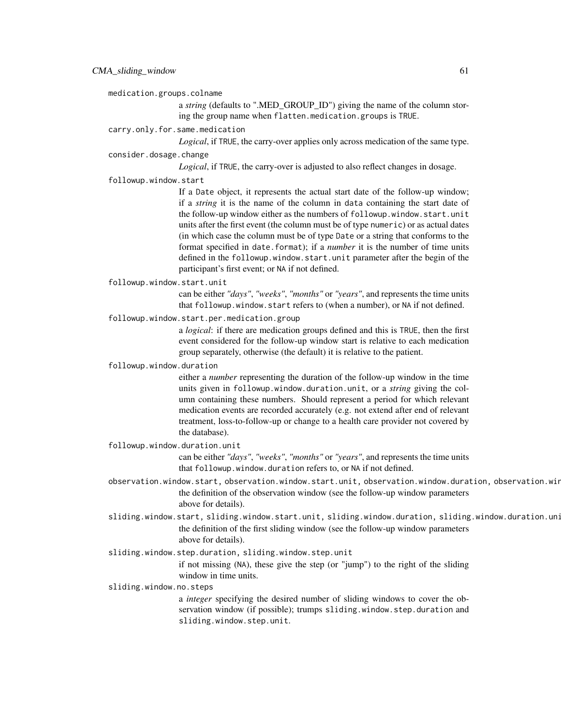medication.groups.colname

a *string* (defaults to ".MED\_GROUP\_ID") giving the name of the column storing the group name when flatten.medication.groups is TRUE.

# carry.only.for.same.medication

*Logical*, if TRUE, the carry-over applies only across medication of the same type.

#### consider.dosage.change

*Logical*, if TRUE, the carry-over is adjusted to also reflect changes in dosage.

followup.window.start

If a Date object, it represents the actual start date of the follow-up window; if a *string* it is the name of the column in data containing the start date of the follow-up window either as the numbers of followup.window.start.unit units after the first event (the column must be of type numeric) or as actual dates (in which case the column must be of type Date or a string that conforms to the format specified in date.format); if a *number* it is the number of time units defined in the followup.window.start.unit parameter after the begin of the participant's first event; or NA if not defined.

# followup.window.start.unit

can be either *"days"*, *"weeks"*, *"months"* or *"years"*, and represents the time units that followup.window.start refers to (when a number), or NA if not defined.

followup.window.start.per.medication.group

a *logical*: if there are medication groups defined and this is TRUE, then the first event considered for the follow-up window start is relative to each medication group separately, otherwise (the default) it is relative to the patient.

#### followup.window.duration

either a *number* representing the duration of the follow-up window in the time units given in followup.window.duration.unit, or a *string* giving the column containing these numbers. Should represent a period for which relevant medication events are recorded accurately (e.g. not extend after end of relevant treatment, loss-to-follow-up or change to a health care provider not covered by the database).

# followup.window.duration.unit

can be either *"days"*, *"weeks"*, *"months"* or *"years"*, and represents the time units that followup.window.duration refers to, or NA if not defined.

- observation.window.start, observation.window.start.unit, observation.window.duration, observation.win the definition of the observation window (see the follow-up window parameters above for details).
- sliding.window.start, sliding.window.start.unit, sliding.window.duration, sliding.window.duration.uni the definition of the first sliding window (see the follow-up window parameters above for details).

# sliding.window.step.duration, sliding.window.step.unit

if not missing (NA), these give the step (or "jump") to the right of the sliding window in time units.

# sliding.window.no.steps

a *integer* specifying the desired number of sliding windows to cover the observation window (if possible); trumps sliding.window.step.duration and sliding.window.step.unit.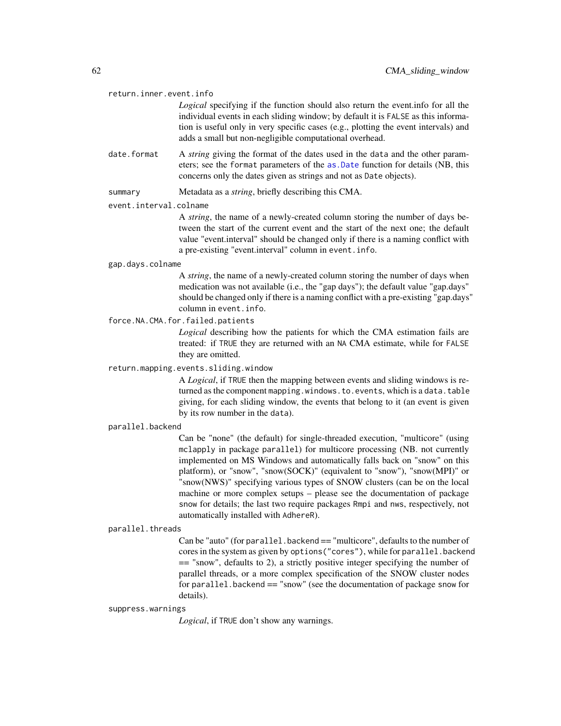#### return.inner.event.info

*Logical* specifying if the function should also return the event.info for all the individual events in each sliding window; by default it is FALSE as this information is useful only in very specific cases (e.g., plotting the event intervals) and adds a small but non-negligible computational overhead.

- date. format A *string* giving the format of the dates used in the data and the other parameters; see the format parameters of the [as.Date](#page-0-0) function for details (NB, this concerns only the dates given as strings and not as Date objects).
- summary Metadata as a *string*, briefly describing this CMA.

# event.interval.colname

A *string*, the name of a newly-created column storing the number of days between the start of the current event and the start of the next one; the default value "event.interval" should be changed only if there is a naming conflict with a pre-existing "event.interval" column in event.info.

#### gap.days.colname

A *string*, the name of a newly-created column storing the number of days when medication was not available (i.e., the "gap days"); the default value "gap.days" should be changed only if there is a naming conflict with a pre-existing "gap.days" column in event.info.

# force.NA.CMA.for.failed.patients

*Logical* describing how the patients for which the CMA estimation fails are treated: if TRUE they are returned with an NA CMA estimate, while for FALSE they are omitted.

# return.mapping.events.sliding.window

A *Logical*, if TRUE then the mapping between events and sliding windows is returned as the component mapping.windows.to.events, which is a data.table giving, for each sliding window, the events that belong to it (an event is given by its row number in the data).

#### parallel.backend

Can be "none" (the default) for single-threaded execution, "multicore" (using mclapply in package parallel) for multicore processing (NB. not currently implemented on MS Windows and automatically falls back on "snow" on this platform), or "snow", "snow(SOCK)" (equivalent to "snow"), "snow(MPI)" or "snow(NWS)" specifying various types of SNOW clusters (can be on the local machine or more complex setups – please see the documentation of package snow for details; the last two require packages Rmpi and nws, respectively, not automatically installed with AdhereR).

# parallel.threads

Can be "auto" (for parallel.backend == "multicore", defaults to the number of cores in the system as given by options("cores"), while for parallel.backend == "snow", defaults to 2), a strictly positive integer specifying the number of parallel threads, or a more complex specification of the SNOW cluster nodes for parallel.backend == "snow" (see the documentation of package snow for details).

#### suppress.warnings

*Logical*, if TRUE don't show any warnings.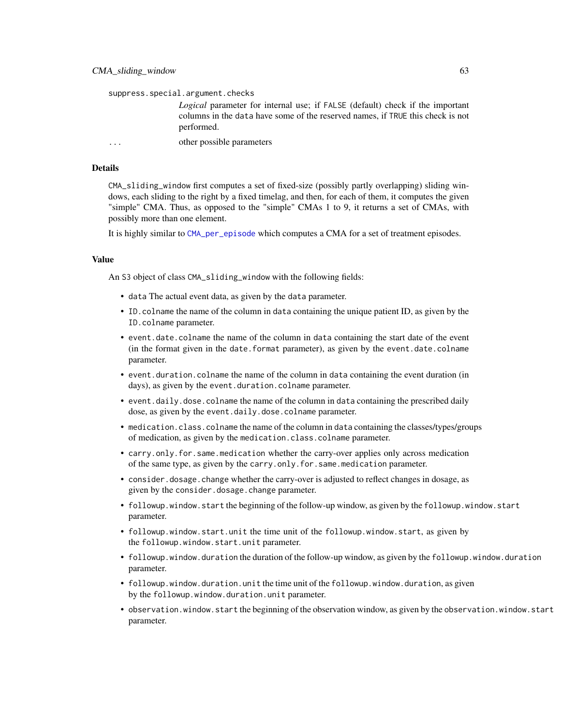suppress.special.argument.checks

*Logical* parameter for internal use; if FALSE (default) check if the important columns in the data have some of the reserved names, if TRUE this check is not performed.

... other possible parameters

# Details

CMA\_sliding\_window first computes a set of fixed-size (possibly partly overlapping) sliding windows, each sliding to the right by a fixed timelag, and then, for each of them, it computes the given "simple" CMA. Thus, as opposed to the "simple" CMAs 1 to 9, it returns a set of CMAs, with possibly more than one element.

It is highly similar to [CMA\\_per\\_episode](#page-46-0) which computes a CMA for a set of treatment episodes.

# Value

An S3 object of class CMA\_sliding\_window with the following fields:

- data The actual event data, as given by the data parameter.
- ID.colname the name of the column in data containing the unique patient ID, as given by the ID.colname parameter.
- event.date.colname the name of the column in data containing the start date of the event (in the format given in the date.format parameter), as given by the event.date.colname parameter.
- event.duration.colname the name of the column in data containing the event duration (in days), as given by the event.duration.colname parameter.
- event.daily.dose.colname the name of the column in data containing the prescribed daily dose, as given by the event.daily.dose.colname parameter.
- medication.class.colname the name of the column in data containing the classes/types/groups of medication, as given by the medication.class.colname parameter.
- carry.only.for.same.medication whether the carry-over applies only across medication of the same type, as given by the carry.only.for.same.medication parameter.
- consider.dosage.change whether the carry-over is adjusted to reflect changes in dosage, as given by the consider.dosage.change parameter.
- followup.window.start the beginning of the follow-up window, as given by the followup.window.start parameter.
- followup.window.start.unit the time unit of the followup.window.start, as given by the followup.window.start.unit parameter.
- followup.window.duration the duration of the follow-up window, as given by the followup.window.duration parameter.
- followup.window.duration.unit the time unit of the followup.window.duration, as given by the followup.window.duration.unit parameter.
- observation.window.start the beginning of the observation window, as given by the observation.window.start parameter.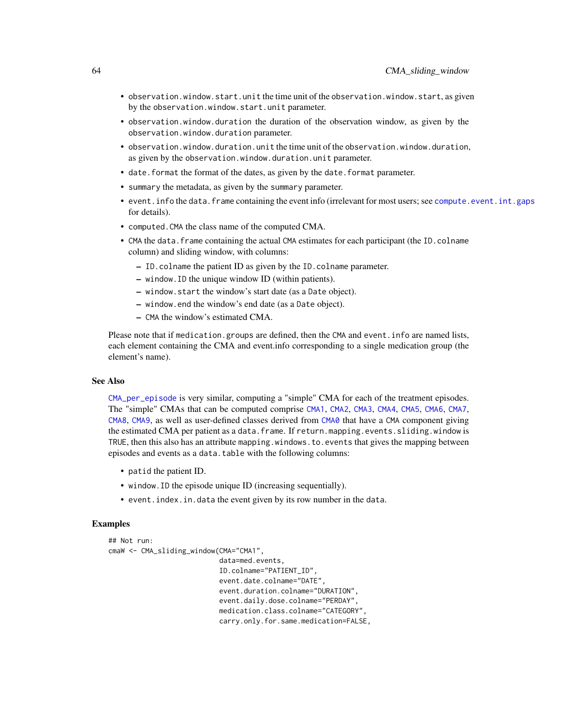- observation.window.start.unit the time unit of the observation.window.start, as given by the observation.window.start.unit parameter.
- observation.window.duration the duration of the observation window, as given by the observation.window.duration parameter.
- observation.window.duration.unit the time unit of the observation.window.duration, as given by the observation.window.duration.unit parameter.
- date.format the format of the dates, as given by the date.format parameter.
- summary the metadata, as given by the summary parameter.
- event.info the data.frame containing the event info (irrelevant for most users; see [compute.event.int.gaps](#page-64-0) for details).
- computed.CMA the class name of the computed CMA.
- CMA the data. frame containing the actual CMA estimates for each participant (the ID.colname column) and sliding window, with columns:
	- ID.colname the patient ID as given by the ID.colname parameter.
	- window.ID the unique window ID (within patients).
	- window.start the window's start date (as a Date object).
	- window.end the window's end date (as a Date object).
	- CMA the window's estimated CMA.

Please note that if medication.groups are defined, then the CMA and event.info are named lists, each element containing the CMA and event.info corresponding to a single medication group (the element's name).

# See Also

[CMA\\_per\\_episode](#page-46-0) is very similar, computing a "simple" CMA for each of the treatment episodes. The "simple" CMAs that can be computed comprise [CMA1](#page-7-0), [CMA2](#page-13-0), [CMA3](#page-7-1), [CMA4](#page-13-1), [CMA5](#page-19-0), [CMA6](#page-24-0), [CMA7](#page-30-0), [CMA8](#page-35-0), [CMA9](#page-41-0), as well as user-defined classes derived from [CMA0](#page-3-0) that have a CMA component giving the estimated CMA per patient as a data.frame. If return.mapping.events.sliding.window is TRUE, then this also has an attribute mapping.windows.to.events that gives the mapping between episodes and events as a data.table with the following columns:

- patid the patient ID.
- window.ID the episode unique ID (increasing sequentially).
- event.index.in.data the event given by its row number in the data.

#### Examples

```
## Not run:
cmaW <- CMA_sliding_window(CMA="CMA1",
                           data=med.events,
                           ID.colname="PATIENT_ID",
                           event.date.colname="DATE",
                           event.duration.colname="DURATION",
                           event.daily.dose.colname="PERDAY",
                           medication.class.colname="CATEGORY",
                           carry.only.for.same.medication=FALSE,
```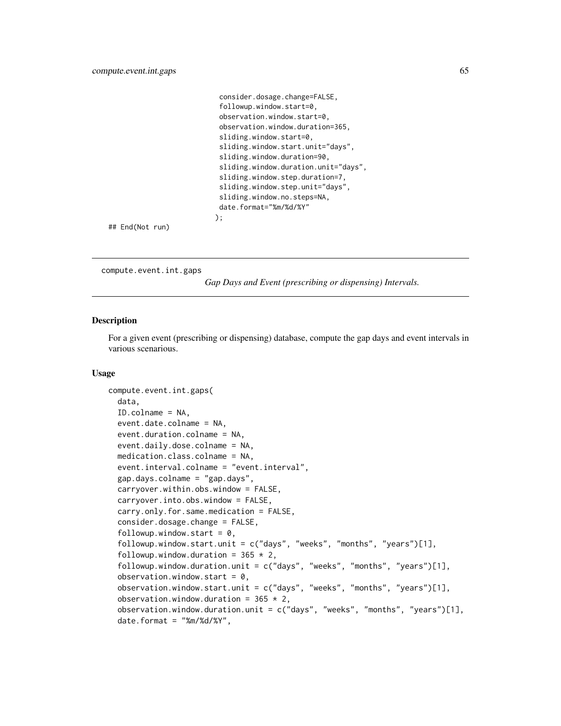```
consider.dosage.change=FALSE,
followup.window.start=0,
observation.window.start=0,
observation.window.duration=365,
sliding.window.start=0,
sliding.window.start.unit="days",
sliding.window.duration=90,
sliding.window.duration.unit="days",
sliding.window.step.duration=7,
sliding.window.step.unit="days",
sliding.window.no.steps=NA,
date.format="%m/%d/%Y"
);
```
## End(Not run)

<span id="page-64-0"></span>compute.event.int.gaps

*Gap Days and Event (prescribing or dispensing) Intervals.*

# Description

For a given event (prescribing or dispensing) database, compute the gap days and event intervals in various scenarious.

# Usage

```
compute.event.int.gaps(
  data,
  ID.colname = NA,
  event.date.colname = NA,
  event.duration.colname = NA,
  event.daily.dose.colname = NA,
  medication.class.colname = NA,
  event.interval.colname = "event.interval",
  gap.days.colname = "gap.days",
  carryover.within.obs.window = FALSE,
  carryover.into.obs.window = FALSE,
  carry.only.for.same.medication = FALSE,
  consider.dosage.change = FALSE,
  followup.window.start = 0,
  followup.window.start.unit = c("days", "weeks", "months", "years")[1],
  followup.window.duration = 365 \times 2,
  followup.window.duration.unit = c("days", "weeks", "months", "years")[1],
  observation.window.start = 0,
  observation.window.start.unit = c("days", "weeks", "months", "years")[1],
  observation.window.duration = 365 \times 2,
  observation.window.duration.unit = c("days", "weeks", "months", "years")[1],
  date.format = "%m%d/*Y",
```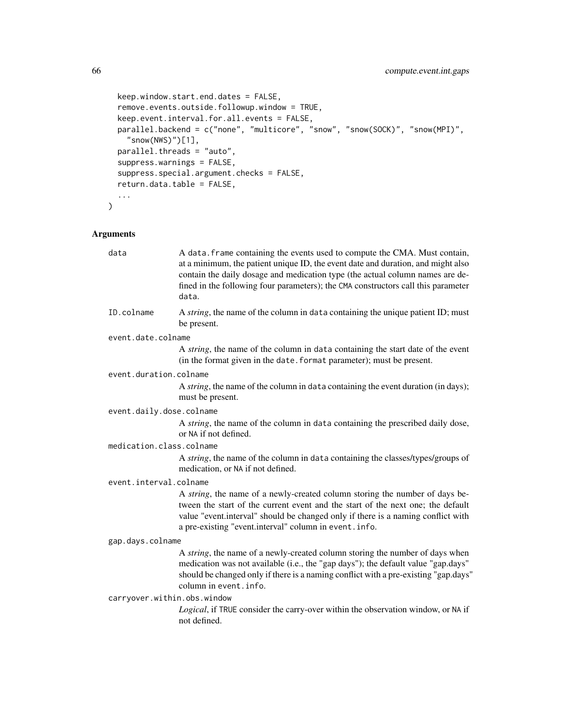```
keep.window.start.end.dates = FALSE,
remove.events.outside.followup.window = TRUE,
keep.event.interval.for.all.events = FALSE,
parallel.backend = c("none", "multicore", "snow", "snow(SOCK)", "snow(MPI)",
  "snow(NWS)")[1],
parallel.threads = "auto",
suppress.warnings = FALSE,
suppress.special.argument.checks = FALSE,
return.data.table = FALSE,
...
```
# Arguments

 $\mathcal{L}$ 

| data                        | A data. frame containing the events used to compute the CMA. Must contain,<br>at a minimum, the patient unique ID, the event date and duration, and might also<br>contain the daily dosage and medication type (the actual column names are de-<br>fined in the following four parameters); the CMA constructors call this parameter<br>data. |
|-----------------------------|-----------------------------------------------------------------------------------------------------------------------------------------------------------------------------------------------------------------------------------------------------------------------------------------------------------------------------------------------|
| ID.colname                  | A string, the name of the column in data containing the unique patient ID; must<br>be present.                                                                                                                                                                                                                                                |
| event.date.colname          |                                                                                                                                                                                                                                                                                                                                               |
|                             | A <i>string</i> , the name of the column in data containing the start date of the event<br>(in the format given in the date. format parameter); must be present.                                                                                                                                                                              |
| event.duration.colname      |                                                                                                                                                                                                                                                                                                                                               |
|                             | A string, the name of the column in data containing the event duration (in days);<br>must be present.                                                                                                                                                                                                                                         |
| event.daily.dose.colname    |                                                                                                                                                                                                                                                                                                                                               |
|                             | A string, the name of the column in data containing the prescribed daily dose,<br>or NA if not defined.                                                                                                                                                                                                                                       |
| medication.class.colname    |                                                                                                                                                                                                                                                                                                                                               |
|                             | A string, the name of the column in data containing the classes/types/groups of<br>medication, or NA if not defined.                                                                                                                                                                                                                          |
| event.interval.colname      |                                                                                                                                                                                                                                                                                                                                               |
|                             | A string, the name of a newly-created column storing the number of days be-<br>tween the start of the current event and the start of the next one; the default<br>value "event.interval" should be changed only if there is a naming conflict with<br>a pre-existing "event.interval" column in event.info.                                   |
| gap.days.colname            |                                                                                                                                                                                                                                                                                                                                               |
|                             | A string, the name of a newly-created column storing the number of days when<br>medication was not available (i.e., the "gap days"); the default value "gap.days"<br>should be changed only if there is a naming conflict with a pre-existing "gap.days"<br>column in event. info.                                                            |
| carryover.within.obs.window |                                                                                                                                                                                                                                                                                                                                               |
|                             | Logical, if TRUE consider the carry-over within the observation window, or NA if<br>not defined.                                                                                                                                                                                                                                              |
|                             |                                                                                                                                                                                                                                                                                                                                               |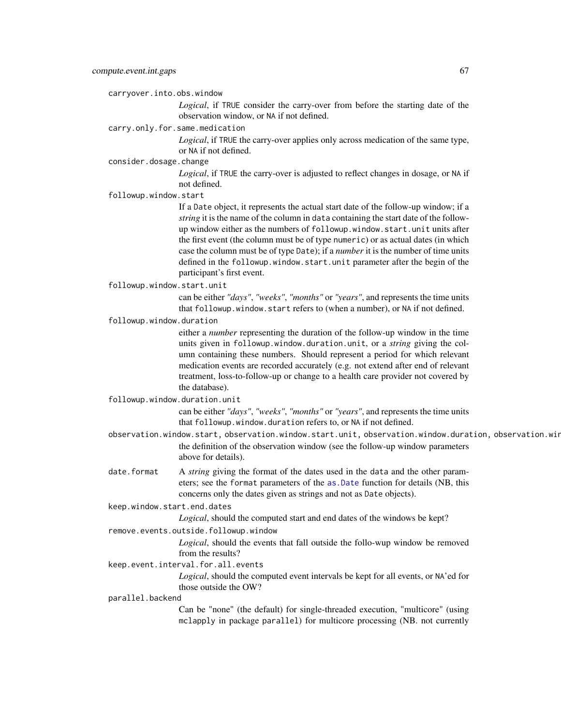carryover.into.obs.window

*Logical*, if TRUE consider the carry-over from before the starting date of the observation window, or NA if not defined.

carry.only.for.same.medication

*Logical*, if TRUE the carry-over applies only across medication of the same type, or NA if not defined.

consider.dosage.change

*Logical*, if TRUE the carry-over is adjusted to reflect changes in dosage, or NA if not defined.

followup.window.start

If a Date object, it represents the actual start date of the follow-up window; if a *string* it is the name of the column in data containing the start date of the followup window either as the numbers of followup.window.start.unit units after the first event (the column must be of type numeric) or as actual dates (in which case the column must be of type Date); if a *number* it is the number of time units defined in the followup.window.start.unit parameter after the begin of the participant's first event.

followup.window.start.unit

can be either *"days"*, *"weeks"*, *"months"* or *"years"*, and represents the time units that followup.window.start refers to (when a number), or NA if not defined.

followup.window.duration

either a *number* representing the duration of the follow-up window in the time units given in followup.window.duration.unit, or a *string* giving the column containing these numbers. Should represent a period for which relevant medication events are recorded accurately (e.g. not extend after end of relevant treatment, loss-to-follow-up or change to a health care provider not covered by the database).

followup.window.duration.unit

can be either *"days"*, *"weeks"*, *"months"* or *"years"*, and represents the time units that followup.window.duration refers to, or NA if not defined.

- observation.window.start, observation.window.start.unit, observation.window.duration, observation.win the definition of the observation window (see the follow-up window parameters above for details).
- date.format A *string* giving the format of the dates used in the data and the other parameters; see the format parameters of the [as.Date](#page-0-0) function for details (NB, this concerns only the dates given as strings and not as Date objects).

keep.window.start.end.dates

*Logical*, should the computed start and end dates of the windows be kept?

remove.events.outside.followup.window

*Logical*, should the events that fall outside the follo-wup window be removed from the results?

keep.event.interval.for.all.events

*Logical*, should the computed event intervals be kept for all events, or NA'ed for those outside the OW?

#### parallel.backend

Can be "none" (the default) for single-threaded execution, "multicore" (using mclapply in package parallel) for multicore processing (NB. not currently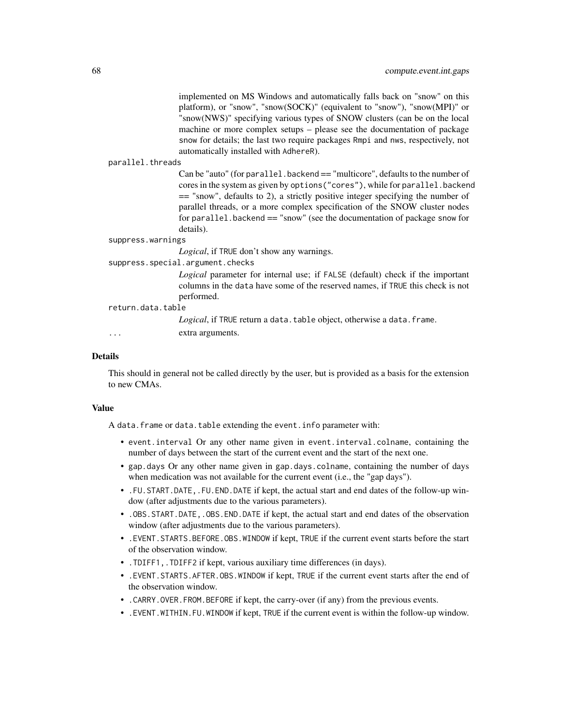implemented on MS Windows and automatically falls back on "snow" on this platform), or "snow", "snow(SOCK)" (equivalent to "snow"), "snow(MPI)" or "snow(NWS)" specifying various types of SNOW clusters (can be on the local machine or more complex setups – please see the documentation of package snow for details; the last two require packages Rmpi and nws, respectively, not automatically installed with AdhereR).

#### parallel.threads

Can be "auto" (for parallel.backend == "multicore", defaults to the number of cores in the system as given by options("cores"), while for parallel.backend == "snow", defaults to 2), a strictly positive integer specifying the number of parallel threads, or a more complex specification of the SNOW cluster nodes for parallel.backend  $==$  "snow" (see the documentation of package snow for details).

#### suppress.warnings

*Logical*, if TRUE don't show any warnings.

# suppress.special.argument.checks

*Logical* parameter for internal use; if FALSE (default) check if the important columns in the data have some of the reserved names, if TRUE this check is not performed.

# return.data.table

Logical, if TRUE return a data.table object, otherwise a data.frame.

... extra arguments.

#### Details

This should in general not be called directly by the user, but is provided as a basis for the extension to new CMAs.

# Value

A data.frame or data.table extending the event.info parameter with:

- event.interval Or any other name given in event.interval.colname, containing the number of days between the start of the current event and the start of the next one.
- gap.days Or any other name given in gap.days.colname, containing the number of days when medication was not available for the current event (i.e., the "gap days").
- .FU.START.DATE,.FU.END.DATE if kept, the actual start and end dates of the follow-up window (after adjustments due to the various parameters).
- .OBS.START.DATE,.OBS.END.DATE if kept, the actual start and end dates of the observation window (after adjustments due to the various parameters).
- .EVENT.STARTS.BEFORE.OBS.WINDOW if kept, TRUE if the current event starts before the start of the observation window.
- .TDIFF1,.TDIFF2 if kept, various auxiliary time differences (in days).
- .EVENT.STARTS.AFTER.OBS.WINDOW if kept, TRUE if the current event starts after the end of the observation window.
- .CARRY.OVER.FROM.BEFORE if kept, the carry-over (if any) from the previous events.
- .EVENT.WITHIN.FU.WINDOW if kept, TRUE if the current event is within the follow-up window.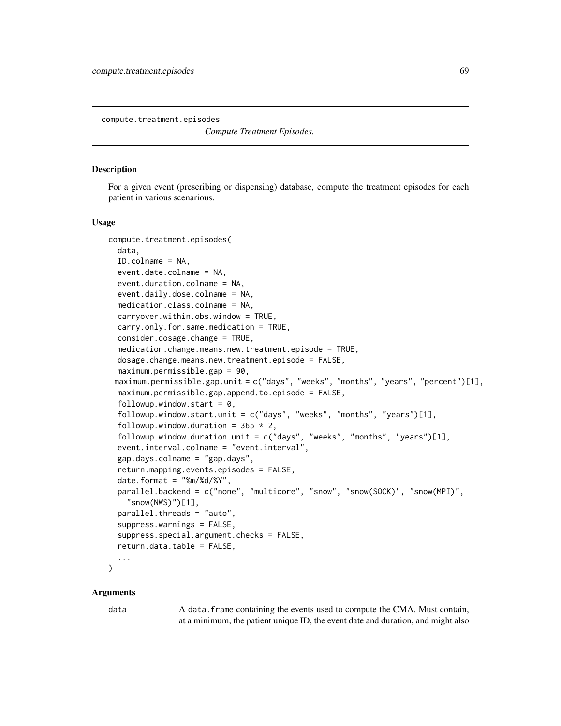<span id="page-68-0"></span>compute.treatment.episodes

*Compute Treatment Episodes.*

# **Description**

For a given event (prescribing or dispensing) database, compute the treatment episodes for each patient in various scenarious.

#### Usage

```
compute.treatment.episodes(
  data,
  ID.colname = NA,
  event.date.colname = NA,
  event.duration.colname = NA,
  event.daily.dose.colname = NA,
  medication.class.colname = NA,
  carryover.within.obs.window = TRUE,
  carry.only.for.same.medication = TRUE,
  consider.dosage.change = TRUE,
  medication.change.means.new.treatment.episode = TRUE,
  dosage.change.means.new.treatment.episode = FALSE,
  maximum.permissible.gap = 90,
 maximum.permissible.gap.unit = c("days", "weeks", "months", "years", "percent")[1],
  maximum.permissible.gap.append.to.episode = FALSE,
  followup.window.start = 0,
  followup.window.start.unit = c("days", "weeks", "months", "years")[1],
  followup.window.duration = 365 \times 2,
  followup.window.duration.unit = c("days", "weeks", "months", "years")[1],
  event.interval.colname = "event.interval",
  gap.days.colname = "gap.days",
  return.mapping.events.episodes = FALSE,
  date.format = "%m%d/*Y",parallel.backend = c("none", "multicore", "snow", "snow(SOCK)", "snow(MPI)",
    "snow(NWS)")[1],
  parallel.threads = "auto",
  suppress.warnings = FALSE,
  suppress.special.argument.checks = FALSE,
  return.data.title = FALSE,...
)
```
#### Arguments

data A data. frame containing the events used to compute the CMA. Must contain, at a minimum, the patient unique ID, the event date and duration, and might also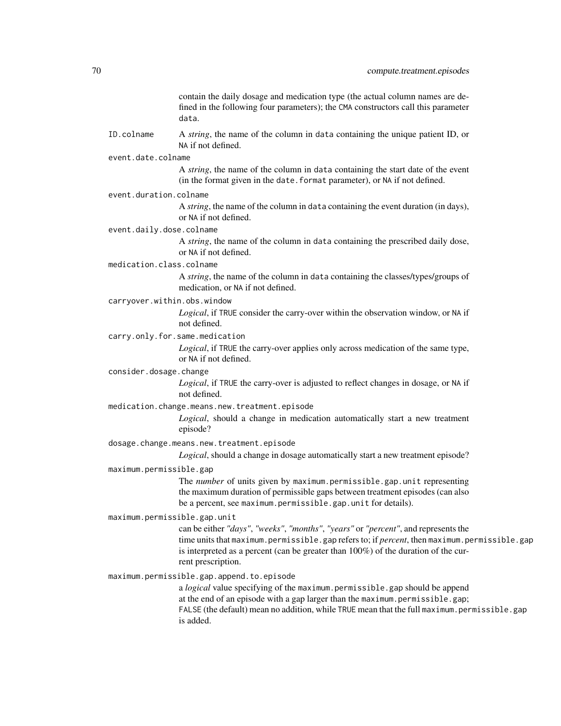contain the daily dosage and medication type (the actual column names are defined in the following four parameters); the CMA constructors call this parameter data.

- ID.colname A *string*, the name of the column in data containing the unique patient ID, or NA if not defined.
- event.date.colname

A *string*, the name of the column in data containing the start date of the event (in the format given in the date.format parameter), or NA if not defined.

event.duration.colname

A *string*, the name of the column in data containing the event duration (in days), or NA if not defined.

event.daily.dose.colname

A *string*, the name of the column in data containing the prescribed daily dose, or NA if not defined.

medication.class.colname

A *string*, the name of the column in data containing the classes/types/groups of medication, or NA if not defined.

carryover.within.obs.window

*Logical*, if TRUE consider the carry-over within the observation window, or NA if not defined.

carry.only.for.same.medication

*Logical*, if TRUE the carry-over applies only across medication of the same type, or NA if not defined.

#### consider.dosage.change

*Logical*, if TRUE the carry-over is adjusted to reflect changes in dosage, or NA if not defined.

#### medication.change.means.new.treatment.episode

*Logical*, should a change in medication automatically start a new treatment episode?

dosage.change.means.new.treatment.episode

*Logical*, should a change in dosage automatically start a new treatment episode?

# maximum.permissible.gap

The *number* of units given by maximum.permissible.gap.unit representing the maximum duration of permissible gaps between treatment episodes (can also be a percent, see maximum.permissible.gap.unit for details).

#### maximum.permissible.gap.unit

can be either *"days"*, *"weeks"*, *"months"*, *"years"* or *"percent"*, and represents the time units that maximum.permissible.gap refers to; if *percent*, then maximum.permissible.gap is interpreted as a percent (can be greater than 100%) of the duration of the current prescription.

maximum.permissible.gap.append.to.episode

a *logical* value specifying of the maximum.permissible.gap should be append at the end of an episode with a gap larger than the maximum.permissible.gap; FALSE (the default) mean no addition, while TRUE mean that the full maximum.permissible.gap is added.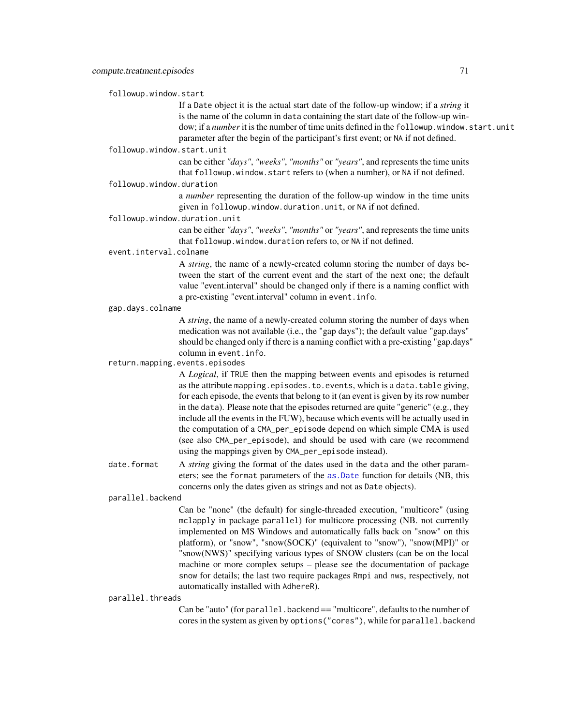followup.window.start

If a Date object it is the actual start date of the follow-up window; if a *string* it is the name of the column in data containing the start date of the follow-up window; if a *number* it is the number of time units defined in the followup. window. start. unit parameter after the begin of the participant's first event; or NA if not defined.

# followup.window.start.unit

can be either *"days"*, *"weeks"*, *"months"* or *"years"*, and represents the time units that followup.window.start refers to (when a number), or NA if not defined.

# followup.window.duration

a *number* representing the duration of the follow-up window in the time units given in followup.window.duration.unit, or NA if not defined.

#### followup.window.duration.unit

can be either *"days"*, *"weeks"*, *"months"* or *"years"*, and represents the time units that followup.window.duration refers to, or NA if not defined.

# event.interval.colname

A *string*, the name of a newly-created column storing the number of days between the start of the current event and the start of the next one; the default value "event.interval" should be changed only if there is a naming conflict with a pre-existing "event.interval" column in event.info.

#### gap.days.colname

A *string*, the name of a newly-created column storing the number of days when medication was not available (i.e., the "gap days"); the default value "gap.days" should be changed only if there is a naming conflict with a pre-existing "gap.days" column in event.info.

# return.mapping.events.episodes

A *Logical*, if TRUE then the mapping between events and episodes is returned as the attribute mapping.episodes.to.events, which is a data.table giving, for each episode, the events that belong to it (an event is given by its row number in the data). Please note that the episodes returned are quite "generic" (e.g., they include all the events in the FUW), because which events will be actually used in the computation of a CMA\_per\_episode depend on which simple CMA is used (see also CMA\_per\_episode), and should be used with care (we recommend using the mappings given by CMA\_per\_episode instead).

date. format A *string* giving the format of the dates used in the data and the other parameters; see the format parameters of the [as.Date](#page-0-0) function for details (NB, this concerns only the dates given as strings and not as Date objects).

# parallel.backend

Can be "none" (the default) for single-threaded execution, "multicore" (using mclapply in package parallel) for multicore processing (NB. not currently implemented on MS Windows and automatically falls back on "snow" on this platform), or "snow", "snow(SOCK)" (equivalent to "snow"), "snow(MPI)" or "snow(NWS)" specifying various types of SNOW clusters (can be on the local machine or more complex setups – please see the documentation of package snow for details; the last two require packages Rmpi and nws, respectively, not automatically installed with AdhereR).

#### parallel.threads

Can be "auto" (for parallel.backend == "multicore", defaults to the number of cores in the system as given by options("cores"), while for parallel.backend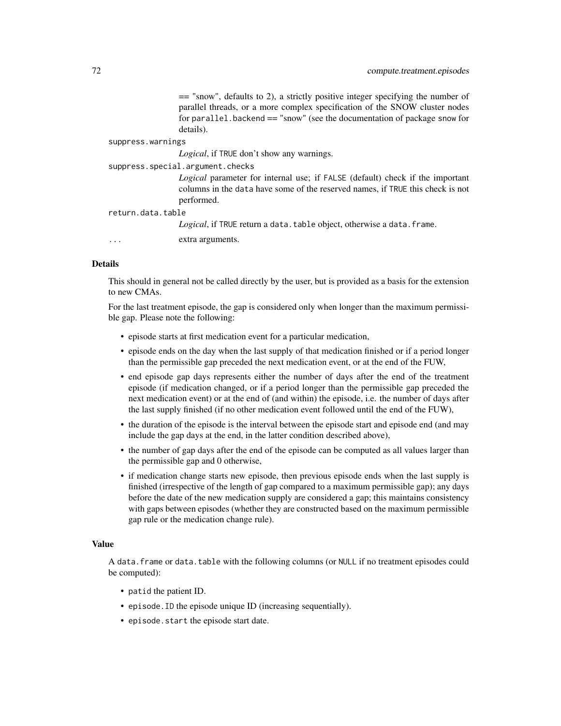== "snow", defaults to 2), a strictly positive integer specifying the number of parallel threads, or a more complex specification of the SNOW cluster nodes for parallel.backend  $==$  "snow" (see the documentation of package snow for details).

#### suppress.warnings

*Logical*, if TRUE don't show any warnings.

#### suppress.special.argument.checks

*Logical* parameter for internal use; if FALSE (default) check if the important columns in the data have some of the reserved names, if TRUE this check is not performed.

#### return.data.table

Logical, if TRUE return a data.table object, otherwise a data.frame.

... extra arguments.

# Details

This should in general not be called directly by the user, but is provided as a basis for the extension to new CMAs.

For the last treatment episode, the gap is considered only when longer than the maximum permissible gap. Please note the following:

- episode starts at first medication event for a particular medication,
- episode ends on the day when the last supply of that medication finished or if a period longer than the permissible gap preceded the next medication event, or at the end of the FUW,
- end episode gap days represents either the number of days after the end of the treatment episode (if medication changed, or if a period longer than the permissible gap preceded the next medication event) or at the end of (and within) the episode, i.e. the number of days after the last supply finished (if no other medication event followed until the end of the FUW),
- the duration of the episode is the interval between the episode start and episode end (and may include the gap days at the end, in the latter condition described above),
- the number of gap days after the end of the episode can be computed as all values larger than the permissible gap and 0 otherwise,
- if medication change starts new episode, then previous episode ends when the last supply is finished (irrespective of the length of gap compared to a maximum permissible gap); any days before the date of the new medication supply are considered a gap; this maintains consistency with gaps between episodes (whether they are constructed based on the maximum permissible gap rule or the medication change rule).

# Value

A data.frame or data.table with the following columns (or NULL if no treatment episodes could be computed):

- patid the patient ID.
- episode.ID the episode unique ID (increasing sequentially).
- episode.start the episode start date.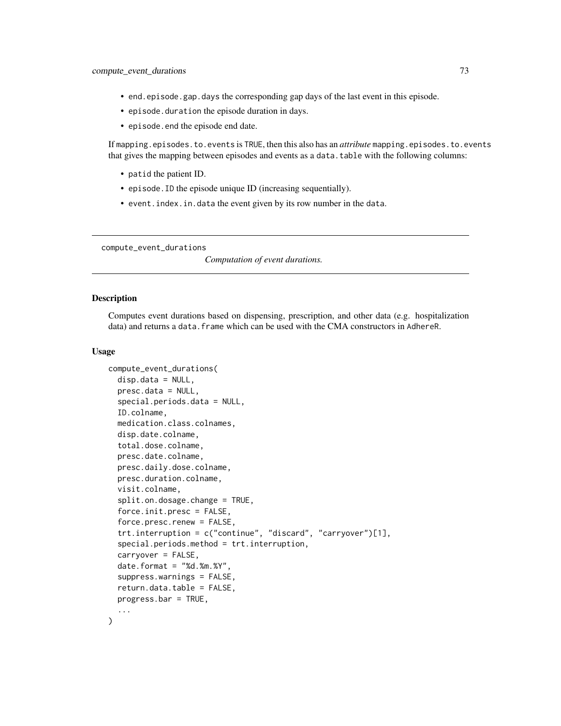- end.episode.gap.days the corresponding gap days of the last event in this episode.
- episode.duration the episode duration in days.
- episode.end the episode end date.

If mapping.episodes.to.events is TRUE, then this also has an *attribute* mapping.episodes.to.events that gives the mapping between episodes and events as a data.table with the following columns:

- patid the patient ID.
- episode.ID the episode unique ID (increasing sequentially).
- event.index.in.data the event given by its row number in the data.

compute\_event\_durations

*Computation of event durations.*

# **Description**

Computes event durations based on dispensing, prescription, and other data (e.g. hospitalization data) and returns a data. frame which can be used with the CMA constructors in AdhereR.

```
compute_event_durations(
  disp.data = NULL,presc.data = NULL,
  special.periods.data = NULL,
  ID.colname,
  medication.class.colnames,
  disp.date.colname,
  total.dose.colname,
  presc.date.colname,
 presc.daily.dose.colname,
 presc.duration.colname,
  visit.colname,
  split.on.dosage.change = TRUE,
  force.init.presc = FALSE,
  force.presc.renew = FALSE,
  trt.interruption = c("continue", "discard", "carryover")[1],
  special.periods.method = trt.interruption,
  carryover = FALSE,
  date.format = "Nd.*m.*Y".suppress.warnings = FALSE,
  return.data.table = FALSE,
 progress.bar = TRUE,
  ...
)
```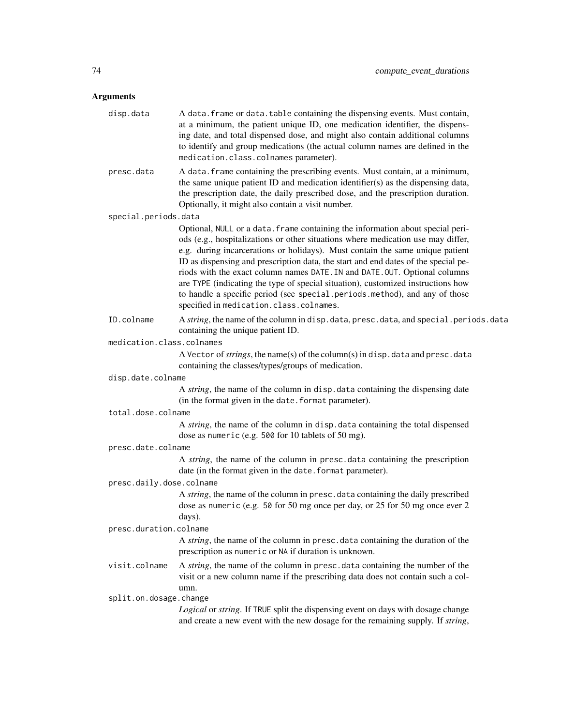# Arguments

| disp.data                 | A data. frame or data. table containing the dispensing events. Must contain,<br>at a minimum, the patient unique ID, one medication identifier, the dispens-<br>ing date, and total dispensed dose, and might also contain additional columns<br>to identify and group medications (the actual column names are defined in the<br>medication.class.colnames parameter).                                                                                                                                                                                                                                                              |
|---------------------------|--------------------------------------------------------------------------------------------------------------------------------------------------------------------------------------------------------------------------------------------------------------------------------------------------------------------------------------------------------------------------------------------------------------------------------------------------------------------------------------------------------------------------------------------------------------------------------------------------------------------------------------|
| presc.data                | A data. frame containing the prescribing events. Must contain, at a minimum,<br>the same unique patient ID and medication identifier(s) as the dispensing data,<br>the prescription date, the daily prescribed dose, and the prescription duration.<br>Optionally, it might also contain a visit number.                                                                                                                                                                                                                                                                                                                             |
| special.periods.data      |                                                                                                                                                                                                                                                                                                                                                                                                                                                                                                                                                                                                                                      |
|                           | Optional, NULL or a data. frame containing the information about special peri-<br>ods (e.g., hospitalizations or other situations where medication use may differ,<br>e.g. during incarcerations or holidays). Must contain the same unique patient<br>ID as dispensing and prescription data, the start and end dates of the special pe-<br>riods with the exact column names DATE. IN and DATE. OUT. Optional columns<br>are TYPE (indicating the type of special situation), customized instructions how<br>to handle a specific period (see special periods method), and any of those<br>specified in medication.class.colnames. |
| ID.colname                | A string, the name of the column in disp. data, presc. data, and special. periods. data<br>containing the unique patient ID.                                                                                                                                                                                                                                                                                                                                                                                                                                                                                                         |
| medication.class.colnames |                                                                                                                                                                                                                                                                                                                                                                                                                                                                                                                                                                                                                                      |
|                           | A Vector of <i>strings</i> , the name(s) of the column(s) in disp. data and presc. data<br>containing the classes/types/groups of medication.                                                                                                                                                                                                                                                                                                                                                                                                                                                                                        |
| disp.date.colname         |                                                                                                                                                                                                                                                                                                                                                                                                                                                                                                                                                                                                                                      |
|                           | A string, the name of the column in disp. data containing the dispensing date<br>(in the format given in the date. format parameter).                                                                                                                                                                                                                                                                                                                                                                                                                                                                                                |
| total.dose.colname        |                                                                                                                                                                                                                                                                                                                                                                                                                                                                                                                                                                                                                                      |
|                           | A string, the name of the column in disp. data containing the total dispensed<br>dose as numeric (e.g. 500 for 10 tablets of 50 mg).                                                                                                                                                                                                                                                                                                                                                                                                                                                                                                 |
| presc.date.colname        |                                                                                                                                                                                                                                                                                                                                                                                                                                                                                                                                                                                                                                      |
|                           | A string, the name of the column in presc. data containing the prescription<br>date (in the format given in the date. format parameter).                                                                                                                                                                                                                                                                                                                                                                                                                                                                                             |
| presc.daily.dose.colname  |                                                                                                                                                                                                                                                                                                                                                                                                                                                                                                                                                                                                                                      |
|                           | A string, the name of the column in presc. data containing the daily prescribed<br>dose as numeric (e.g. 50 for 50 mg once per day, or 25 for 50 mg once ever 2<br>days).                                                                                                                                                                                                                                                                                                                                                                                                                                                            |
| presc.duration.colname    |                                                                                                                                                                                                                                                                                                                                                                                                                                                                                                                                                                                                                                      |
|                           | A string, the name of the column in presc. data containing the duration of the<br>prescription as numeric or NA if duration is unknown.                                                                                                                                                                                                                                                                                                                                                                                                                                                                                              |
| visit.colname             | A <i>string</i> , the name of the column in presc. data containing the number of the<br>visit or a new column name if the prescribing data does not contain such a col-<br>umn.                                                                                                                                                                                                                                                                                                                                                                                                                                                      |
| split.on.dosage.change    |                                                                                                                                                                                                                                                                                                                                                                                                                                                                                                                                                                                                                                      |
|                           | Logical or string. If TRUE split the dispensing event on days with dosage change<br>and create a new event with the new dosage for the remaining supply. If string,                                                                                                                                                                                                                                                                                                                                                                                                                                                                  |
|                           |                                                                                                                                                                                                                                                                                                                                                                                                                                                                                                                                                                                                                                      |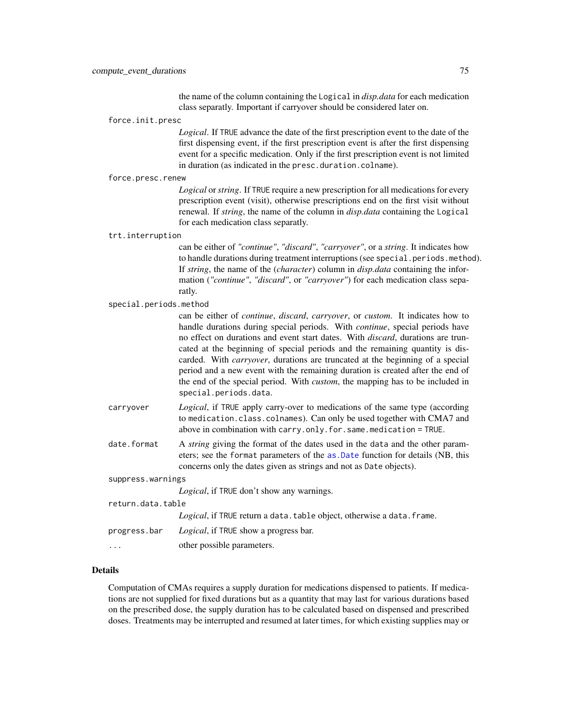the name of the column containing the Logical in *disp.data* for each medication class separatly. Important if carryover should be considered later on.

force.init.presc

*Logical*. If TRUE advance the date of the first prescription event to the date of the first dispensing event, if the first prescription event is after the first dispensing event for a specific medication. Only if the first prescription event is not limited in duration (as indicated in the presc.duration.colname).

force.presc.renew

*Logical* or*string*. If TRUE require a new prescription for all medications for every prescription event (visit), otherwise prescriptions end on the first visit without renewal. If *string*, the name of the column in *disp.data* containing the Logical for each medication class separatly.

#### trt.interruption

can be either of *"continue"*, *"discard"*, *"carryover"*, or a *string*. It indicates how to handle durations during treatment interruptions (see special.periods.method). If *string*, the name of the (*character*) column in *disp.data* containing the information (*"continue"*, *"discard"*, or *"carryover"*) for each medication class separatly.

special.periods.method

| 0000101.00.1000com |                                                                                                                                                                                                                                                                                                                                                                                                                                                                                                                                                                                                                                                                               |
|--------------------|-------------------------------------------------------------------------------------------------------------------------------------------------------------------------------------------------------------------------------------------------------------------------------------------------------------------------------------------------------------------------------------------------------------------------------------------------------------------------------------------------------------------------------------------------------------------------------------------------------------------------------------------------------------------------------|
|                    | can be either of <i>continue</i> , <i>discard</i> , <i>carryover</i> , or <i>custom</i> . It indicates how to<br>handle durations during special periods. With <i>continue</i> , special periods have<br>no effect on durations and event start dates. With <i>discard</i> , durations are trun-<br>cated at the beginning of special periods and the remaining quantity is dis-<br>carded. With <i>carryover</i> , durations are truncated at the beginning of a special<br>period and a new event with the remaining duration is created after the end of<br>the end of the special period. With <i>custom</i> , the mapping has to be included in<br>special.periods.data. |
| carryover          | <i>Logical</i> , if TRUE apply carry-over to medications of the same type (according<br>to medication.class.colnames). Can only be used together with CMA7 and<br>above in combination with carry. only. for. same. medication $=$ TRUE.                                                                                                                                                                                                                                                                                                                                                                                                                                      |
| date.format        | A <i>string</i> giving the format of the dates used in the data and the other param-<br>eters; see the format parameters of the as Date function for details (NB, this<br>concerns only the dates given as strings and not as Date objects).                                                                                                                                                                                                                                                                                                                                                                                                                                  |
| suppress.warnings  |                                                                                                                                                                                                                                                                                                                                                                                                                                                                                                                                                                                                                                                                               |
|                    | <i>Logical</i> , if TRUE don't show any warnings.                                                                                                                                                                                                                                                                                                                                                                                                                                                                                                                                                                                                                             |

return.data.table

Logical, if TRUE return a data.table object, otherwise a data.frame.

progress.bar *Logical*, if TRUE show a progress bar.

... other possible parameters.

#### Details

Computation of CMAs requires a supply duration for medications dispensed to patients. If medications are not supplied for fixed durations but as a quantity that may last for various durations based on the prescribed dose, the supply duration has to be calculated based on dispensed and prescribed doses. Treatments may be interrupted and resumed at later times, for which existing supplies may or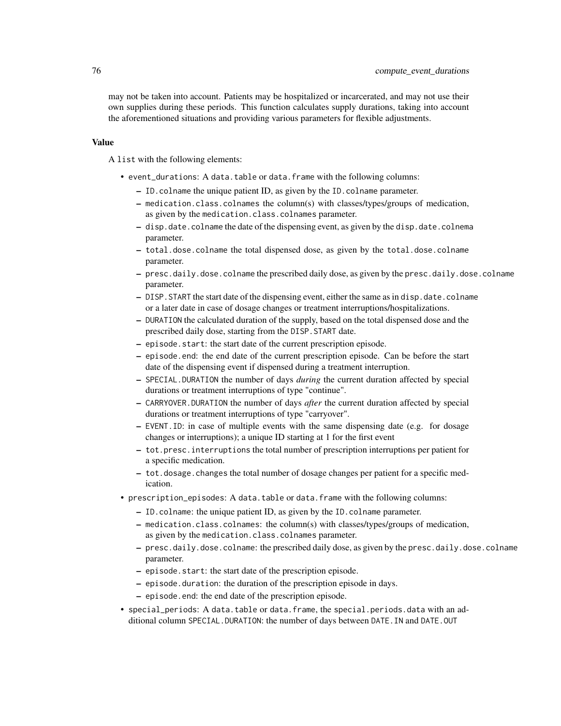may not be taken into account. Patients may be hospitalized or incarcerated, and may not use their own supplies during these periods. This function calculates supply durations, taking into account the aforementioned situations and providing various parameters for flexible adjustments.

#### Value

A list with the following elements:

- event\_durations: A data.table or data.frame with the following columns:
	- ID.colname the unique patient ID, as given by the ID.colname parameter.
	- medication.class.colnames the column(s) with classes/types/groups of medication, as given by the medication.class.colnames parameter.
	- disp.date.colname the date of the dispensing event, as given by the disp.date.colnema parameter.
	- total.dose.colname the total dispensed dose, as given by the total.dose.colname parameter.
	- presc.daily.dose.colname the prescribed daily dose, as given by the presc.daily.dose.colname parameter.
	- DISP.START the start date of the dispensing event, either the same as in disp.date.colname or a later date in case of dosage changes or treatment interruptions/hospitalizations.
	- DURATION the calculated duration of the supply, based on the total dispensed dose and the prescribed daily dose, starting from the DISP.START date.
	- episode.start: the start date of the current prescription episode.
	- episode.end: the end date of the current prescription episode. Can be before the start date of the dispensing event if dispensed during a treatment interruption.
	- SPECIAL.DURATION the number of days *during* the current duration affected by special durations or treatment interruptions of type "continue".
	- CARRYOVER.DURATION the number of days *after* the current duration affected by special durations or treatment interruptions of type "carryover".
	- EVENT.ID: in case of multiple events with the same dispensing date (e.g. for dosage changes or interruptions); a unique ID starting at 1 for the first event
	- tot.presc.interruptions the total number of prescription interruptions per patient for a specific medication.
	- tot.dosage.changes the total number of dosage changes per patient for a specific medication.
- prescription\_episodes: A data.table or data.frame with the following columns:
	- ID.colname: the unique patient ID, as given by the ID.colname parameter.
	- medication.class.colnames: the column(s) with classes/types/groups of medication, as given by the medication.class.colnames parameter.
	- presc.daily.dose.colname: the prescribed daily dose, as given by the presc.daily.dose.colname parameter.
	- episode.start: the start date of the prescription episode.
	- episode.duration: the duration of the prescription episode in days.
	- episode.end: the end date of the prescription episode.
- special\_periods: A data.table or data.frame, the special.periods.data with an additional column SPECIAL.DURATION: the number of days between DATE.IN and DATE.OUT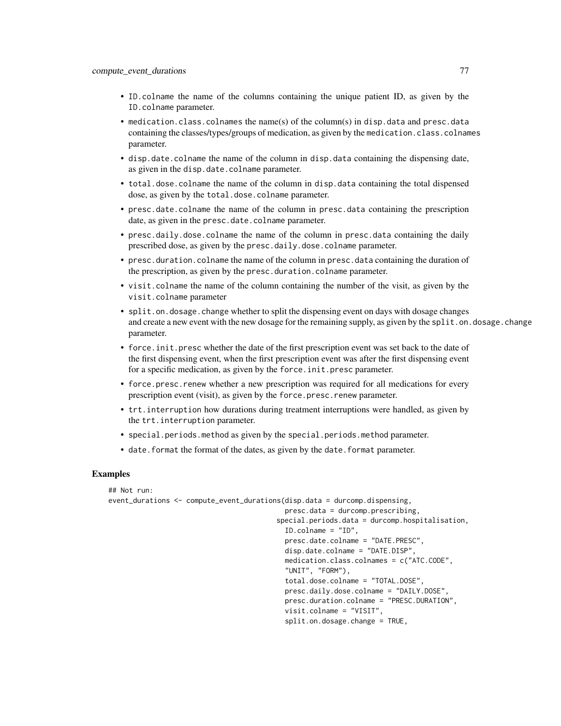- ID.colname the name of the columns containing the unique patient ID, as given by the ID.colname parameter.
- medication.class.colnames the name(s) of the column(s) in disp.data and presc.data containing the classes/types/groups of medication, as given by the medication.class.colnames parameter.
- disp.date.colname the name of the column in disp.data containing the dispensing date, as given in the disp.date.colname parameter.
- total.dose.colname the name of the column in disp.data containing the total dispensed dose, as given by the total.dose.colname parameter.
- presc.date.colname the name of the column in presc.data containing the prescription date, as given in the presc.date.colname parameter.
- presc.daily.dose.colname the name of the column in presc.data containing the daily prescribed dose, as given by the presc.daily.dose.colname parameter.
- presc.duration.colname the name of the column in presc.data containing the duration of the prescription, as given by the presc.duration.colname parameter.
- visit.colname the name of the column containing the number of the visit, as given by the visit.colname parameter
- split.on.dosage.change whether to split the dispensing event on days with dosage changes and create a new event with the new dosage for the remaining supply, as given by the split.on.dosage.change parameter.
- force.init.presc whether the date of the first prescription event was set back to the date of the first dispensing event, when the first prescription event was after the first dispensing event for a specific medication, as given by the force.init.presc parameter.
- force.presc.renew whether a new prescription was required for all medications for every prescription event (visit), as given by the force.presc.renew parameter.
- trt.interruption how durations during treatment interruptions were handled, as given by the trt.interruption parameter.
- special.periods.method as given by the special.periods.method parameter.
- date. format the format of the dates, as given by the date. format parameter.

## Examples

```
## Not run:
event_durations <- compute_event_durations(disp.data = durcomp.dispensing,
                                           presc.data = durcomp.prescribing,
                                         special.periods.data = durcomp.hospitalisation,
                                           ID.colname = "ID",
                                           presc.date.colname = "DATE.PRESC",
                                           disp.date.colname = "DATE.DISP",
                                           medication.class.colnames = c("ATC.CODE",
                                           "UNIT", "FORM"),
                                           total.dose.colname = "TOTAL.DOSE",
                                           presc.daily.dose.colname = "DAILY.DOSE",
                                           presc.duration.colname = "PRESC.DURATION",
                                           visit.colname = "VISIT",
                                           split.on.dosage.change = TRUE,
```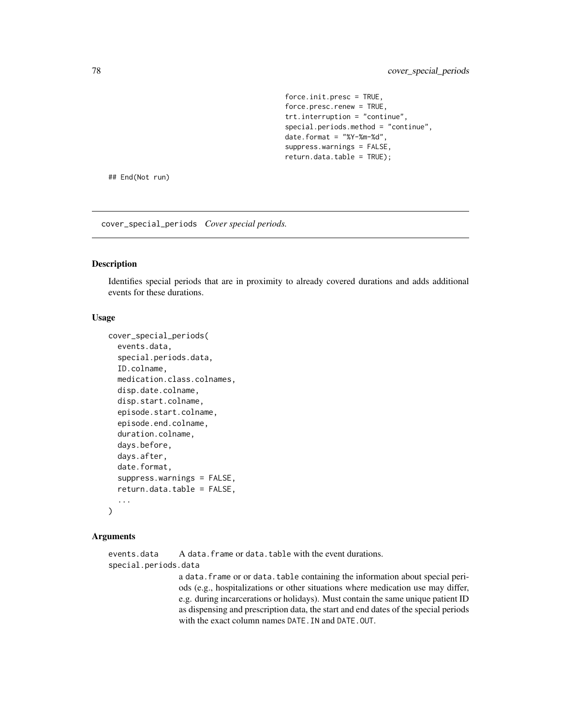force.init.presc = TRUE, force.presc.renew = TRUE, trt.interruption = "continue", special.periods.method = "continue", date.format = "%Y-%m-%d", suppress.warnings = FALSE, return.data.table = TRUE);

## End(Not run)

cover\_special\_periods *Cover special periods.*

#### Description

Identifies special periods that are in proximity to already covered durations and adds additional events for these durations.

# Usage

```
cover_special_periods(
  events.data,
  special.periods.data,
  ID.colname,
 medication.class.colnames,
  disp.date.colname,
  disp.start.colname,
  episode.start.colname,
  episode.end.colname,
  duration.colname,
  days.before,
  days.after,
  date.format,
  suppress.warnings = FALSE,
  return.data.table = FALSE,
  ...
\lambda
```
#### Arguments

events.data A data.frame or data.table with the event durations. special.periods.data

a data. frame or or data.table containing the information about special periods (e.g., hospitalizations or other situations where medication use may differ, e.g. during incarcerations or holidays). Must contain the same unique patient ID as dispensing and prescription data, the start and end dates of the special periods with the exact column names DATE.IN and DATE.OUT.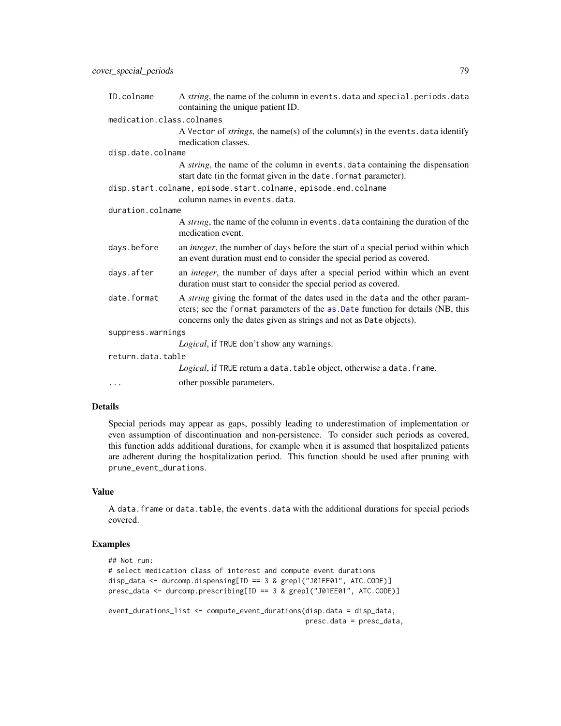| ID.colname                | A string, the name of the column in events. data and special. periods. data<br>containing the unique patient ID.                                                                                                                       |
|---------------------------|----------------------------------------------------------------------------------------------------------------------------------------------------------------------------------------------------------------------------------------|
| medication.class.colnames |                                                                                                                                                                                                                                        |
|                           | A Vector of <i>strings</i> , the name(s) of the column(s) in the events data identify<br>medication classes.                                                                                                                           |
| disp.date.colname         |                                                                                                                                                                                                                                        |
|                           | A <i>string</i> , the name of the column in events data containing the dispensation<br>start date (in the format given in the date. format parameter).                                                                                 |
|                           | disp.start.colname, episode.start.colname, episode.end.colname                                                                                                                                                                         |
|                           | column names in events.data.                                                                                                                                                                                                           |
| duration.colname          |                                                                                                                                                                                                                                        |
|                           | A <i>string</i> , the name of the column in events. data containing the duration of the<br>medication event.                                                                                                                           |
| days.before               | an <i>integer</i> , the number of days before the start of a special period within which<br>an event duration must end to consider the special period as covered.                                                                      |
| days.after                | an <i>integer</i> , the number of days after a special period within which an event<br>duration must start to consider the special period as covered.                                                                                  |
| date.format               | A string giving the format of the dates used in the data and the other param-<br>eters; see the format parameters of the as .Date function for details (NB, this<br>concerns only the dates given as strings and not as Date objects). |
| suppress.warnings         |                                                                                                                                                                                                                                        |
|                           | Logical, if TRUE don't show any warnings.                                                                                                                                                                                              |
| return.data.table         |                                                                                                                                                                                                                                        |
|                           | Logical, if TRUE return a data. table object, otherwise a data. frame.                                                                                                                                                                 |
| $\cdots$                  | other possible parameters.                                                                                                                                                                                                             |

#### Details

Special periods may appear as gaps, possibly leading to underestimation of implementation or even assumption of discontinuation and non-persistence. To consider such periods as covered, this function adds additional durations, for example when it is assumed that hospitalized patients are adherent during the hospitalization period. This function should be used after pruning with prune\_event\_durations.

# Value

A data.frame or data.table, the events.data with the additional durations for special periods covered.

# Examples

```
## Not run:
# select medication class of interest and compute event durations
disp_data <- durcomp.dispensing[ID == 3 & grepl("J01EE01", ATC.CODE)]
presc_data <- durcomp.prescribing[ID == 3 & grepl("J01EE01", ATC.CODE)]
event_durations_list <- compute_event_durations(disp.data = disp_data,
                                                presc.data = presc_data,
```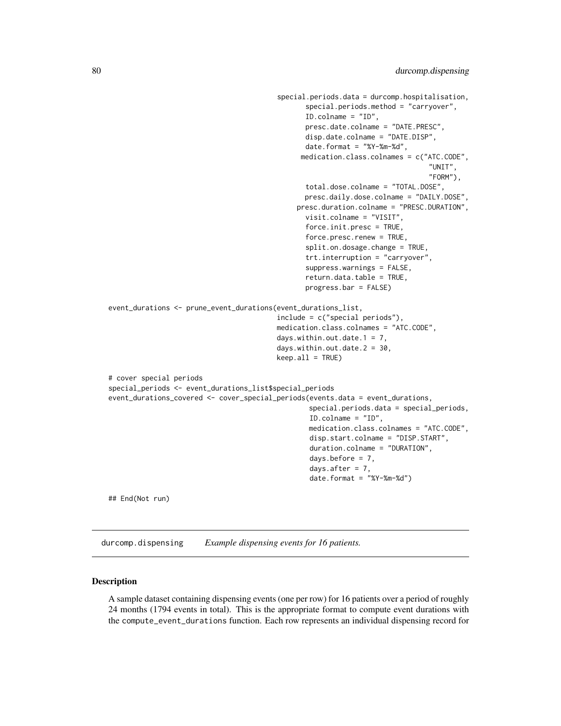```
special.periods.data = durcomp.hospitalisation,
                                                special.periods.method = "carryover",
                                                ID.colname = "ID",
                                                presc.date.colname = "DATE.PRESC",
                                                disp.date.colname = "DATE.DISP",
                                                date.format = "%Y-%m-%d",
                                               medication.class.colnames = c("ATC.CODE",
                                                                               "UNIT",
                                                                               "FORM"),
                                                total.dose.colname = "TOTAL.DOSE",
                                                presc.daily.dose.colname = "DAILY.DOSE",
                                              presc.duration.colname = "PRESC.DURATION",
                                                visit.colname = "VISIT",
                                                force.init.presc = TRUE,
                                                force.presc.renew = TRUE,
                                                split.on.dosage.change = TRUE,
                                                trt.interruption = "carryover",
                                                suppress.warnings = FALSE,
                                                return.data.table = TRUE,
                                                progress.bar = FALSE)
event_durations <- prune_event_durations(event_durations_list,
                                         include = c("special periods"),
                                         medication.class.colnames = "ATC.CODE",
                                         days.within.out.date.1 = 7,
                                         days.within.out.date.2 = 30,
                                         keep.all = TRUE)
# cover special periods
special_periods <- event_durations_list$special_periods
event_durations_covered <- cover_special_periods(events.data = event_durations,
                                                 special.periods.data = special_periods,
                                                 ID.colname = "ID",
                                                 medication.class.colnames = "ATC.CODE",
                                                 disp.start.colname = "DISP.START",
                                                 duration.colname = "DURATION",
                                                 days.before = 7,
                                                 days.after = 7,date.format = "%Y-%m-%d")
## End(Not run)
```
durcomp.dispensing *Example dispensing events for 16 patients.*

#### **Description**

A sample dataset containing dispensing events (one per row) for 16 patients over a period of roughly 24 months (1794 events in total). This is the appropriate format to compute event durations with the compute\_event\_durations function. Each row represents an individual dispensing record for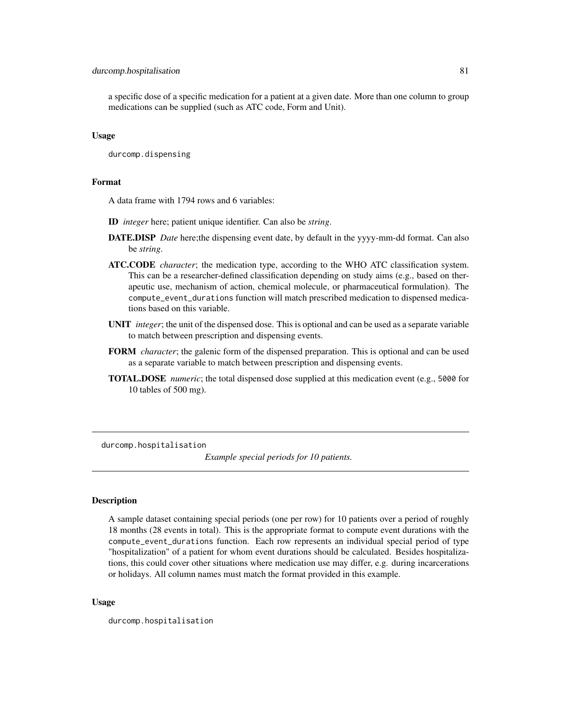#### durcomp.hospitalisation 81

a specific dose of a specific medication for a patient at a given date. More than one column to group medications can be supplied (such as ATC code, Form and Unit).

#### Usage

durcomp.dispensing

#### Format

A data frame with 1794 rows and 6 variables:

- ID *integer* here; patient unique identifier. Can also be *string*.
- DATE.DISP *Date* here;the dispensing event date, by default in the yyyy-mm-dd format. Can also be *string*.
- ATC.CODE *character*; the medication type, according to the WHO ATC classification system. This can be a researcher-defined classification depending on study aims (e.g., based on therapeutic use, mechanism of action, chemical molecule, or pharmaceutical formulation). The compute\_event\_durations function will match prescribed medication to dispensed medications based on this variable.
- UNIT *integer*; the unit of the dispensed dose. This is optional and can be used as a separate variable to match between prescription and dispensing events.
- FORM *character*; the galenic form of the dispensed preparation. This is optional and can be used as a separate variable to match between prescription and dispensing events.
- TOTAL.DOSE *numeric*; the total dispensed dose supplied at this medication event (e.g., 5000 for 10 tables of 500 mg).

durcomp.hospitalisation

*Example special periods for 10 patients.*

#### Description

A sample dataset containing special periods (one per row) for 10 patients over a period of roughly 18 months (28 events in total). This is the appropriate format to compute event durations with the compute\_event\_durations function. Each row represents an individual special period of type "hospitalization" of a patient for whom event durations should be calculated. Besides hospitalizations, this could cover other situations where medication use may differ, e.g. during incarcerations or holidays. All column names must match the format provided in this example.

#### Usage

durcomp.hospitalisation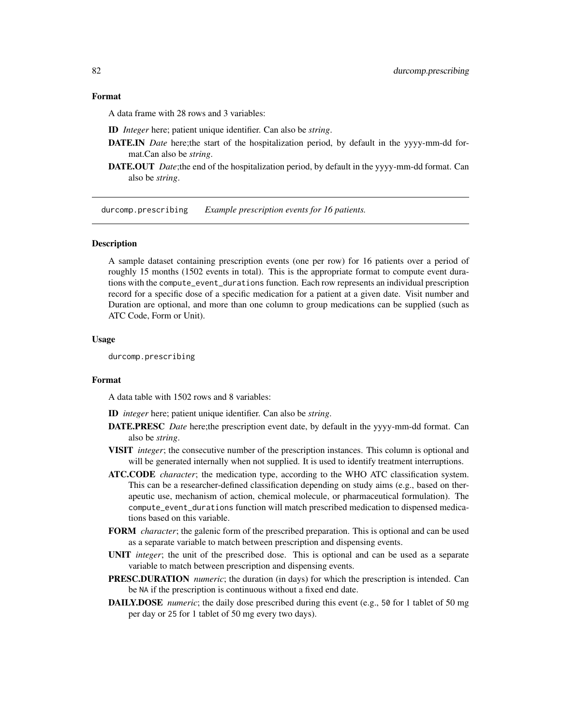#### Format

A data frame with 28 rows and 3 variables:

ID *Integer* here; patient unique identifier. Can also be *string*.

- DATE.IN *Date* here;the start of the hospitalization period, by default in the yyyy-mm-dd format.Can also be *string*.
- DATE.OUT *Date*;the end of the hospitalization period, by default in the yyyy-mm-dd format. Can also be *string*.

durcomp.prescribing *Example prescription events for 16 patients.*

#### **Description**

A sample dataset containing prescription events (one per row) for 16 patients over a period of roughly 15 months (1502 events in total). This is the appropriate format to compute event durations with the compute\_event\_durations function. Each row represents an individual prescription record for a specific dose of a specific medication for a patient at a given date. Visit number and Duration are optional, and more than one column to group medications can be supplied (such as ATC Code, Form or Unit).

#### Usage

durcomp.prescribing

#### Format

A data table with 1502 rows and 8 variables:

ID *integer* here; patient unique identifier. Can also be *string*.

- DATE.PRESC *Date* here;the prescription event date, by default in the yyyy-mm-dd format. Can also be *string*.
- VISIT *integer*; the consecutive number of the prescription instances. This column is optional and will be generated internally when not supplied. It is used to identify treatment interruptions.
- ATC.CODE *character*; the medication type, according to the WHO ATC classification system. This can be a researcher-defined classification depending on study aims (e.g., based on therapeutic use, mechanism of action, chemical molecule, or pharmaceutical formulation). The compute\_event\_durations function will match prescribed medication to dispensed medications based on this variable.
- FORM *character*; the galenic form of the prescribed preparation. This is optional and can be used as a separate variable to match between prescription and dispensing events.
- UNIT *integer*; the unit of the prescribed dose. This is optional and can be used as a separate variable to match between prescription and dispensing events.
- PRESC.DURATION *numeric*; the duration (in days) for which the prescription is intended. Can be NA if the prescription is continuous without a fixed end date.
- **DAILY.DOSE** *numeric*; the daily dose prescribed during this event (e.g., 50 for 1 tablet of 50 mg per day or 25 for 1 tablet of 50 mg every two days).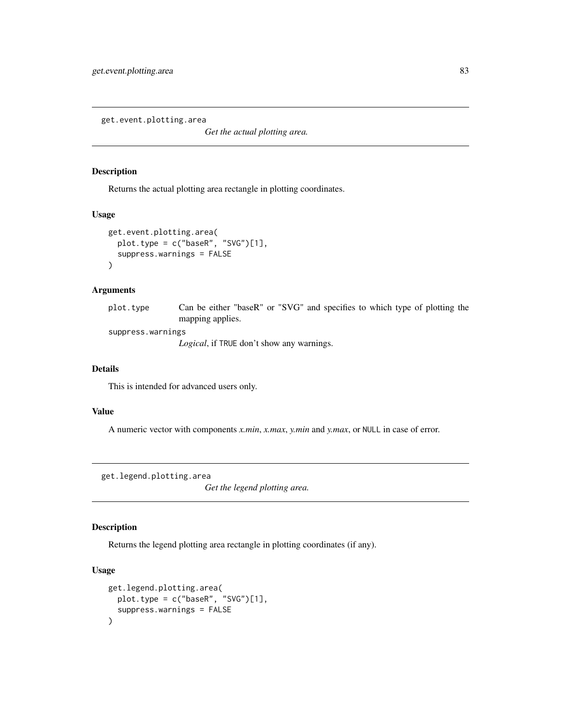get.event.plotting.area

*Get the actual plotting area.*

# Description

Returns the actual plotting area rectangle in plotting coordinates.

#### Usage

```
get.event.plotting.area(
 plot.type = c("baseR", "SVG")[1],
 suppress.warnings = FALSE
)
```
### Arguments

| plot.type | Can be either "baseR" or "SVG" and specifies to which type of plotting the |  |  |  |  |  |  |
|-----------|----------------------------------------------------------------------------|--|--|--|--|--|--|
|           | mapping applies.                                                           |  |  |  |  |  |  |

suppress.warnings *Logical*, if TRUE don't show any warnings.

# Details

This is intended for advanced users only.

#### Value

A numeric vector with components *x.min*, *x.max*, *y.min* and *y.max*, or NULL in case of error.

get.legend.plotting.area

*Get the legend plotting area.*

# Description

Returns the legend plotting area rectangle in plotting coordinates (if any).

```
get.legend.plotting.area(
 plot.type = c("baseR", "SVG")[1],
  suppress.warnings = FALSE
)
```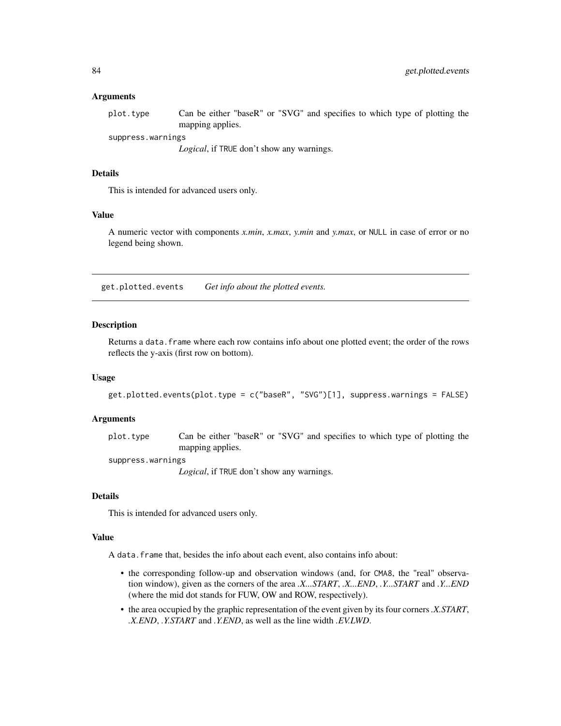#### Arguments

| plot.type         | Can be either "baseR" or "SVG" and specifies to which type of plotting the |
|-------------------|----------------------------------------------------------------------------|
|                   | mapping applies.                                                           |
| suppress.warnings |                                                                            |

*Logical*, if TRUE don't show any warnings.

# Details

This is intended for advanced users only.

#### Value

A numeric vector with components *x.min*, *x.max*, *y.min* and *y.max*, or NULL in case of error or no legend being shown.

get.plotted.events *Get info about the plotted events.*

#### Description

Returns a data. frame where each row contains info about one plotted event; the order of the rows reflects the y-axis (first row on bottom).

# Usage

```
get.plotted.events(plot.type = c("baseR", "SVG")[1], suppress.warnings = FALSE)
```
#### Arguments

plot.type Can be either "baseR" or "SVG" and specifies to which type of plotting the mapping applies.

suppress.warnings

*Logical*, if TRUE don't show any warnings.

#### Details

This is intended for advanced users only.

#### Value

A data.frame that, besides the info about each event, also contains info about:

- the corresponding follow-up and observation windows (and, for CMA8, the "real" observation window), given as the corners of the area *.X...START*, *.X...END*, *.Y...START* and *.Y...END* (where the mid dot stands for FUW, OW and ROW, respectively).
- the area occupied by the graphic representation of the event given by its four corners*.X.START*, *.X.END*, *.Y.START* and *.Y.END*, as well as the line width *.EV.LWD*.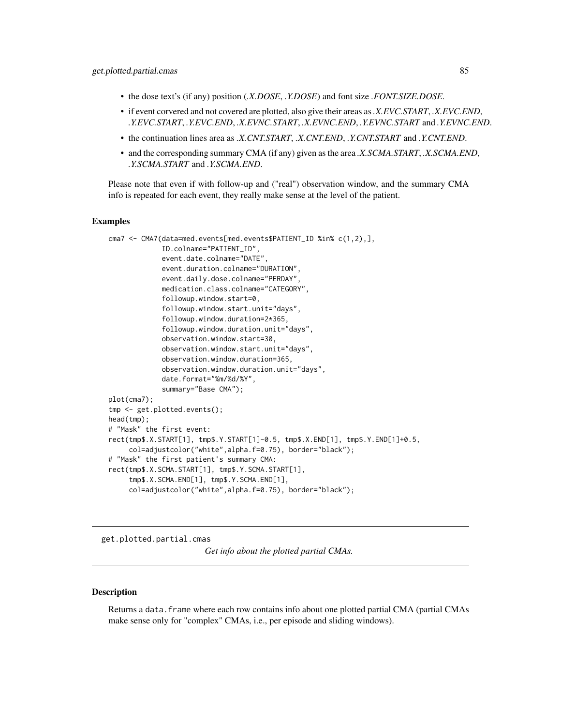- the dose text's (if any) position (*.X.DOSE*, *.Y.DOSE*) and font size *.FONT.SIZE.DOSE*.
- if event corvered and not covered are plotted, also give their areas as*.X.EVC.START*, *.X.EVC.END*, *.Y.EVC.START*, *.Y.EVC.END*, *.X.EVNC.START*, *.X.EVNC.END*, *.Y.EVNC.START* and *.Y.EVNC.END*.
- the continuation lines area as *.X.CNT.START*, *.X.CNT.END*, *.Y.CNT.START* and *.Y.CNT.END*.
- and the corresponding summary CMA (if any) given as the area *.X.SCMA.START*, *.X.SCMA.END*, *.Y.SCMA.START* and *.Y.SCMA.END*.

Please note that even if with follow-up and ("real") observation window, and the summary CMA info is repeated for each event, they really make sense at the level of the patient.

# Examples

```
cma7 <- CMA7(data=med.events[med.events$PATIENT_ID %in% c(1,2),],
             ID.colname="PATIENT_ID",
             event.date.colname="DATE",
             event.duration.colname="DURATION",
             event.daily.dose.colname="PERDAY",
             medication.class.colname="CATEGORY",
             followup.window.start=0,
             followup.window.start.unit="days",
             followup.window.duration=2*365,
             followup.window.duration.unit="days",
             observation.window.start=30,
             observation.window.start.unit="days",
             observation.window.duration=365,
             observation.window.duration.unit="days",
             date.format="%m/%d/%Y",
             summary="Base CMA");
plot(cma7);
tmp <- get.plotted.events();
head(tmp);
# "Mask" the first event:
rect(tmp$.X.START[1], tmp$.Y.START[1]-0.5, tmp$.X.END[1], tmp$.Y.END[1]+0.5,
     col=adjustcolor("white",alpha.f=0.75), border="black");
# "Mask" the first patient's summary CMA:
rect(tmp$.X.SCMA.START[1], tmp$.Y.SCMA.START[1],
     tmp$.X.SCMA.END[1], tmp$.Y.SCMA.END[1],
     col=adjustcolor("white",alpha.f=0.75), border="black");
```
get.plotted.partial.cmas

*Get info about the plotted partial CMAs.*

#### **Description**

Returns a data.frame where each row contains info about one plotted partial CMA (partial CMAs make sense only for "complex" CMAs, i.e., per episode and sliding windows).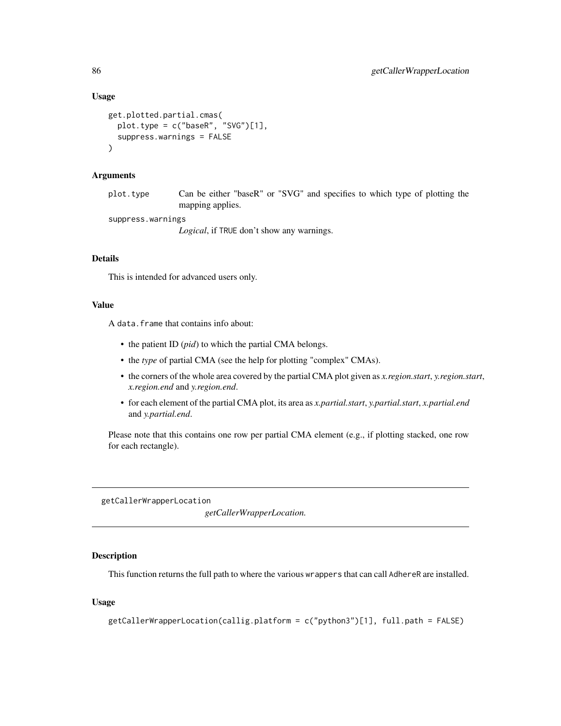#### Usage

```
get.plotted.partial.cmas(
  plot.type = c("baseR", "SVG")[1],
  suppress.warnings = FALSE
\lambda
```
# Arguments

plot.type Can be either "baseR" or "SVG" and specifies to which type of plotting the mapping applies.

suppress.warnings

*Logical*, if TRUE don't show any warnings.

# Details

This is intended for advanced users only.

#### Value

A data.frame that contains info about:

- the patient ID (*pid*) to which the partial CMA belongs.
- the *type* of partial CMA (see the help for plotting "complex" CMAs).
- the corners of the whole area covered by the partial CMA plot given as *x.region.start*, *y.region.start*, *x.region.end* and *y.region.end*.
- for each element of the partial CMA plot, its area as *x.partial.start*, *y.partial.start*, *x.partial.end* and *y.partial.end*.

Please note that this contains one row per partial CMA element (e.g., if plotting stacked, one row for each rectangle).

getCallerWrapperLocation

*getCallerWrapperLocation.*

#### Description

This function returns the full path to where the various wrappers that can call AdhereR are installed.

```
getCallerWrapperLocation(callig.platform = c("python3")[1], full.path = FALSE)
```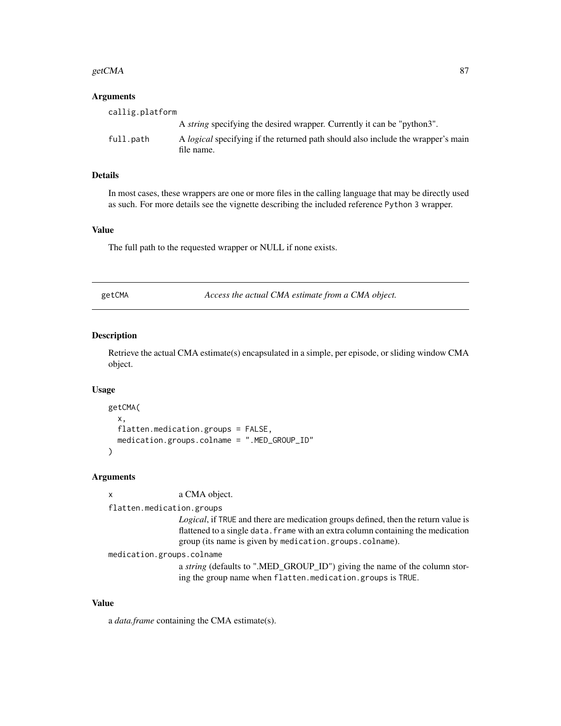#### $\epsilon$ getCMA 87

#### Arguments

| callig.platform |                                                                                                       |
|-----------------|-------------------------------------------------------------------------------------------------------|
|                 | A <i>string</i> specifying the desired wrapper. Currently it can be "python3".                        |
| full.path       | A <i>logical</i> specifying if the returned path should also include the wrapper's main<br>file name. |

# Details

In most cases, these wrappers are one or more files in the calling language that may be directly used as such. For more details see the vignette describing the included reference Python 3 wrapper.

#### Value

The full path to the requested wrapper or NULL if none exists.

| МA<br>t C<br>≏ |
|----------------|
|----------------|

Access the actual CMA estimate from a CMA object.

# Description

Retrieve the actual CMA estimate(s) encapsulated in a simple, per episode, or sliding window CMA object.

#### Usage

```
getCMA(
  x,
 flatten.medication.groups = FALSE,
 medication.groups.colname = ".MED_GROUP_ID"
)
```
#### Arguments

| x | a CMA object. |
|---|---------------|
|   |               |

## flatten.medication.groups

*Logical*, if TRUE and there are medication groups defined, then the return value is flattened to a single data. frame with an extra column containing the medication group (its name is given by medication.groups.colname).

```
medication.groups.colname
```
a *string* (defaults to ".MED\_GROUP\_ID") giving the name of the column storing the group name when flatten.medication.groups is TRUE.

#### Value

a *data.frame* containing the CMA estimate(s).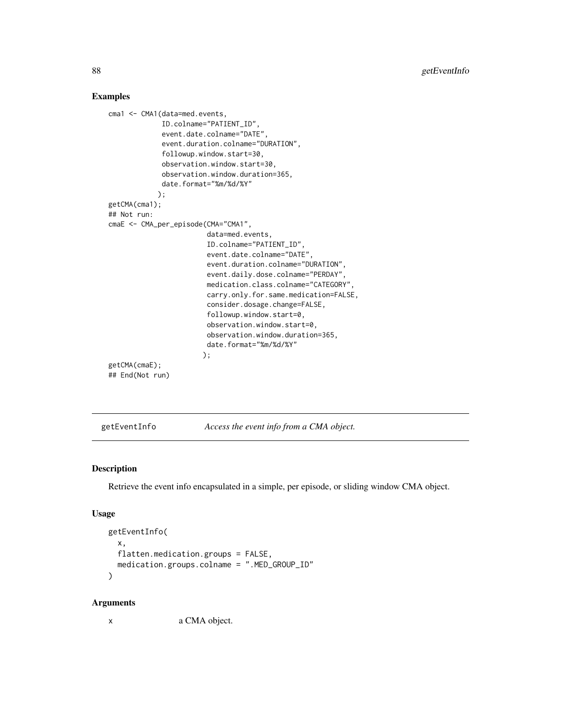# Examples

```
cma1 <- CMA1(data=med.events,
             ID.colname="PATIENT_ID",
             event.date.colname="DATE",
             event.duration.colname="DURATION",
             followup.window.start=30,
             observation.window.start=30,
             observation.window.duration=365,
             date.format="%m/%d/%Y"
            );
getCMA(cma1);
## Not run:
cmaE <- CMA_per_episode(CMA="CMA1",
                        data=med.events,
                        ID.colname="PATIENT_ID",
                        event.date.colname="DATE",
                        event.duration.colname="DURATION",
                        event.daily.dose.colname="PERDAY",
                        medication.class.colname="CATEGORY",
                        carry.only.for.same.medication=FALSE,
                        consider.dosage.change=FALSE,
                        followup.window.start=0,
                        observation.window.start=0,
                        observation.window.duration=365,
                        date.format="%m/%d/%Y"
                       );
getCMA(cmaE);
## End(Not run)
```
getEventInfo *Access the event info from a CMA object.*

# Description

Retrieve the event info encapsulated in a simple, per episode, or sliding window CMA object.

# Usage

```
getEventInfo(
  x,
  flatten.medication.groups = FALSE,
  medication.groups.colname = ".MED_GROUP_ID"
)
```
#### Arguments

x a CMA object.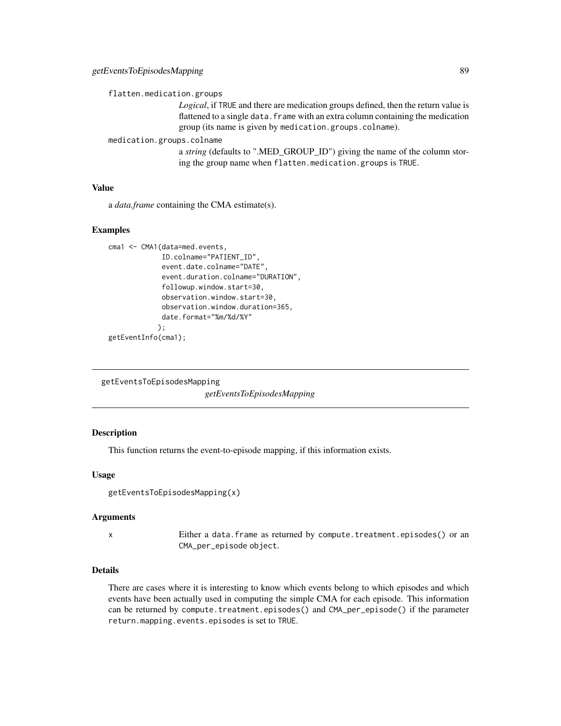flatten.medication.groups

*Logical*, if TRUE and there are medication groups defined, then the return value is flattened to a single data. frame with an extra column containing the medication group (its name is given by medication.groups.colname).

medication.groups.colname

a *string* (defaults to ".MED\_GROUP\_ID") giving the name of the column storing the group name when flatten.medication.groups is TRUE.

# Value

a *data.frame* containing the CMA estimate(s).

## Examples

```
cma1 <- CMA1(data=med.events,
             ID.colname="PATIENT_ID",
             event.date.colname="DATE",
             event.duration.colname="DURATION",
             followup.window.start=30,
             observation.window.start=30,
             observation.window.duration=365,
             date.format="%m/%d/%Y"
            );
getEventInfo(cma1);
```
getEventsToEpisodesMapping

*getEventsToEpisodesMapping*

# Description

This function returns the event-to-episode mapping, if this information exists.

#### Usage

```
getEventsToEpisodesMapping(x)
```
#### Arguments

x Either a data.frame as returned by compute.treatment.episodes() or an CMA\_per\_episode object.

#### Details

There are cases where it is interesting to know which events belong to which episodes and which events have been actually used in computing the simple CMA for each episode. This information can be returned by compute.treatment.episodes() and CMA\_per\_episode() if the parameter return.mapping.events.episodes is set to TRUE.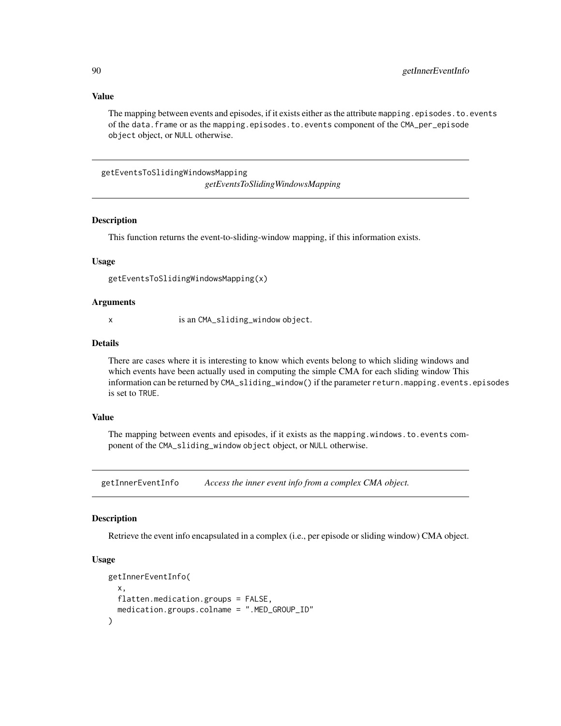# Value

The mapping between events and episodes, if it exists either as the attribute mapping. episodes. to. events of the data.frame or as the mapping.episodes.to.events component of the CMA\_per\_episode object object, or NULL otherwise.

getEventsToSlidingWindowsMapping *getEventsToSlidingWindowsMapping*

#### Description

This function returns the event-to-sliding-window mapping, if this information exists.

#### Usage

getEventsToSlidingWindowsMapping(x)

#### Arguments

x is an CMA\_sliding\_window object.

#### Details

There are cases where it is interesting to know which events belong to which sliding windows and which events have been actually used in computing the simple CMA for each sliding window This information can be returned by CMA\_sliding\_window() if the parameter return.mapping.events.episodes is set to TRUE.

#### Value

The mapping between events and episodes, if it exists as the mapping.windows.to.events component of the CMA\_sliding\_window object object, or NULL otherwise.

getInnerEventInfo *Access the inner event info from a complex CMA object.*

# Description

Retrieve the event info encapsulated in a complex (i.e., per episode or sliding window) CMA object.

```
getInnerEventInfo(
  x,
  flatten.medication.groups = FALSE,
  medication.groups.colname = ".MED_GROUP_ID"
)
```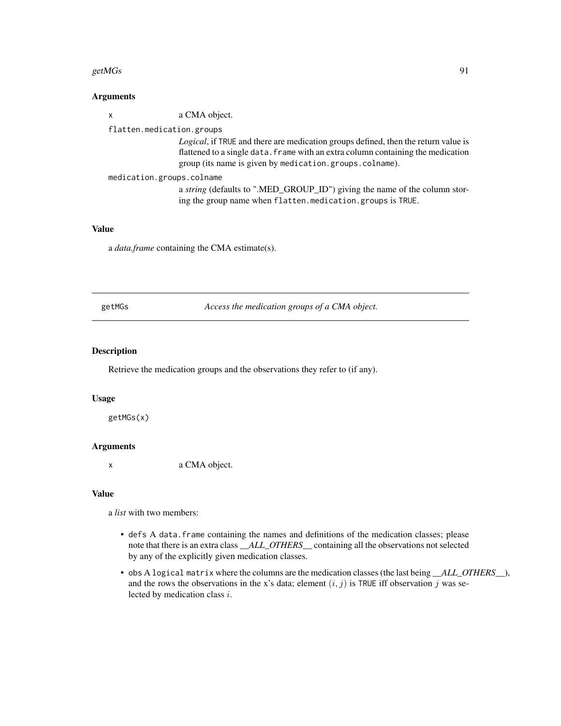#### getMGs  $91$

# Arguments

| $\mathsf{x}$              | a CMA object.                                                                                                                                                                                                                     |
|---------------------------|-----------------------------------------------------------------------------------------------------------------------------------------------------------------------------------------------------------------------------------|
| flatten.medication.groups |                                                                                                                                                                                                                                   |
|                           | Logical, if TRUE and there are medication groups defined, then the return value is<br>flattened to a single data. frame with an extra column containing the medication<br>group (its name is given by medication.groups.colname). |
| medication.groups.colname | a string (defaults to ".MED_GROUP_ID") giving the name of the column stor-<br>ing the group name when flatten.medication.groups is TRUE.                                                                                          |

# Value

a *data.frame* containing the CMA estimate(s).

getMGs *Access the medication groups of a CMA object.*

### Description

Retrieve the medication groups and the observations they refer to (if any).

# Usage

getMGs(x)

# Arguments

x a CMA object.

#### Value

a *list* with two members:

- defs A data.frame containing the names and definitions of the medication classes; please note that there is an extra class *\_\_ALL\_OTHERS\_\_* containing all the observations not selected by any of the explicitly given medication classes.
- obs A logical matrix where the columns are the medication classes (the last being *\_\_ALL\_OTHERS\_\_*), and the rows the observations in the x's data; element  $(i, j)$  is TRUE iff observation j was selected by medication class i.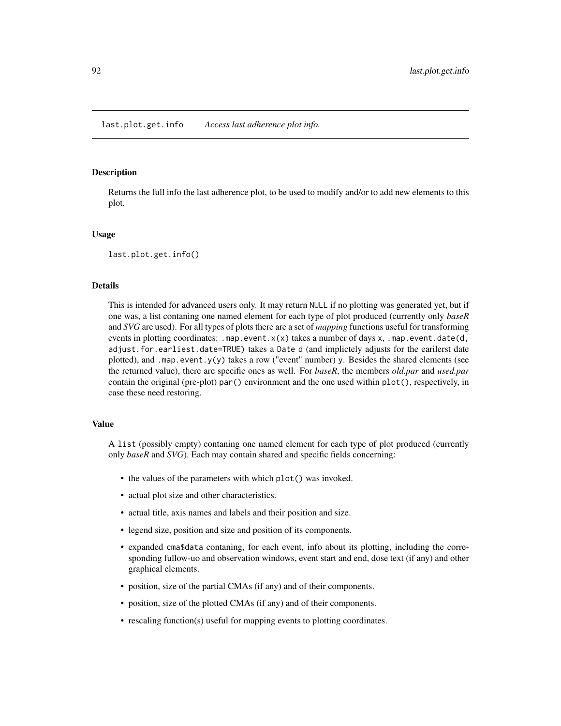last.plot.get.info *Access last adherence plot info.*

#### **Description**

Returns the full info the last adherence plot, to be used to modify and/or to add new elements to this plot.

#### Usage

last.plot.get.info()

#### Details

This is intended for advanced users only. It may return NULL if no plotting was generated yet, but if one was, a list contaning one named element for each type of plot produced (currently only *baseR* and *SVG* are used). For all types of plots there are a set of *mapping* functions useful for transforming events in plotting coordinates: .map.event. $x(x)$  takes a number of days x, .map.event.date(d, adjust.for.earliest.date=TRUE) takes a Date d (and implictely adjusts for the earilerst date plotted), and .map.event.y(y) takes a row ("event" number) y. Besides the shared elements (see the returned value), there are specific ones as well. For *baseR*, the members *old.par* and *used.par* contain the original (pre-plot) par() environment and the one used within plot(), respectively, in case these need restoring.

# Value

A list (possibly empty) contaning one named element for each type of plot produced (currently only *baseR* and *SVG*). Each may contain shared and specific fields concerning:

- the values of the parameters with which plot() was invoked.
- actual plot size and other characteristics.
- actual title, axis names and labels and their position and size.
- legend size, position and size and position of its components.
- expanded cma\$data contaning, for each event, info about its plotting, including the corresponding fullow-uo and observation windows, event start and end, dose text (if any) and other graphical elements.
- position, size of the partial CMAs (if any) and of their components.
- position, size of the plotted CMAs (if any) and of their components.
- rescaling function(s) useful for mapping events to plotting coordinates.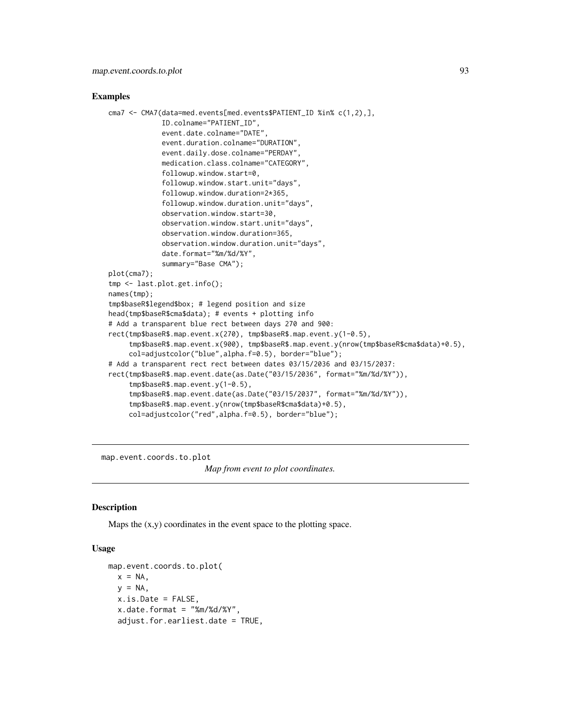#### Examples

```
cma7 <- CMA7(data=med.events[med.events$PATIENT_ID %in% c(1,2),],
             ID.colname="PATIENT_ID",
             event.date.colname="DATE",
             event.duration.colname="DURATION",
             event.daily.dose.colname="PERDAY",
             medication.class.colname="CATEGORY",
             followup.window.start=0,
             followup.window.start.unit="days",
             followup.window.duration=2*365,
             followup.window.duration.unit="days",
             observation.window.start=30,
             observation.window.start.unit="days",
             observation.window.duration=365,
             observation.window.duration.unit="days",
             date.format="%m/%d/%Y",
             summary="Base CMA");
plot(cma7);
tmp <- last.plot.get.info();
names(tmp);
tmp$baseR$legend$box; # legend position and size
head(tmp$baseR$cma$data); # events + plotting info
# Add a transparent blue rect between days 270 and 900:
rect(tmp$baseR$.map.event.x(270), tmp$baseR$.map.event.y(1-0.5),
     tmp$baseR$.map.event.x(900), tmp$baseR$.map.event.y(nrow(tmp$baseR$cma$data)+0.5),
     col=adjustcolor("blue",alpha.f=0.5), border="blue");
# Add a transparent rect rect between dates 03/15/2036 and 03/15/2037:
rect(tmp$baseR$.map.event.date(as.Date("03/15/2036", format="%m/%d/%Y")),
     tmp$baseR$.map.event.y(1-0.5),
     tmp$baseR$.map.event.date(as.Date("03/15/2037", format="%m/%d/%Y")),
     tmp$baseR$.map.event.y(nrow(tmp$baseR$cma$data)+0.5),
     col=adjustcolor("red",alpha.f=0.5), border="blue");
```
map.event.coords.to.plot

*Map from event to plot coordinates.*

## **Description**

Maps the  $(x,y)$  coordinates in the event space to the plotting space.

```
map.event.coords.to.plot(
 x = NA,
 y = NA.
 x.is.Date = FALSE,
  x.date.format = "%m/%d/%Y",
  adjust.for.earliest.date = TRUE,
```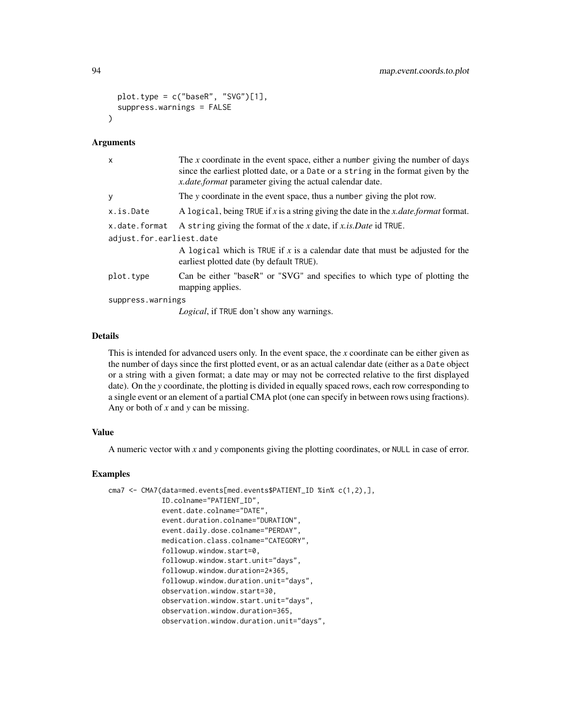```
plot.type = c("baseR", "SVG")[1],
  suppress.warnings = FALSE
\lambda
```
#### Arguments

| X                        | The x coordinate in the event space, either a number giving the number of days<br>since the earliest plotted date, or a Date or a string in the format given by the<br><i>x.date.format</i> parameter giving the actual calendar date. |
|--------------------------|----------------------------------------------------------------------------------------------------------------------------------------------------------------------------------------------------------------------------------------|
| y                        | The y coordinate in the event space, thus a number giving the plot row.                                                                                                                                                                |
| x.is.Date                | A logical, being TRUE if x is a string giving the date in the x date format format.                                                                                                                                                    |
| x.date.format            | A string giving the format of the x date, if x is. Date id TRUE.                                                                                                                                                                       |
| adjust.for.earliest.date |                                                                                                                                                                                                                                        |
|                          | A logical which is TRUE if x is a calendar date that must be adjusted for the<br>earliest plotted date (by default TRUE).                                                                                                              |
| plot.type                | Can be either "baseR" or "SVG" and specifies to which type of plotting the<br>mapping applies.                                                                                                                                         |
| suppress.warnings        |                                                                                                                                                                                                                                        |
|                          |                                                                                                                                                                                                                                        |

*Logical*, if TRUE don't show any warnings.

#### Details

This is intended for advanced users only. In the event space, the *x* coordinate can be either given as the number of days since the first plotted event, or as an actual calendar date (either as a Date object or a string with a given format; a date may or may not be corrected relative to the first displayed date). On the *y* coordinate, the plotting is divided in equally spaced rows, each row corresponding to a single event or an element of a partial CMA plot (one can specify in between rows using fractions). Any or both of *x* and *y* can be missing.

# Value

A numeric vector with *x* and *y* components giving the plotting coordinates, or NULL in case of error.

# Examples

```
cma7 <- CMA7(data=med.events[med.events$PATIENT_ID %in% c(1,2),],
             ID.colname="PATIENT_ID",
             event.date.colname="DATE",
             event.duration.colname="DURATION",
             event.daily.dose.colname="PERDAY",
             medication.class.colname="CATEGORY",
             followup.window.start=0,
             followup.window.start.unit="days",
             followup.window.duration=2*365,
             followup.window.duration.unit="days",
             observation.window.start=30,
             observation.window.start.unit="days",
             observation.window.duration=365,
             observation.window.duration.unit="days",
```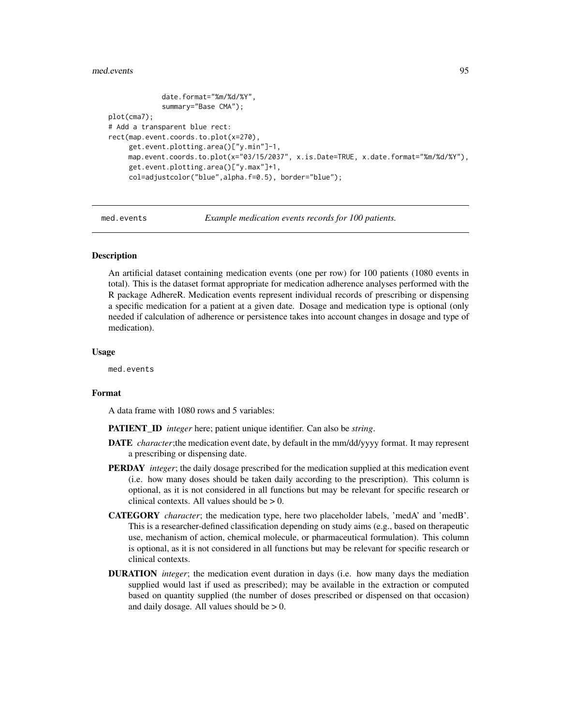#### med.events 95

```
date.format="%m/%d/%Y",
             summary="Base CMA");
plot(cma7);
# Add a transparent blue rect:
rect(map.event.coords.to.plot(x=270),
     get.event.plotting.area()["y.min"]-1,
    map.event.coords.to.plot(x="03/15/2037", x.is.Date=TRUE, x.date.format="%m/%d/%Y"),
     get.event.plotting.area()["y.max"]+1,
     col=adjustcolor("blue",alpha.f=0.5), border="blue");
```
med.events *Example medication events records for 100 patients.*

### Description

An artificial dataset containing medication events (one per row) for 100 patients (1080 events in total). This is the dataset format appropriate for medication adherence analyses performed with the R package AdhereR. Medication events represent individual records of prescribing or dispensing a specific medication for a patient at a given date. Dosage and medication type is optional (only needed if calculation of adherence or persistence takes into account changes in dosage and type of medication).

#### Usage

med.events

# Format

A data frame with 1080 rows and 5 variables:

PATIENT\_ID *integer* here; patient unique identifier. Can also be *string*.

- DATE *character*;the medication event date, by default in the mm/dd/yyyy format. It may represent a prescribing or dispensing date.
- PERDAY *integer*; the daily dosage prescribed for the medication supplied at this medication event (i.e. how many doses should be taken daily according to the prescription). This column is optional, as it is not considered in all functions but may be relevant for specific research or clinical contexts. All values should be  $> 0$ .
- CATEGORY *character*; the medication type, here two placeholder labels, 'medA' and 'medB'. This is a researcher-defined classification depending on study aims (e.g., based on therapeutic use, mechanism of action, chemical molecule, or pharmaceutical formulation). This column is optional, as it is not considered in all functions but may be relevant for specific research or clinical contexts.
- DURATION *integer*; the medication event duration in days (i.e. how many days the mediation supplied would last if used as prescribed); may be available in the extraction or computed based on quantity supplied (the number of doses prescribed or dispensed on that occasion) and daily dosage. All values should be  $> 0$ .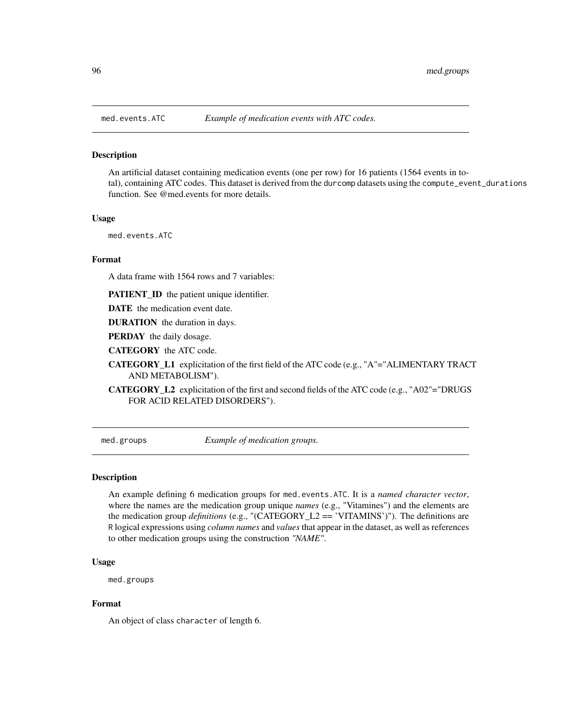#### Description

An artificial dataset containing medication events (one per row) for 16 patients (1564 events in total), containing ATC codes. This dataset is derived from the durcomp datasets using the compute\_event\_durations function. See @med.events for more details.

#### Usage

med.events.ATC

## Format

A data frame with 1564 rows and 7 variables:

PATIENT\_ID the patient unique identifier.

DATE the medication event date.

DURATION the duration in days.

PERDAY the daily dosage.

CATEGORY the ATC code.

CATEGORY\_L1 explicitation of the first field of the ATC code (e.g., "A"="ALIMENTARY TRACT AND METABOLISM").

CATEGORY\_L2 explicitation of the first and second fields of the ATC code (e.g., "A02"="DRUGS FOR ACID RELATED DISORDERS").

med.groups *Example of medication groups.*

#### Description

An example defining 6 medication groups for med.events.ATC. It is a *named character vector*, where the names are the medication group unique *names* (e.g., "Vitamines") and the elements are the medication group *definitions* (e.g., "(CATEGORY\_L2 == 'VITAMINS')"). The definitions are R logical expressions using *column names* and *values* that appear in the dataset, as well as references to other medication groups using the construction *"NAME"*.

### Usage

med.groups

# Format

An object of class character of length 6.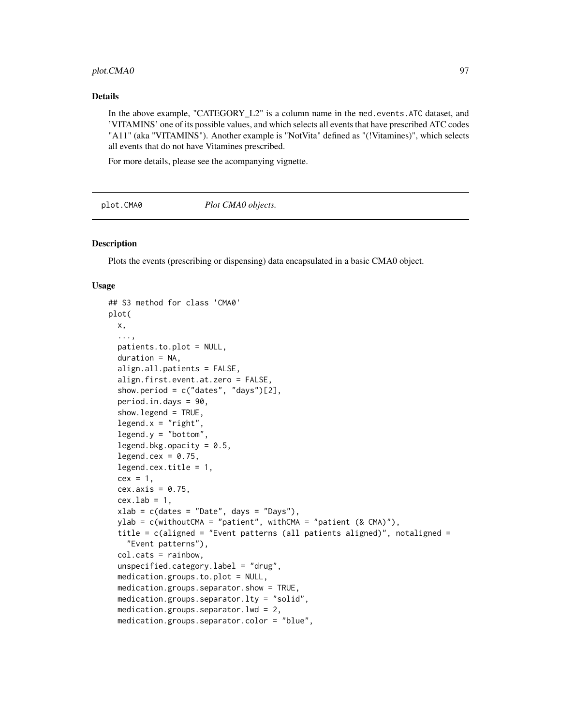# plot.CMA0 97

#### Details

In the above example, "CATEGORY L2" is a column name in the med.events.ATC dataset, and 'VITAMINS' one of its possible values, and which selects all events that have prescribed ATC codes "A11" (aka "VITAMINS"). Another example is "NotVita" defined as "(!Vitamines)", which selects all events that do not have Vitamines prescribed.

For more details, please see the acompanying vignette.

<span id="page-96-0"></span>plot.CMA0 *Plot CMA0 objects.*

#### **Description**

Plots the events (prescribing or dispensing) data encapsulated in a basic CMA0 object.

```
## S3 method for class 'CMA0'
plot(
 x,
  ...,
 patients.to.plot = NULL,
  duration = NA,
  align.all.patients = FALSE,
  align.first.event.at.zero = FALSE,
  show.period = c("dates", "days")[2],period.in.days = 90,
  show.legend = TRUE,
  legend.x = "right",legend.y = "bottom",
  legend.bkg.opacity = 0.5,
  legend.cex = 0.75,
  legend.cex.title = 1,
  cex = 1,
  cex. axis = 0.75,cex.lab = 1,
  xlab = c(datas = "Date", days = "Days"),ylab = c(withoutCMA = "patient", withCMA = "patient (& CMA)"),
  title = c(aligned = "Event patterns (all patients aligned)", notaligned =
    "Event patterns"),
  col.cats = rainbow,
  unspecified.categoryrlabel = "drug",medication.groups.to.plot = NULL,
  medication.groups.separator.show = TRUE,
  medication.groups.separator.lty = "solid",
  medication.groups.separator.lwd = 2,
  medication.groups.separator.color = "blue",
```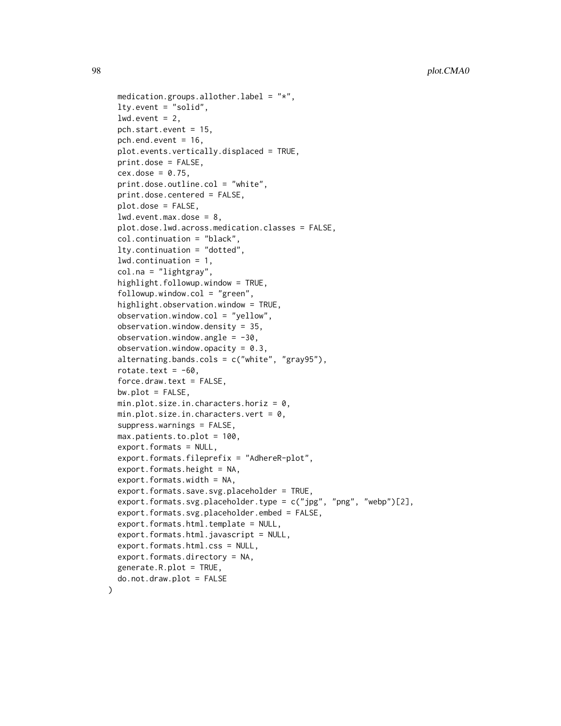```
medication.groups.allother.label = "*,
lty.event = "solid",
lwd.event = 2,
pch.start.event = 15,
pch.end.event = 16,
plot.events.vertically.displaced = TRUE,
print.dose = FALSE,
cex.dose = 0.75,
print.dose.outline.col = "white",
print.dose.centered = FALSE,
plot.dose = FALSE,
lwd.event.max.dose = 8,plot.dose.lwd.across.medication.classes = FALSE,
col.continuation = "black",
lty.continuation = "dotted",
lwd.continuation = 1,
col.na = "lightgray",
highlight.followup.window = TRUE,
followup.window.col = "green",highlight.observation.window = TRUE,
observation.window.col = "yellow",
observation.window.density = 35,
observation.window.angle = -30,
observation.window.opacity = 0.3,
alternating.bands.cols = c("white", "gray95"),
rotate.text = -60,
force.draw.text = FALSE,
bw.plot = FALSE,min.plot.size.in.characters.horiz = 0,
min.plot.size.in.characters.vert = 0,
suppress.warnings = FALSE,
max.patients.to.plot = 100,
export.formats = NULL,
export.formats.fileprefix = "AdhereR-plot",
export.formats.height = NA,
export.formats.width = NA,
export.formats.save.svg.placeholder = TRUE,
export.formats.svg.placeholder.type = c("jpg", "png", "webp")[2],
export.formats.svg.placeholder.embed = FALSE,
export.formats.html.template = NULL,
export.formats.html.javascript = NULL,
export.formats.html.css = NULL,
export.formats.directory = NA,
generate.R.plot = TRUE,
do.not.draw.plot = FALSE
```
)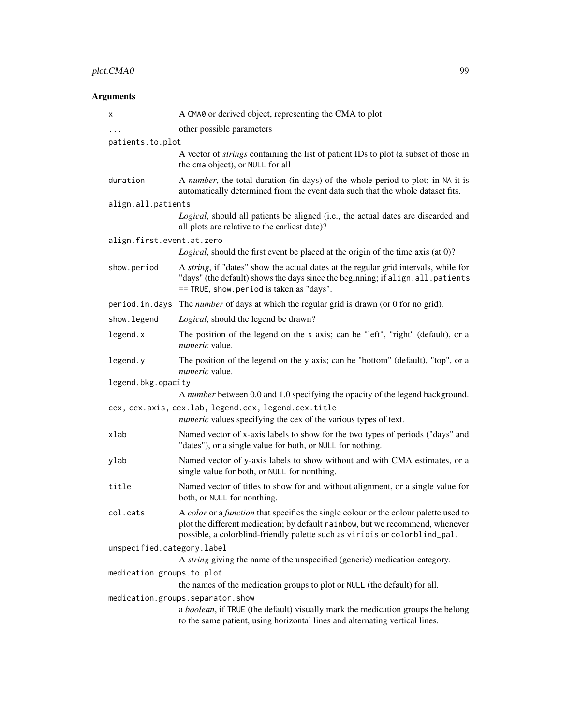# plot.CMA0 99

# Arguments

| x                          | A CMA0 or derived object, representing the CMA to plot                                                                                                                                                                                              |
|----------------------------|-----------------------------------------------------------------------------------------------------------------------------------------------------------------------------------------------------------------------------------------------------|
| $\cdots$                   | other possible parameters                                                                                                                                                                                                                           |
| patients.to.plot           |                                                                                                                                                                                                                                                     |
|                            | A vector of <i>strings</i> containing the list of patient IDs to plot (a subset of those in<br>the cma object), or NULL for all                                                                                                                     |
| duration                   | A number, the total duration (in days) of the whole period to plot; in NA it is<br>automatically determined from the event data such that the whole dataset fits.                                                                                   |
| align.all.patients         |                                                                                                                                                                                                                                                     |
|                            | Logical, should all patients be aligned (i.e., the actual dates are discarded and<br>all plots are relative to the earliest date)?                                                                                                                  |
| align.first.event.at.zero  |                                                                                                                                                                                                                                                     |
|                            | Logical, should the first event be placed at the origin of the time axis (at 0)?                                                                                                                                                                    |
| show.period                | A string, if "dates" show the actual dates at the regular grid intervals, while for<br>"days" (the default) shows the days since the beginning; if align.all.patients<br>== TRUE, show.period is taken as "days".                                   |
|                            | period. in. days The <i>number</i> of days at which the regular grid is drawn (or 0 for no grid).                                                                                                                                                   |
| show. legend               | Logical, should the legend be drawn?                                                                                                                                                                                                                |
| legend.x                   | The position of the legend on the x axis; can be "left", "right" (default), or a<br><i>numeric</i> value.                                                                                                                                           |
| legend.y                   | The position of the legend on the y axis; can be "bottom" (default), "top", or a<br>numeric value.                                                                                                                                                  |
| legend.bkg.opacity         |                                                                                                                                                                                                                                                     |
|                            | A number between 0.0 and 1.0 specifying the opacity of the legend background.                                                                                                                                                                       |
|                            | cex, cex.axis, cex.lab, legend.cex, legend.cex.title                                                                                                                                                                                                |
|                            | <i>numeric</i> values specifying the cex of the various types of text.                                                                                                                                                                              |
| xlab                       | Named vector of x-axis labels to show for the two types of periods ("days" and<br>"dates"), or a single value for both, or NULL for nothing.                                                                                                        |
| ylab                       | Named vector of y-axis labels to show without and with CMA estimates, or a<br>single value for both, or NULL for nonthing.                                                                                                                          |
| title                      | Named vector of titles to show for and without alignment, or a single value for<br>both, or NULL for nonthing.                                                                                                                                      |
| col.cats                   | A color or a function that specifies the single colour or the colour palette used to<br>plot the different medication; by default rainbow, but we recommend, whenever<br>possible, a colorblind-friendly palette such as viridis or colorblind_pal. |
| unspecified.category.label |                                                                                                                                                                                                                                                     |
|                            | A <i>string</i> giving the name of the unspecified (generic) medication category.                                                                                                                                                                   |
| medication.groups.to.plot  |                                                                                                                                                                                                                                                     |
|                            | the names of the medication groups to plot or NULL (the default) for all.                                                                                                                                                                           |
|                            | medication.groups.separator.show<br>a boolean, if TRUE (the default) visually mark the medication groups the belong<br>to the same patient, using horizontal lines and alternating vertical lines.                                                  |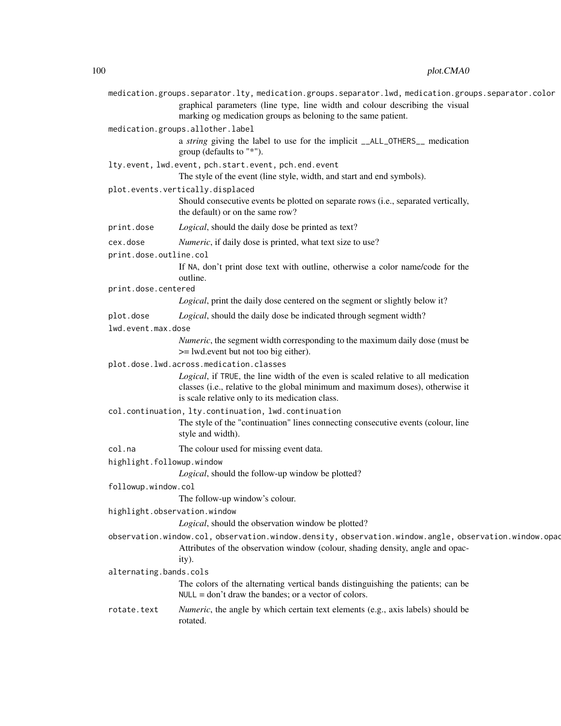|                              | medication.groups.separator.lty, medication.groups.separator.lwd, medication.groups.separator.color                                                                                                                    |
|------------------------------|------------------------------------------------------------------------------------------------------------------------------------------------------------------------------------------------------------------------|
|                              | graphical parameters (line type, line width and colour describing the visual<br>marking og medication groups as beloning to the same patient.                                                                          |
|                              | medication.groups.allother.label                                                                                                                                                                                       |
|                              | a string giving the label to use for the implicit __ALL_OTHERS__ medication<br>group (defaults to "*").                                                                                                                |
|                              | lty.event, lwd.event, pch.start.event, pch.end.event                                                                                                                                                                   |
|                              | The style of the event (line style, width, and start and end symbols).                                                                                                                                                 |
|                              | plot.events.vertically.displaced                                                                                                                                                                                       |
|                              | Should consecutive events be plotted on separate rows (i.e., separated vertically,<br>the default) or on the same row?                                                                                                 |
| print.dose                   | Logical, should the daily dose be printed as text?                                                                                                                                                                     |
| cex.dose                     | <i>Numeric</i> , if daily dose is printed, what text size to use?                                                                                                                                                      |
| print.dose.outline.col       |                                                                                                                                                                                                                        |
|                              | If NA, don't print dose text with outline, otherwise a color name/code for the<br>outline.                                                                                                                             |
| print.dose.centered          |                                                                                                                                                                                                                        |
|                              | Logical, print the daily dose centered on the segment or slightly below it?                                                                                                                                            |
| plot.dose                    | Logical, should the daily dose be indicated through segment width?                                                                                                                                                     |
| lwd.event.max.dose           |                                                                                                                                                                                                                        |
|                              | Numeric, the segment width corresponding to the maximum daily dose (must be<br>>= lwd.event but not too big either).                                                                                                   |
|                              | plot.dose.lwd.across.medication.classes                                                                                                                                                                                |
|                              | Logical, if TRUE, the line width of the even is scaled relative to all medication<br>classes (i.e., relative to the global minimum and maximum doses), otherwise it<br>is scale relative only to its medication class. |
|                              | col.continuation, lty.continuation, lwd.continuation                                                                                                                                                                   |
|                              | The style of the "continuation" lines connecting consecutive events (colour, line<br>style and width).                                                                                                                 |
| col.na                       | The colour used for missing event data.                                                                                                                                                                                |
| highlight.followup.window    |                                                                                                                                                                                                                        |
|                              | Logical, should the follow-up window be plotted?                                                                                                                                                                       |
| followup.window.col          |                                                                                                                                                                                                                        |
|                              | The follow-up window's colour.                                                                                                                                                                                         |
| highlight.observation.window |                                                                                                                                                                                                                        |
|                              | Logical, should the observation window be plotted?                                                                                                                                                                     |
|                              | observation.window.col, observation.window.density, observation.window.angle, observation.window.opac<br>Attributes of the observation window (colour, shading density, angle and opac-<br>ity).                       |
| alternating.bands.cols       |                                                                                                                                                                                                                        |
|                              | The colors of the alternating vertical bands distinguishing the patients; can be<br>$NULL = don't draw the bands; or a vector of colors.$                                                                              |
| rotate.text                  | <i>Numeric</i> , the angle by which certain text elements (e.g., axis labels) should be<br>rotated.                                                                                                                    |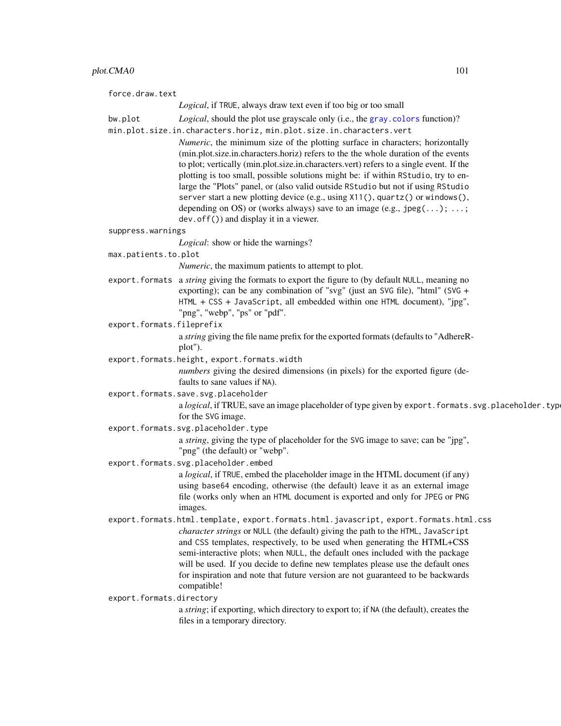# plot.CMA0 101

| force.draw.text                                                                                                                                                                                                                                                                                                                                                                                                                                                                                                                                                                                                       |
|-----------------------------------------------------------------------------------------------------------------------------------------------------------------------------------------------------------------------------------------------------------------------------------------------------------------------------------------------------------------------------------------------------------------------------------------------------------------------------------------------------------------------------------------------------------------------------------------------------------------------|
| Logical, if TRUE, always draw text even if too big or too small                                                                                                                                                                                                                                                                                                                                                                                                                                                                                                                                                       |
| Logical, should the plot use grayscale only (i.e., the gray. colors function)?<br>bw.plot                                                                                                                                                                                                                                                                                                                                                                                                                                                                                                                             |
| min.plot.size.in.characters.horiz, min.plot.size.in.characters.vert                                                                                                                                                                                                                                                                                                                                                                                                                                                                                                                                                   |
| Numeric, the minimum size of the plotting surface in characters; horizontally<br>(min.plot.size.in.characters.horiz) refers to the the whole duration of the events<br>to plot; vertically (min.plot.size.in.characters.vert) refers to a single event. If the<br>plotting is too small, possible solutions might be: if within RStudio, try to en-<br>large the "Plots" panel, or (also valid outside RStudio but not if using RStudio<br>server start a new plotting device (e.g., using X11(), quartz() or windows(),<br>depending on OS) or (works always) save to an image (e.g., $\text{jpeg}(\ldots); \ldots;$ |
| dev. of $f()$ and display it in a viewer.                                                                                                                                                                                                                                                                                                                                                                                                                                                                                                                                                                             |
| suppress.warnings<br>Logical: show or hide the warnings?                                                                                                                                                                                                                                                                                                                                                                                                                                                                                                                                                              |
| max.patients.to.plot                                                                                                                                                                                                                                                                                                                                                                                                                                                                                                                                                                                                  |
| <i>Numeric</i> , the maximum patients to attempt to plot.                                                                                                                                                                                                                                                                                                                                                                                                                                                                                                                                                             |
| export. formats a string giving the formats to export the figure to (by default NULL, meaning no<br>exporting); can be any combination of "svg" (just an SVG file), "html" (SVG +<br>HTML + CSS + JavaScript, all embedded within one HTML document), "jpg",<br>"png", "webp", "ps" or "pdf".                                                                                                                                                                                                                                                                                                                         |
| export.formats.fileprefix                                                                                                                                                                                                                                                                                                                                                                                                                                                                                                                                                                                             |
| a string giving the file name prefix for the exported formats (defaults to "AdhereR-<br>plot").                                                                                                                                                                                                                                                                                                                                                                                                                                                                                                                       |
| export.formats.height, export.formats.width                                                                                                                                                                                                                                                                                                                                                                                                                                                                                                                                                                           |
| numbers giving the desired dimensions (in pixels) for the exported figure (de-<br>faults to sane values if NA).                                                                                                                                                                                                                                                                                                                                                                                                                                                                                                       |
| export.formats.save.svg.placeholder                                                                                                                                                                                                                                                                                                                                                                                                                                                                                                                                                                                   |
| a logical, if TRUE, save an image placeholder of type given by export. formats. svg. placeholder. type<br>for the SVG image.                                                                                                                                                                                                                                                                                                                                                                                                                                                                                          |
| export.formats.svg.placeholder.type                                                                                                                                                                                                                                                                                                                                                                                                                                                                                                                                                                                   |
| a string, giving the type of placeholder for the SVG image to save; can be "jpg",<br>"png" (the default) or "webp".                                                                                                                                                                                                                                                                                                                                                                                                                                                                                                   |
| export.formats.svg.placeholder.embed                                                                                                                                                                                                                                                                                                                                                                                                                                                                                                                                                                                  |
| a <i>logical</i> , if TRUE, embed the placeholder image in the HTML document (if any)<br>using base64 encoding, otherwise (the default) leave it as an external image<br>file (works only when an HTML document is exported and only for JPEG or PNG<br>images.                                                                                                                                                                                                                                                                                                                                                       |
| export.formats.html.template, export.formats.html.javascript, export.formats.html.css                                                                                                                                                                                                                                                                                                                                                                                                                                                                                                                                 |
| character strings or NULL (the default) giving the path to the HTML, JavaScript<br>and CSS templates, respectively, to be used when generating the HTML+CSS<br>semi-interactive plots; when NULL, the default ones included with the package<br>will be used. If you decide to define new templates please use the default ones<br>for inspiration and note that future version are not guaranteed to be backwards<br>compatible!                                                                                                                                                                                     |
| export.formats.directory<br>a string; if exporting, which directory to export to; if NA (the default), creates the<br>files in a temporary directory.                                                                                                                                                                                                                                                                                                                                                                                                                                                                 |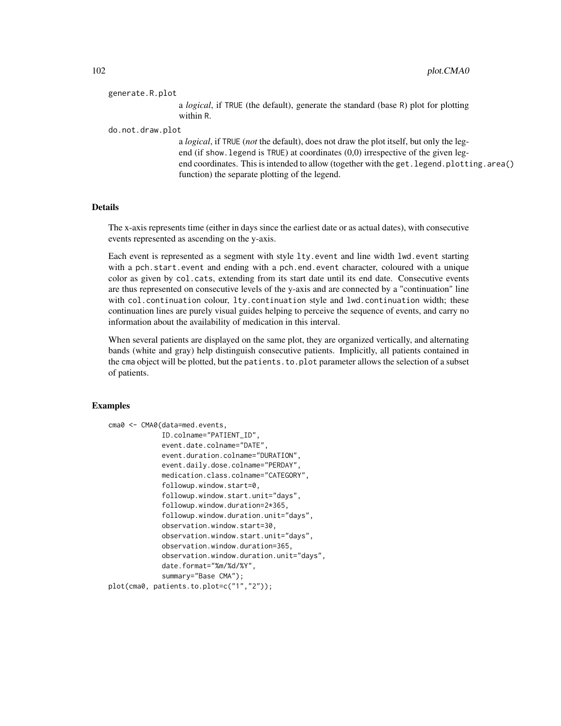#### generate.R.plot

a *logical*, if TRUE (the default), generate the standard (base R) plot for plotting within R.

#### do.not.draw.plot

a *logical*, if TRUE (*not* the default), does not draw the plot itself, but only the legend (if show.legend is TRUE) at coordinates (0,0) irrespective of the given legend coordinates. This is intended to allow (together with the get. legend.plotting.area() function) the separate plotting of the legend.

#### Details

The x-axis represents time (either in days since the earliest date or as actual dates), with consecutive events represented as ascending on the y-axis.

Each event is represented as a segment with style lty.event and line width lwd.event starting with a pch.start.event and ending with a pch.end.event character, coloured with a unique color as given by col.cats, extending from its start date until its end date. Consecutive events are thus represented on consecutive levels of the y-axis and are connected by a "continuation" line with col.continuation colour, lty.continuation style and lwd.continuation width; these continuation lines are purely visual guides helping to perceive the sequence of events, and carry no information about the availability of medication in this interval.

When several patients are displayed on the same plot, they are organized vertically, and alternating bands (white and gray) help distinguish consecutive patients. Implicitly, all patients contained in the cma object will be plotted, but the patients.to.plot parameter allows the selection of a subset of patients.

## Examples

```
cma0 <- CMA0(data=med.events,
             ID.colname="PATIENT_ID",
             event.date.colname="DATE",
             event.duration.colname="DURATION",
             event.daily.dose.colname="PERDAY",
             medication.class.colname="CATEGORY",
             followup.window.start=0,
             followup.window.start.unit="days",
             followup.window.duration=2*365,
             followup.window.duration.unit="days",
             observation.window.start=30,
             observation.window.start.unit="days",
             observation.window.duration=365,
             observation.window.duration.unit="days",
             date.format="%m/%d/%Y",
             summary="Base CMA");
plot(cma0, patients.to.plot=c("1","2"));
```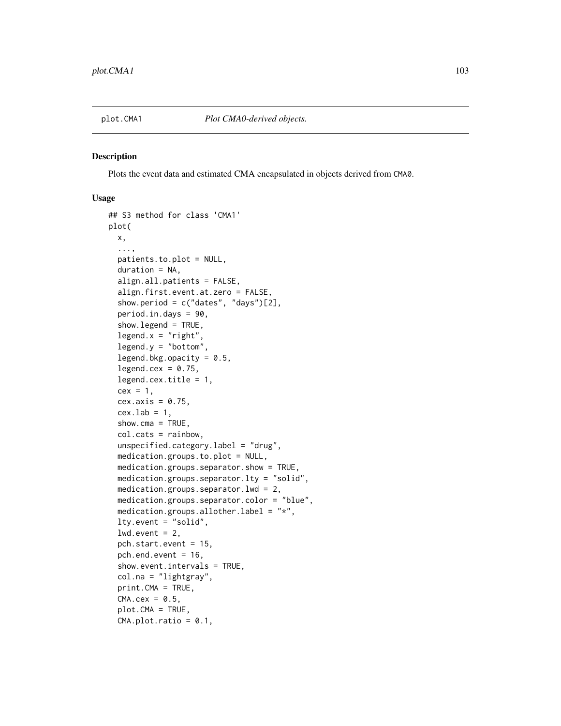#### **Description**

Plots the event data and estimated CMA encapsulated in objects derived from CMA0.

```
## S3 method for class 'CMA1'
plot(
 x,
  ...,
 patients.to.plot = NULL,
  duration = NA,
  align.all.patients = FALSE,
  align.first.event.at.zero = FALSE,
  show.period = c("dates", "days")[2],period.in.days = 90,
  show.legend = TRUE,
  legend.x = "right",legend.y = "bottom",
  legend.bkg.opacity = 0.5,
  legend.cex = 0.75,
  legend.cex.title = 1,
  cex = 1,
  cex. axis = 0.75.
  cex.1ab = 1,
  show.cma = TRUE,
  col.cats = rainbow,
  unspecified.category.label = "drug",
  medication.groups.to.plot = NULL,
 medication.groups.separator.show = TRUE,
 medication.groups.separator.lty = "solid",
 medication.groups.separator.lwd = 2,
 medication.groups.separator.color = "blue",
 medication.groups.allother.label = "*",
  lty.event = "solid",
  lwd.event = 2,
  pch.start.event = 15,
  pch.end.event = 16,
  show.event.intervals = TRUE,
  col.na = "lightgray",
  print.CMA = TRUE,
  CMA.cex = 0.5,
  plot.CMA = TRUE,
  CMA.plot.ratio = 0.1,
```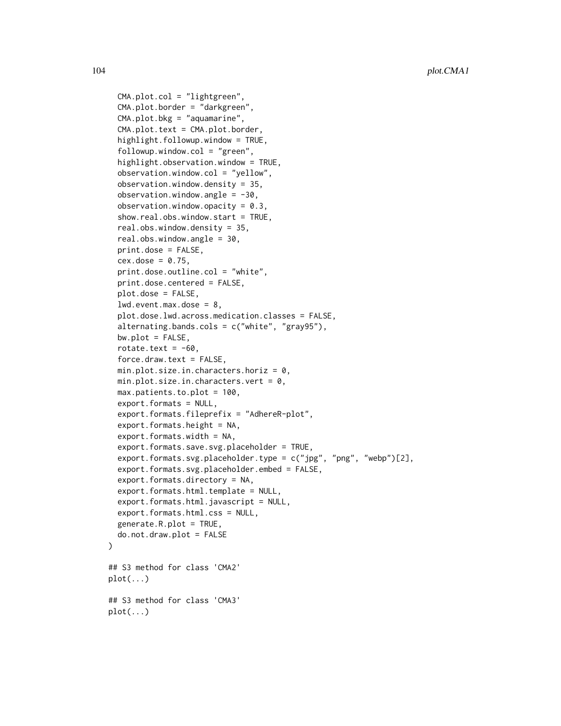```
CMA.plot.col = "lightgreen",
  CMA.plot.border = "darkgreen",
  CMA.plot.bkg = "aquantine",CMA.plot.text = CMA.plot.border,
  highlight.followup.window = TRUE,
  followup.window.col = "green",
  highlight.observation.window = TRUE,
  observation.window.col = "yellow",
  observation.window.density = 35,
  observation.window.angle = -30,
  observation.window.opacity = 0.3,
  show.real.obs.window.start = TRUE,
  real.obs.window.density = 35,
  real.obs.window.angle = 30,
  print.dose = FALSE,
  cex.dose = 0.75,
  print.dose.outline.col = "white",
  print.dose.centered = FALSE,
  plot.dose = FALSE,
  lwd.event.max.dose = 8,
  plot.dose.lwd.across.medication.classes = FALSE,
  alternating.bands.cols = c("white", "gray95"),
  bw.plot = FALSE,rotate.text = -60,
  force.draw.text = FALSE,
  min.plot.size.in.charactors.horiz = 0,min.plot.size.in.characters.vert = 0,
  max.patients.to.plot = 100,
  export.formats = NULL,
  export.formats.fileprefix = "AdhereR-plot",
  export.formats.height = NA,
  export.formats.width = NA,
  export.formats.save.svg.placeholder = TRUE,
  export.formats.svg.placeholder.type = c("jpg", "png", "webp")[2],
  export.formats.svg.placeholder.embed = FALSE,
  export.formats.directory = NA,
  export.formats.html.template = NULL,
  export.formats.html.javascript = NULL,
  export.formats.html.css = NULL,
  generate.R.plot = TRUE,
  do.not.draw.plot = FALSE
\lambda## S3 method for class 'CMA2'
plot(...)
## S3 method for class 'CMA3'
plot(\ldots)
```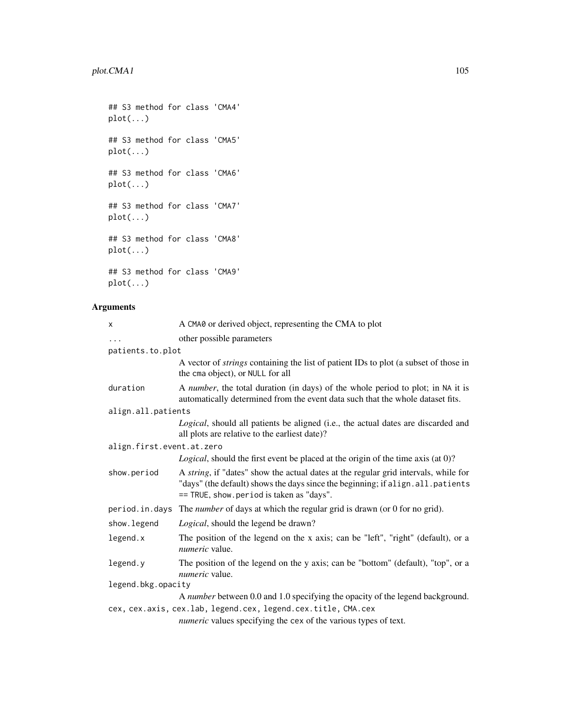## S3 method for class 'CMA4' plot(...) ## S3 method for class 'CMA5' plot(...) ## S3 method for class 'CMA6' plot(...) ## S3 method for class 'CMA7' plot(...) ## S3 method for class 'CMA8' plot(...) ## S3 method for class 'CMA9' plot(...)

# Arguments

| X                         | A CMA0 or derived object, representing the CMA to plot                                                                                                                                                              |
|---------------------------|---------------------------------------------------------------------------------------------------------------------------------------------------------------------------------------------------------------------|
| .                         | other possible parameters                                                                                                                                                                                           |
| patients.to.plot          |                                                                                                                                                                                                                     |
|                           | A vector of <i>strings</i> containing the list of patient IDs to plot (a subset of those in<br>the cma object), or NULL for all                                                                                     |
| duration                  | A number, the total duration (in days) of the whole period to plot; in NA it is<br>automatically determined from the event data such that the whole dataset fits.                                                   |
| align.all.patients        |                                                                                                                                                                                                                     |
|                           | Logical, should all patients be aligned (i.e., the actual dates are discarded and<br>all plots are relative to the earliest date)?                                                                                  |
| align.first.event.at.zero |                                                                                                                                                                                                                     |
|                           | <i>Logical</i> , should the first event be placed at the origin of the time axis (at 0)?                                                                                                                            |
| show.period               | A string, if "dates" show the actual dates at the regular grid intervals, while for<br>"days" (the default) shows the days since the beginning; if align. all. patients<br>== TRUE, show.period is taken as "days". |
|                           | period. in. days The <i>number</i> of days at which the regular grid is drawn (or 0 for no grid).                                                                                                                   |
| show. legend              | Logical, should the legend be drawn?                                                                                                                                                                                |
| legend.x                  | The position of the legend on the x axis; can be "left", "right" (default), or a<br><i>numeric</i> value.                                                                                                           |
| legend.y                  | The position of the legend on the y axis; can be "bottom" (default), "top", or a<br><i>numeric</i> value.                                                                                                           |
| legend.bkg.opacity        |                                                                                                                                                                                                                     |
|                           | A number between 0.0 and 1.0 specifying the opacity of the legend background.                                                                                                                                       |
|                           | cex, cex.axis, cex.lab, legend.cex, legend.cex.title, CMA.cex                                                                                                                                                       |
|                           | <i>numeric</i> values specifying the cex of the various types of text.                                                                                                                                              |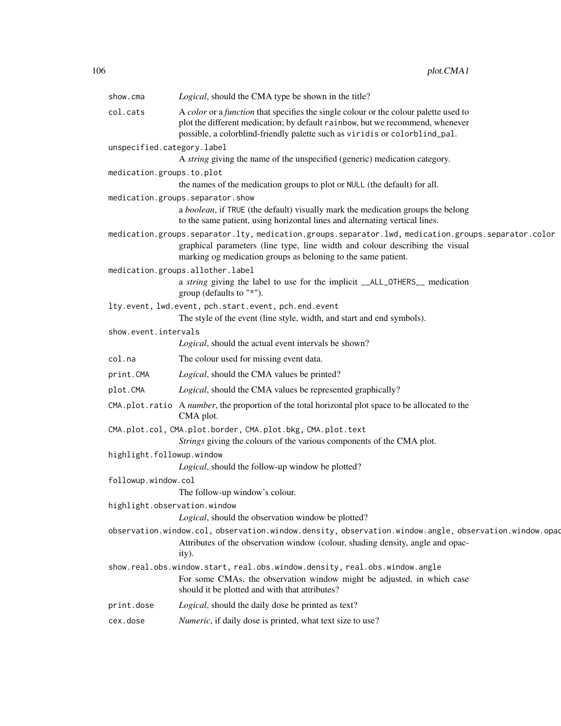| Logical, should the CMA type be shown in the title?                                                                                                                                                                                                  |
|------------------------------------------------------------------------------------------------------------------------------------------------------------------------------------------------------------------------------------------------------|
|                                                                                                                                                                                                                                                      |
| A color or a function that specifies the single colour or the colour palette used to<br>plot the different medication; by default rainbow, but we recommend, whenever<br>possible, a colorblind-friendly palette such as viridis or colorblind_pal.  |
| unspecified.category.label                                                                                                                                                                                                                           |
| A string giving the name of the unspecified (generic) medication category.                                                                                                                                                                           |
| medication.groups.to.plot                                                                                                                                                                                                                            |
| the names of the medication groups to plot or NULL (the default) for all.                                                                                                                                                                            |
| medication.groups.separator.show                                                                                                                                                                                                                     |
| a boolean, if TRUE (the default) visually mark the medication groups the belong<br>to the same patient, using horizontal lines and alternating vertical lines.                                                                                       |
| medication.groups.separator.lty, medication.groups.separator.lwd, medication.groups.separator.color<br>graphical parameters (line type, line width and colour describing the visual<br>marking og medication groups as beloning to the same patient. |
| medication.groups.allother.label                                                                                                                                                                                                                     |
| a string giving the label to use for the implicit __ALL_OTHERS__ medication<br>group (defaults to "*").                                                                                                                                              |
| lty.event, lwd.event, pch.start.event, pch.end.event<br>The style of the event (line style, width, and start and end symbols).                                                                                                                       |
| show.event.intervals                                                                                                                                                                                                                                 |
| Logical, should the actual event intervals be shown?                                                                                                                                                                                                 |
| The colour used for missing event data.                                                                                                                                                                                                              |
| Logical, should the CMA values be printed?                                                                                                                                                                                                           |
| Logical, should the CMA values be represented graphically?                                                                                                                                                                                           |
| CMA. plot. ratio A number, the proportion of the total horizontal plot space to be allocated to the<br>CMA plot.                                                                                                                                     |
| CMA.plot.col, CMA.plot.border, CMA.plot.bkg, CMA.plot.text<br>Strings giving the colours of the various components of the CMA plot.                                                                                                                  |
| highlight.followup.window                                                                                                                                                                                                                            |
| Logical, should the follow-up window be plotted?                                                                                                                                                                                                     |
| followup.window.col<br>The follow-up window's colour.                                                                                                                                                                                                |
| highlight.observation.window<br>Logical, should the observation window be plotted?                                                                                                                                                                   |
| observation.window.col, observation.window.density, observation.window.angle, observation.window.opac<br>Attributes of the observation window (colour, shading density, angle and opac-<br>ity).                                                     |
| show.real.obs.window.start, real.obs.window.density, real.obs.window.angle<br>For some CMAs, the observation window might be adjusted, in which case<br>should it be plotted and with that attributes?                                               |
| Logical, should the daily dose be printed as text?                                                                                                                                                                                                   |
| Numeric, if daily dose is printed, what text size to use?                                                                                                                                                                                            |
|                                                                                                                                                                                                                                                      |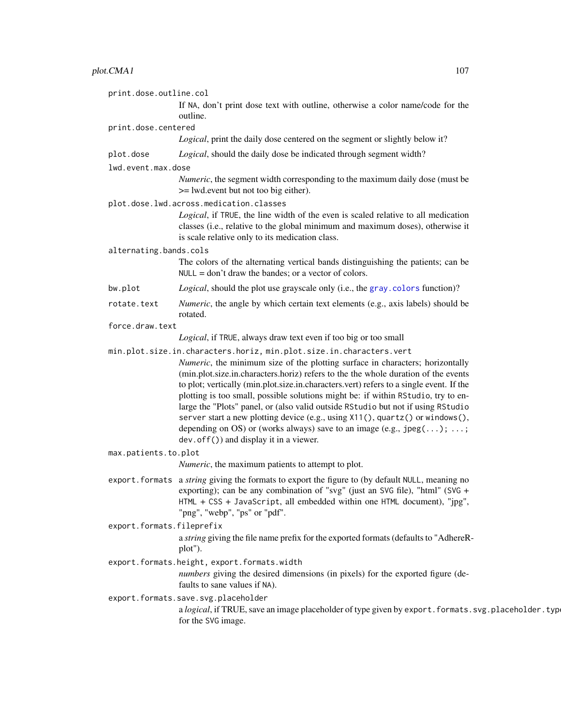# plot.CMA1 107

| print.dose.outline.col    |                                                                                                                                                                                                                                                                                                                                                                                                                                                                                                                                                                                                                                                 |
|---------------------------|-------------------------------------------------------------------------------------------------------------------------------------------------------------------------------------------------------------------------------------------------------------------------------------------------------------------------------------------------------------------------------------------------------------------------------------------------------------------------------------------------------------------------------------------------------------------------------------------------------------------------------------------------|
|                           | If NA, don't print dose text with outline, otherwise a color name/code for the<br>outline.                                                                                                                                                                                                                                                                                                                                                                                                                                                                                                                                                      |
| print.dose.centered       |                                                                                                                                                                                                                                                                                                                                                                                                                                                                                                                                                                                                                                                 |
|                           | Logical, print the daily dose centered on the segment or slightly below it?                                                                                                                                                                                                                                                                                                                                                                                                                                                                                                                                                                     |
| plot.dose                 | Logical, should the daily dose be indicated through segment width?                                                                                                                                                                                                                                                                                                                                                                                                                                                                                                                                                                              |
| lwd.event.max.dose        |                                                                                                                                                                                                                                                                                                                                                                                                                                                                                                                                                                                                                                                 |
|                           | <i>Numeric</i> , the segment width corresponding to the maximum daily dose (must be<br>>= lwd.event but not too big either).                                                                                                                                                                                                                                                                                                                                                                                                                                                                                                                    |
|                           | plot.dose.lwd.across.medication.classes                                                                                                                                                                                                                                                                                                                                                                                                                                                                                                                                                                                                         |
|                           | Logical, if TRUE, the line width of the even is scaled relative to all medication<br>classes (i.e., relative to the global minimum and maximum doses), otherwise it<br>is scale relative only to its medication class.                                                                                                                                                                                                                                                                                                                                                                                                                          |
| alternating.bands.cols    |                                                                                                                                                                                                                                                                                                                                                                                                                                                                                                                                                                                                                                                 |
|                           | The colors of the alternating vertical bands distinguishing the patients; can be<br>$NULL = don't draw the bands; or a vector of colors.$                                                                                                                                                                                                                                                                                                                                                                                                                                                                                                       |
| bw.plot                   | Logical, should the plot use grayscale only (i.e., the gray. colors function)?                                                                                                                                                                                                                                                                                                                                                                                                                                                                                                                                                                  |
| rotate.text               | <i>Numeric</i> , the angle by which certain text elements (e.g., axis labels) should be<br>rotated.                                                                                                                                                                                                                                                                                                                                                                                                                                                                                                                                             |
| force.draw.text           |                                                                                                                                                                                                                                                                                                                                                                                                                                                                                                                                                                                                                                                 |
|                           | Logical, if TRUE, always draw text even if too big or too small                                                                                                                                                                                                                                                                                                                                                                                                                                                                                                                                                                                 |
|                           | min.plot.size.in.characters.horiz, min.plot.size.in.characters.vert                                                                                                                                                                                                                                                                                                                                                                                                                                                                                                                                                                             |
|                           | Numeric, the minimum size of the plotting surface in characters; horizontally<br>(min.plot.size.in.characters.horiz) refers to the the whole duration of the events<br>to plot; vertically (min.plot.size.in.characters.vert) refers to a single event. If the<br>plotting is too small, possible solutions might be: if within RStudio, try to en-<br>large the "Plots" panel, or (also valid outside RStudio but not if using RStudio<br>server start a new plotting device (e.g., using X11(), quartz() or windows(),<br>depending on OS) or (works always) save to an image (e.g., $jpeg(); ;$<br>dev. of $f()$ and display it in a viewer. |
| max.patients.to.plot      |                                                                                                                                                                                                                                                                                                                                                                                                                                                                                                                                                                                                                                                 |
|                           | <i>Numeric</i> , the maximum patients to attempt to plot.                                                                                                                                                                                                                                                                                                                                                                                                                                                                                                                                                                                       |
|                           | export. formats a string giving the formats to export the figure to (by default NULL, meaning no<br>exporting); can be any combination of "svg" (just an SVG file), "html" (SVG +<br>HTML + CSS + JavaScript, all embedded within one HTML document), "jpg",<br>"png", "webp", "ps" or "pdf".                                                                                                                                                                                                                                                                                                                                                   |
| export.formats.fileprefix |                                                                                                                                                                                                                                                                                                                                                                                                                                                                                                                                                                                                                                                 |
|                           | a string giving the file name prefix for the exported formats (defaults to "AdhereR-<br>plot").                                                                                                                                                                                                                                                                                                                                                                                                                                                                                                                                                 |
|                           | export.formats.height, export.formats.width                                                                                                                                                                                                                                                                                                                                                                                                                                                                                                                                                                                                     |
|                           | numbers giving the desired dimensions (in pixels) for the exported figure (de-<br>faults to sane values if NA).                                                                                                                                                                                                                                                                                                                                                                                                                                                                                                                                 |
|                           | export.formats.save.svg.placeholder                                                                                                                                                                                                                                                                                                                                                                                                                                                                                                                                                                                                             |
|                           | a logical, if TRUE, save an image placeholder of type given by export. formats. svg.placeholder. type<br>for the SVG image.                                                                                                                                                                                                                                                                                                                                                                                                                                                                                                                     |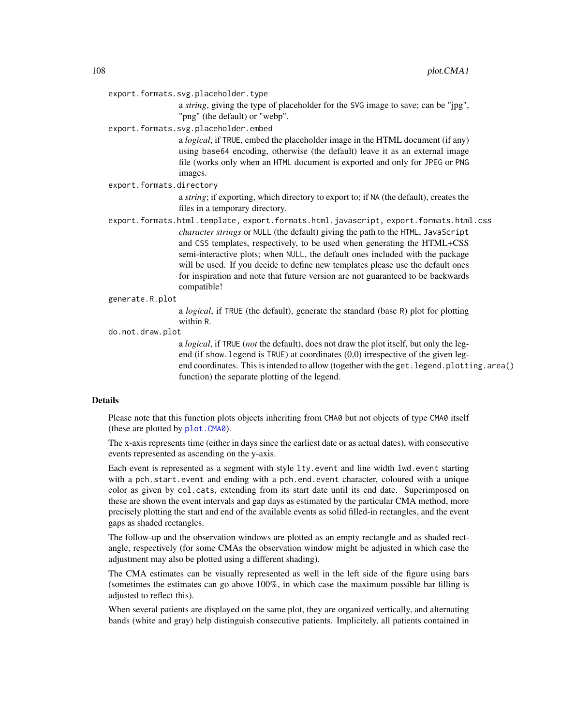export.formats.svg.placeholder.type

a *string*, giving the type of placeholder for the SVG image to save; can be "jpg", "png" (the default) or "webp".

export.formats.svg.placeholder.embed

a *logical*, if TRUE, embed the placeholder image in the HTML document (if any) using base64 encoding, otherwise (the default) leave it as an external image file (works only when an HTML document is exported and only for JPEG or PNG images.

export.formats.directory

a *string*; if exporting, which directory to export to; if NA (the default), creates the files in a temporary directory.

- export.formats.html.template, export.formats.html.javascript, export.formats.html.css *character strings* or NULL (the default) giving the path to the HTML, JavaScript and CSS templates, respectively, to be used when generating the HTML+CSS semi-interactive plots; when NULL, the default ones included with the package will be used. If you decide to define new templates please use the default ones for inspiration and note that future version are not guaranteed to be backwards compatible!
- generate.R.plot

a *logical*, if TRUE (the default), generate the standard (base R) plot for plotting within R.

do.not.draw.plot

a *logical*, if TRUE (*not* the default), does not draw the plot itself, but only the legend (if show.legend is TRUE) at coordinates (0,0) irrespective of the given legend coordinates. This is intended to allow (together with the get. legend.plotting.area() function) the separate plotting of the legend.

#### Details

Please note that this function plots objects inheriting from CMA0 but not objects of type CMA0 itself (these are plotted by [plot.CMA0](#page-96-0)).

The x-axis represents time (either in days since the earliest date or as actual dates), with consecutive events represented as ascending on the y-axis.

Each event is represented as a segment with style lty.event and line width lwd.event starting with a pch.start.event and ending with a pch.end.event character, coloured with a unique color as given by col.cats, extending from its start date until its end date. Superimposed on these are shown the event intervals and gap days as estimated by the particular CMA method, more precisely plotting the start and end of the available events as solid filled-in rectangles, and the event gaps as shaded rectangles.

The follow-up and the observation windows are plotted as an empty rectangle and as shaded rectangle, respectively (for some CMAs the observation window might be adjusted in which case the adjustment may also be plotted using a different shading).

The CMA estimates can be visually represented as well in the left side of the figure using bars (sometimes the estimates can go above 100%, in which case the maximum possible bar filling is adjusted to reflect this).

When several patients are displayed on the same plot, they are organized vertically, and alternating bands (white and gray) help distinguish consecutive patients. Implicitely, all patients contained in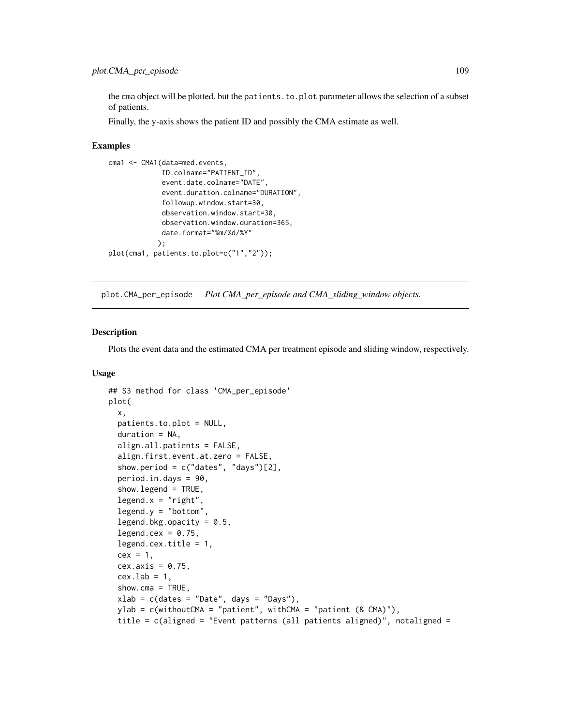<span id="page-108-0"></span>the cma object will be plotted, but the patients.to.plot parameter allows the selection of a subset of patients.

Finally, the y-axis shows the patient ID and possibly the CMA estimate as well.

## Examples

```
cma1 <- CMA1(data=med.events,
             ID.colname="PATIENT_ID",
             event.date.colname="DATE",
             event.duration.colname="DURATION",
             followup.window.start=30,
             observation.window.start=30,
             observation.window.duration=365,
             date.format="%m/%d/%Y"
            );
plot(cma1, patients.to.plot=c("1","2"));
```
plot.CMA\_per\_episode *Plot CMA\_per\_episode and CMA\_sliding\_window objects.*

## Description

Plots the event data and the estimated CMA per treatment episode and sliding window, respectively.

```
## S3 method for class 'CMA_per_episode'
plot(
 x,
 patients.to.plot = NULL,
 duration = NA,
  align.all.patients = FALSE,
  align.first.event.at.zero = FALSE,
  show.period = c("dates", "days")[2],period.in.days = 90,
  show.legend = TRUE,
  legend.x = "right",legend.y = "bottom",
  legend.bkg.opacity = 0.5,
  legend.cex = 0.75,
  legend.cex.title = 1,
  cex = 1,
  cex. axis = 0.75,
  cex.lab = 1,
  show.cma = TRUE,
  xlab = c(datas = "Date", days = "Days"),ylab = c(withoutCMA = "patient", withCMA = "patient (& CMA)"),
  title = c(aligned = "Event patterns (all patients aligned)", notaligned =
```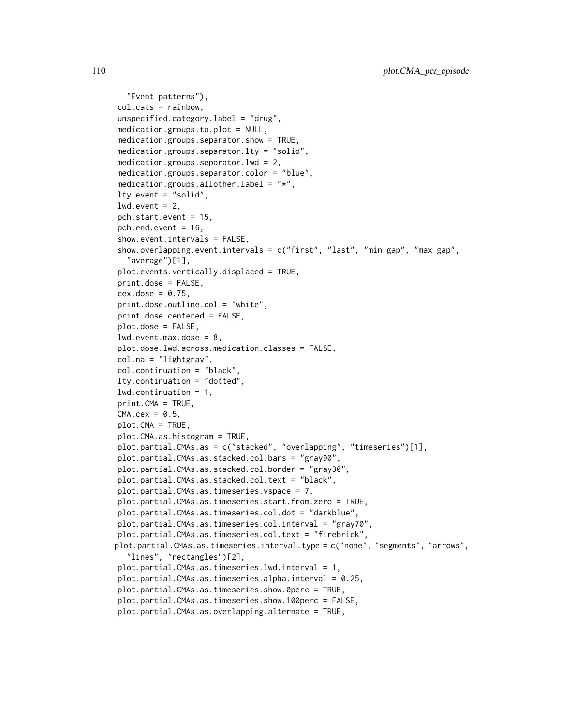```
"Event patterns"),
col.cats = rainbow,
unspecified.category.label = "drug",
medication.groups.to.plot = NULL,
medication.groups.separator.show = TRUE,
medication.groups.separator.lty = "solid",
medication.groups.separator.lwd = 2,
medication.groups.separator.color = "blue",
medication.groups.allother.label = "*,
lty.event = "solid",
lwd.event = 2,
pch.start.event = 15,
pch.end.event = 16,
show.event.intervals = FALSE,
show.overlapping.event.intervals = c("first", "last", "min gap", "max gap",
  "average")[1],
plot.events.vertically.displaced = TRUE,
print.dose = FALSE,
cex.dose = 0.75,
print.dose.outline.col = "white",
print.dose.centered = FALSE,
plot.dose = FALSE,
lwd.event.max.dose = 8,plot.dose.lwd.across.medication.classes = FALSE,
col.na = "lightgray",
col.continuation = "black",
lty.continuation = "dotted",
lwd.continuation = 1,
print.CMA = TRUE,
CMA.cex = 0.5,
plot.CMA = TRUE,plot.CMA.as.histogram = TRUE,
plot.partial.CMAs.as = c("stacked", "overlapping", "timeseries")[1],
plot.partial.CMAs.as.stacked.col.bars = "gray90",
plot.partial.CMAs.as.stacked.col.border = "gray30",
plot.partial.CMAs.as.stacked.col.text = "black",
plot.partial.CMAs.as.timeseries.vspace = 7,
plot.partial.CMAs.as.timeseries.start.from.zero = TRUE,
plot.partial.CMAs.as.timeseries.col.dot = "darkblue",
plot.partial.CMAs.as.timeseries.col.interval = "gray70",
plot.partial.CMAs.as.timeseries.col.text = "firebrick",
plot.partial.CMAs.as.timeseries.interval.type = c("none", "segments", "arrows",
  "lines", "rectangles")[2],
plot.partial.CMAs.as.timeseries.lwd.interval = 1,
plot.partial.CMAs.as.timeseries.alpha.interval = 0.25,
plot.partial.CMAs.as.timeseries.show.0perc = TRUE,
plot.partial.CMAs.as.timeseries.show.100perc = FALSE,
plot.partial.CMAs.as.overlapping.alternate = TRUE,
```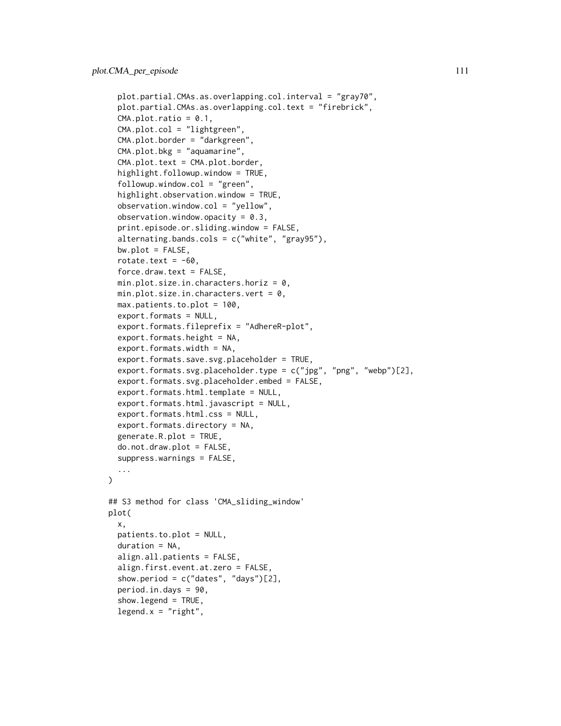```
plot.partial.CMAs.as.overlapping.col.interval = "gray70",
  plot.partial.CMAs.as.overlapping.col.text = "firebrick",
  CMA.plot.ratio = <math>0.1</math>,CMA.plot.col = "lightgreen",
  CMA.plot.border = "darkgreen",
  CMA.plot.bkg = "aquamarine",
  CMA.plot.text = CMA.plot.border,
  highlight.followup.window = TRUE,
  followup. window. col = "green",highlight.observation.window = TRUE,
  observation.window.col = "yellow",
  observation.window.opacity = 0.3,
  print.episode.or.sliding.window = FALSE,
  alternating.bands.cols = c("white", "gray95"),
  bw.plot = FALSE,rotate.text = -60,
  force.draw.text = FALSE,
  min.plot.size.in.characters.horiz = 0,
 min.plot.size.in.characters.vert = 0,
  max.patients.to.plot = 100,
  export.formats = NULL,
  export.formats.fileprefix = "AdhereR-plot",
  export.formats.height = NA,
  export.formats.width = NA,
  export.formats.save.svg.placeholder = TRUE,
  export.formats.svg.placeholder.type = c("jpg", "png", "webp")[2],
  export.formats.svg.placeholder.embed = FALSE,
  export.formats.html.template = NULL,
  export.formats.html.javascript = NULL,
  export.formats.html.css = NULL,
  export.formats.directory = NA,
  generate.R.plot = TRUE,
  do.not.draw.plot = FALSE,
  suppress.warnings = FALSE,
  ...
\lambda## S3 method for class 'CMA_sliding_window'
plot(
  x,
 patients.to.plot = NULL,
  duration = NA,
  align.all.patients = FALSE,
  align.first.event.at.zero = FALSE,
  show.period = c("dates", "days")[2],
  period.in.days = 90,
  show.legend = TRUE,
  legent.x = "right",
```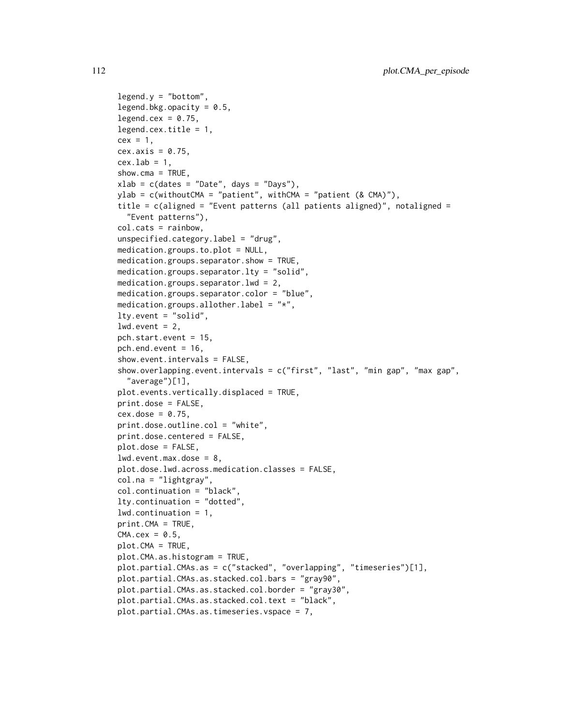```
legend.y = "bottom",legend.bkg.opacity = 0.5,
legend.cex = 0.75,
legend.cex.title = 1,
cex = 1,
cex. axis = 0.75,cex.1ab = 1,
show.cma = TRUE,
xlab = c(datas = "Date", days = "Days"),ylab = c(withoutCMA = "patient", withCMA = "patient (& CMA)"),
title = c(aligned = "Event patterns (all patients aligned)", notaligned =
  "Event patterns"),
col.cats = rainbow,
unspecified.category.label = "drug",
medication.groups.to.plot = NULL,
medication.groups.separator.show = TRUE,
medication.groups.separator.lty = "solid",
medication.groups.separator.lwd = 2,
medication.groups.separator.color = "blue",
medication.groups.allother.label = "*,
lty.event = "solid",
lwd.event = 2,
pch.start.event = 15,
pch.end.event = 16,
show.event.intervals = FALSE,
show.overlapping.event.intervals = c("first", "last", "min gap", "max gap",
  "average")[1],
plot.events.vertically.displaced = TRUE,
print.dose = FALSE,
cex.dose = 0.75,
print.dose.outline.col = "white",
print.dose.centered = FALSE,
plot.dose = FALSE,
lwd.event.max.dose = 8,plot.dose.lwd.across.medication.classes = FALSE,
col.na = "lightgray",
col.continuation = "black",
lty.continuation = "dotted",
lwd.continuation = 1,
print.CMA = TRUE,
CMA.cex = 0.5,
plot.CMA = TRUE,
plot.CMA.as.histogram = TRUE,
plot.partial.CMAs.as = c("stacked", "overlapping", "timeseries")[1],
plot.partial.CMAs.as.stacked.col.bars = "gray90",
plot.partial.CMAs.as.stacked.col.border = "gray30",
plot.partial.CMAs.as.stacked.col.text = "black",
plot.partial.CMAs.as.timeseries.vspace = 7,
```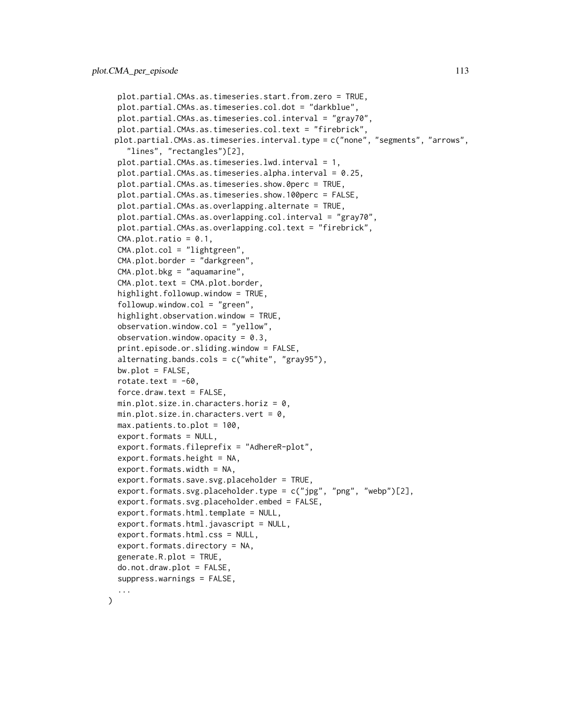```
plot.partial.CMAs.as.timeseries.start.from.zero = TRUE,
plot.partial.CMAs.as.timeseries.col.dot = "darkblue",
plot.partial.CMAs.as.timeseries.col.interval = "gray70",
plot.partial.CMAs.as.timeseries.col.text = "firebrick",
plot.partial.CMAs.as.timeseries.interval.type = c("none", "segments", "arrows",
  "lines", "rectangles")[2],
plot.partial.CMAs.as.timeseries.lwd.interval = 1,
plot.partial.CMAs.as.timeseries.alpha.interval = 0.25,
plot.partial.CMAs.as.timeseries.show.0perc = TRUE,
plot.partial.CMAs.as.timeseries.show.100perc = FALSE,
plot.partial.CMAs.as.overlapping.alternate = TRUE,
plot.partial.CMAs.as.overlapping.col.interval = "gray70",
plot.partial.CMAs.as.overlapping.col.text = "firebrick",
CMA.plot.ratio = 0.1,
CMA.plot.col = "lightgreen",
CMA.plot.border = "darkgreen",
CMA.plot.bkg = "aquamarine",
CMA.plot.text = CMA.plot.border,highlight.followup.window = TRUE,
followup.window.col = "green",highlight.observation.window = TRUE,
observation.window.col = "yellow",
observation.window.opacity = 0.3,
print.episode.or.sliding.window = FALSE,
alternating.bands.cols = c("white", "gray95"),
bw.plot = FALSE,rotate.text = -60,
force.draw.text = FALSE,
min.plot.size.in.characters.horiz = 0,
min.plot.size.in.characters.vert = 0,
max.patients.to.plot = 100,
export.formats = NULL,
export.formats.fileprefix = "AdhereR-plot",
export.formats.height = NA,
export.formats.width = NA,
export.formats.save.svg.placeholder = TRUE,
export.formats.svg.placeholder.type = c("ipg", "nng", "webp")[2],export.formats.svg.placeholder.embed = FALSE,
export.formats.html.template = NULL,
export.formats.html.javascript = NULL,
export.formats.html.css = NULL,
export.formats.directory = NA,
generate.R.plot = TRUE,
do.not.draw.plot = FALSE,
suppress.warnings = FALSE,
...
```
)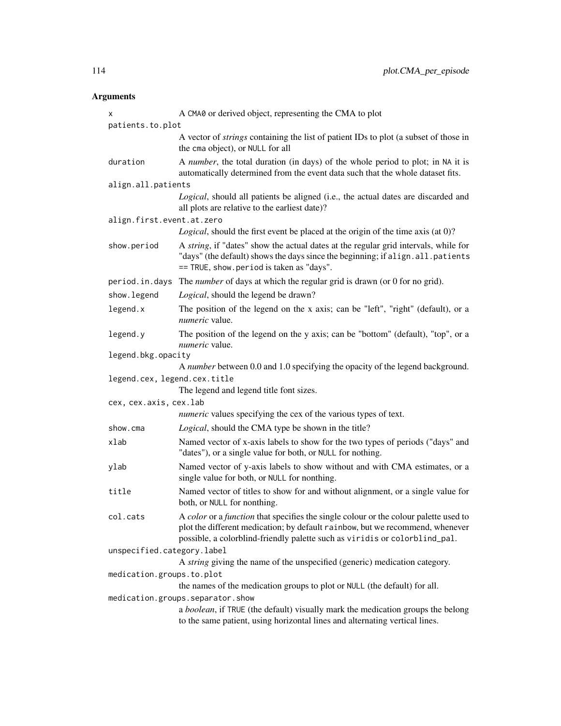| x                            | A CMA0 or derived object, representing the CMA to plot                                                                                                                                                                                                            |
|------------------------------|-------------------------------------------------------------------------------------------------------------------------------------------------------------------------------------------------------------------------------------------------------------------|
| patients.to.plot             |                                                                                                                                                                                                                                                                   |
|                              | A vector of <i>strings</i> containing the list of patient IDs to plot (a subset of those in<br>the cma object), or NULL for all                                                                                                                                   |
| duration                     | A number, the total duration (in days) of the whole period to plot; in NA it is<br>automatically determined from the event data such that the whole dataset fits.                                                                                                 |
| align.all.patients           |                                                                                                                                                                                                                                                                   |
|                              | Logical, should all patients be aligned (i.e., the actual dates are discarded and<br>all plots are relative to the earliest date)?                                                                                                                                |
| align.first.event.at.zero    |                                                                                                                                                                                                                                                                   |
|                              | Logical, should the first event be placed at the origin of the time axis (at 0)?                                                                                                                                                                                  |
| show.period                  | A string, if "dates" show the actual dates at the regular grid intervals, while for<br>"days" (the default) shows the days since the beginning; if align.all.patients<br>== TRUE, show.period is taken as "days".                                                 |
| period.in.days               | The number of days at which the regular grid is drawn (or 0 for no grid).                                                                                                                                                                                         |
| show.legend                  | Logical, should the legend be drawn?                                                                                                                                                                                                                              |
| legend.x                     | The position of the legend on the x axis; can be "left", "right" (default), or a<br>numeric value.                                                                                                                                                                |
| legend.y                     | The position of the legend on the y axis; can be "bottom" (default), "top", or a<br><i>numeric</i> value.                                                                                                                                                         |
| legend.bkg.opacity           |                                                                                                                                                                                                                                                                   |
|                              | A number between 0.0 and 1.0 specifying the opacity of the legend background.                                                                                                                                                                                     |
| legend.cex, legend.cex.title |                                                                                                                                                                                                                                                                   |
|                              | The legend and legend title font sizes.                                                                                                                                                                                                                           |
| cex, cex.axis, cex.lab       |                                                                                                                                                                                                                                                                   |
|                              | <i>numeric</i> values specifying the cex of the various types of text.                                                                                                                                                                                            |
| show.cma                     | Logical, should the CMA type be shown in the title?                                                                                                                                                                                                               |
| xlab                         | Named vector of x-axis labels to show for the two types of periods ("days" and<br>"dates"), or a single value for both, or NULL for nothing.                                                                                                                      |
| ylab                         | Named vector of y-axis labels to show without and with CMA estimates, or a<br>single value for both, or NULL for nonthing.                                                                                                                                        |
| title                        | Named vector of titles to show for and without alignment, or a single value for<br>both, or NULL for nonthing.                                                                                                                                                    |
| col.cats                     | A <i>color</i> or a <i>function</i> that specifies the single colour or the colour palette used to<br>plot the different medication; by default rainbow, but we recommend, whenever<br>possible, a colorblind-friendly palette such as viridis or colorblind_pal. |
| unspecified.category.label   |                                                                                                                                                                                                                                                                   |
|                              | A string giving the name of the unspecified (generic) medication category.                                                                                                                                                                                        |
| medication.groups.to.plot    |                                                                                                                                                                                                                                                                   |
|                              | the names of the medication groups to plot or NULL (the default) for all.                                                                                                                                                                                         |
|                              | medication.groups.separator.show                                                                                                                                                                                                                                  |
|                              | a boolean, if TRUE (the default) visually mark the medication groups the belong<br>to the same patient, using horizontal lines and alternating vertical lines.                                                                                                    |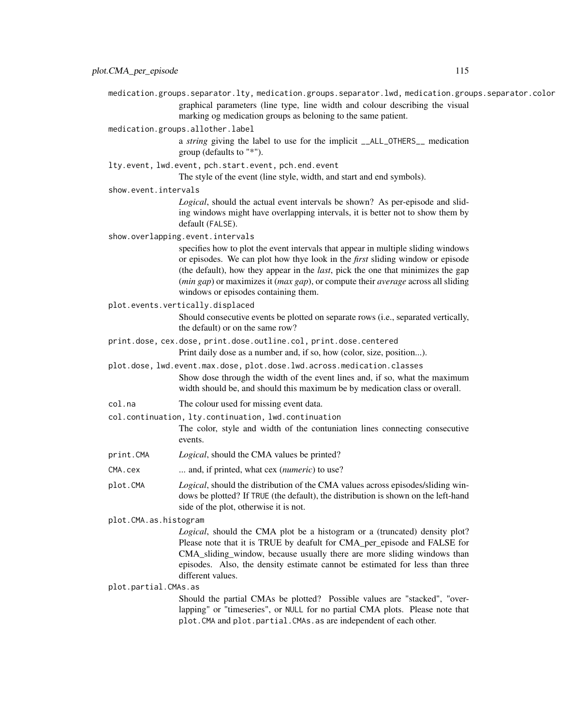medication.groups.separator.lty, medication.groups.separator.lwd, medication.groups.separator.color graphical parameters (line type, line width and colour describing the visual marking og medication groups as beloning to the same patient.

medication.groups.allother.label

a *string* giving the label to use for the implicit \_\_ALL\_OTHERS\_\_ medication group (defaults to "\*").

lty.event, lwd.event, pch.start.event, pch.end.event

The style of the event (line style, width, and start and end symbols).

show.event.intervals

*Logical*, should the actual event intervals be shown? As per-episode and sliding windows might have overlapping intervals, it is better not to show them by default (FALSE).

show.overlapping.event.intervals

specifies how to plot the event intervals that appear in multiple sliding windows or episodes. We can plot how thye look in the *first* sliding window or episode (the default), how they appear in the *last*, pick the one that minimizes the gap (*min gap*) or maximizes it (*max gap*), or compute their *average* across all sliding windows or episodes containing them.

plot.events.vertically.displaced

Should consecutive events be plotted on separate rows (i.e., separated vertically, the default) or on the same row?

- print.dose, cex.dose, print.dose.outline.col, print.dose.centered Print daily dose as a number and, if so, how (color, size, position...).
- plot.dose, lwd.event.max.dose, plot.dose.lwd.across.medication.classes Show dose through the width of the event lines and, if so, what the maximum width should be, and should this maximum be by medication class or overall.
- col.na The colour used for missing event data.
- col.continuation, lty.continuation, lwd.continuation

The color, style and width of the contuniation lines connecting consecutive events.

- print.CMA *Logical*, should the CMA values be printed?
- CMA.cex ... and, if printed, what cex (*numeric*) to use?
- plot.CMA *Logical*, should the distribution of the CMA values across episodes/sliding windows be plotted? If TRUE (the default), the distribution is shown on the left-hand side of the plot, otherwise it is not.

plot.CMA.as.histogram

*Logical*, should the CMA plot be a histogram or a (truncated) density plot? Please note that it is TRUE by deafult for CMA\_per\_episode and FALSE for CMA\_sliding\_window, because usually there are more sliding windows than episodes. Also, the density estimate cannot be estimated for less than three different values.

plot.partial.CMAs.as

Should the partial CMAs be plotted? Possible values are "stacked", "overlapping" or "timeseries", or NULL for no partial CMA plots. Please note that plot.CMA and plot.partial.CMAs.as are independent of each other.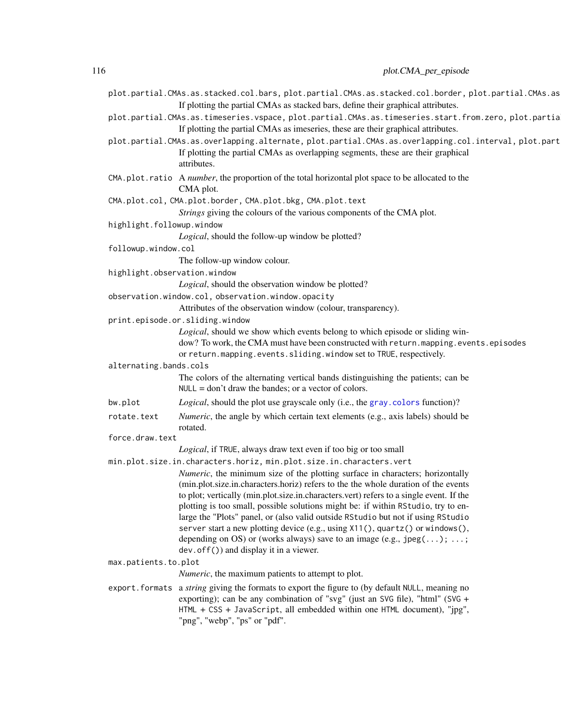<span id="page-115-0"></span>

|                        | plot.partial.CMAs.as.stacked.col.bars, plot.partial.CMAs.as.stacked.col.border, plot.partial.CMAs.as<br>If plotting the partial CMAs as stacked bars, define their graphical attributes. |
|------------------------|------------------------------------------------------------------------------------------------------------------------------------------------------------------------------------------|
|                        | plot.partial.CMAs.as.timeseries.vspace, plot.partial.CMAs.as.timeseries.start.from.zero, plot.partia                                                                                     |
|                        | If plotting the partial CMAs as imeseries, these are their graphical attributes.                                                                                                         |
|                        | plot.partial.CMAs.as.overlapping.alternate, plot.partial.CMAs.as.overlapping.col.interval, plot.part                                                                                     |
|                        |                                                                                                                                                                                          |
|                        | If plotting the partial CMAs as overlapping segments, these are their graphical<br>attributes                                                                                            |
|                        |                                                                                                                                                                                          |
|                        | CMA.plot.ratio A number, the proportion of the total horizontal plot space to be allocated to the                                                                                        |
|                        | CMA plot.                                                                                                                                                                                |
|                        | CMA.plot.col, CMA.plot.border, CMA.plot.bkg, CMA.plot.text                                                                                                                               |
|                        | Strings giving the colours of the various components of the CMA plot.                                                                                                                    |
|                        | highlight.followup.window                                                                                                                                                                |
|                        | Logical, should the follow-up window be plotted?                                                                                                                                         |
| followup.window.col    |                                                                                                                                                                                          |
|                        | The follow-up window colour.                                                                                                                                                             |
|                        | highlight.observation.window                                                                                                                                                             |
|                        | <i>Logical</i> , should the observation window be plotted?                                                                                                                               |
|                        | observation.window.col, observation.window.opacity                                                                                                                                       |
|                        | Attributes of the observation window (colour, transparency).                                                                                                                             |
|                        | print.episode.or.sliding.window                                                                                                                                                          |
|                        | Logical, should we show which events belong to which episode or sliding win-                                                                                                             |
|                        | dow? To work, the CMA must have been constructed with return. mapping. events. episodes                                                                                                  |
|                        | or return.mapping.events.sliding.window set to TRUE, respectively.                                                                                                                       |
| alternating.bands.cols |                                                                                                                                                                                          |
|                        | The colors of the alternating vertical bands distinguishing the patients; can be                                                                                                         |
|                        | $NULL = don't draw the bands; or a vector of colors.$                                                                                                                                    |
| bw.plot                | Logical, should the plot use grayscale only (i.e., the gray. colors function)?                                                                                                           |
| rotate.text            | <i>Numeric</i> , the angle by which certain text elements (e.g., axis labels) should be                                                                                                  |
|                        | rotated.                                                                                                                                                                                 |
| force.draw.text        |                                                                                                                                                                                          |
|                        | Logical, if TRUE, always draw text even if too big or too small                                                                                                                          |
|                        | min.plot.size.in.characters.horiz, min.plot.size.in.characters.vert                                                                                                                      |
|                        | <i>Numeric</i> , the minimum size of the plotting surface in characters; horizontally                                                                                                    |
|                        | (min.plot.size.in.characters.horiz) refers to the the whole duration of the events                                                                                                       |
|                        | to plot; vertically (min.plot.size.in.characters.vert) refers to a single event. If the                                                                                                  |
|                        | plotting is too small, possible solutions might be: if within RStudio, try to en-                                                                                                        |
|                        | large the "Plots" panel, or (also valid outside RStudio but not if using RStudio                                                                                                         |
|                        | server start a new plotting device (e.g., using X11(), quartz() or windows(),                                                                                                            |
|                        | depending on OS) or (works always) save to an image (e.g., $\text{.jpg}(\ldots)$ ; ;<br>$dev.$ of $f()$ and display it in a viewer.                                                      |
| max.patients.to.plot   |                                                                                                                                                                                          |
|                        |                                                                                                                                                                                          |
|                        | <i>Numeric</i> , the maximum patients to attempt to plot.                                                                                                                                |
|                        | export. formats a string giving the formats to export the figure to (by default NULL, meaning no                                                                                         |
|                        | exporting); can be any combination of "svg" (just an SVG file), "html" (SVG +                                                                                                            |
|                        | HTML + CSS + JavaScript, all embedded within one HTML document), "jpg",                                                                                                                  |
|                        | "png", "webp", "ps" or "pdf".                                                                                                                                                            |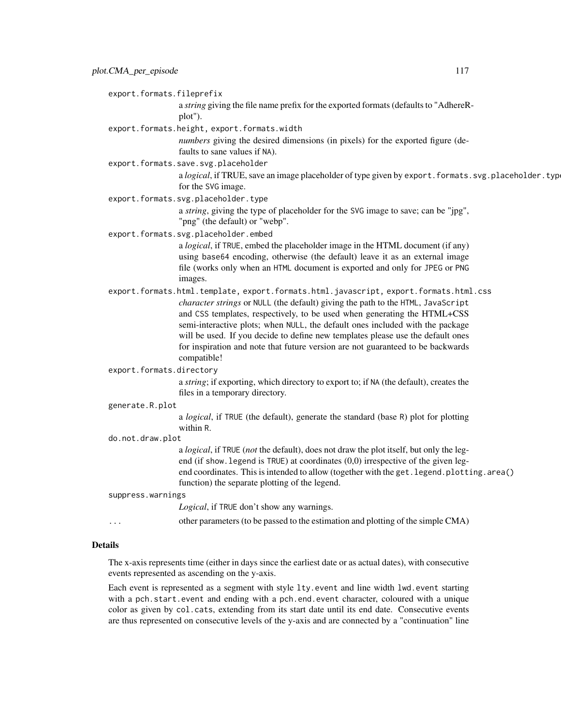export.formats.fileprefix

a *string* giving the file name prefix for the exported formats (defaults to "AdhereRplot").

export.formats.height, export.formats.width

*numbers* giving the desired dimensions (in pixels) for the exported figure (defaults to sane values if NA).

export.formats.save.svg.placeholder

a *logical*, if TRUE, save an image placeholder of type given by export.formats.svg.placeholder.typ for the SVG image.

export.formats.svg.placeholder.type

a *string*, giving the type of placeholder for the SVG image to save; can be "jpg", "png" (the default) or "webp".

export.formats.svg.placeholder.embed

a *logical*, if TRUE, embed the placeholder image in the HTML document (if any) using base64 encoding, otherwise (the default) leave it as an external image file (works only when an HTML document is exported and only for JPEG or PNG images.

- export.formats.html.template, export.formats.html.javascript, export.formats.html.css *character strings* or NULL (the default) giving the path to the HTML, JavaScript and CSS templates, respectively, to be used when generating the HTML+CSS semi-interactive plots; when NULL, the default ones included with the package will be used. If you decide to define new templates please use the default ones for inspiration and note that future version are not guaranteed to be backwards compatible!
- export.formats.directory

a *string*; if exporting, which directory to export to; if NA (the default), creates the files in a temporary directory.

#### generate.R.plot

a *logical*, if TRUE (the default), generate the standard (base R) plot for plotting within R.

do.not.draw.plot

a *logical*, if TRUE (*not* the default), does not draw the plot itself, but only the legend (if show. legend is TRUE) at coordinates (0,0) irrespective of the given legend coordinates. This is intended to allow (together with the get. legend.plotting.area() function) the separate plotting of the legend.

#### suppress.warnings

*Logical*, if TRUE don't show any warnings.

... other parameters (to be passed to the estimation and plotting of the simple CMA)

#### Details

The x-axis represents time (either in days since the earliest date or as actual dates), with consecutive events represented as ascending on the y-axis.

Each event is represented as a segment with style lty.event and line width lwd.event starting with a pch.start.event and ending with a pch.end.event character, coloured with a unique color as given by col.cats, extending from its start date until its end date. Consecutive events are thus represented on consecutive levels of the y-axis and are connected by a "continuation" line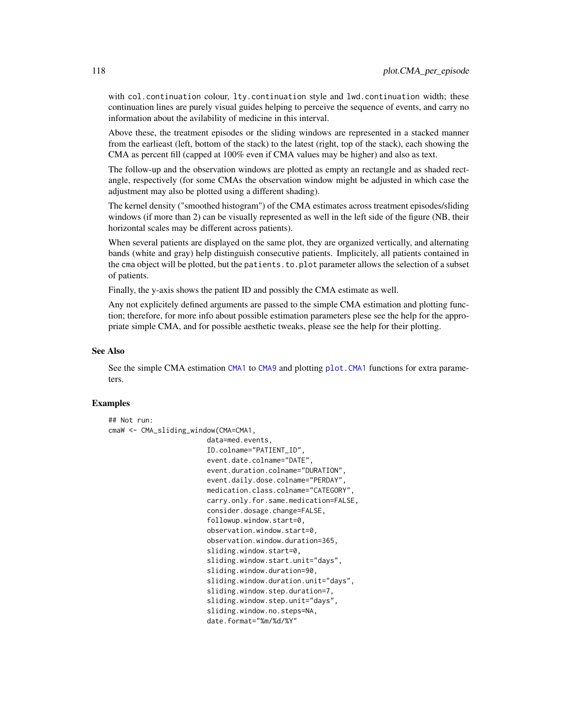<span id="page-117-0"></span>with col.continuation colour, lty.continuation style and lwd.continuation width; these continuation lines are purely visual guides helping to perceive the sequence of events, and carry no information about the avilability of medicine in this interval.

Above these, the treatment episodes or the sliding windows are represented in a stacked manner from the earlieast (left, bottom of the stack) to the latest (right, top of the stack), each showing the CMA as percent fill (capped at 100% even if CMA values may be higher) and also as text.

The follow-up and the observation windows are plotted as empty an rectangle and as shaded rectangle, respectively (for some CMAs the observation window might be adjusted in which case the adjustment may also be plotted using a different shading).

The kernel density ("smoothed histogram") of the CMA estimates across treatment episodes/sliding windows (if more than 2) can be visually represented as well in the left side of the figure (NB, their horizontal scales may be different across patients).

When several patients are displayed on the same plot, they are organized vertically, and alternating bands (white and gray) help distinguish consecutive patients. Implicitely, all patients contained in the cma object will be plotted, but the patients.to.plot parameter allows the selection of a subset of patients.

Finally, the y-axis shows the patient ID and possibly the CMA estimate as well.

Any not explicitely defined arguments are passed to the simple CMA estimation and plotting function; therefore, for more info about possible estimation parameters plese see the help for the appropriate simple CMA, and for possible aesthetic tweaks, please see the help for their plotting.

### See Also

See the simple CMA estimation [CMA1](#page-7-0) to [CMA9](#page-41-0) and plotting plot. CMA1 functions for extra parameters.

#### Examples

```
## Not run:
cmaW <- CMA_sliding_window(CMA=CMA1,
                        data=med.events,
```

```
ID.colname="PATIENT_ID",
event.date.colname="DATE",
event.duration.colname="DURATION",
event.daily.dose.colname="PERDAY",
medication.class.colname="CATEGORY",
carry.only.for.same.medication=FALSE,
consider.dosage.change=FALSE,
followup.window.start=0,
observation.window.start=0,
observation.window.duration=365,
sliding.window.start=0,
sliding.window.start.unit="days",
sliding.window.duration=90,
sliding.window.duration.unit="days",
sliding.window.step.duration=7,
sliding.window.step.unit="days",
sliding.window.no.steps=NA,
date.format="%m/%d/%Y"
```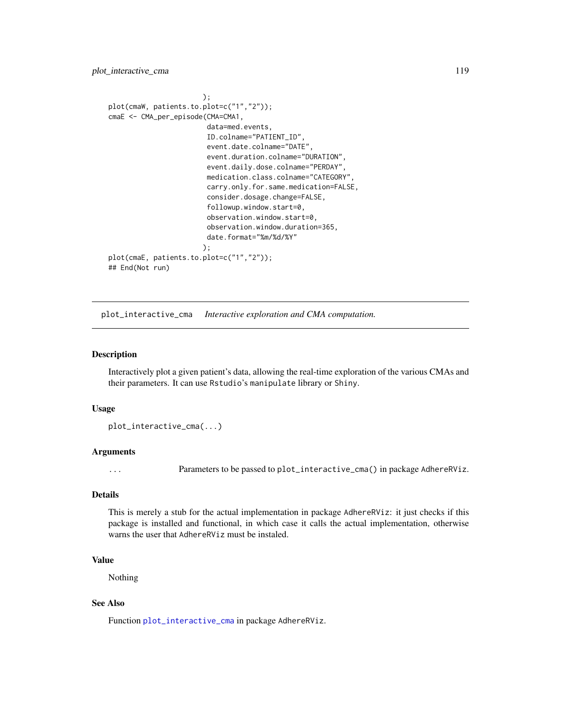<span id="page-118-1"></span>plot\_interactive\_cma 119

```
);
plot(cmaW, patients.to.plot=c("1","2"));
cmaE <- CMA_per_episode(CMA=CMA1,
                        data=med.events,
                        ID.colname="PATIENT_ID",
                        event.date.colname="DATE",
                        event.duration.colname="DURATION",
                        event.daily.dose.colname="PERDAY",
                        medication.class.colname="CATEGORY",
                        carry.only.for.same.medication=FALSE,
                        consider.dosage.change=FALSE,
                        followup.window.start=0,
                        observation.window.start=0,
                        observation.window.duration=365,
                        date.format="%m/%d/%Y"
                       );
plot(cmaE, patients.to.plot=c("1","2"));
## End(Not run)
```
<span id="page-118-0"></span>plot\_interactive\_cma *Interactive exploration and CMA computation.*

## **Description**

Interactively plot a given patient's data, allowing the real-time exploration of the various CMAs and their parameters. It can use Rstudio's manipulate library or Shiny.

#### Usage

plot\_interactive\_cma(...)

#### Arguments

... Parameters to be passed to plot\_interactive\_cma() in package AdhereRViz.

# Details

This is merely a stub for the actual implementation in package AdhereRViz: it just checks if this package is installed and functional, in which case it calls the actual implementation, otherwise warns the user that AdhereRViz must be instaled.

# Value

Nothing

## See Also

Function [plot\\_interactive\\_cma](#page-118-0) in package AdhereRViz.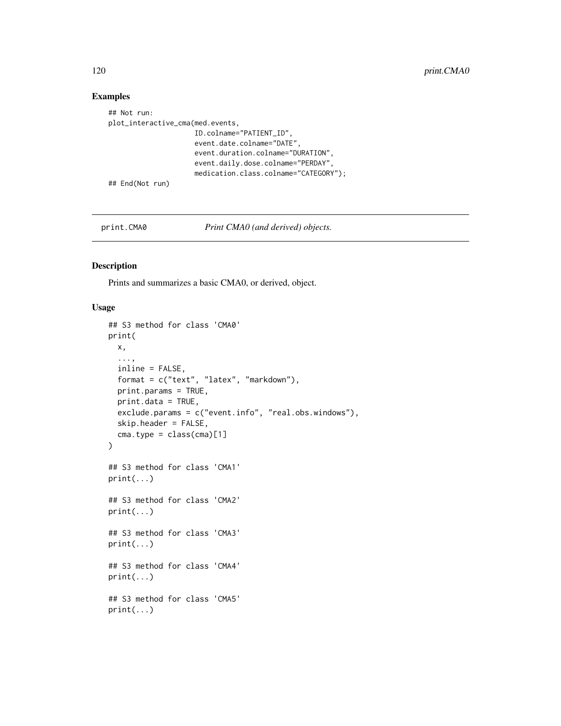# Examples

```
## Not run:
plot_interactive_cma(med.events,
                     ID.colname="PATIENT_ID",
                     event.date.colname="DATE",
                     event.duration.colname="DURATION",
                     event.daily.dose.colname="PERDAY",
                     medication.class.colname="CATEGORY");
## End(Not run)
```
print.CMA0 *Print CMA0 (and derived) objects.*

### Description

Prints and summarizes a basic CMA0, or derived, object.

```
## S3 method for class 'CMA0'
print(
 x,
  ...,
  inline = FALSE,
  format = c("text", "latex", "markdown"),
 print.params = TRUE,
 print.data = TRUE,
  exclude.params = c("event.info", "real.obs.windows"),
  skip.header = FALSE,
  cma.type = class(cma)[1]\lambda## S3 method for class 'CMA1'
print(...)
## S3 method for class 'CMA2'
print(...)
## S3 method for class 'CMA3'
print(...)
## S3 method for class 'CMA4'
print(...)
## S3 method for class 'CMA5'
print(...)
```
<span id="page-119-0"></span>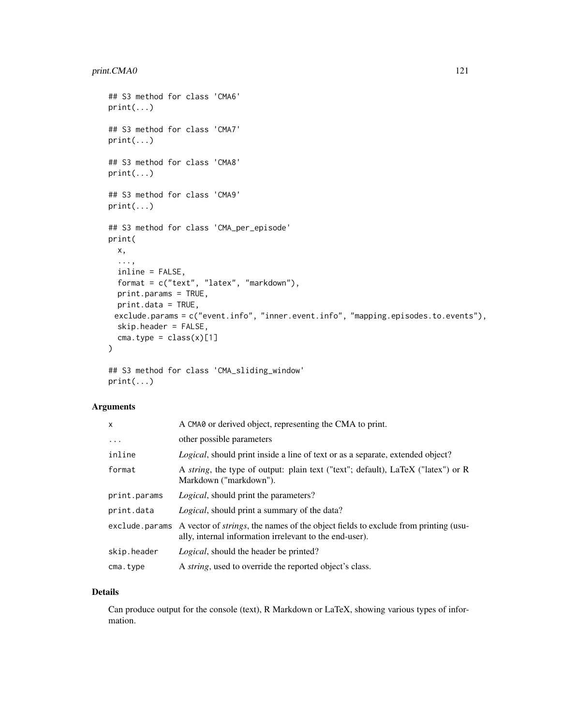```
## S3 method for class 'CMA6'
print(...)
## S3 method for class 'CMA7'
print(...)
## S3 method for class 'CMA8'
print(...)
## S3 method for class 'CMA9'
print(...)
## S3 method for class 'CMA_per_episode'
print(
 x,
  ...,
  inline = FALSE,
  format = c("text", "latex", "markdown"),
 print.params = TRUE,
 print.data = TRUE,
 exclude.params = c("event.info", "inner.event.info", "mapping.episodes.to.events"),
 skip.header = FALSE,
 cma.type = class(x)[1])
## S3 method for class 'CMA_sliding_window'
```
print(...)

#### Arguments

| x              | A CMA0 or derived object, representing the CMA to print.                                                                                              |  |
|----------------|-------------------------------------------------------------------------------------------------------------------------------------------------------|--|
| $\cdots$       | other possible parameters                                                                                                                             |  |
| inline         | <i>Logical</i> , should print inside a line of text or as a separate, extended object?                                                                |  |
| format         | A <i>string</i> , the type of output: plain text ("text"; default), LaTeX ("latex") or R<br>Markdown ("markdown").                                    |  |
| print.params   | <i>Logical</i> , should print the parameters?                                                                                                         |  |
| print.data     | <i>Logical</i> , should print a summary of the data?                                                                                                  |  |
| exclude.params | A vector of <i>strings</i> , the names of the object fields to exclude from printing (usu-<br>ally, internal information irrelevant to the end-user). |  |
| skip.header    | <i>Logical</i> , should the header be printed?                                                                                                        |  |
| cma.type       | A <i>string</i> , used to override the reported object's class.                                                                                       |  |
|                |                                                                                                                                                       |  |

#### Details

Can produce output for the console (text), R Markdown or LaTeX, showing various types of information.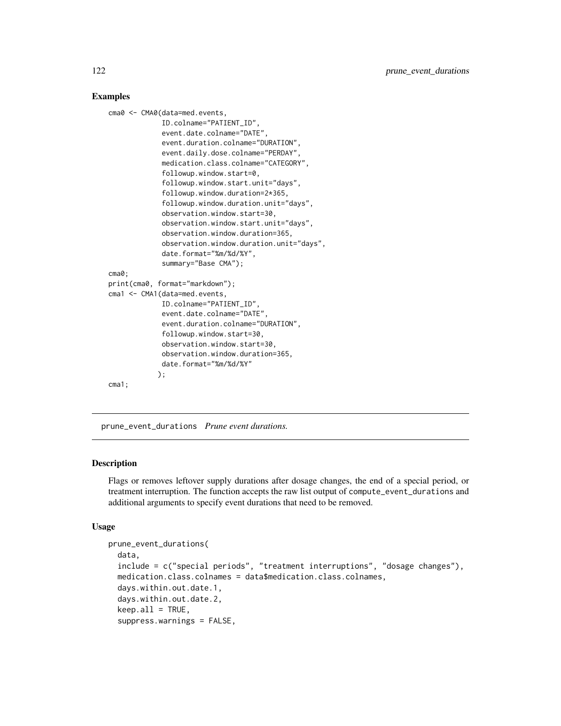## Examples

```
cma0 <- CMA0(data=med.events,
             ID.colname="PATIENT_ID",
             event.date.colname="DATE",
             event.duration.colname="DURATION",
             event.daily.dose.colname="PERDAY",
             medication.class.colname="CATEGORY",
             followup.window.start=0,
             followup.window.start.unit="days",
             followup.window.duration=2*365,
             followup.window.duration.unit="days",
             observation.window.start=30,
             observation.window.start.unit="days",
             observation.window.duration=365,
             observation.window.duration.unit="days",
             date.format="%m/%d/%Y",
             summary="Base CMA");
cma0;
print(cma0, format="markdown");
cma1 <- CMA1(data=med.events,
             ID.colname="PATIENT_ID",
             event.date.colname="DATE",
             event.duration.colname="DURATION",
             followup.window.start=30,
             observation.window.start=30,
             observation.window.duration=365,
             date.format="%m/%d/%Y"
            );
cma1;
```
prune\_event\_durations *Prune event durations.*

## Description

Flags or removes leftover supply durations after dosage changes, the end of a special period, or treatment interruption. The function accepts the raw list output of compute\_event\_durations and additional arguments to specify event durations that need to be removed.

```
prune_event_durations(
  data,
  include = c("special periods", "treatment interruptions", "dosage changes"),
 medication.class.colnames = data$medication.class.colnames,
  days.within.out.date.1,
  days.within.out.date.2,
  keep.al1 = TRUE,suppress.warnings = FALSE,
```
<span id="page-121-0"></span>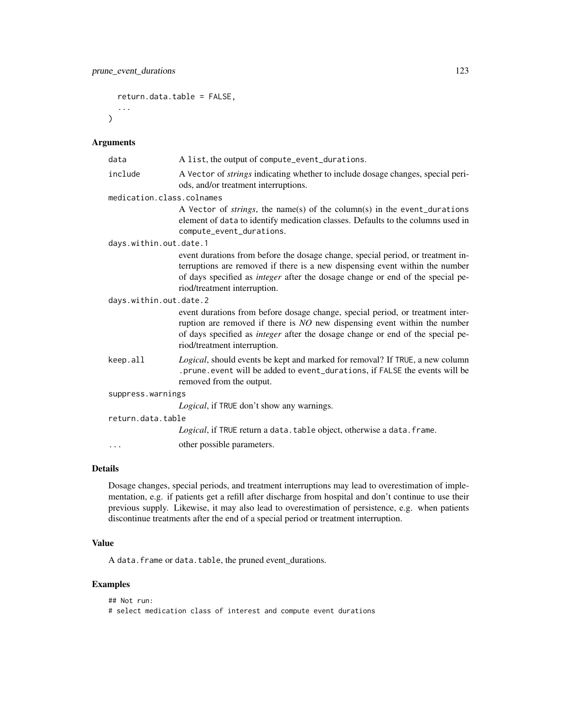```
return.data.table = FALSE,
...
```
 $\lambda$ 

| data                      | A list, the output of compute_event_durations.                                                                                                                                                                                                                                           |  |  |
|---------------------------|------------------------------------------------------------------------------------------------------------------------------------------------------------------------------------------------------------------------------------------------------------------------------------------|--|--|
| include                   | A Vector of <i>strings</i> indicating whether to include dosage changes, special peri-<br>ods, and/or treatment interruptions.                                                                                                                                                           |  |  |
| medication.class.colnames |                                                                                                                                                                                                                                                                                          |  |  |
|                           | A Vector of <i>strings</i> , the name(s) of the column(s) in the event_durations<br>element of data to identify medication classes. Defaults to the columns used in<br>compute_event_durations.                                                                                          |  |  |
| days.within.out.date.1    |                                                                                                                                                                                                                                                                                          |  |  |
|                           | event durations from before the dosage change, special period, or treatment in-<br>terruptions are removed if there is a new dispensing event within the number<br>of days specified as <i>integer</i> after the dosage change or end of the special pe-<br>riod/treatment interruption. |  |  |
| days.within.out.date.2    |                                                                                                                                                                                                                                                                                          |  |  |
|                           | event durations from before dosage change, special period, or treatment inter-<br>ruption are removed if there is $NO$ new dispensing event within the number<br>of days specified as <i>integer</i> after the dosage change or end of the special pe-<br>riod/treatment interruption.   |  |  |
| keep.all                  | Logical, should events be kept and marked for removal? If TRUE, a new column<br>.prune.event will be added to event_durations, if FALSE the events will be<br>removed from the output.                                                                                                   |  |  |
| suppress.warnings         |                                                                                                                                                                                                                                                                                          |  |  |
|                           | Logical, if TRUE don't show any warnings.                                                                                                                                                                                                                                                |  |  |
| return.data.table         |                                                                                                                                                                                                                                                                                          |  |  |
|                           | Logical, if TRUE return a data. table object, otherwise a data. frame.                                                                                                                                                                                                                   |  |  |
| .                         | other possible parameters.                                                                                                                                                                                                                                                               |  |  |

# Details

Dosage changes, special periods, and treatment interruptions may lead to overestimation of implementation, e.g. if patients get a refill after discharge from hospital and don't continue to use their previous supply. Likewise, it may also lead to overestimation of persistence, e.g. when patients discontinue treatments after the end of a special period or treatment interruption.

## Value

A data.frame or data.table, the pruned event\_durations.

# Examples

## Not run: # select medication class of interest and compute event durations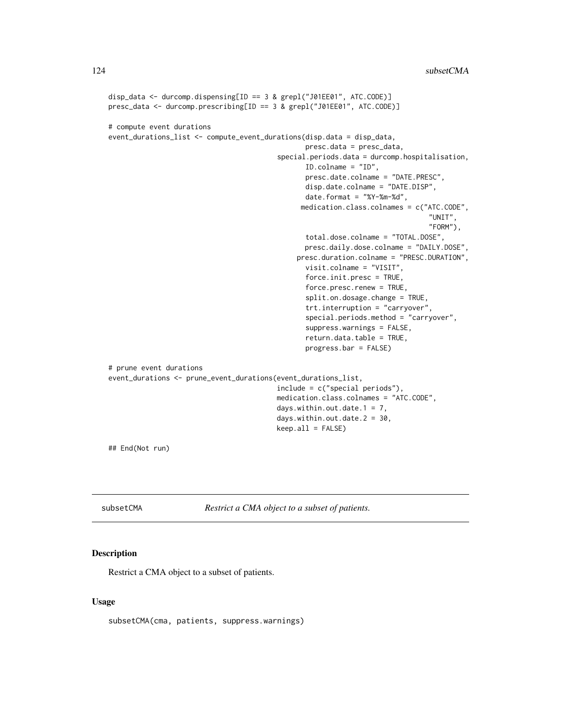```
disp_data <- durcomp.dispensing[ID == 3 & grepl("J01EE01", ATC.CODE)]
presc_data <- durcomp.prescribing[ID == 3 & grepl("J01EE01", ATC.CODE)]
# compute event durations
event_durations_list <- compute_event_durations(disp.data = disp_data,
                                                presc.data = presc_data,
                                         special.periods.data = durcomp.hospitalisation,
                                                ID.colname = "ID",
                                                presc.date.colname = "DATE.PRESC",
                                                disp.date.colname = "DATE.DISP",
                                                date.format = "%Y-%m-%d",
                                               medication.class.colnames = c("ATC.CODE",
                                                                               "UNIT",
                                                                               "FORM"),
                                                total.dose.colname = "TOTAL.DOSE",
                                                presc.daily.dose.colname = "DAILY.DOSE",
                                              presc.duration.colname = "PRESC.DURATION",
                                                visit.colname = "VISIT",
                                                force.init.presc = TRUE,
                                                force.presc.renew = TRUE,
                                                split.on.dosage.change = TRUE,
                                                trt.interruption = "carryover",
                                                special.periods.method = "carryover",
                                                suppress.warnings = FALSE,
                                                return.data.table = TRUE,
                                                progress.bar = FALSE)
# prune event durations
event_durations <- prune_event_durations(event_durations_list,
                                         include = c("special periods"),
                                         medication.class.colnames = "ATC.CODE",
                                         days.within.out.date.1 = 7,
                                         days.within.out.date.2 = 30,
                                         keep.al1 = FALSE)## End(Not run)
```
subsetCMA *Restrict a CMA object to a subset of patients.*

## Description

Restrict a CMA object to a subset of patients.

#### Usage

subsetCMA(cma, patients, suppress.warnings)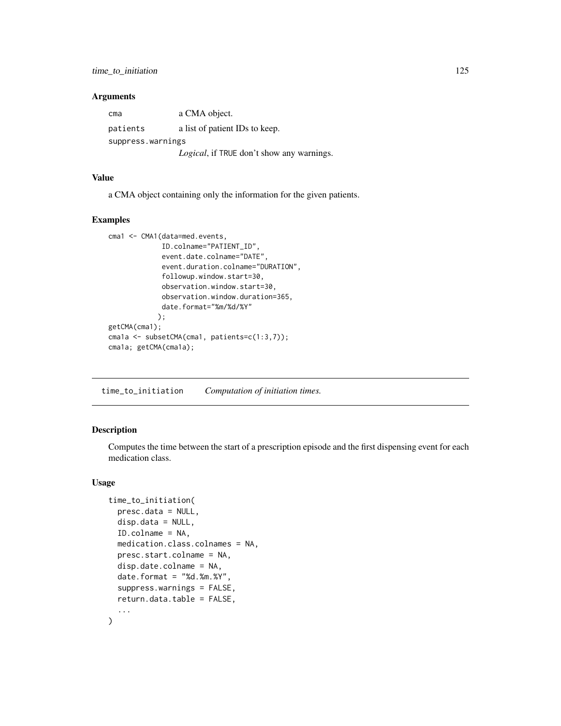<span id="page-124-0"></span>

| cma               | a CMA object.                                     |  |  |  |
|-------------------|---------------------------------------------------|--|--|--|
| patients          | a list of patient IDs to keep.                    |  |  |  |
| suppress.warnings |                                                   |  |  |  |
|                   | <i>Logical</i> , if TRUE don't show any warnings. |  |  |  |

## Value

a CMA object containing only the information for the given patients.

#### Examples

```
cma1 <- CMA1(data=med.events,
             ID.colname="PATIENT_ID",
             event.date.colname="DATE",
             event.duration.colname="DURATION",
             followup.window.start=30,
             observation.window.start=30,
             observation.window.duration=365,
             date.format="%m/%d/%Y"
            );
getCMA(cma1);
cma1a <- subsetCMA(cma1, patients=c(1:3,7));
cma1a; getCMA(cma1a);
```
time\_to\_initiation *Computation of initiation times.*

## Description

Computes the time between the start of a prescription episode and the first dispensing event for each medication class.

```
time_to_initiation(
 presc.data = NULL,
  disp.data = NULL,
  ID.colname = NA,
 medication.class.colnames = NA,
 presc.start.colname = NA,
  disp.date.colname = NA,
  date.format = "%d.*m.*Y",suppress.warnings = FALSE,
  return.data.table = FALSE,
  ...
\mathcal{E}
```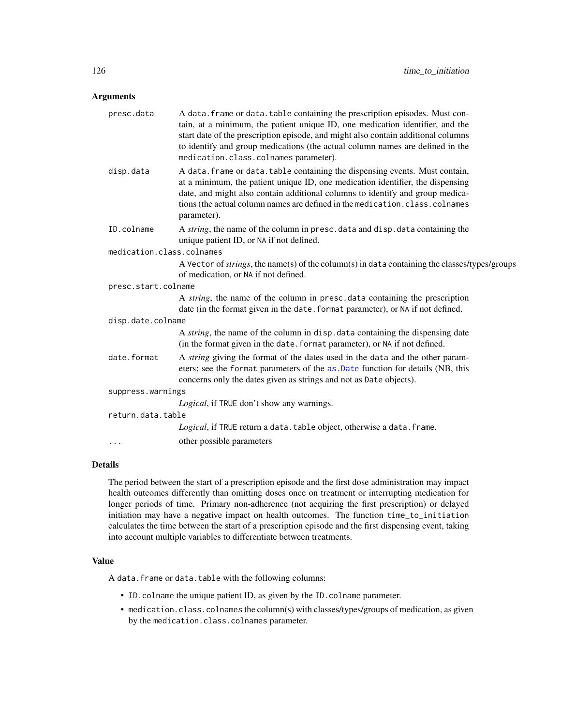<span id="page-125-0"></span>

| presc.data                | A data. frame or data. table containing the prescription episodes. Must con-<br>tain, at a minimum, the patient unique ID, one medication identifier, and the<br>start date of the prescription episode, and might also contain additional columns<br>to identify and group medications (the actual column names are defined in the<br>medication.class.colnames parameter). |
|---------------------------|------------------------------------------------------------------------------------------------------------------------------------------------------------------------------------------------------------------------------------------------------------------------------------------------------------------------------------------------------------------------------|
| disp.data                 | A data. frame or data. table containing the dispensing events. Must contain,<br>at a minimum, the patient unique ID, one medication identifier, the dispensing<br>date, and might also contain additional columns to identify and group medica-<br>tions (the actual column names are defined in the medication.class.colnames<br>parameter).                                |
| ID.colname                | A string, the name of the column in presc. data and disp. data containing the<br>unique patient ID, or NA if not defined.                                                                                                                                                                                                                                                    |
| medication.class.colnames |                                                                                                                                                                                                                                                                                                                                                                              |
|                           | A Vector of <i>strings</i> , the name(s) of the column(s) in data containing the classes/types/groups<br>of medication, or NA if not defined.                                                                                                                                                                                                                                |
| presc.start.colname       |                                                                                                                                                                                                                                                                                                                                                                              |
|                           | A string, the name of the column in presc. data containing the prescription<br>date (in the format given in the date. format parameter), or NA if not defined.                                                                                                                                                                                                               |
| disp.date.colname         |                                                                                                                                                                                                                                                                                                                                                                              |
|                           | A string, the name of the column in disp. data containing the dispensing date<br>(in the format given in the date. format parameter), or NA if not defined.                                                                                                                                                                                                                  |
| date.format               | A string giving the format of the dates used in the data and the other param-<br>eters; see the format parameters of the as .Date function for details (NB, this<br>concerns only the dates given as strings and not as Date objects).                                                                                                                                       |
| suppress.warnings         |                                                                                                                                                                                                                                                                                                                                                                              |
|                           | Logical, if TRUE don't show any warnings.                                                                                                                                                                                                                                                                                                                                    |
| return.data.table         |                                                                                                                                                                                                                                                                                                                                                                              |
|                           | Logical, if TRUE return a data. table object, otherwise a data. frame.                                                                                                                                                                                                                                                                                                       |
| $\cdots$                  | other possible parameters                                                                                                                                                                                                                                                                                                                                                    |

#### Details

The period between the start of a prescription episode and the first dose administration may impact health outcomes differently than omitting doses once on treatment or interrupting medication for longer periods of time. Primary non-adherence (not acquiring the first prescription) or delayed initiation may have a negative impact on health outcomes. The function time\_to\_initiation calculates the time between the start of a prescription episode and the first dispensing event, taking into account multiple variables to differentiate between treatments.

# Value

A data.frame or data.table with the following columns:

- ID.colname the unique patient ID, as given by the ID.colname parameter.
- medication.class.colnames the column(s) with classes/types/groups of medication, as given by the medication.class.colnames parameter.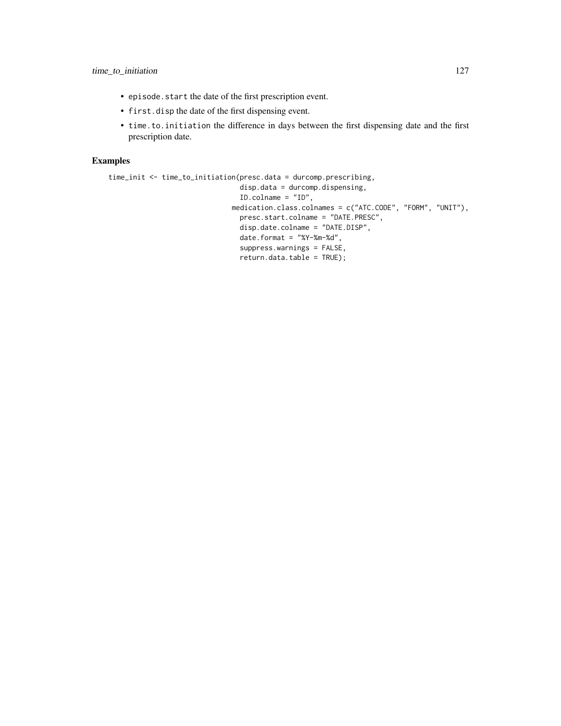- episode.start the date of the first prescription event.
- first.disp the date of the first dispensing event.
- time.to.initiation the difference in days between the first dispensing date and the first prescription date.

# Examples

```
time_init <- time_to_initiation(presc.data = durcomp.prescribing,
                                disp.data = durcomp.dispensing,
                                ID.colname = "ID",
                              medication.class.colnames = c("ATC.CODE", "FORM", "UNIT"),
                                presc.start.colname = "DATE.PRESC",
                                disp.date.colname = "DATE.DISP",
                                date.format = "%Y-%m-%d",
                                suppress.warnings = FALSE,
                                return.data.table = TRUE);
```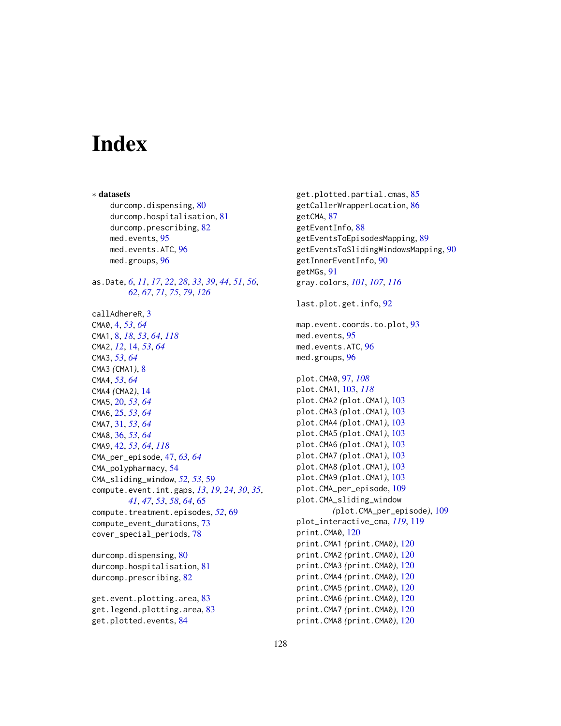# **Index**

∗ datasets durcomp.dispensing, [80](#page-79-0) durcomp.hospitalisation, [81](#page-80-0) durcomp.prescribing, [82](#page-81-0) med.events, [95](#page-94-0) med.events.ATC, [96](#page-95-0) med.groups, [96](#page-95-0) as.Date, *[6](#page-5-0)*, *[11](#page-10-0)*, *[17](#page-16-0)*, *[22](#page-21-0)*, *[28](#page-27-0)*, *[33](#page-32-0)*, *[39](#page-38-0)*, *[44](#page-43-0)*, *[51](#page-50-0)*, *[56](#page-55-0)*, *[62](#page-61-0)*, *[67](#page-66-0)*, *[71](#page-70-0)*, *[75](#page-74-0)*, *[79](#page-78-0)*, *[126](#page-125-0)* callAdhereR, [3](#page-2-0) CMA0, [4,](#page-3-0) *[53](#page-52-0)*, *[64](#page-63-0)* CMA1, [8,](#page-7-1) *[18](#page-17-0)*, *[53](#page-52-0)*, *[64](#page-63-0)*, *[118](#page-117-0)* CMA2, *[12](#page-11-0)*, [14,](#page-13-0) *[53](#page-52-0)*, *[64](#page-63-0)* CMA3, *[53](#page-52-0)*, *[64](#page-63-0)* CMA3 *(*CMA1*)*, [8](#page-7-1) CMA4, *[53](#page-52-0)*, *[64](#page-63-0)* CMA4 *(*CMA2*)*, [14](#page-13-0) CMA5, [20,](#page-19-0) *[53](#page-52-0)*, *[64](#page-63-0)* CMA6, [25,](#page-24-0) *[53](#page-52-0)*, *[64](#page-63-0)* CMA7, [31,](#page-30-0) *[53](#page-52-0)*, *[64](#page-63-0)* CMA8, [36,](#page-35-0) *[53](#page-52-0)*, *[64](#page-63-0)* CMA9, [42,](#page-41-1) *[53](#page-52-0)*, *[64](#page-63-0)*, *[118](#page-117-0)* CMA\_per\_episode, [47,](#page-46-0) *[63,](#page-62-0) [64](#page-63-0)* CMA\_polypharmacy, [54](#page-53-0) CMA\_sliding\_window, *[52,](#page-51-0) [53](#page-52-0)*, [59](#page-58-0) compute.event.int.gaps, *[13](#page-12-0)*, *[19](#page-18-0)*, *[24](#page-23-0)*, *[30](#page-29-0)*, *[35](#page-34-0)*, *[41](#page-40-0)*, *[47](#page-46-0)*, *[53](#page-52-0)*, *[58](#page-57-0)*, *[64](#page-63-0)*, [65](#page-64-0) compute.treatment.episodes, [52](#page-51-0), [69](#page-68-0) compute\_event\_durations, [73](#page-72-0) cover\_special\_periods, [78](#page-77-0) durcomp.dispensing, [80](#page-79-0) durcomp.hospitalisation, [81](#page-80-0) durcomp.prescribing, [82](#page-81-0)

```
get.event.plotting.area, 83
get.legend.plotting.area, 83
get.plotted.events, 84
```
get.plotted.partial.cmas, [85](#page-84-0) getCallerWrapperLocation, [86](#page-85-0) getCMA, [87](#page-86-0) getEventInfo, [88](#page-87-0) getEventsToEpisodesMapping, [89](#page-88-0) getEventsToSlidingWindowsMapping, [90](#page-89-0) getInnerEventInfo, [90](#page-89-0) getMGs, [91](#page-90-0) gray.colors, *[101](#page-100-0)*, *[107](#page-106-0)*, *[116](#page-115-0)* last.plot.get.info, [92](#page-91-0) map.event.coords.to.plot, [93](#page-92-0) med.events, [95](#page-94-0) med.events.ATC, [96](#page-95-0) med.groups, [96](#page-95-0) plot.CMA0, [97,](#page-96-0) *[108](#page-107-0)* plot.CMA1, [103,](#page-102-1) *[118](#page-117-0)* plot.CMA2 *(*plot.CMA1*)*, [103](#page-102-1) plot.CMA3 *(*plot.CMA1*)*, [103](#page-102-1) plot.CMA4 *(*plot.CMA1*)*, [103](#page-102-1) plot.CMA5 *(*plot.CMA1*)*, [103](#page-102-1) plot.CMA6 *(*plot.CMA1*)*, [103](#page-102-1) plot.CMA7 *(*plot.CMA1*)*, [103](#page-102-1) plot.CMA8 *(*plot.CMA1*)*, [103](#page-102-1) plot.CMA9 *(*plot.CMA1*)*, [103](#page-102-1) plot.CMA\_per\_episode, [109](#page-108-0) plot.CMA\_sliding\_window *(*plot.CMA\_per\_episode*)*, [109](#page-108-0) plot\_interactive\_cma, *[119](#page-118-1)*, [119](#page-118-1) print.CMA0, [120](#page-119-0) print.CMA1 *(*print.CMA0*)*, [120](#page-119-0) print.CMA2 *(*print.CMA0*)*, [120](#page-119-0) print.CMA3 *(*print.CMA0*)*, [120](#page-119-0) print.CMA4 *(*print.CMA0*)*, [120](#page-119-0) print.CMA5 *(*print.CMA0*)*, [120](#page-119-0) print.CMA6 *(*print.CMA0*)*, [120](#page-119-0) print.CMA7 *(*print.CMA0*)*, [120](#page-119-0) print.CMA8 *(*print.CMA0*)*, [120](#page-119-0)